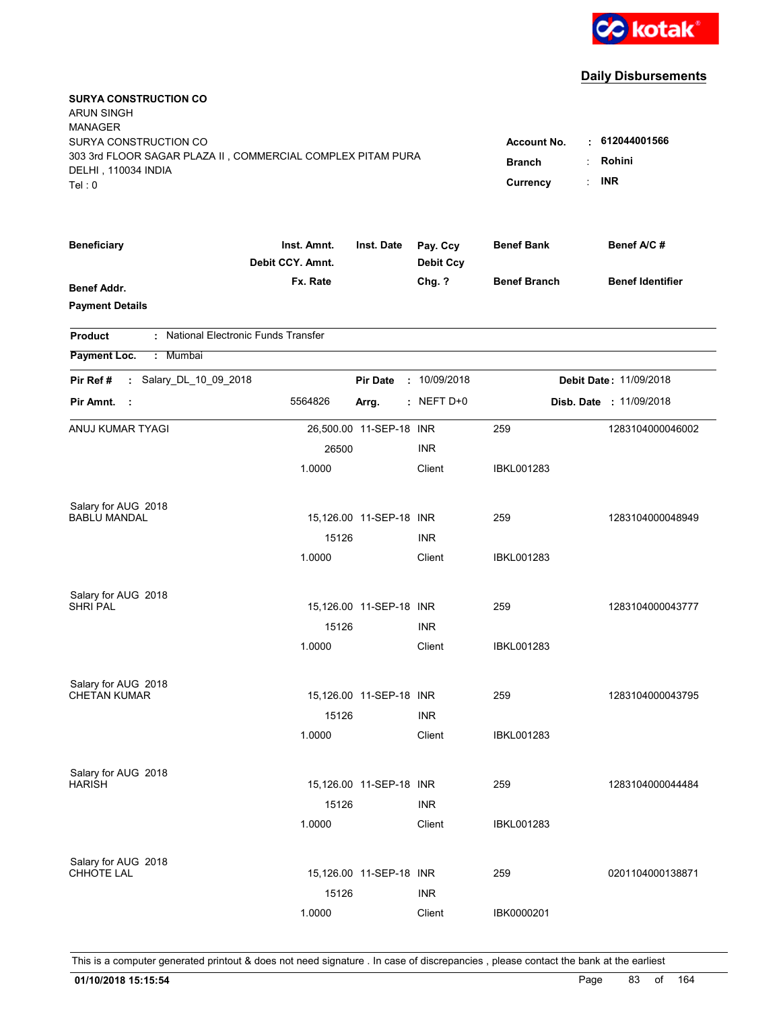

| <b>SURYA CONSTRUCTION CO</b><br><b>ARUN SINGH</b><br><b>MANAGER</b><br>SURYA CONSTRUCTION CO |                                 |                         |                              | <b>Account No.</b>  | 612044001566            |
|----------------------------------------------------------------------------------------------|---------------------------------|-------------------------|------------------------------|---------------------|-------------------------|
| 303 3rd FLOOR SAGAR PLAZA II, COMMERCIAL COMPLEX PITAM PURA                                  |                                 |                         | <b>Branch</b>                | Rohini              |                         |
| DELHI, 110034 INDIA                                                                          |                                 |                         |                              |                     | <b>INR</b>              |
| Tel:0                                                                                        |                                 |                         |                              | Currency            |                         |
| <b>Beneficiary</b>                                                                           | Inst. Amnt.<br>Debit CCY, Amnt. | Inst. Date              | Pay. Ccy<br><b>Debit Ccy</b> | <b>Benef Bank</b>   | Benef A/C#              |
| <b>Benef Addr.</b><br><b>Payment Details</b>                                                 | Fx. Rate                        |                         | Chg. ?                       | <b>Benef Branch</b> | <b>Benef Identifier</b> |
| : National Electronic Funds Transfer<br><b>Product</b>                                       |                                 |                         |                              |                     |                         |
| Payment Loc.<br>: Mumbai                                                                     |                                 |                         |                              |                     |                         |
| : Salary_DL_10_09_2018<br>Pir Ref#                                                           |                                 | <b>Pir Date</b>         | : 10/09/2018                 |                     | Debit Date: 11/09/2018  |
| Pir Amnt.<br>- 1                                                                             | 5564826                         | Arrg.                   | $:$ NEFT D+0                 |                     | Disb. Date : 11/09/2018 |
| ANUJ KUMAR TYAGI                                                                             |                                 | 26,500.00 11-SEP-18 INR |                              | 259                 | 1283104000046002        |
|                                                                                              | 26500                           |                         | <b>INR</b>                   |                     |                         |
|                                                                                              | 1.0000                          |                         | Client                       | IBKL001283          |                         |
| Salary for AUG 2018                                                                          |                                 |                         |                              |                     |                         |
| <b>BABLU MANDAL</b>                                                                          |                                 | 15,126.00 11-SEP-18 INR |                              | 259                 | 1283104000048949        |
|                                                                                              | 15126                           |                         | <b>INR</b>                   |                     |                         |
|                                                                                              | 1.0000                          |                         | Client                       | IBKL001283          |                         |
| Salary for AUG 2018                                                                          |                                 |                         |                              |                     |                         |
| <b>SHRI PAL</b>                                                                              |                                 | 15,126.00 11-SEP-18 INR |                              | 259                 | 1283104000043777        |
|                                                                                              | 15126                           |                         | <b>INR</b>                   |                     |                         |
|                                                                                              | 1.0000                          |                         | Client                       | IBKL001283          |                         |
| Salary for AUG 2018                                                                          |                                 |                         |                              |                     |                         |
| <b>CHETAN KUMAR</b>                                                                          |                                 | 15,126.00 11-SEP-18 INR |                              | 259                 | 1283104000043795        |
|                                                                                              | 15126                           |                         | <b>INR</b>                   |                     |                         |
|                                                                                              | 1.0000                          |                         | Client                       | IBKL001283          |                         |
| Salary for AUG 2018                                                                          |                                 |                         |                              |                     |                         |
| <b>HARISH</b>                                                                                |                                 | 15,126.00 11-SEP-18 INR |                              | 259                 | 1283104000044484        |
|                                                                                              | 15126                           |                         | <b>INR</b>                   |                     |                         |
|                                                                                              | 1.0000                          |                         | Client                       | IBKL001283          |                         |
| Salary for AUG 2018                                                                          |                                 |                         |                              |                     |                         |
| <b>CHHOTE LAL</b>                                                                            |                                 | 15,126.00 11-SEP-18 INR |                              | 259                 | 0201104000138871        |
|                                                                                              | 15126                           |                         | <b>INR</b>                   |                     |                         |
|                                                                                              | 1.0000                          |                         | Client                       | IBK0000201          |                         |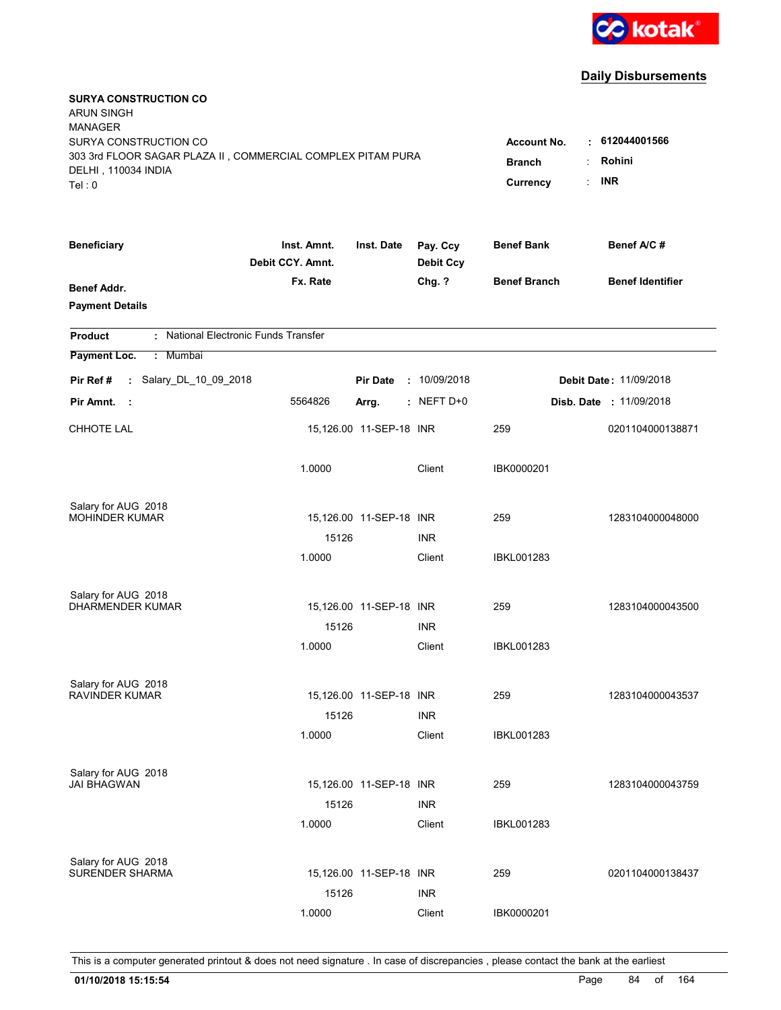

| <b>SURYA CONSTRUCTION CO</b><br><b>ARUN SINGH</b><br><b>MANAGER</b><br>SURYA CONSTRUCTION CO<br>303 3rd FLOOR SAGAR PLAZA II, COMMERCIAL COMPLEX PITAM PURA<br>DELHI, 110034 INDIA<br>Tel: 0 | <b>Account No.</b><br><b>Branch</b><br>Currency | 612044001566<br>٠<br>Rohini<br><b>INR</b><br>t. |                              |                     |                         |
|----------------------------------------------------------------------------------------------------------------------------------------------------------------------------------------------|-------------------------------------------------|-------------------------------------------------|------------------------------|---------------------|-------------------------|
| <b>Beneficiary</b>                                                                                                                                                                           | Inst. Amnt.<br>Debit CCY. Amnt.                 | Inst. Date                                      | Pay. Ccy<br><b>Debit Ccy</b> | <b>Benef Bank</b>   | Benef A/C #             |
| Benef Addr.<br><b>Payment Details</b>                                                                                                                                                        | Fx. Rate                                        |                                                 | Chg. ?                       | <b>Benef Branch</b> | <b>Benef Identifier</b> |
| : National Electronic Funds Transfer<br><b>Product</b>                                                                                                                                       |                                                 |                                                 |                              |                     |                         |
| Payment Loc.<br>: Mumbai                                                                                                                                                                     |                                                 |                                                 |                              |                     |                         |
| : Salary_DL_10_09_2018<br>Pir Ref#                                                                                                                                                           |                                                 | <b>Pir Date</b>                                 | : 10/09/2018                 |                     | Debit Date: 11/09/2018  |
| Pir Amnt.<br>$\sim$ 1                                                                                                                                                                        | 5564826                                         | Arrg.                                           | $:$ NEFT D+0                 |                     | Disb. Date : 11/09/2018 |
| <b>CHHOTE LAL</b>                                                                                                                                                                            |                                                 | 15,126.00 11-SEP-18 INR                         |                              | 259                 | 0201104000138871        |
|                                                                                                                                                                                              | 1.0000                                          |                                                 | Client                       | IBK0000201          |                         |
| Salary for AUG 2018                                                                                                                                                                          |                                                 |                                                 |                              |                     |                         |
| <b>MOHINDER KUMAR</b>                                                                                                                                                                        | 15126                                           | 15,126.00 11-SEP-18 INR                         | <b>INR</b>                   | 259                 | 1283104000048000        |
|                                                                                                                                                                                              | 1.0000                                          |                                                 | Client                       | <b>IBKL001283</b>   |                         |
| Salary for AUG 2018                                                                                                                                                                          |                                                 |                                                 |                              |                     |                         |
| <b>DHARMENDER KUMAR</b>                                                                                                                                                                      |                                                 | 15,126.00 11-SEP-18 INR                         |                              | 259                 | 1283104000043500        |
|                                                                                                                                                                                              | 15126                                           |                                                 | <b>INR</b>                   |                     |                         |
|                                                                                                                                                                                              | 1.0000                                          |                                                 | Client                       | <b>IBKL001283</b>   |                         |
| Salary for AUG 2018                                                                                                                                                                          |                                                 |                                                 |                              |                     |                         |
| <b>RAVINDER KUMAR</b>                                                                                                                                                                        | 15126                                           | 15,126.00 11-SEP-18 INR                         | <b>INR</b>                   | 259                 | 1283104000043537        |
|                                                                                                                                                                                              | 1.0000                                          |                                                 | Client                       | <b>IBKL001283</b>   |                         |
|                                                                                                                                                                                              |                                                 |                                                 |                              |                     |                         |
| Salary for AUG 2018<br><b>JAI BHAGWAN</b>                                                                                                                                                    |                                                 | 15,126.00 11-SEP-18 INR                         |                              | 259                 | 1283104000043759        |
|                                                                                                                                                                                              | 15126                                           |                                                 | <b>INR</b>                   |                     |                         |
|                                                                                                                                                                                              | 1.0000                                          |                                                 | Client                       | <b>IBKL001283</b>   |                         |
| Salary for AUG 2018                                                                                                                                                                          |                                                 |                                                 |                              |                     |                         |
| <b>SURENDER SHARMA</b>                                                                                                                                                                       |                                                 | 15,126.00 11-SEP-18 INR                         |                              | 259                 | 0201104000138437        |
|                                                                                                                                                                                              | 15126                                           |                                                 | <b>INR</b>                   |                     |                         |
|                                                                                                                                                                                              | 1.0000                                          |                                                 | Client                       | IBK0000201          |                         |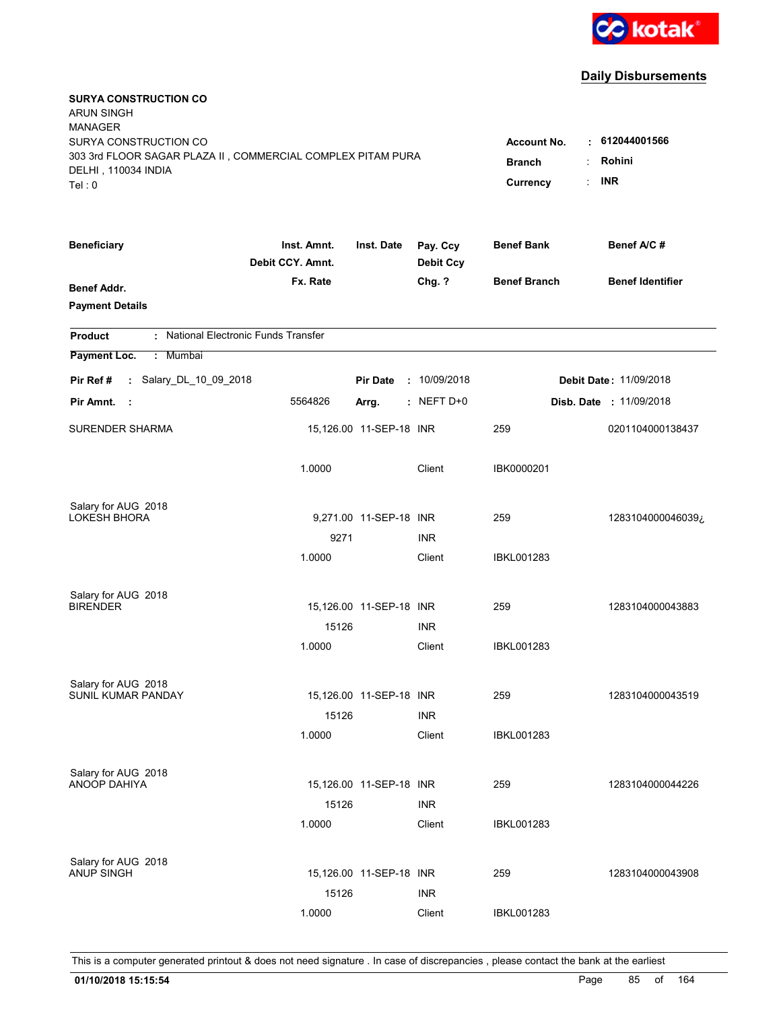

| <b>SURYA CONSTRUCTION CO</b><br><b>ARUN SINGH</b><br><b>MANAGER</b><br>SURYA CONSTRUCTION CO<br>303 3rd FLOOR SAGAR PLAZA II, COMMERCIAL COMPLEX PITAM PURA<br>DELHI, 110034 INDIA<br>Tel: 0 | <b>Account No.</b><br><b>Branch</b><br>Currency | $-612044001566$<br>Rohini<br><b>INR</b><br>÷ |                              |                     |                               |
|----------------------------------------------------------------------------------------------------------------------------------------------------------------------------------------------|-------------------------------------------------|----------------------------------------------|------------------------------|---------------------|-------------------------------|
| <b>Beneficiary</b>                                                                                                                                                                           | Inst. Amnt.<br>Debit CCY. Amnt.                 | Inst. Date                                   | Pay. Ccy<br><b>Debit Ccy</b> | <b>Benef Bank</b>   | Benef A/C #                   |
| Benef Addr.<br><b>Payment Details</b>                                                                                                                                                        | Fx. Rate                                        |                                              | Chg. ?                       | <b>Benef Branch</b> | <b>Benef Identifier</b>       |
| : National Electronic Funds Transfer<br><b>Product</b>                                                                                                                                       |                                                 |                                              |                              |                     |                               |
| Payment Loc.<br>: Mumbai                                                                                                                                                                     |                                                 |                                              |                              |                     |                               |
| : Salary_DL_10_09_2018<br>Pir Ref #                                                                                                                                                          |                                                 | <b>Pir Date</b>                              | : 10/09/2018                 |                     | <b>Debit Date: 11/09/2018</b> |
| Pir Amnt.<br>- 1                                                                                                                                                                             | 5564826                                         | Arrg.                                        | $:$ NEFT D+0                 |                     | Disb. Date : 11/09/2018       |
| SURENDER SHARMA                                                                                                                                                                              |                                                 | 15,126.00 11-SEP-18 INR                      |                              | 259                 | 0201104000138437              |
|                                                                                                                                                                                              | 1.0000                                          |                                              | Client                       | IBK0000201          |                               |
| Salary for AUG 2018                                                                                                                                                                          |                                                 |                                              |                              |                     |                               |
| LOKESH BHORA                                                                                                                                                                                 |                                                 | 9,271.00 11-SEP-18 INR                       |                              | 259                 | 1283104000046039¿             |
|                                                                                                                                                                                              | 9271<br>1.0000                                  |                                              | <b>INR</b><br>Client         | <b>IBKL001283</b>   |                               |
|                                                                                                                                                                                              |                                                 |                                              |                              |                     |                               |
| Salary for AUG 2018                                                                                                                                                                          |                                                 |                                              |                              |                     |                               |
| <b>BIRENDER</b>                                                                                                                                                                              |                                                 | 15,126.00 11-SEP-18 INR                      |                              | 259                 | 1283104000043883              |
|                                                                                                                                                                                              | 15126                                           |                                              | <b>INR</b>                   |                     |                               |
|                                                                                                                                                                                              | 1.0000                                          |                                              | Client                       | <b>IBKL001283</b>   |                               |
| Salary for AUG 2018                                                                                                                                                                          |                                                 |                                              |                              |                     |                               |
| SUNIL KUMAR PANDAY                                                                                                                                                                           |                                                 | 15,126.00 11-SEP-18 INR                      |                              | 259                 | 1283104000043519              |
|                                                                                                                                                                                              | 15126                                           |                                              | <b>INR</b>                   |                     |                               |
|                                                                                                                                                                                              | 1.0000                                          |                                              | Client                       | <b>IBKL001283</b>   |                               |
| Salary for AUG 2018                                                                                                                                                                          |                                                 |                                              |                              |                     |                               |
| ANOOP DAHIYA                                                                                                                                                                                 |                                                 | 15,126.00 11-SEP-18 INR                      |                              | 259                 | 1283104000044226              |
|                                                                                                                                                                                              | 15126                                           |                                              | <b>INR</b>                   |                     |                               |
|                                                                                                                                                                                              | 1.0000                                          |                                              | Client                       | IBKL001283          |                               |
| Salary for AUG 2018                                                                                                                                                                          |                                                 |                                              |                              |                     |                               |
| <b>ANUP SINGH</b>                                                                                                                                                                            |                                                 | 15,126.00 11-SEP-18 INR                      |                              | 259                 | 1283104000043908              |
|                                                                                                                                                                                              | 15126                                           |                                              | <b>INR</b>                   |                     |                               |
|                                                                                                                                                                                              | 1.0000                                          |                                              | Client                       | <b>IBKL001283</b>   |                               |
|                                                                                                                                                                                              |                                                 |                                              |                              |                     |                               |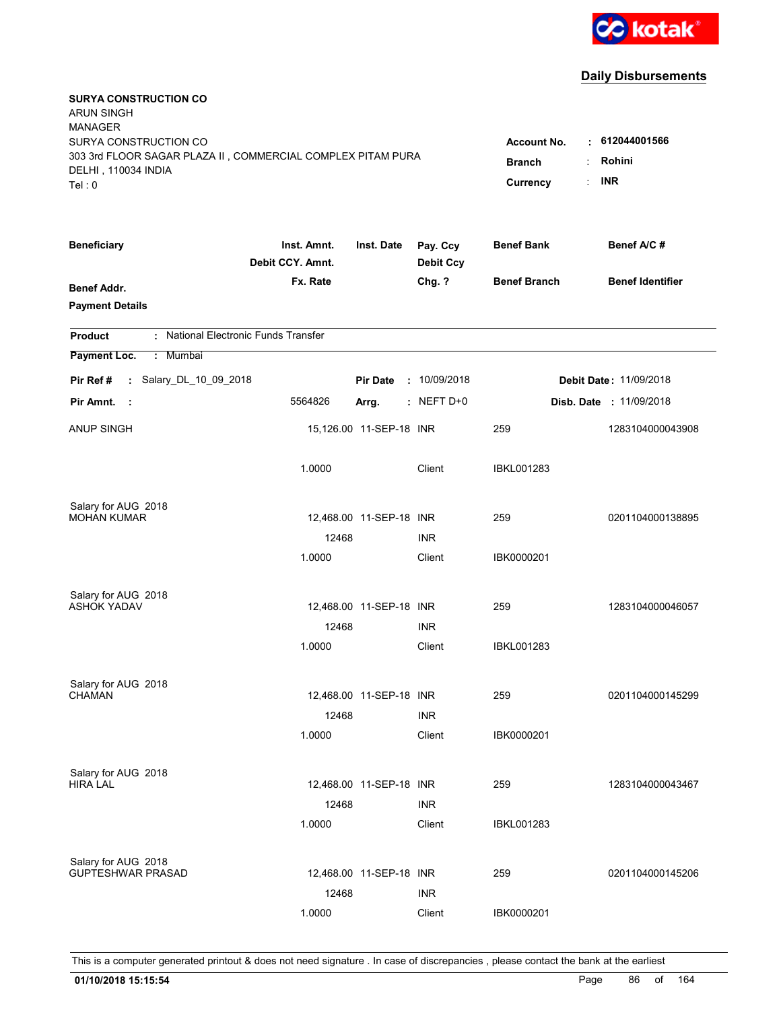

| <b>SURYA CONSTRUCTION CO</b><br><b>ARUN SINGH</b><br><b>MANAGER</b><br>SURYA CONSTRUCTION CO<br>303 3rd FLOOR SAGAR PLAZA II, COMMERCIAL COMPLEX PITAM PURA<br>DELHI, 110034 INDIA<br>Tel: 0 | <b>Account No.</b><br><b>Branch</b><br>Currency | $\cdot$ 612044001566<br>Rohini<br><b>INR</b> |                              |                     |                                |
|----------------------------------------------------------------------------------------------------------------------------------------------------------------------------------------------|-------------------------------------------------|----------------------------------------------|------------------------------|---------------------|--------------------------------|
| <b>Beneficiary</b>                                                                                                                                                                           | Inst. Amnt.<br>Debit CCY. Amnt.                 | Inst. Date                                   | Pay. Ccy<br><b>Debit Ccy</b> | <b>Benef Bank</b>   | Benef A/C #                    |
| <b>Benef Addr.</b><br><b>Payment Details</b>                                                                                                                                                 | Fx. Rate                                        |                                              | Chg. ?                       | <b>Benef Branch</b> | <b>Benef Identifier</b>        |
| : National Electronic Funds Transfer<br><b>Product</b>                                                                                                                                       |                                                 |                                              |                              |                     |                                |
| Payment Loc.<br>: Mumbai                                                                                                                                                                     |                                                 |                                              |                              |                     |                                |
| : Salary_DL_10_09_2018<br>Pir Ref #                                                                                                                                                          |                                                 | <b>Pir Date</b>                              | : 10/09/2018                 |                     | <b>Debit Date: 11/09/2018</b>  |
| Pir Amnt.<br>- 1                                                                                                                                                                             | 5564826                                         | Arrg.                                        | $:$ NEFT D+0                 |                     | <b>Disb. Date : 11/09/2018</b> |
| <b>ANUP SINGH</b>                                                                                                                                                                            |                                                 | 15,126.00 11-SEP-18 INR                      |                              | 259                 | 1283104000043908               |
|                                                                                                                                                                                              | 1.0000                                          |                                              | Client                       | <b>IBKL001283</b>   |                                |
| Salary for AUG 2018                                                                                                                                                                          |                                                 |                                              |                              |                     |                                |
| <b>MOHAN KUMAR</b>                                                                                                                                                                           | 12468                                           | 12,468.00 11-SEP-18 INR                      | <b>INR</b>                   | 259                 | 0201104000138895               |
|                                                                                                                                                                                              | 1.0000                                          |                                              | Client                       | IBK0000201          |                                |
| Salary for AUG 2018<br><b>ASHOK YADAV</b>                                                                                                                                                    |                                                 | 12,468.00 11-SEP-18 INR                      |                              | 259                 | 1283104000046057               |
|                                                                                                                                                                                              | 12468                                           |                                              | <b>INR</b>                   |                     |                                |
|                                                                                                                                                                                              | 1.0000                                          |                                              | Client                       | <b>IBKL001283</b>   |                                |
| Salary for AUG 2018<br><b>CHAMAN</b>                                                                                                                                                         |                                                 | 12,468.00 11-SEP-18 INR                      |                              | 259                 |                                |
|                                                                                                                                                                                              | 12468                                           |                                              | <b>INR</b>                   |                     | 0201104000145299               |
|                                                                                                                                                                                              | 1.0000                                          |                                              | Client                       | IBK0000201          |                                |
| Salary for AUG 2018                                                                                                                                                                          |                                                 |                                              |                              |                     |                                |
| <b>HIRA LAL</b>                                                                                                                                                                              | 12468                                           | 12,468.00 11-SEP-18 INR                      | <b>INR</b>                   | 259                 | 1283104000043467               |
|                                                                                                                                                                                              | 1.0000                                          |                                              | Client                       | IBKL001283          |                                |
| Salary for AUG 2018                                                                                                                                                                          |                                                 |                                              |                              |                     |                                |
| <b>GUPTESHWAR PRASAD</b>                                                                                                                                                                     |                                                 | 12,468.00 11-SEP-18 INR                      |                              | 259                 | 0201104000145206               |
|                                                                                                                                                                                              | 12468                                           |                                              | <b>INR</b>                   |                     |                                |
|                                                                                                                                                                                              | 1.0000                                          |                                              | Client                       | IBK0000201          |                                |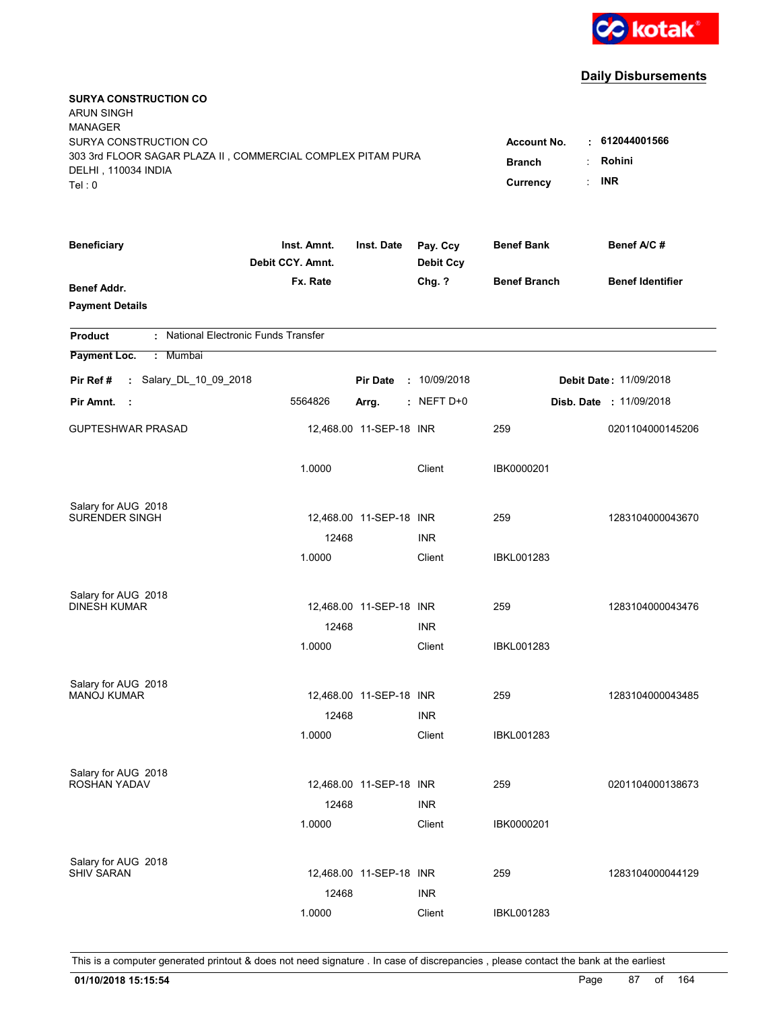

| <b>SURYA CONSTRUCTION CO</b><br><b>ARUN SINGH</b><br><b>MANAGER</b><br>SURYA CONSTRUCTION CO<br>303 3rd FLOOR SAGAR PLAZA II, COMMERCIAL COMPLEX PITAM PURA<br>DELHI, 110034 INDIA<br>Tel: 0 | <b>Account No.</b><br><b>Branch</b><br>Currency | $\cdot$ 612044001566<br>Rohini<br><b>INR</b> |                              |                     |                                |
|----------------------------------------------------------------------------------------------------------------------------------------------------------------------------------------------|-------------------------------------------------|----------------------------------------------|------------------------------|---------------------|--------------------------------|
| <b>Beneficiary</b>                                                                                                                                                                           | Inst. Amnt.<br>Debit CCY. Amnt.                 | Inst. Date                                   | Pay. Ccy<br><b>Debit Ccy</b> | <b>Benef Bank</b>   | Benef A/C #                    |
| <b>Benef Addr.</b><br><b>Payment Details</b>                                                                                                                                                 | Fx. Rate                                        |                                              | Chg. ?                       | <b>Benef Branch</b> | <b>Benef Identifier</b>        |
| : National Electronic Funds Transfer<br><b>Product</b>                                                                                                                                       |                                                 |                                              |                              |                     |                                |
| Payment Loc.<br>: Mumbai                                                                                                                                                                     |                                                 |                                              |                              |                     |                                |
| : Salary_DL_10_09_2018<br>Pir Ref#                                                                                                                                                           |                                                 | <b>Pir Date</b>                              | : 10/09/2018                 |                     | <b>Debit Date: 11/09/2018</b>  |
| Pir Amnt.<br>- 1                                                                                                                                                                             | 5564826                                         | Arrg.                                        | $:$ NEFT D+0                 |                     | <b>Disb. Date : 11/09/2018</b> |
| <b>GUPTESHWAR PRASAD</b>                                                                                                                                                                     |                                                 | 12,468.00 11-SEP-18 INR                      |                              | 259                 | 0201104000145206               |
|                                                                                                                                                                                              | 1.0000                                          |                                              | Client                       | IBK0000201          |                                |
| Salary for AUG 2018                                                                                                                                                                          |                                                 |                                              |                              |                     |                                |
| SURENDER SINGH                                                                                                                                                                               | 12468                                           | 12,468.00 11-SEP-18 INR                      | <b>INR</b>                   | 259                 | 1283104000043670               |
|                                                                                                                                                                                              | 1.0000                                          |                                              | Client                       | <b>IBKL001283</b>   |                                |
| Salary for AUG 2018                                                                                                                                                                          |                                                 |                                              |                              |                     |                                |
| <b>DINESH KUMAR</b>                                                                                                                                                                          |                                                 | 12,468.00 11-SEP-18 INR                      |                              | 259                 | 1283104000043476               |
|                                                                                                                                                                                              | 12468                                           |                                              | <b>INR</b>                   |                     |                                |
|                                                                                                                                                                                              | 1.0000                                          |                                              | Client                       | <b>IBKL001283</b>   |                                |
| Salary for AUG 2018                                                                                                                                                                          |                                                 |                                              |                              |                     |                                |
| <b>MANOJ KUMAR</b>                                                                                                                                                                           |                                                 | 12,468.00 11-SEP-18 INR                      |                              | 259                 | 1283104000043485               |
|                                                                                                                                                                                              | 12468                                           |                                              | <b>INR</b>                   |                     |                                |
|                                                                                                                                                                                              | 1.0000                                          |                                              | Client                       | IBKL001283          |                                |
| Salary for AUG 2018                                                                                                                                                                          |                                                 |                                              |                              |                     |                                |
| ROSHAN YADAV                                                                                                                                                                                 |                                                 | 12,468.00 11-SEP-18 INR                      |                              | 259                 | 0201104000138673               |
|                                                                                                                                                                                              | 12468<br>1.0000                                 |                                              | <b>INR</b><br>Client         | IBK0000201          |                                |
|                                                                                                                                                                                              |                                                 |                                              |                              |                     |                                |
| Salary for AUG 2018<br><b>SHIV SARAN</b>                                                                                                                                                     |                                                 | 12,468.00 11-SEP-18 INR                      |                              | 259                 | 1283104000044129               |
|                                                                                                                                                                                              | 12468                                           |                                              | <b>INR</b>                   |                     |                                |
|                                                                                                                                                                                              | 1.0000                                          |                                              | Client                       | <b>IBKL001283</b>   |                                |
|                                                                                                                                                                                              |                                                 |                                              |                              |                     |                                |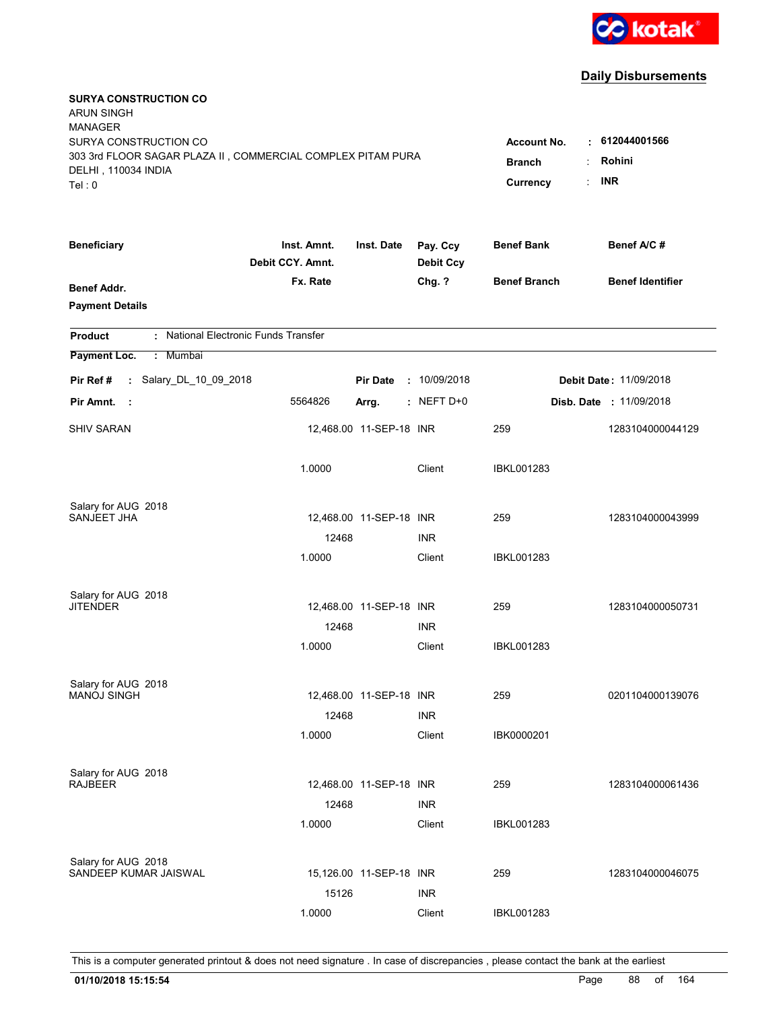

| <b>SURYA CONSTRUCTION CO</b><br><b>ARUN SINGH</b><br><b>MANAGER</b><br>SURYA CONSTRUCTION CO<br>303 3rd FLOOR SAGAR PLAZA II, COMMERCIAL COMPLEX PITAM PURA<br>DELHI, 110034 INDIA<br>Tel: 0 | <b>Account No.</b><br><b>Branch</b><br>Currency | $\cdot$ 612044001566<br>Rohini<br><b>INR</b> |                              |                     |                                |
|----------------------------------------------------------------------------------------------------------------------------------------------------------------------------------------------|-------------------------------------------------|----------------------------------------------|------------------------------|---------------------|--------------------------------|
| <b>Beneficiary</b>                                                                                                                                                                           | Inst. Amnt.<br>Debit CCY. Amnt.                 | Inst. Date                                   | Pay. Ccy<br><b>Debit Ccy</b> | <b>Benef Bank</b>   | Benef A/C #                    |
| <b>Benef Addr.</b><br><b>Payment Details</b>                                                                                                                                                 | Fx. Rate                                        |                                              | Chg. ?                       | <b>Benef Branch</b> | <b>Benef Identifier</b>        |
| : National Electronic Funds Transfer<br><b>Product</b>                                                                                                                                       |                                                 |                                              |                              |                     |                                |
| Payment Loc.<br>: Mumbai                                                                                                                                                                     |                                                 |                                              |                              |                     |                                |
| : Salary_DL_10_09_2018<br>Pir Ref #                                                                                                                                                          |                                                 | <b>Pir Date</b>                              | : 10/09/2018                 |                     | <b>Debit Date: 11/09/2018</b>  |
| Pir Amnt.<br>- 1                                                                                                                                                                             | 5564826                                         | Arrg.                                        | $:$ NEFT D+0                 |                     | <b>Disb. Date : 11/09/2018</b> |
| <b>SHIV SARAN</b>                                                                                                                                                                            |                                                 | 12,468.00 11-SEP-18 INR                      |                              | 259                 | 1283104000044129               |
|                                                                                                                                                                                              | 1.0000                                          |                                              | Client                       | IBKL001283          |                                |
| Salary for AUG 2018                                                                                                                                                                          |                                                 |                                              |                              |                     |                                |
| SANJEET JHA                                                                                                                                                                                  | 12468                                           | 12,468.00 11-SEP-18 INR                      | <b>INR</b>                   | 259                 | 1283104000043999               |
|                                                                                                                                                                                              | 1.0000                                          |                                              | Client                       | <b>IBKL001283</b>   |                                |
| Salary for AUG 2018<br><b>JITENDER</b>                                                                                                                                                       | 12468                                           | 12,468.00 11-SEP-18 INR                      | <b>INR</b>                   | 259                 | 1283104000050731               |
|                                                                                                                                                                                              | 1.0000                                          |                                              | Client                       | IBKL001283          |                                |
| Salary for AUG 2018<br><b>MANOJ SINGH</b>                                                                                                                                                    | 12468                                           | 12,468.00 11-SEP-18 INR                      | <b>INR</b>                   | 259                 | 0201104000139076               |
|                                                                                                                                                                                              | 1.0000                                          |                                              | Client                       | IBK0000201          |                                |
| Salary for AUG 2018<br><b>RAJBEER</b>                                                                                                                                                        | 12468<br>1.0000                                 | 12,468.00 11-SEP-18 INR                      | <b>INR</b><br>Client         | 259<br>IBKL001283   | 1283104000061436               |
| Salary for AUG 2018<br>SANDEEP KUMAR JAISWAL                                                                                                                                                 | 15126                                           | 15,126.00 11-SEP-18 INR                      | <b>INR</b>                   | 259                 | 1283104000046075               |
|                                                                                                                                                                                              | 1.0000                                          |                                              | Client                       | <b>IBKL001283</b>   |                                |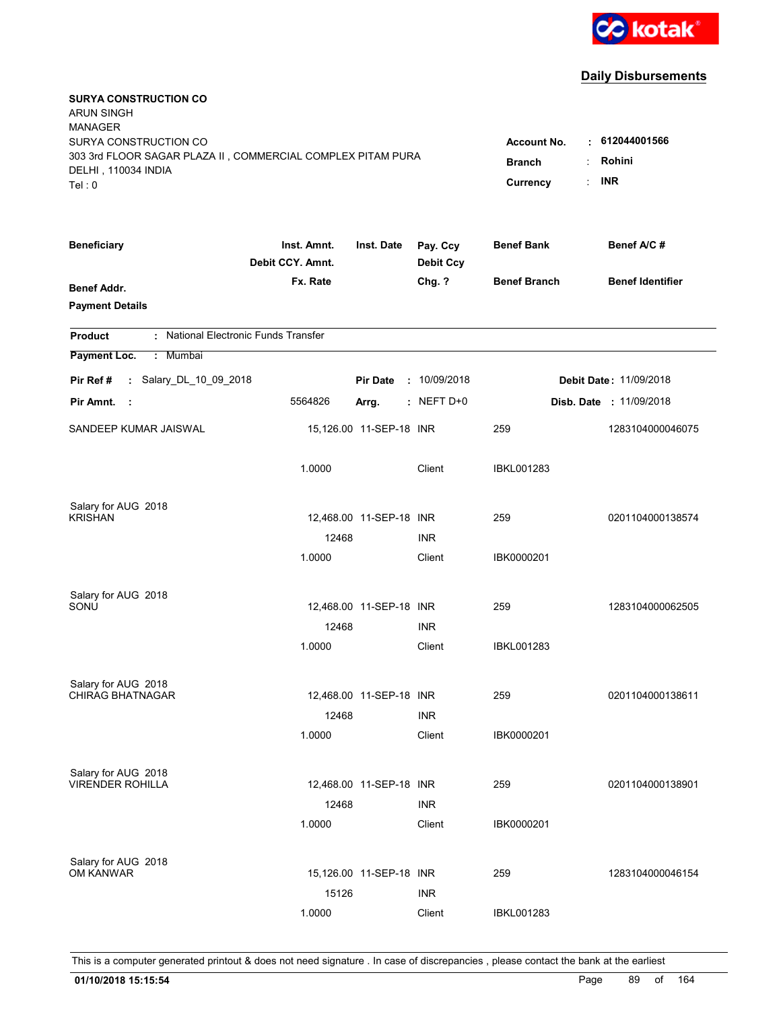

| <b>SURYA CONSTRUCTION CO</b><br><b>ARUN SINGH</b><br><b>MANAGER</b><br>SURYA CONSTRUCTION CO<br>303 3rd FLOOR SAGAR PLAZA II, COMMERCIAL COMPLEX PITAM PURA<br>DELHI, 110034 INDIA<br>Tel: 0 | <b>Account No.</b><br><b>Branch</b><br>Currency | $\cdot$ 612044001566<br>Rohini<br><b>INR</b> |                              |                     |                                |
|----------------------------------------------------------------------------------------------------------------------------------------------------------------------------------------------|-------------------------------------------------|----------------------------------------------|------------------------------|---------------------|--------------------------------|
| <b>Beneficiary</b>                                                                                                                                                                           | Inst. Amnt.<br>Debit CCY. Amnt.                 | Inst. Date                                   | Pay. Ccy<br><b>Debit Ccy</b> | <b>Benef Bank</b>   | Benef A/C #                    |
| <b>Benef Addr.</b><br><b>Payment Details</b>                                                                                                                                                 | Fx. Rate                                        |                                              | Chg. ?                       | <b>Benef Branch</b> | <b>Benef Identifier</b>        |
| : National Electronic Funds Transfer<br><b>Product</b>                                                                                                                                       |                                                 |                                              |                              |                     |                                |
| Payment Loc.<br>: Mumbai                                                                                                                                                                     |                                                 |                                              |                              |                     |                                |
| Pir Ref #<br>: Salary_DL_10_09_2018                                                                                                                                                          |                                                 | <b>Pir Date</b>                              | : 10/09/2018                 |                     | Debit Date: 11/09/2018         |
| Pir Amnt.<br>- 1                                                                                                                                                                             | 5564826                                         | Arrg.                                        | $:$ NEFT D+0                 |                     | <b>Disb. Date : 11/09/2018</b> |
| SANDEEP KUMAR JAISWAL                                                                                                                                                                        |                                                 | 15,126.00 11-SEP-18 INR                      |                              | 259                 | 1283104000046075               |
|                                                                                                                                                                                              | 1.0000                                          |                                              | Client                       | IBKL001283          |                                |
| Salary for AUG 2018                                                                                                                                                                          |                                                 |                                              |                              |                     |                                |
| KRISHAN                                                                                                                                                                                      | 12468                                           | 12,468.00 11-SEP-18 INR                      | <b>INR</b>                   | 259                 | 0201104000138574               |
|                                                                                                                                                                                              | 1.0000                                          |                                              | Client                       | IBK0000201          |                                |
| Salary for AUG 2018<br>SONU                                                                                                                                                                  | 12468<br>1.0000                                 | 12,468.00 11-SEP-18 INR                      | <b>INR</b><br>Client         | 259<br>IBKL001283   | 1283104000062505               |
|                                                                                                                                                                                              |                                                 |                                              |                              |                     |                                |
| Salary for AUG 2018<br><b>CHIRAG BHATNAGAR</b>                                                                                                                                               | 12468                                           | 12,468.00 11-SEP-18 INR                      | <b>INR</b>                   | 259                 | 0201104000138611               |
|                                                                                                                                                                                              | 1.0000                                          |                                              | Client                       | IBK0000201          |                                |
| Salary for AUG 2018<br><b>VIRENDER ROHILLA</b>                                                                                                                                               | 12468<br>1.0000                                 | 12,468.00 11-SEP-18 INR                      | <b>INR</b><br>Client         | 259<br>IBK0000201   | 0201104000138901               |
| Salary for AUG 2018<br>OM KANWAR                                                                                                                                                             | 15126                                           | 15,126.00 11-SEP-18 INR                      | <b>INR</b>                   | 259                 | 1283104000046154               |
|                                                                                                                                                                                              | 1.0000                                          |                                              | Client                       | <b>IBKL001283</b>   |                                |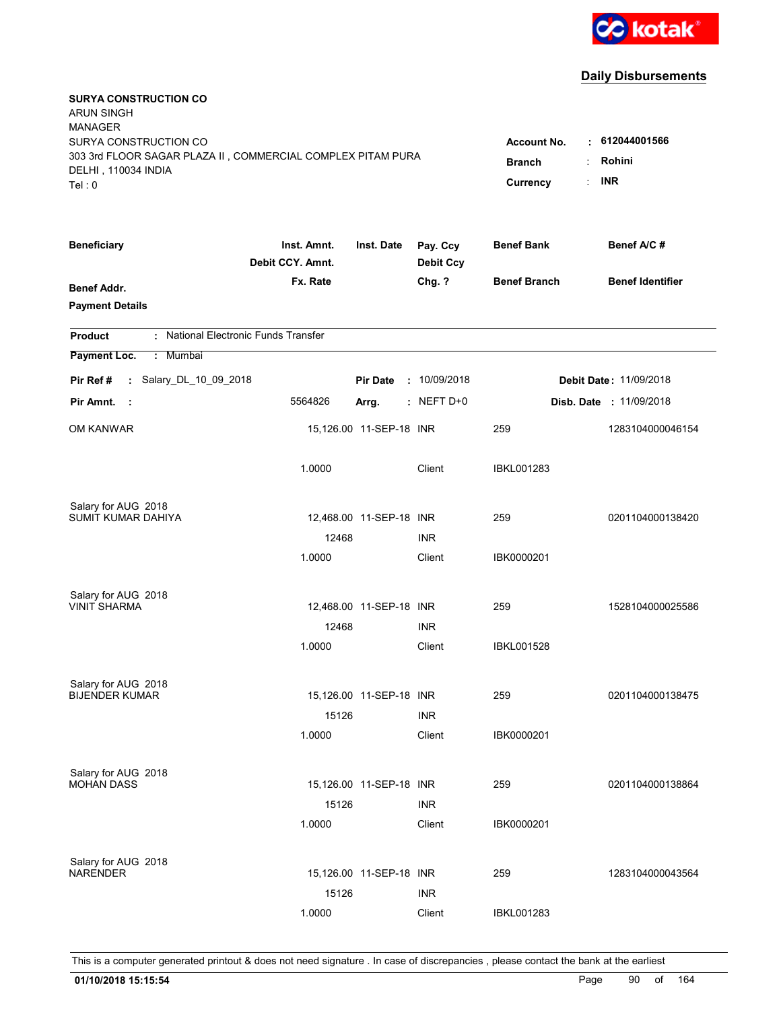

| <b>SURYA CONSTRUCTION CO</b><br><b>ARUN SINGH</b><br><b>MANAGER</b><br>SURYA CONSTRUCTION CO<br>303 3rd FLOOR SAGAR PLAZA II, COMMERCIAL COMPLEX PITAM PURA<br>DELHI, 110034 INDIA<br>Tel: 0 | <b>Account No.</b><br><b>Branch</b><br>Currency | $\cdot$ 612044001566<br>Rohini<br>÷<br><b>INR</b><br>÷ |                              |                     |                                |
|----------------------------------------------------------------------------------------------------------------------------------------------------------------------------------------------|-------------------------------------------------|--------------------------------------------------------|------------------------------|---------------------|--------------------------------|
| <b>Beneficiary</b>                                                                                                                                                                           | Inst. Amnt.<br>Debit CCY. Amnt.                 | Inst. Date                                             | Pay. Ccy<br><b>Debit Ccy</b> | <b>Benef Bank</b>   | Benef A/C #                    |
| <b>Benef Addr.</b><br><b>Payment Details</b>                                                                                                                                                 | Fx. Rate                                        |                                                        | Chg. ?                       | <b>Benef Branch</b> | <b>Benef Identifier</b>        |
| : National Electronic Funds Transfer<br><b>Product</b>                                                                                                                                       |                                                 |                                                        |                              |                     |                                |
| Payment Loc.<br>: Mumbai                                                                                                                                                                     |                                                 |                                                        |                              |                     |                                |
| : Salary_DL_10_09_2018<br>Pir Ref #                                                                                                                                                          |                                                 | <b>Pir Date</b>                                        | : 10/09/2018                 |                     | <b>Debit Date: 11/09/2018</b>  |
| Pir Amnt.<br>- 1                                                                                                                                                                             | 5564826                                         | Arrg.                                                  | $:$ NEFT D+0                 |                     | <b>Disb. Date : 11/09/2018</b> |
| OM KANWAR                                                                                                                                                                                    |                                                 | 15,126.00 11-SEP-18 INR                                |                              | 259                 | 1283104000046154               |
|                                                                                                                                                                                              | 1.0000                                          |                                                        | Client                       | <b>IBKL001283</b>   |                                |
| Salary for AUG 2018<br>SUMIT KUMAR DAHIYA                                                                                                                                                    |                                                 | 12,468.00 11-SEP-18 INR                                |                              | 259                 | 0201104000138420               |
|                                                                                                                                                                                              | 12468                                           |                                                        | <b>INR</b>                   |                     |                                |
|                                                                                                                                                                                              | 1.0000                                          |                                                        | Client                       | IBK0000201          |                                |
| Salary for AUG 2018<br><b>VINIT SHARMA</b>                                                                                                                                                   |                                                 | 12,468.00 11-SEP-18 INR                                |                              | 259                 | 1528104000025586               |
|                                                                                                                                                                                              | 12468                                           |                                                        | <b>INR</b>                   |                     |                                |
|                                                                                                                                                                                              | 1.0000                                          |                                                        | Client                       | <b>IBKL001528</b>   |                                |
| Salary for AUG 2018<br><b>BIJENDER KUMAR</b>                                                                                                                                                 |                                                 | 15,126.00 11-SEP-18 INR                                |                              | 259                 | 0201104000138475               |
|                                                                                                                                                                                              | 15126                                           |                                                        | <b>INR</b>                   |                     |                                |
|                                                                                                                                                                                              | 1.0000                                          |                                                        | Client                       | IBK0000201          |                                |
| Salary for AUG 2018<br><b>MOHAN DASS</b>                                                                                                                                                     |                                                 | 15,126.00 11-SEP-18 INR                                |                              | 259                 | 0201104000138864               |
|                                                                                                                                                                                              | 15126                                           |                                                        | <b>INR</b>                   |                     |                                |
|                                                                                                                                                                                              | 1.0000                                          |                                                        | Client                       | IBK0000201          |                                |
| Salary for AUG 2018<br><b>NARENDER</b>                                                                                                                                                       |                                                 | 15,126.00 11-SEP-18 INR                                |                              | 259                 | 1283104000043564               |
|                                                                                                                                                                                              | 15126                                           |                                                        | <b>INR</b>                   |                     |                                |
|                                                                                                                                                                                              | 1.0000                                          |                                                        | Client                       | <b>IBKL001283</b>   |                                |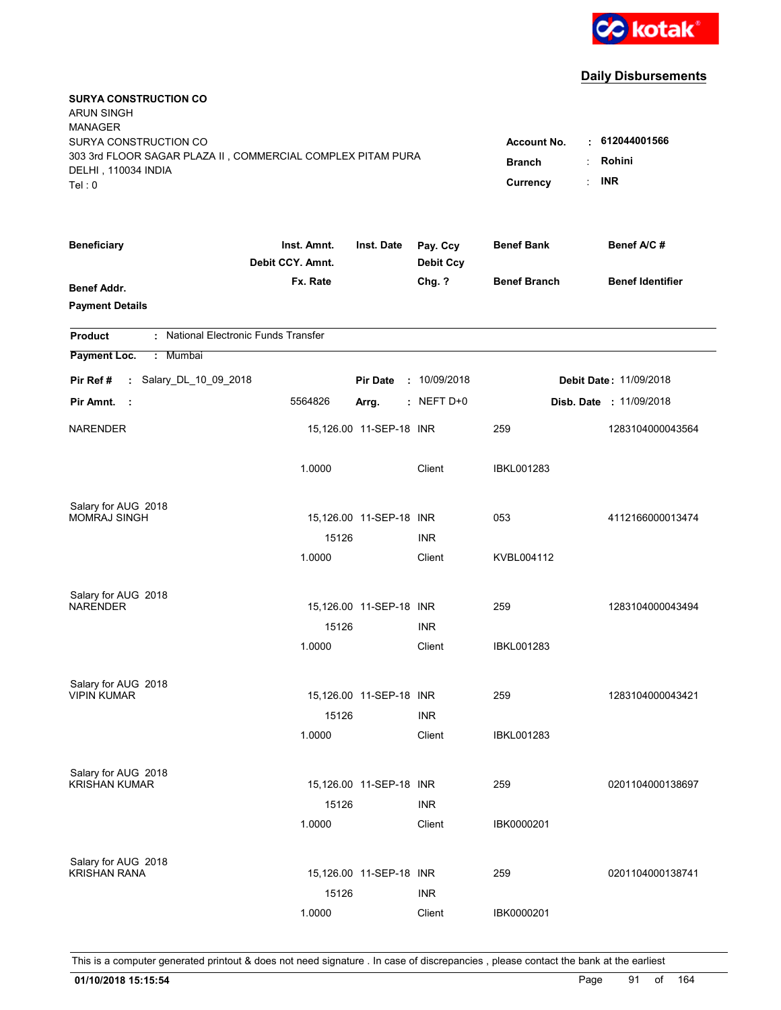

| <b>SURYA CONSTRUCTION CO</b><br><b>ARUN SINGH</b><br><b>MANAGER</b><br>SURYA CONSTRUCTION CO<br>303 3rd FLOOR SAGAR PLAZA II, COMMERCIAL COMPLEX PITAM PURA<br>DELHI, 110034 INDIA<br>Tel: 0 | <b>Account No.</b><br><b>Branch</b><br>Currency | $\cdot$ 612044001566<br>Rohini<br><b>INR</b> |                              |                     |                                |
|----------------------------------------------------------------------------------------------------------------------------------------------------------------------------------------------|-------------------------------------------------|----------------------------------------------|------------------------------|---------------------|--------------------------------|
| <b>Beneficiary</b>                                                                                                                                                                           | Inst. Amnt.<br>Debit CCY. Amnt.                 | Inst. Date                                   | Pay. Ccy<br><b>Debit Ccy</b> | <b>Benef Bank</b>   | Benef A/C #                    |
| <b>Benef Addr.</b><br><b>Payment Details</b>                                                                                                                                                 | Fx. Rate                                        |                                              | Chg. ?                       | <b>Benef Branch</b> | <b>Benef Identifier</b>        |
| : National Electronic Funds Transfer<br><b>Product</b>                                                                                                                                       |                                                 |                                              |                              |                     |                                |
| Payment Loc.<br>: Mumbai                                                                                                                                                                     |                                                 |                                              |                              |                     |                                |
| : Salary_DL_10_09_2018<br>Pir Ref #                                                                                                                                                          |                                                 | <b>Pir Date</b>                              | : 10/09/2018                 |                     | <b>Debit Date: 11/09/2018</b>  |
| Pir Amnt.<br>- 1                                                                                                                                                                             | 5564826                                         | Arrg.                                        | $:$ NEFT D+0                 |                     | <b>Disb. Date : 11/09/2018</b> |
| <b>NARENDER</b>                                                                                                                                                                              |                                                 | 15,126.00 11-SEP-18 INR                      |                              | 259                 | 1283104000043564               |
|                                                                                                                                                                                              | 1.0000                                          |                                              | Client                       | IBKL001283          |                                |
| Salary for AUG 2018                                                                                                                                                                          |                                                 |                                              |                              |                     |                                |
| <b>MOMRAJ SINGH</b>                                                                                                                                                                          | 15126                                           | 15,126.00 11-SEP-18 INR                      | <b>INR</b>                   | 053                 | 4112166000013474               |
|                                                                                                                                                                                              | 1.0000                                          |                                              | Client                       | KVBL004112          |                                |
| Salary for AUG 2018<br><b>NARENDER</b>                                                                                                                                                       |                                                 | 15,126.00 11-SEP-18 INR                      |                              | 259                 | 1283104000043494               |
|                                                                                                                                                                                              | 15126                                           |                                              | <b>INR</b>                   |                     |                                |
|                                                                                                                                                                                              | 1.0000                                          |                                              | Client                       | IBKL001283          |                                |
| Salary for AUG 2018                                                                                                                                                                          |                                                 |                                              |                              |                     |                                |
| <b>VIPIN KUMAR</b>                                                                                                                                                                           |                                                 | 15,126.00 11-SEP-18 INR                      |                              | 259                 | 1283104000043421               |
|                                                                                                                                                                                              | 15126                                           |                                              | <b>INR</b>                   |                     |                                |
|                                                                                                                                                                                              | 1.0000                                          |                                              | Client                       | <b>IBKL001283</b>   |                                |
| Salary for AUG 2018                                                                                                                                                                          |                                                 |                                              |                              |                     |                                |
| <b>KRISHAN KUMAR</b>                                                                                                                                                                         |                                                 | 15,126.00 11-SEP-18 INR                      |                              | 259                 | 0201104000138697               |
|                                                                                                                                                                                              | 15126<br>1.0000                                 |                                              | <b>INR</b><br>Client         | IBK0000201          |                                |
|                                                                                                                                                                                              |                                                 |                                              |                              |                     |                                |
| Salary for AUG 2018                                                                                                                                                                          |                                                 |                                              |                              |                     |                                |
| <b>KRISHAN RANA</b>                                                                                                                                                                          |                                                 | 15,126.00 11-SEP-18 INR                      |                              | 259                 | 0201104000138741               |
|                                                                                                                                                                                              | 15126                                           |                                              | <b>INR</b>                   |                     |                                |
|                                                                                                                                                                                              | 1.0000                                          |                                              | Client                       | IBK0000201          |                                |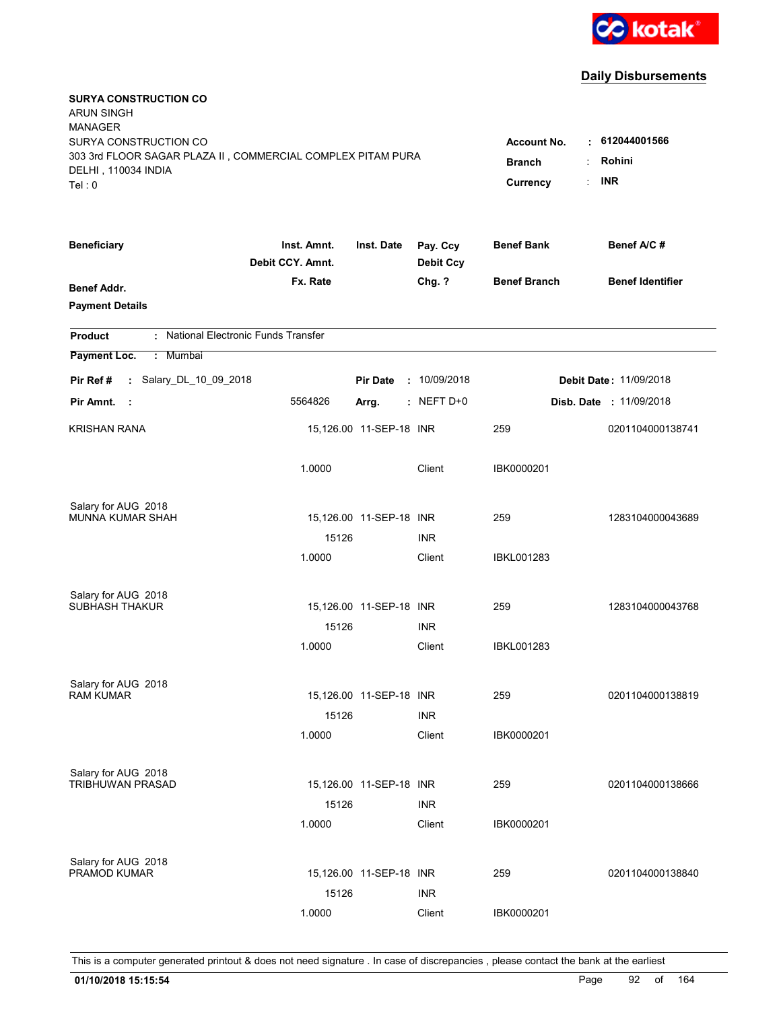

| <b>SURYA CONSTRUCTION CO</b><br><b>ARUN SINGH</b><br><b>MANAGER</b><br>SURYA CONSTRUCTION CO<br>303 3rd FLOOR SAGAR PLAZA II, COMMERCIAL COMPLEX PITAM PURA<br>DELHI, 110034 INDIA<br>Tel: 0 | <b>Account No.</b><br><b>Branch</b><br>Currency | $\cdot$ 612044001566<br>Rohini<br>÷<br><b>INR</b><br>÷ |                              |                     |                               |
|----------------------------------------------------------------------------------------------------------------------------------------------------------------------------------------------|-------------------------------------------------|--------------------------------------------------------|------------------------------|---------------------|-------------------------------|
| <b>Beneficiary</b>                                                                                                                                                                           | Inst. Amnt.<br>Debit CCY. Amnt.                 | Inst. Date                                             | Pay. Ccy<br><b>Debit Ccy</b> | <b>Benef Bank</b>   | Benef A/C #                   |
| <b>Benef Addr.</b><br><b>Payment Details</b>                                                                                                                                                 | Fx. Rate                                        |                                                        | Chg. ?                       | <b>Benef Branch</b> | <b>Benef Identifier</b>       |
| : National Electronic Funds Transfer<br><b>Product</b>                                                                                                                                       |                                                 |                                                        |                              |                     |                               |
| Payment Loc.<br>: Mumbai                                                                                                                                                                     |                                                 |                                                        |                              |                     |                               |
| : Salary_DL_10_09_2018<br>Pir Ref #                                                                                                                                                          |                                                 | <b>Pir Date</b>                                        | : 10/09/2018                 |                     | <b>Debit Date: 11/09/2018</b> |
| Pir Amnt.<br>- 1                                                                                                                                                                             | 5564826                                         | Arrg.                                                  | $:$ NEFT D+0                 |                     | Disb. Date : 11/09/2018       |
| <b>KRISHAN RANA</b>                                                                                                                                                                          |                                                 | 15,126.00 11-SEP-18 INR                                |                              | 259                 | 0201104000138741              |
|                                                                                                                                                                                              | 1.0000                                          |                                                        | Client                       | IBK0000201          |                               |
| Salary for AUG 2018<br>MUNNA KUMAR SHAH                                                                                                                                                      |                                                 | 15,126.00 11-SEP-18 INR                                |                              | 259                 | 1283104000043689              |
|                                                                                                                                                                                              | 15126                                           |                                                        | <b>INR</b>                   |                     |                               |
|                                                                                                                                                                                              | 1.0000                                          |                                                        | Client                       | <b>IBKL001283</b>   |                               |
| Salary for AUG 2018<br><b>SUBHASH THAKUR</b>                                                                                                                                                 |                                                 | 15,126.00 11-SEP-18 INR                                |                              | 259                 | 1283104000043768              |
|                                                                                                                                                                                              | 15126                                           |                                                        | <b>INR</b>                   |                     |                               |
|                                                                                                                                                                                              | 1.0000                                          |                                                        | Client                       | <b>IBKL001283</b>   |                               |
| Salary for AUG 2018<br><b>RAM KUMAR</b>                                                                                                                                                      |                                                 | 15,126.00 11-SEP-18 INR                                |                              | 259                 | 0201104000138819              |
|                                                                                                                                                                                              | 15126<br>1.0000                                 |                                                        | <b>INR</b><br>Client         | IBK0000201          |                               |
| Salary for AUG 2018<br>TRIBHUWAN PRASAD                                                                                                                                                      | 15126                                           | 15,126.00 11-SEP-18 INR                                | <b>INR</b>                   | 259                 | 0201104000138666              |
|                                                                                                                                                                                              | 1.0000                                          |                                                        | Client                       | IBK0000201          |                               |
| Salary for AUG 2018<br>PRAMOD KUMAR                                                                                                                                                          | 15126                                           | 15,126.00 11-SEP-18 INR                                | <b>INR</b>                   | 259                 | 0201104000138840              |
|                                                                                                                                                                                              | 1.0000                                          |                                                        | Client                       | IBK0000201          |                               |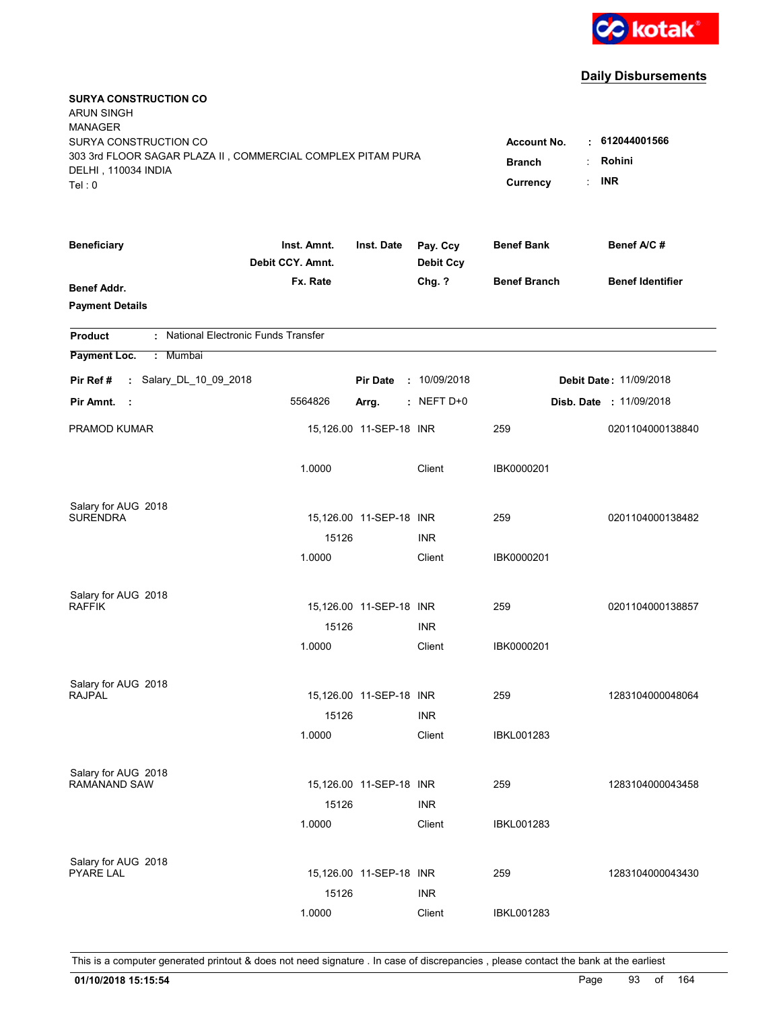

| <b>SURYA CONSTRUCTION CO</b><br><b>ARUN SINGH</b><br><b>MANAGER</b><br>SURYA CONSTRUCTION CO<br>303 3rd FLOOR SAGAR PLAZA II, COMMERCIAL COMPLEX PITAM PURA |                                 |                         |                              | <b>Account No.</b><br><b>Branch</b> | $\cdot$ 612044001566<br>Rohini<br>÷ |
|-------------------------------------------------------------------------------------------------------------------------------------------------------------|---------------------------------|-------------------------|------------------------------|-------------------------------------|-------------------------------------|
| DELHI, 110034 INDIA<br>Tel: 0                                                                                                                               |                                 |                         |                              | Currency                            | <b>INR</b>                          |
| <b>Beneficiary</b>                                                                                                                                          | Inst. Amnt.<br>Debit CCY. Amnt. | Inst. Date              | Pay. Ccy<br><b>Debit Ccy</b> | <b>Benef Bank</b>                   | Benef A/C #                         |
| <b>Benef Addr.</b><br><b>Payment Details</b>                                                                                                                | Fx. Rate                        |                         | Chg. ?                       | <b>Benef Branch</b>                 | <b>Benef Identifier</b>             |
| : National Electronic Funds Transfer<br><b>Product</b>                                                                                                      |                                 |                         |                              |                                     |                                     |
| Payment Loc.<br>: Mumbai                                                                                                                                    |                                 |                         |                              |                                     |                                     |
| : Salary_DL_10_09_2018<br>Pir Ref #                                                                                                                         |                                 | <b>Pir Date</b>         | : 10/09/2018                 |                                     | <b>Debit Date: 11/09/2018</b>       |
| Pir Amnt.<br>- 1                                                                                                                                            | 5564826                         | Arrg.                   | $:$ NEFT D+0                 |                                     | <b>Disb. Date : 11/09/2018</b>      |
| PRAMOD KUMAR                                                                                                                                                |                                 | 15,126.00 11-SEP-18 INR |                              | 259                                 | 0201104000138840                    |
|                                                                                                                                                             | 1.0000                          |                         | Client                       | IBK0000201                          |                                     |
| Salary for AUG 2018                                                                                                                                         |                                 |                         |                              |                                     |                                     |
| <b>SURENDRA</b>                                                                                                                                             |                                 | 15,126.00 11-SEP-18 INR |                              | 259                                 | 0201104000138482                    |
|                                                                                                                                                             | 15126<br>1.0000                 |                         | <b>INR</b><br>Client         | IBK0000201                          |                                     |
|                                                                                                                                                             |                                 |                         |                              |                                     |                                     |
| Salary for AUG 2018                                                                                                                                         |                                 |                         |                              |                                     |                                     |
| <b>RAFFIK</b>                                                                                                                                               |                                 | 15,126.00 11-SEP-18 INR |                              | 259                                 | 0201104000138857                    |
|                                                                                                                                                             | 15126                           |                         | <b>INR</b>                   |                                     |                                     |
|                                                                                                                                                             | 1.0000                          |                         | Client                       | IBK0000201                          |                                     |
| Salary for AUG 2018                                                                                                                                         |                                 |                         |                              |                                     |                                     |
| <b>RAJPAL</b>                                                                                                                                               |                                 | 15,126.00 11-SEP-18 INR |                              | 259                                 | 1283104000048064                    |
|                                                                                                                                                             | 15126                           |                         | <b>INR</b>                   |                                     |                                     |
|                                                                                                                                                             | 1.0000                          |                         | Client                       | <b>IBKL001283</b>                   |                                     |
| Salary for AUG 2018                                                                                                                                         |                                 |                         |                              |                                     |                                     |
| <b>RAMANAND SAW</b>                                                                                                                                         |                                 | 15,126.00 11-SEP-18 INR |                              | 259                                 | 1283104000043458                    |
|                                                                                                                                                             | 15126                           |                         | <b>INR</b>                   |                                     |                                     |
|                                                                                                                                                             | 1.0000                          |                         | Client                       | IBKL001283                          |                                     |
|                                                                                                                                                             |                                 |                         |                              |                                     |                                     |
| Salary for AUG 2018<br><b>PYARE LAL</b>                                                                                                                     |                                 | 15,126.00 11-SEP-18 INR |                              | 259                                 | 1283104000043430                    |
|                                                                                                                                                             | 15126                           |                         | <b>INR</b>                   |                                     |                                     |
|                                                                                                                                                             | 1.0000                          |                         | Client                       | <b>IBKL001283</b>                   |                                     |
|                                                                                                                                                             |                                 |                         |                              |                                     |                                     |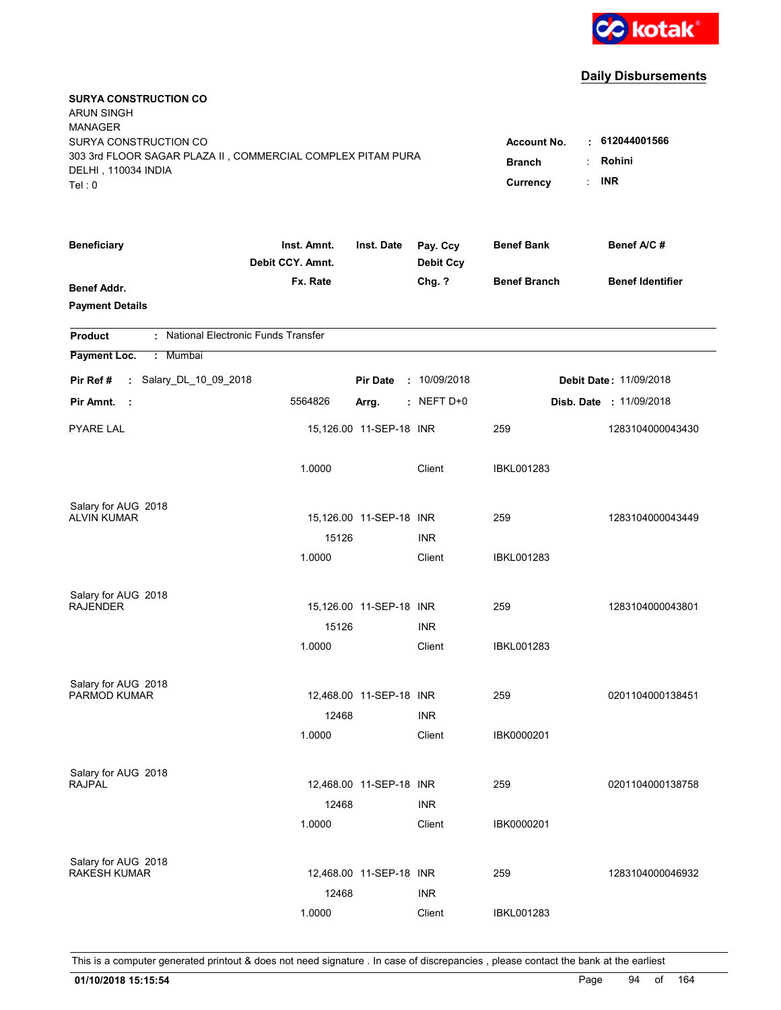

| <b>SURYA CONSTRUCTION CO</b><br><b>ARUN SINGH</b><br><b>MANAGER</b><br>SURYA CONSTRUCTION CO<br>303 3rd FLOOR SAGAR PLAZA II, COMMERCIAL COMPLEX PITAM PURA<br>DELHI, 110034 INDIA<br>Tel: 0 | <b>Account No.</b><br><b>Branch</b><br>Currency | . 612044001566<br>Rohini<br><b>INR</b><br>÷ |                              |                     |                               |
|----------------------------------------------------------------------------------------------------------------------------------------------------------------------------------------------|-------------------------------------------------|---------------------------------------------|------------------------------|---------------------|-------------------------------|
| <b>Beneficiary</b>                                                                                                                                                                           | Inst. Amnt.<br>Debit CCY. Amnt.                 | Inst. Date                                  | Pay. Ccy<br><b>Debit Ccy</b> | <b>Benef Bank</b>   | Benef A/C#                    |
| Benef Addr.<br><b>Payment Details</b>                                                                                                                                                        | Fx. Rate                                        |                                             | Chg. ?                       | <b>Benef Branch</b> | <b>Benef Identifier</b>       |
| : National Electronic Funds Transfer<br><b>Product</b>                                                                                                                                       |                                                 |                                             |                              |                     |                               |
| Payment Loc.<br>: Mumbai                                                                                                                                                                     |                                                 |                                             |                              |                     |                               |
| : Salary_DL_10_09_2018<br>Pir Ref #                                                                                                                                                          |                                                 | <b>Pir Date</b>                             | : 10/09/2018                 |                     | <b>Debit Date: 11/09/2018</b> |
| Pir Amnt.<br>- 1                                                                                                                                                                             | 5564826                                         | Arrg.                                       | $:$ NEFT D+0                 |                     | Disb. Date : 11/09/2018       |
| <b>PYARE LAL</b>                                                                                                                                                                             |                                                 | 15,126.00 11-SEP-18 INR                     |                              | 259                 | 1283104000043430              |
|                                                                                                                                                                                              | 1.0000                                          |                                             | Client                       | IBKL001283          |                               |
| Salary for AUG 2018                                                                                                                                                                          |                                                 |                                             |                              |                     |                               |
| <b>ALVIN KUMAR</b>                                                                                                                                                                           | 15126                                           | 15,126.00 11-SEP-18 INR                     | <b>INR</b>                   | 259                 | 1283104000043449              |
|                                                                                                                                                                                              | 1.0000                                          |                                             | Client                       | IBKL001283          |                               |
| Salary for AUG 2018                                                                                                                                                                          |                                                 |                                             |                              |                     |                               |
| <b>RAJENDER</b>                                                                                                                                                                              |                                                 | 15,126.00 11-SEP-18 INR                     |                              | 259                 | 1283104000043801              |
|                                                                                                                                                                                              | 15126                                           |                                             | <b>INR</b>                   |                     |                               |
|                                                                                                                                                                                              | 1.0000                                          |                                             | Client                       | IBKL001283          |                               |
| Salary for AUG 2018                                                                                                                                                                          |                                                 |                                             |                              |                     |                               |
| PARMOD KUMAR                                                                                                                                                                                 |                                                 | 12,468.00 11-SEP-18 INR                     |                              | 259                 | 0201104000138451              |
|                                                                                                                                                                                              | 12468                                           |                                             | <b>INR</b>                   |                     |                               |
|                                                                                                                                                                                              | 1.0000                                          |                                             | Client                       | IBK0000201          |                               |
| Salary for AUG 2018                                                                                                                                                                          |                                                 |                                             |                              |                     |                               |
| <b>RAJPAL</b>                                                                                                                                                                                |                                                 | 12,468.00 11-SEP-18 INR                     |                              | 259                 | 0201104000138758              |
|                                                                                                                                                                                              | 12468<br>1.0000                                 |                                             | <b>INR</b><br>Client         | IBK0000201          |                               |
|                                                                                                                                                                                              |                                                 |                                             |                              |                     |                               |
| Salary for AUG 2018<br><b>RAKESH KUMAR</b>                                                                                                                                                   |                                                 | 12,468.00 11-SEP-18 INR                     |                              | 259                 | 1283104000046932              |
|                                                                                                                                                                                              | 12468                                           |                                             | <b>INR</b>                   |                     |                               |
|                                                                                                                                                                                              | 1.0000                                          |                                             | Client                       | <b>IBKL001283</b>   |                               |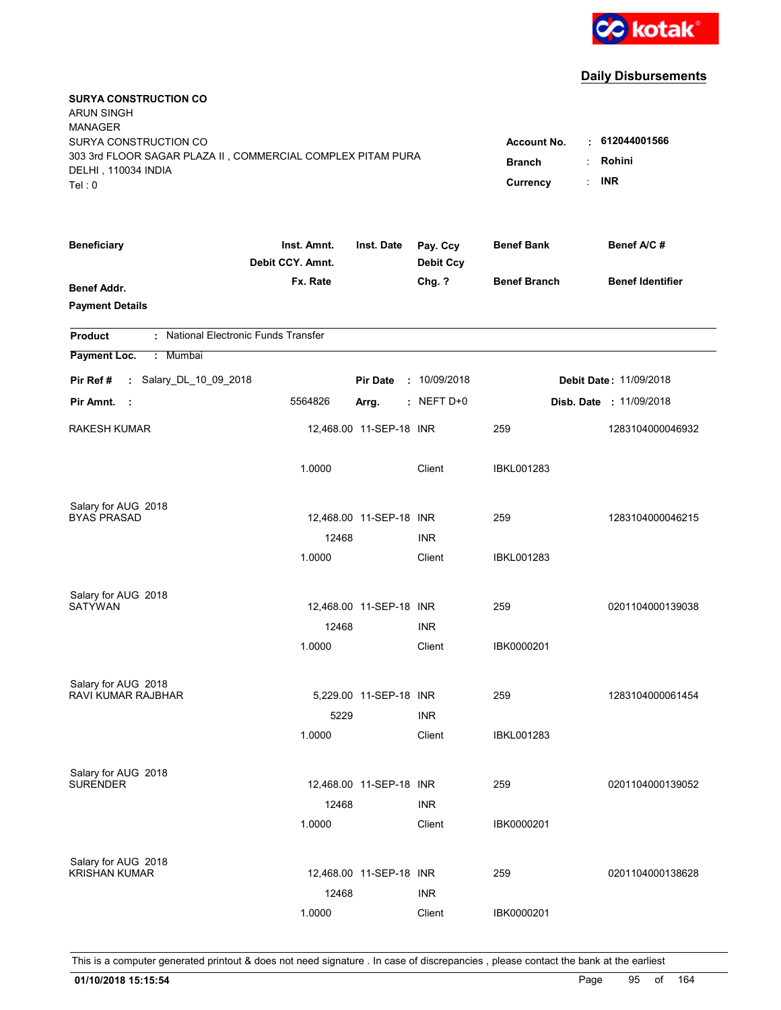

| <b>SURYA CONSTRUCTION CO</b><br><b>ARUN SINGH</b><br><b>MANAGER</b><br>SURYA CONSTRUCTION CO<br>303 3rd FLOOR SAGAR PLAZA II, COMMERCIAL COMPLEX PITAM PURA<br>DELHI, 110034 INDIA<br>Tel: 0 | <b>Account No.</b><br><b>Branch</b><br>Currency | . 612044001566<br>Rohini<br><b>INR</b><br>÷ |                              |                     |                               |
|----------------------------------------------------------------------------------------------------------------------------------------------------------------------------------------------|-------------------------------------------------|---------------------------------------------|------------------------------|---------------------|-------------------------------|
| <b>Beneficiary</b>                                                                                                                                                                           | Inst. Amnt.<br>Debit CCY. Amnt.                 | Inst. Date                                  | Pay. Ccy<br><b>Debit Ccy</b> | <b>Benef Bank</b>   | Benef A/C #                   |
| Benef Addr.<br><b>Payment Details</b>                                                                                                                                                        | Fx. Rate                                        |                                             | Chg. ?                       | <b>Benef Branch</b> | <b>Benef Identifier</b>       |
| : National Electronic Funds Transfer<br><b>Product</b>                                                                                                                                       |                                                 |                                             |                              |                     |                               |
| Payment Loc.<br>: Mumbai                                                                                                                                                                     |                                                 |                                             |                              |                     |                               |
| : Salary_DL_10_09_2018<br>Pir Ref #                                                                                                                                                          |                                                 | <b>Pir Date</b>                             | : 10/09/2018                 |                     | <b>Debit Date: 11/09/2018</b> |
| Pir Amnt.<br>- 1                                                                                                                                                                             | 5564826                                         | Arrg.                                       | $:$ NEFT D+0                 |                     | Disb. Date: 11/09/2018        |
| RAKESH KUMAR                                                                                                                                                                                 |                                                 | 12,468.00 11-SEP-18 INR                     |                              | 259                 | 1283104000046932              |
|                                                                                                                                                                                              | 1.0000                                          |                                             | Client                       | IBKL001283          |                               |
| Salary for AUG 2018                                                                                                                                                                          |                                                 |                                             |                              |                     |                               |
| <b>BYAS PRASAD</b>                                                                                                                                                                           |                                                 | 12,468.00 11-SEP-18 INR                     |                              | 259                 | 1283104000046215              |
|                                                                                                                                                                                              | 12468                                           |                                             | <b>INR</b>                   |                     |                               |
|                                                                                                                                                                                              | 1.0000                                          |                                             | Client                       | IBKL001283          |                               |
| Salary for AUG 2018                                                                                                                                                                          |                                                 |                                             |                              |                     |                               |
| <b>SATYWAN</b>                                                                                                                                                                               |                                                 | 12,468.00 11-SEP-18 INR                     |                              | 259                 | 0201104000139038              |
|                                                                                                                                                                                              | 12468                                           |                                             | <b>INR</b>                   |                     |                               |
|                                                                                                                                                                                              | 1.0000                                          |                                             | Client                       | IBK0000201          |                               |
| Salary for AUG 2018                                                                                                                                                                          |                                                 |                                             |                              |                     |                               |
| RAVI KUMAR RAJBHAR                                                                                                                                                                           |                                                 | 5,229.00 11-SEP-18 INR                      |                              | 259                 | 1283104000061454              |
|                                                                                                                                                                                              | 5229                                            |                                             | <b>INR</b>                   |                     |                               |
|                                                                                                                                                                                              | 1.0000                                          |                                             | Client                       | IBKL001283          |                               |
| Salary for AUG 2018                                                                                                                                                                          |                                                 |                                             |                              |                     |                               |
| <b>SURENDER</b>                                                                                                                                                                              |                                                 | 12,468.00 11-SEP-18 INR                     |                              | 259                 | 0201104000139052              |
|                                                                                                                                                                                              | 12468                                           |                                             | <b>INR</b>                   |                     |                               |
|                                                                                                                                                                                              | 1.0000                                          |                                             | Client                       | IBK0000201          |                               |
|                                                                                                                                                                                              |                                                 |                                             |                              |                     |                               |
| Salary for AUG 2018<br><b>KRISHAN KUMAR</b>                                                                                                                                                  |                                                 | 12,468.00 11-SEP-18 INR                     |                              | 259                 | 0201104000138628              |
|                                                                                                                                                                                              | 12468                                           |                                             | <b>INR</b>                   |                     |                               |
|                                                                                                                                                                                              | 1.0000                                          |                                             | Client                       | IBK0000201          |                               |
|                                                                                                                                                                                              |                                                 |                                             |                              |                     |                               |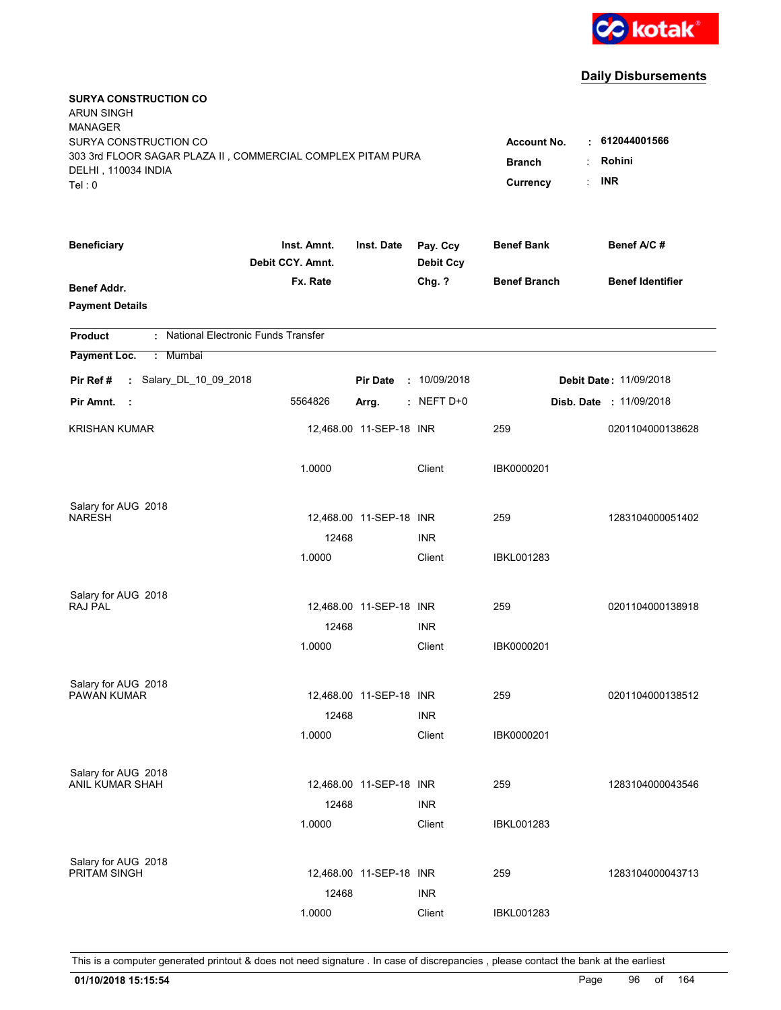

| <b>SURYA CONSTRUCTION CO</b><br><b>ARUN SINGH</b><br><b>MANAGER</b><br>SURYA CONSTRUCTION CO<br>303 3rd FLOOR SAGAR PLAZA II, COMMERCIAL COMPLEX PITAM PURA<br>DELHI, 110034 INDIA<br>Tel: 0 | <b>Account No.</b><br><b>Branch</b><br>Currency | $\cdot$ 612044001566<br>Rohini<br><b>INR</b> |                              |                     |                                |
|----------------------------------------------------------------------------------------------------------------------------------------------------------------------------------------------|-------------------------------------------------|----------------------------------------------|------------------------------|---------------------|--------------------------------|
| <b>Beneficiary</b>                                                                                                                                                                           | Inst. Amnt.<br>Debit CCY. Amnt.                 | Inst. Date                                   | Pay. Ccy<br><b>Debit Ccy</b> | <b>Benef Bank</b>   | Benef A/C #                    |
| <b>Benef Addr.</b><br><b>Payment Details</b>                                                                                                                                                 | Fx. Rate                                        |                                              | Chg. ?                       | <b>Benef Branch</b> | <b>Benef Identifier</b>        |
| : National Electronic Funds Transfer<br><b>Product</b>                                                                                                                                       |                                                 |                                              |                              |                     |                                |
| Payment Loc.<br>: Mumbai                                                                                                                                                                     |                                                 |                                              |                              |                     |                                |
| : Salary_DL_10_09_2018<br>Pir Ref #                                                                                                                                                          |                                                 | <b>Pir Date</b>                              | : 10/09/2018                 |                     | <b>Debit Date: 11/09/2018</b>  |
| Pir Amnt.<br>- 1                                                                                                                                                                             | 5564826                                         | Arrg.                                        | $:$ NEFT D+0                 |                     | <b>Disb. Date : 11/09/2018</b> |
| <b>KRISHAN KUMAR</b>                                                                                                                                                                         |                                                 | 12,468.00 11-SEP-18 INR                      |                              | 259                 | 0201104000138628               |
|                                                                                                                                                                                              | 1.0000                                          |                                              | Client                       | IBK0000201          |                                |
| Salary for AUG 2018                                                                                                                                                                          |                                                 |                                              |                              |                     |                                |
| <b>NARESH</b>                                                                                                                                                                                |                                                 | 12,468.00 11-SEP-18 INR                      | <b>INR</b>                   | 259                 | 1283104000051402               |
|                                                                                                                                                                                              | 12468<br>1.0000                                 |                                              | Client                       | <b>IBKL001283</b>   |                                |
| Salary for AUG 2018<br><b>RAJ PAL</b>                                                                                                                                                        | 12468<br>1.0000                                 | 12,468.00 11-SEP-18 INR                      | <b>INR</b><br>Client         | 259<br>IBK0000201   | 0201104000138918               |
|                                                                                                                                                                                              |                                                 |                                              |                              |                     |                                |
| Salary for AUG 2018<br>PAWAN KUMAR                                                                                                                                                           | 12468                                           | 12,468.00 11-SEP-18 INR                      | <b>INR</b>                   | 259                 | 0201104000138512               |
|                                                                                                                                                                                              | 1.0000                                          |                                              | Client                       | IBK0000201          |                                |
| Salary for AUG 2018<br>ANIL KUMAR SHAH                                                                                                                                                       | 12468<br>1.0000                                 | 12,468.00 11-SEP-18 INR                      | <b>INR</b><br>Client         | 259<br>IBKL001283   | 1283104000043546               |
| Salary for AUG 2018<br>PRITAM SINGH                                                                                                                                                          | 12468                                           | 12,468.00 11-SEP-18 INR                      | <b>INR</b>                   | 259                 | 1283104000043713               |
|                                                                                                                                                                                              | 1.0000                                          |                                              | Client                       | <b>IBKL001283</b>   |                                |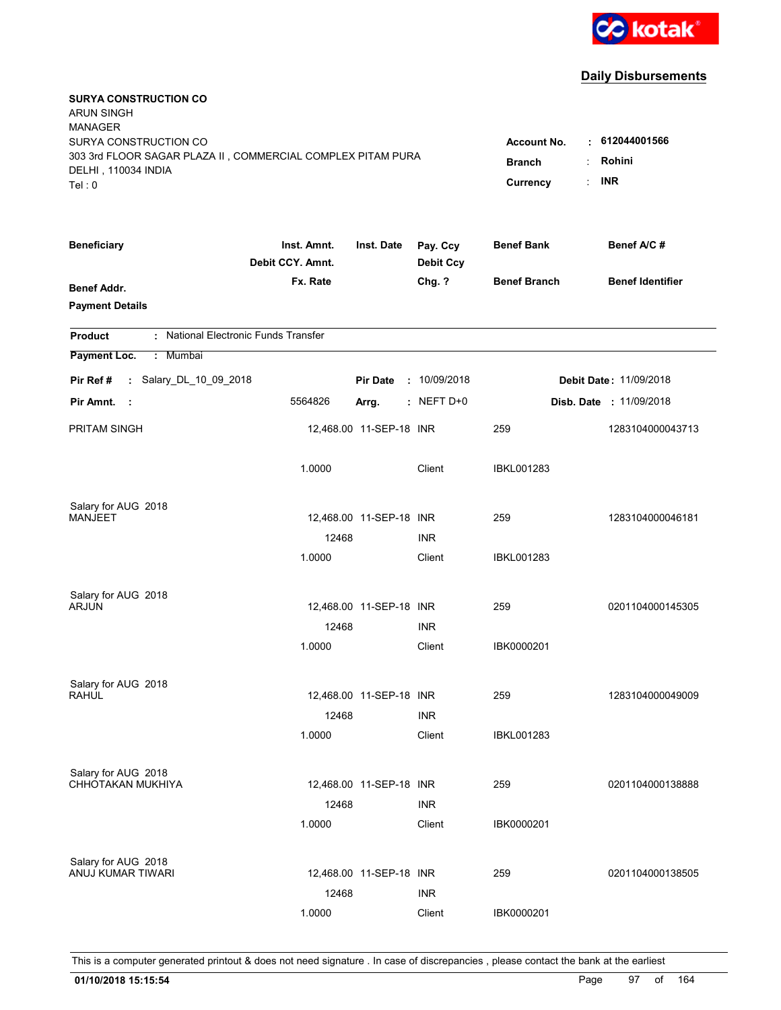

| <b>SURYA CONSTRUCTION CO</b><br><b>ARUN SINGH</b><br><b>MANAGER</b><br>SURYA CONSTRUCTION CO<br>303 3rd FLOOR SAGAR PLAZA II, COMMERCIAL COMPLEX PITAM PURA<br>DELHI, 110034 INDIA<br>Tel: 0 | <b>Account No.</b><br><b>Branch</b><br>Currency | $\cdot$ 612044001566<br>Rohini<br>÷<br><b>INR</b><br>÷ |                              |                     |                                |
|----------------------------------------------------------------------------------------------------------------------------------------------------------------------------------------------|-------------------------------------------------|--------------------------------------------------------|------------------------------|---------------------|--------------------------------|
| <b>Beneficiary</b>                                                                                                                                                                           | Inst. Amnt.<br>Debit CCY. Amnt.                 | Inst. Date                                             | Pay. Ccy<br><b>Debit Ccy</b> | <b>Benef Bank</b>   | Benef A/C #                    |
| <b>Benef Addr.</b><br><b>Payment Details</b>                                                                                                                                                 | Fx. Rate                                        |                                                        | Chg. ?                       | <b>Benef Branch</b> | <b>Benef Identifier</b>        |
| : National Electronic Funds Transfer<br><b>Product</b>                                                                                                                                       |                                                 |                                                        |                              |                     |                                |
| Payment Loc.<br>: Mumbai                                                                                                                                                                     |                                                 |                                                        |                              |                     |                                |
| : Salary_DL_10_09_2018<br>Pir Ref #                                                                                                                                                          |                                                 | <b>Pir Date</b>                                        | : 10/09/2018                 |                     | <b>Debit Date: 11/09/2018</b>  |
| Pir Amnt.<br>- 1                                                                                                                                                                             | 5564826                                         | Arrg.                                                  | $:$ NEFT D+0                 |                     | <b>Disb. Date : 11/09/2018</b> |
| <b>PRITAM SINGH</b>                                                                                                                                                                          |                                                 | 12,468.00 11-SEP-18 INR                                |                              | 259                 | 1283104000043713               |
|                                                                                                                                                                                              | 1.0000                                          |                                                        | Client                       | <b>IBKL001283</b>   |                                |
| Salary for AUG 2018                                                                                                                                                                          |                                                 |                                                        |                              |                     |                                |
| MANJEET                                                                                                                                                                                      |                                                 | 12,468.00 11-SEP-18 INR                                |                              | 259                 | 1283104000046181               |
|                                                                                                                                                                                              | 12468<br>1.0000                                 |                                                        | <b>INR</b><br>Client         | <b>IBKL001283</b>   |                                |
|                                                                                                                                                                                              |                                                 |                                                        |                              |                     |                                |
| Salary for AUG 2018                                                                                                                                                                          |                                                 |                                                        |                              |                     |                                |
| ARJUN                                                                                                                                                                                        |                                                 | 12,468.00 11-SEP-18 INR                                |                              | 259                 | 0201104000145305               |
|                                                                                                                                                                                              | 12468                                           |                                                        | <b>INR</b>                   |                     |                                |
|                                                                                                                                                                                              | 1.0000                                          |                                                        | Client                       | IBK0000201          |                                |
| Salary for AUG 2018                                                                                                                                                                          |                                                 |                                                        |                              |                     |                                |
| <b>RAHUL</b>                                                                                                                                                                                 |                                                 | 12,468.00 11-SEP-18 INR                                |                              | 259                 | 1283104000049009               |
|                                                                                                                                                                                              | 12468                                           |                                                        | <b>INR</b>                   |                     |                                |
|                                                                                                                                                                                              | 1.0000                                          |                                                        | Client                       | <b>IBKL001283</b>   |                                |
| Salary for AUG 2018                                                                                                                                                                          |                                                 |                                                        |                              |                     |                                |
| CHHOTAKAN MUKHIYA                                                                                                                                                                            |                                                 | 12,468.00 11-SEP-18 INR                                |                              | 259                 | 0201104000138888               |
|                                                                                                                                                                                              | 12468                                           |                                                        | <b>INR</b>                   |                     |                                |
|                                                                                                                                                                                              | 1.0000                                          |                                                        | Client                       | IBK0000201          |                                |
| Salary for AUG 2018                                                                                                                                                                          |                                                 |                                                        |                              |                     |                                |
| ANUJ KUMAR TIWARI                                                                                                                                                                            |                                                 | 12,468.00 11-SEP-18 INR                                |                              | 259                 | 0201104000138505               |
|                                                                                                                                                                                              | 12468                                           |                                                        | <b>INR</b>                   |                     |                                |
|                                                                                                                                                                                              | 1.0000                                          |                                                        | Client                       | IBK0000201          |                                |
|                                                                                                                                                                                              |                                                 |                                                        |                              |                     |                                |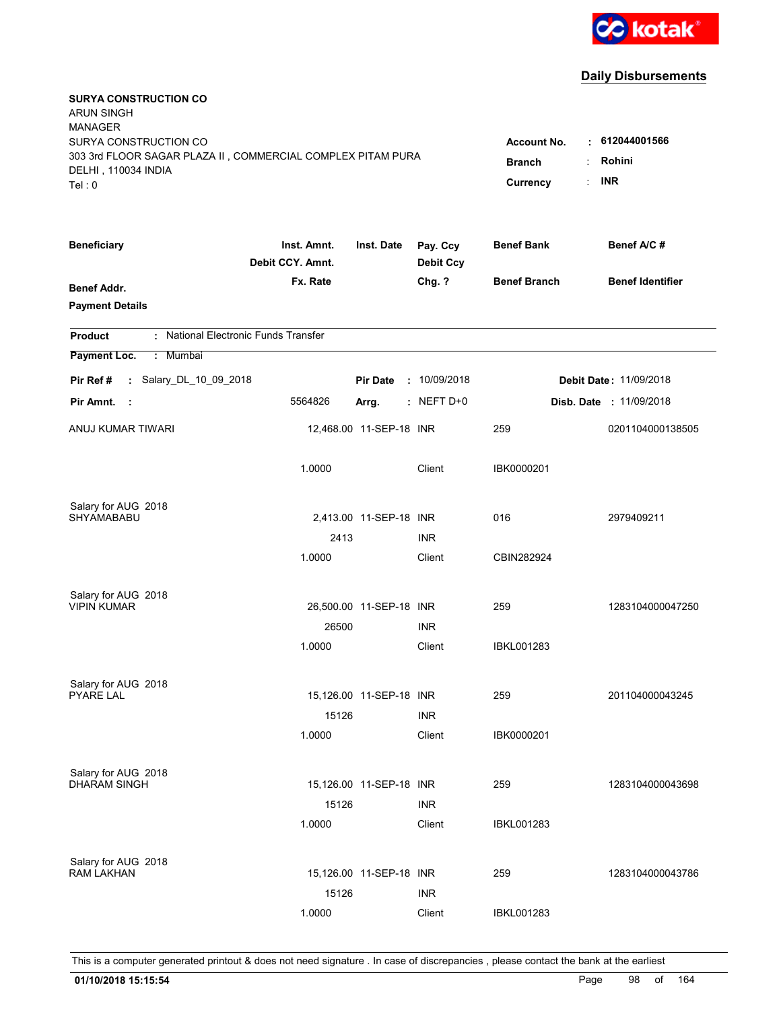

| <b>SURYA CONSTRUCTION CO</b><br><b>ARUN SINGH</b><br><b>MANAGER</b><br>SURYA CONSTRUCTION CO<br>303 3rd FLOOR SAGAR PLAZA II, COMMERCIAL COMPLEX PITAM PURA<br>DELHI, 110034 INDIA<br>Tel: 0 | <b>Account No.</b><br><b>Branch</b><br>Currency | $\cdot$ 612044001566<br>Rohini<br>÷<br><b>INR</b><br>÷ |                              |                          |                         |
|----------------------------------------------------------------------------------------------------------------------------------------------------------------------------------------------|-------------------------------------------------|--------------------------------------------------------|------------------------------|--------------------------|-------------------------|
| <b>Beneficiary</b>                                                                                                                                                                           | Inst. Amnt.<br>Debit CCY. Amnt.                 | Inst. Date                                             | Pay. Ccy<br><b>Debit Ccy</b> | <b>Benef Bank</b>        | Benef A/C#              |
| <b>Benef Addr.</b><br><b>Payment Details</b>                                                                                                                                                 | Fx. Rate                                        |                                                        | Chg. ?                       | <b>Benef Branch</b>      | <b>Benef Identifier</b> |
| : National Electronic Funds Transfer<br><b>Product</b>                                                                                                                                       |                                                 |                                                        |                              |                          |                         |
| Payment Loc.<br>: Mumbai                                                                                                                                                                     |                                                 |                                                        |                              |                          |                         |
| : Salary_DL_10_09_2018<br>Pir Ref #                                                                                                                                                          |                                                 | <b>Pir Date</b>                                        | : 10/09/2018                 |                          | Debit Date: 11/09/2018  |
| Pir Amnt.<br>- 1                                                                                                                                                                             | 5564826                                         | Arrg.                                                  | $:$ NEFT D+0                 |                          | Disb. Date : 11/09/2018 |
| ANUJ KUMAR TIWARI                                                                                                                                                                            |                                                 | 12,468.00 11-SEP-18 INR                                |                              | 259                      | 0201104000138505        |
|                                                                                                                                                                                              | 1.0000                                          |                                                        | Client                       | IBK0000201               |                         |
| Salary for AUG 2018                                                                                                                                                                          |                                                 |                                                        |                              |                          |                         |
| SHYAMABABU                                                                                                                                                                                   | 2413                                            | 2,413.00 11-SEP-18 INR                                 | <b>INR</b>                   | 016                      | 2979409211              |
|                                                                                                                                                                                              | 1.0000                                          |                                                        | Client                       | CBIN282924               |                         |
| Salary for AUG 2018<br><b>VIPIN KUMAR</b>                                                                                                                                                    |                                                 | 26,500.00 11-SEP-18 INR                                |                              | 259                      | 1283104000047250        |
|                                                                                                                                                                                              | 26500<br>1.0000                                 |                                                        | <b>INR</b><br>Client         | <b>IBKL001283</b>        |                         |
| Salary for AUG 2018<br><b>PYARE LAL</b>                                                                                                                                                      | 15126                                           | 15,126.00 11-SEP-18 INR                                | <b>INR</b>                   | 259                      | 201104000043245         |
|                                                                                                                                                                                              | 1.0000                                          |                                                        | Client                       | IBK0000201               |                         |
| Salary for AUG 2018<br><b>DHARAM SINGH</b>                                                                                                                                                   | 15126<br>1.0000                                 | 15,126.00 11-SEP-18 INR                                | <b>INR</b><br>Client         | 259<br><b>IBKL001283</b> | 1283104000043698        |
| Salary for AUG 2018<br><b>RAM LAKHAN</b>                                                                                                                                                     | 15126                                           | 15,126.00 11-SEP-18 INR                                | <b>INR</b>                   | 259                      | 1283104000043786        |
|                                                                                                                                                                                              | 1.0000                                          |                                                        | Client                       | <b>IBKL001283</b>        |                         |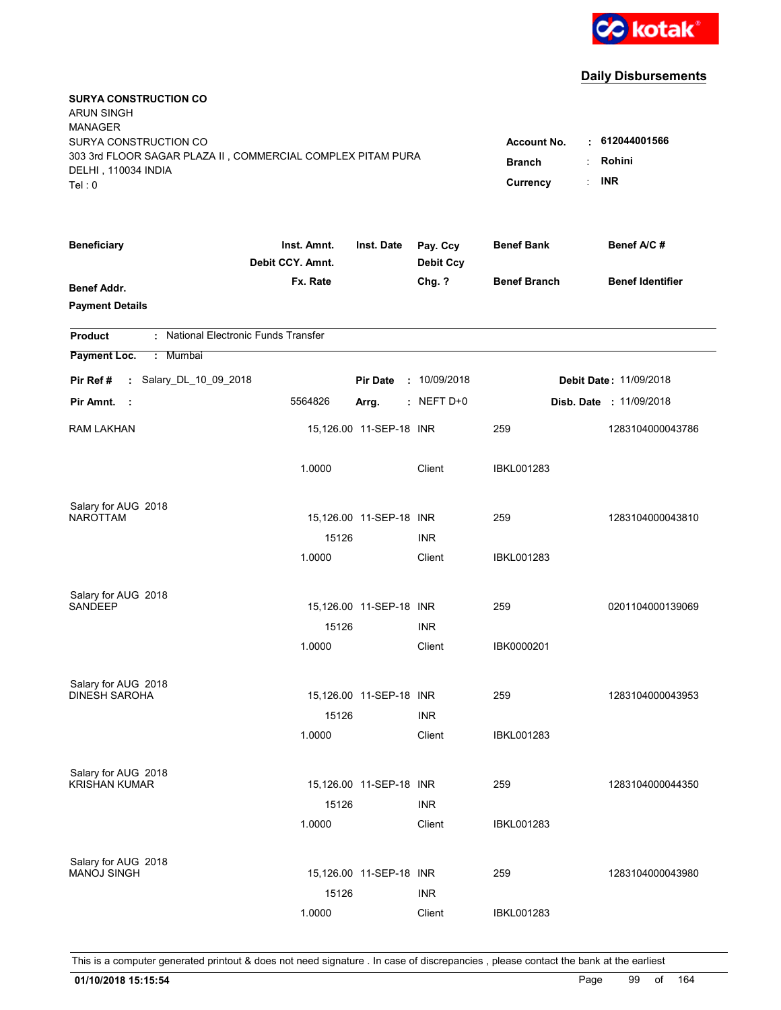

| <b>SURYA CONSTRUCTION CO</b><br><b>ARUN SINGH</b><br><b>MANAGER</b><br>SURYA CONSTRUCTION CO<br>303 3rd FLOOR SAGAR PLAZA II, COMMERCIAL COMPLEX PITAM PURA<br>DELHI, 110034 INDIA<br>Tel: 0 | <b>Account No.</b><br><b>Branch</b><br>Currency | . 612044001566<br>Rohini<br><b>INR</b><br>$\ddot{\phantom{a}}$ |                              |                     |                               |
|----------------------------------------------------------------------------------------------------------------------------------------------------------------------------------------------|-------------------------------------------------|----------------------------------------------------------------|------------------------------|---------------------|-------------------------------|
| <b>Beneficiary</b>                                                                                                                                                                           | Inst. Amnt.<br>Debit CCY. Amnt.                 | Inst. Date                                                     | Pay. Ccy<br><b>Debit Ccy</b> | <b>Benef Bank</b>   | Benef A/C#                    |
| <b>Benef Addr.</b><br><b>Payment Details</b>                                                                                                                                                 | Fx. Rate                                        |                                                                | Chg. ?                       | <b>Benef Branch</b> | <b>Benef Identifier</b>       |
| : National Electronic Funds Transfer<br><b>Product</b>                                                                                                                                       |                                                 |                                                                |                              |                     |                               |
| Payment Loc.<br>Mumbai<br>÷.                                                                                                                                                                 |                                                 |                                                                |                              |                     |                               |
| : Salary_DL_10_09_2018<br>Pir Ref#                                                                                                                                                           |                                                 | <b>Pir Date</b>                                                | : 10/09/2018                 |                     | <b>Debit Date: 11/09/2018</b> |
| Pir Amnt.<br>- 1                                                                                                                                                                             | 5564826                                         | Arrg.                                                          | $:$ NEFT D+0                 |                     | Disb. Date : 11/09/2018       |
| <b>RAM LAKHAN</b>                                                                                                                                                                            |                                                 | 15,126.00 11-SEP-18 INR                                        |                              | 259                 | 1283104000043786              |
|                                                                                                                                                                                              | 1.0000                                          |                                                                | Client                       | <b>IBKL001283</b>   |                               |
| Salary for AUG 2018                                                                                                                                                                          |                                                 |                                                                |                              |                     |                               |
| <b>NAROTTAM</b>                                                                                                                                                                              | 15126                                           | 15,126.00 11-SEP-18 INR                                        | <b>INR</b>                   | 259                 | 1283104000043810              |
|                                                                                                                                                                                              | 1.0000                                          |                                                                | Client                       | <b>IBKL001283</b>   |                               |
| Salary for AUG 2018<br><b>SANDEEP</b>                                                                                                                                                        | 15126                                           | 15,126.00  11-SEP-18  INR                                      | <b>INR</b>                   | 259                 | 0201104000139069              |
|                                                                                                                                                                                              | 1.0000                                          |                                                                | Client                       | IBK0000201          |                               |
| Salary for AUG 2018<br><b>DINESH SAROHA</b>                                                                                                                                                  | 15126<br>1.0000                                 | 15,126.00 11-SEP-18 INR                                        | <b>INR</b><br>Client         | 259<br>IBKL001283   | 1283104000043953              |
|                                                                                                                                                                                              |                                                 |                                                                |                              |                     |                               |
| Salary for AUG 2018<br><b>KRISHAN KUMAR</b>                                                                                                                                                  | 15126<br>1.0000                                 | 15,126.00 11-SEP-18 INR                                        | <b>INR</b><br>Client         | 259<br>IBKL001283   | 1283104000044350              |
| Salary for AUG 2018<br><b>MANOJ SINGH</b>                                                                                                                                                    | 15126                                           | 15,126.00 11-SEP-18 INR                                        | <b>INR</b>                   | 259                 | 1283104000043980              |
|                                                                                                                                                                                              | 1.0000                                          |                                                                | Client                       | <b>IBKL001283</b>   |                               |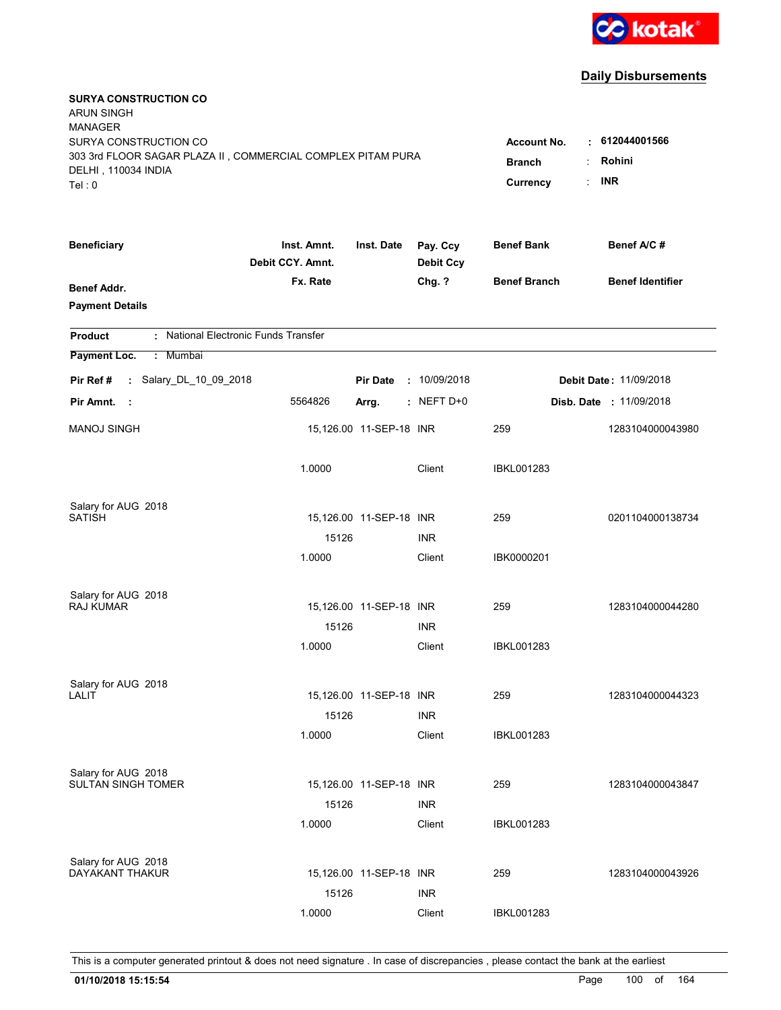

| <b>SURYA CONSTRUCTION CO</b><br><b>ARUN SINGH</b><br><b>MANAGER</b><br>SURYA CONSTRUCTION CO<br>303 3rd FLOOR SAGAR PLAZA II, COMMERCIAL COMPLEX PITAM PURA<br>DELHI, 110034 INDIA<br>Tel: 0 | <b>Account No.</b><br><b>Branch</b><br>Currency | $\cdot$ 612044001566<br>Rohini<br><b>INR</b> |                              |                     |                                |
|----------------------------------------------------------------------------------------------------------------------------------------------------------------------------------------------|-------------------------------------------------|----------------------------------------------|------------------------------|---------------------|--------------------------------|
| <b>Beneficiary</b>                                                                                                                                                                           | Inst. Amnt.<br>Debit CCY. Amnt.                 | Inst. Date                                   | Pay. Ccy<br><b>Debit Ccy</b> | <b>Benef Bank</b>   | Benef A/C #                    |
| <b>Benef Addr.</b><br><b>Payment Details</b>                                                                                                                                                 | Fx. Rate                                        |                                              | Chg. ?                       | <b>Benef Branch</b> | <b>Benef Identifier</b>        |
| : National Electronic Funds Transfer<br><b>Product</b>                                                                                                                                       |                                                 |                                              |                              |                     |                                |
| Payment Loc.<br>: Mumbai                                                                                                                                                                     |                                                 |                                              |                              |                     |                                |
| : Salary_DL_10_09_2018<br>Pir Ref #                                                                                                                                                          |                                                 | <b>Pir Date</b>                              | : 10/09/2018                 |                     | <b>Debit Date: 11/09/2018</b>  |
| Pir Amnt.<br>- 1                                                                                                                                                                             | 5564826                                         | Arrg.                                        | $:$ NEFT D+0                 |                     | <b>Disb. Date : 11/09/2018</b> |
| <b>MANOJ SINGH</b>                                                                                                                                                                           |                                                 | 15,126.00 11-SEP-18 INR                      |                              | 259                 | 1283104000043980               |
|                                                                                                                                                                                              | 1.0000                                          |                                              | Client                       | IBKL001283          |                                |
| Salary for AUG 2018<br><b>SATISH</b>                                                                                                                                                         |                                                 |                                              |                              |                     |                                |
|                                                                                                                                                                                              | 15126                                           | 15,126.00 11-SEP-18 INR                      | <b>INR</b>                   | 259                 | 0201104000138734               |
|                                                                                                                                                                                              | 1.0000                                          |                                              | Client                       | IBK0000201          |                                |
| Salary for AUG 2018                                                                                                                                                                          |                                                 |                                              |                              |                     |                                |
| <b>RAJ KUMAR</b>                                                                                                                                                                             |                                                 | 15,126.00 11-SEP-18 INR                      |                              | 259                 | 1283104000044280               |
|                                                                                                                                                                                              | 15126                                           |                                              | <b>INR</b>                   |                     |                                |
|                                                                                                                                                                                              | 1.0000                                          |                                              | Client                       | IBKL001283          |                                |
| Salary for AUG 2018                                                                                                                                                                          |                                                 |                                              |                              |                     |                                |
| <b>LALIT</b>                                                                                                                                                                                 |                                                 | 15,126.00 11-SEP-18 INR                      |                              | 259                 | 1283104000044323               |
|                                                                                                                                                                                              | 15126                                           |                                              | <b>INR</b>                   |                     |                                |
|                                                                                                                                                                                              | 1.0000                                          |                                              | Client                       | <b>IBKL001283</b>   |                                |
| Salary for AUG 2018                                                                                                                                                                          |                                                 |                                              |                              |                     |                                |
| <b>SULTAN SINGH TOMER</b>                                                                                                                                                                    |                                                 | 15,126.00 11-SEP-18 INR                      |                              | 259                 | 1283104000043847               |
|                                                                                                                                                                                              | 15126<br>1.0000                                 |                                              | <b>INR</b><br>Client         | IBKL001283          |                                |
|                                                                                                                                                                                              |                                                 |                                              |                              |                     |                                |
| Salary for AUG 2018<br>DAYAKANT THAKUR                                                                                                                                                       |                                                 |                                              |                              |                     |                                |
|                                                                                                                                                                                              |                                                 | 15,126.00 11-SEP-18 INR                      |                              | 259                 | 1283104000043926               |
|                                                                                                                                                                                              | 15126<br>1.0000                                 |                                              | <b>INR</b><br>Client         |                     |                                |
|                                                                                                                                                                                              |                                                 |                                              |                              | <b>IBKL001283</b>   |                                |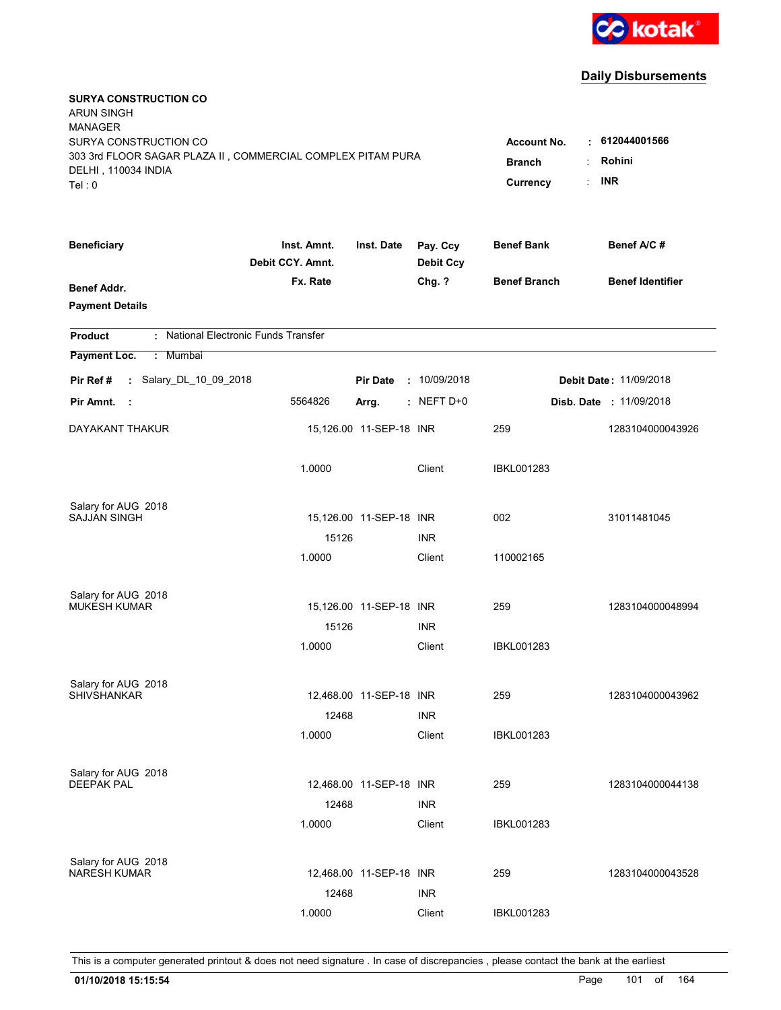

| <b>SURYA CONSTRUCTION CO</b><br><b>ARUN SINGH</b><br><b>MANAGER</b>                                                   |                                                           |                                              |                      |                     |                                |
|-----------------------------------------------------------------------------------------------------------------------|-----------------------------------------------------------|----------------------------------------------|----------------------|---------------------|--------------------------------|
| SURYA CONSTRUCTION CO<br>303 3rd FLOOR SAGAR PLAZA II, COMMERCIAL COMPLEX PITAM PURA<br>DELHI, 110034 INDIA<br>Tel: 0 | <b>Account No.</b><br><b>Branch</b><br>÷<br>÷<br>Currency | $\cdot$ 612044001566<br>Rohini<br><b>INR</b> |                      |                     |                                |
|                                                                                                                       | Inst. Amnt.                                               | Inst. Date                                   | Pay. Ccy             | <b>Benef Bank</b>   | Benef A/C#                     |
| <b>Beneficiary</b>                                                                                                    | Debit CCY. Amnt.                                          |                                              | <b>Debit Ccy</b>     |                     |                                |
| <b>Benef Addr.</b><br><b>Payment Details</b>                                                                          | Fx. Rate                                                  |                                              | Chg. ?               | <b>Benef Branch</b> | <b>Benef Identifier</b>        |
| : National Electronic Funds Transfer<br><b>Product</b>                                                                |                                                           |                                              |                      |                     |                                |
| Payment Loc.<br>: Mumbai                                                                                              |                                                           |                                              |                      |                     |                                |
| : Salary_DL_10_09_2018<br>Pir Ref#                                                                                    |                                                           | <b>Pir Date</b>                              | : 10/09/2018         |                     | <b>Debit Date: 11/09/2018</b>  |
| Pir Amnt.<br>- 11                                                                                                     | 5564826                                                   | Arrg.                                        | $:$ NEFT D+0         |                     | <b>Disb. Date : 11/09/2018</b> |
| DAYAKANT THAKUR                                                                                                       |                                                           | 15,126.00 11-SEP-18 INR                      |                      | 259                 | 1283104000043926               |
|                                                                                                                       | 1.0000                                                    |                                              | Client               | <b>IBKL001283</b>   |                                |
| Salary for AUG 2018                                                                                                   |                                                           |                                              |                      |                     |                                |
| <b>SAJJAN SINGH</b>                                                                                                   |                                                           | 15,126.00 11-SEP-18 INR                      |                      | 002                 | 31011481045                    |
|                                                                                                                       | 15126<br>1.0000                                           |                                              | <b>INR</b><br>Client | 110002165           |                                |
|                                                                                                                       |                                                           |                                              |                      |                     |                                |
| Salary for AUG 2018                                                                                                   |                                                           |                                              |                      |                     |                                |
| <b>MUKESH KUMAR</b>                                                                                                   |                                                           | 15,126.00 11-SEP-18 INR                      |                      | 259                 | 1283104000048994               |
|                                                                                                                       | 15126<br>1.0000                                           |                                              | <b>INR</b><br>Client | <b>IBKL001283</b>   |                                |
|                                                                                                                       |                                                           |                                              |                      |                     |                                |
| Salary for AUG 2018                                                                                                   |                                                           |                                              |                      |                     |                                |
| <b>SHIVSHANKAR</b>                                                                                                    |                                                           | 12,468.00 11-SEP-18 INR                      |                      | 259                 | 1283104000043962               |
|                                                                                                                       | 12468                                                     |                                              | <b>INR</b>           |                     |                                |
|                                                                                                                       | 1.0000                                                    |                                              | Client               | <b>IBKL001283</b>   |                                |
| Salary for AUG 2018                                                                                                   |                                                           |                                              |                      |                     |                                |
| <b>DEEPAK PAL</b>                                                                                                     |                                                           | 12,468.00 11-SEP-18 INR                      |                      | 259                 | 1283104000044138               |
|                                                                                                                       | 12468                                                     |                                              | <b>INR</b>           |                     |                                |
|                                                                                                                       | 1.0000                                                    |                                              | Client               | <b>IBKL001283</b>   |                                |
| Salary for AUG 2018                                                                                                   |                                                           |                                              |                      |                     |                                |
| <b>NARESH KUMAR</b>                                                                                                   |                                                           | 12,468.00 11-SEP-18 INR                      |                      | 259                 | 1283104000043528               |
|                                                                                                                       | 12468                                                     |                                              | <b>INR</b>           |                     |                                |
|                                                                                                                       | 1.0000                                                    |                                              | Client               | <b>IBKL001283</b>   |                                |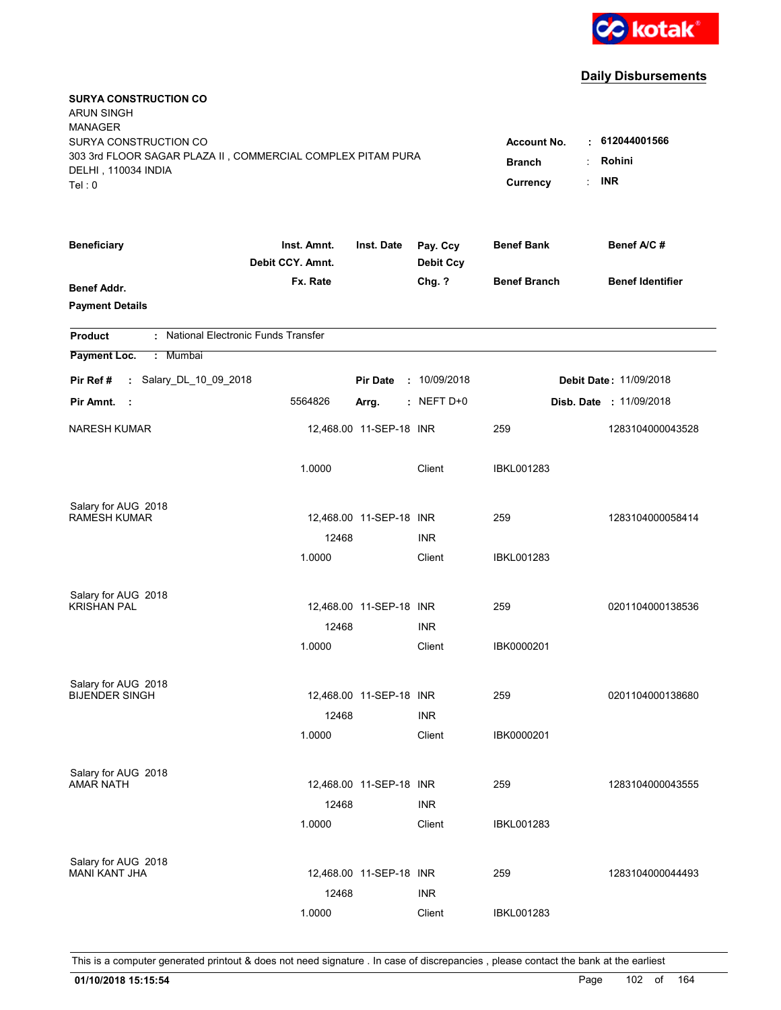

| <b>SURYA CONSTRUCTION CO</b><br><b>ARUN SINGH</b><br><b>MANAGER</b>                                                   |                                                 |                                              |                              |                     |                                |
|-----------------------------------------------------------------------------------------------------------------------|-------------------------------------------------|----------------------------------------------|------------------------------|---------------------|--------------------------------|
| SURYA CONSTRUCTION CO<br>303 3rd FLOOR SAGAR PLAZA II, COMMERCIAL COMPLEX PITAM PURA<br>DELHI, 110034 INDIA<br>Tel: 0 | <b>Account No.</b><br><b>Branch</b><br>Currency | $\cdot$ 612044001566<br>Rohini<br><b>INR</b> |                              |                     |                                |
| <b>Beneficiary</b>                                                                                                    | Inst. Amnt.<br>Debit CCY. Amnt.                 | Inst. Date                                   | Pay. Ccy<br><b>Debit Ccy</b> | <b>Benef Bank</b>   | Benef A/C#                     |
| <b>Benef Addr.</b><br><b>Payment Details</b>                                                                          | Fx. Rate                                        |                                              | Chg. ?                       | <b>Benef Branch</b> | <b>Benef Identifier</b>        |
| : National Electronic Funds Transfer<br><b>Product</b>                                                                |                                                 |                                              |                              |                     |                                |
| Payment Loc.<br>Mumbai<br>÷.                                                                                          |                                                 |                                              |                              |                     |                                |
| : Salary_DL_10_09_2018<br>Pir Ref #                                                                                   |                                                 | <b>Pir Date</b>                              | : 10/09/2018                 |                     | <b>Debit Date: 11/09/2018</b>  |
| Pir Amnt.<br>- 1                                                                                                      | 5564826                                         | Arrg.                                        | $:$ NEFT D+0                 |                     | <b>Disb. Date : 11/09/2018</b> |
| <b>NARESH KUMAR</b>                                                                                                   |                                                 | 12,468.00 11-SEP-18 INR                      |                              | 259                 | 1283104000043528               |
|                                                                                                                       | 1.0000                                          |                                              | Client                       | <b>IBKL001283</b>   |                                |
| Salary for AUG 2018                                                                                                   |                                                 |                                              |                              |                     |                                |
| <b>RAMESH KUMAR</b>                                                                                                   |                                                 | 12,468.00 11-SEP-18 INR                      |                              | 259                 | 1283104000058414               |
|                                                                                                                       | 12468                                           |                                              | <b>INR</b>                   |                     |                                |
|                                                                                                                       | 1.0000                                          |                                              | Client                       | <b>IBKL001283</b>   |                                |
| Salary for AUG 2018                                                                                                   |                                                 |                                              |                              |                     |                                |
| <b>KRISHAN PAL</b>                                                                                                    |                                                 | 12,468.00 11-SEP-18 INR                      |                              | 259                 | 0201104000138536               |
|                                                                                                                       | 12468                                           |                                              | <b>INR</b>                   |                     |                                |
|                                                                                                                       | 1.0000                                          |                                              | Client                       | IBK0000201          |                                |
| Salary for AUG 2018                                                                                                   |                                                 |                                              |                              |                     |                                |
| <b>BIJENDER SINGH</b>                                                                                                 |                                                 | 12,468.00 11-SEP-18 INR                      |                              | 259                 | 0201104000138680               |
|                                                                                                                       | 12468                                           |                                              | <b>INR</b>                   |                     |                                |
|                                                                                                                       | 1.0000                                          |                                              | Client                       | IBK0000201          |                                |
| Salary for AUG 2018                                                                                                   |                                                 |                                              |                              |                     |                                |
| AMAR NATH                                                                                                             |                                                 | 12,468.00 11-SEP-18 INR                      |                              | 259                 | 1283104000043555               |
|                                                                                                                       | 12468                                           |                                              | <b>INR</b>                   |                     |                                |
|                                                                                                                       | 1.0000                                          |                                              | Client                       | IBKL001283          |                                |
| Salary for AUG 2018                                                                                                   |                                                 |                                              |                              |                     |                                |
| <b>MANI KANT JHA</b>                                                                                                  |                                                 | 12,468.00 11-SEP-18 INR                      |                              | 259                 | 1283104000044493               |
|                                                                                                                       | 12468                                           |                                              | <b>INR</b>                   |                     |                                |
|                                                                                                                       | 1.0000                                          |                                              | Client                       | <b>IBKL001283</b>   |                                |
|                                                                                                                       |                                                 |                                              |                              |                     |                                |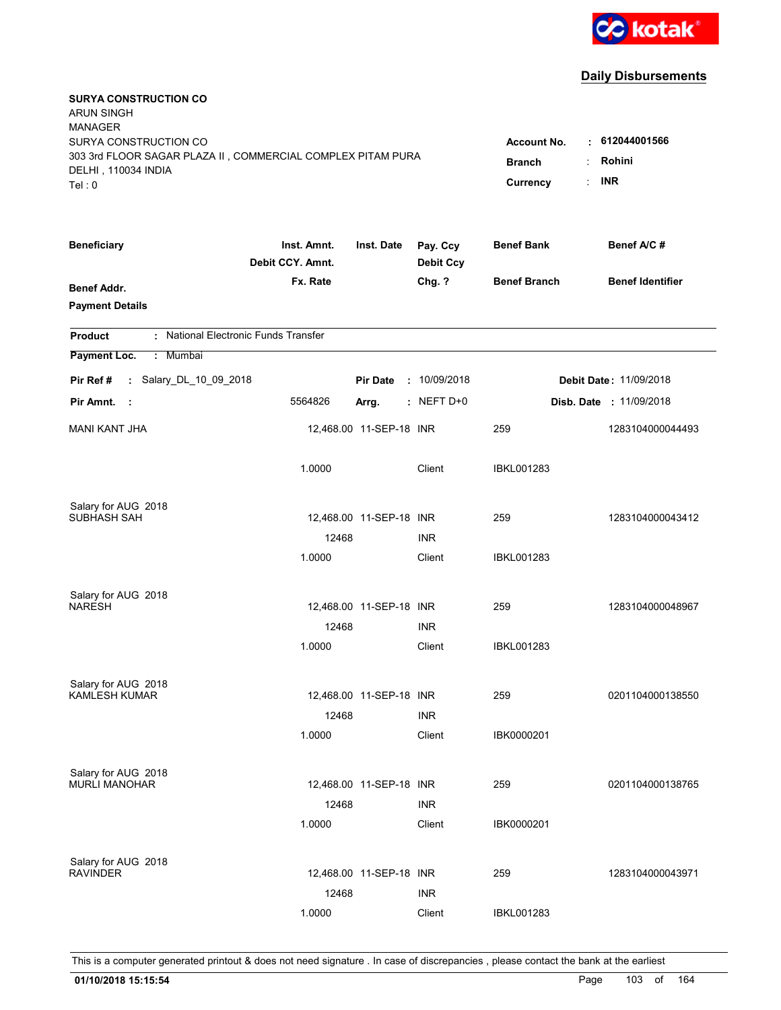

| <b>SURYA CONSTRUCTION CO</b><br><b>ARUN SINGH</b><br><b>MANAGER</b><br>SURYA CONSTRUCTION CO<br>303 3rd FLOOR SAGAR PLAZA II, COMMERCIAL COMPLEX PITAM PURA<br>DELHI, 110034 INDIA<br>Tel: 0 | <b>Account No.</b><br><b>Branch</b><br>Currency | $\cdot$ 612044001566<br>Rohini<br><b>INR</b> |                              |                     |                                |
|----------------------------------------------------------------------------------------------------------------------------------------------------------------------------------------------|-------------------------------------------------|----------------------------------------------|------------------------------|---------------------|--------------------------------|
| <b>Beneficiary</b>                                                                                                                                                                           | Inst. Amnt.<br>Debit CCY. Amnt.                 | Inst. Date                                   | Pay. Ccy<br><b>Debit Ccy</b> | <b>Benef Bank</b>   | Benef A/C #                    |
| <b>Benef Addr.</b><br><b>Payment Details</b>                                                                                                                                                 | Fx. Rate                                        |                                              | Chg. ?                       | <b>Benef Branch</b> | <b>Benef Identifier</b>        |
| : National Electronic Funds Transfer<br><b>Product</b>                                                                                                                                       |                                                 |                                              |                              |                     |                                |
| Payment Loc.<br>: Mumbai                                                                                                                                                                     |                                                 |                                              |                              |                     |                                |
| : Salary_DL_10_09_2018<br>Pir Ref #                                                                                                                                                          |                                                 | <b>Pir Date</b>                              | : 10/09/2018                 |                     | <b>Debit Date: 11/09/2018</b>  |
| Pir Amnt.<br>- 1                                                                                                                                                                             | 5564826                                         | Arrg.                                        | $:$ NEFT D+0                 |                     | <b>Disb. Date : 11/09/2018</b> |
| <b>MANI KANT JHA</b>                                                                                                                                                                         |                                                 | 12,468.00 11-SEP-18 INR                      |                              | 259                 | 1283104000044493               |
|                                                                                                                                                                                              | 1.0000                                          |                                              | Client                       | <b>IBKL001283</b>   |                                |
| Salary for AUG 2018                                                                                                                                                                          |                                                 |                                              |                              |                     |                                |
| SUBHASH SAH                                                                                                                                                                                  | 12468                                           | 12,468.00 11-SEP-18 INR                      | <b>INR</b>                   | 259                 | 1283104000043412               |
|                                                                                                                                                                                              | 1.0000                                          |                                              | Client                       | <b>IBKL001283</b>   |                                |
| Salary for AUG 2018<br><b>NARESH</b>                                                                                                                                                         |                                                 | 12,468.00 11-SEP-18 INR                      |                              | 259                 | 1283104000048967               |
|                                                                                                                                                                                              | 12468                                           |                                              | <b>INR</b>                   |                     |                                |
|                                                                                                                                                                                              | 1.0000                                          |                                              | Client                       | <b>IBKL001283</b>   |                                |
| Salary for AUG 2018                                                                                                                                                                          |                                                 |                                              |                              |                     |                                |
| <b>KAMLESH KUMAR</b>                                                                                                                                                                         |                                                 | 12,468.00 11-SEP-18 INR                      |                              | 259                 | 0201104000138550               |
|                                                                                                                                                                                              | 12468<br>1.0000                                 |                                              | <b>INR</b><br>Client         | IBK0000201          |                                |
|                                                                                                                                                                                              |                                                 |                                              |                              |                     |                                |
| Salary for AUG 2018<br><b>MURLI MANOHAR</b>                                                                                                                                                  |                                                 | 12,468.00 11-SEP-18 INR                      |                              | 259                 | 0201104000138765               |
|                                                                                                                                                                                              | 12468                                           |                                              | <b>INR</b>                   |                     |                                |
|                                                                                                                                                                                              | 1.0000                                          |                                              | Client                       | IBK0000201          |                                |
| Salary for AUG 2018                                                                                                                                                                          |                                                 |                                              |                              |                     |                                |
| <b>RAVINDER</b>                                                                                                                                                                              |                                                 | 12,468.00 11-SEP-18 INR                      |                              | 259                 | 1283104000043971               |
|                                                                                                                                                                                              | 12468                                           |                                              | <b>INR</b>                   |                     |                                |
|                                                                                                                                                                                              | 1.0000                                          |                                              | Client                       | <b>IBKL001283</b>   |                                |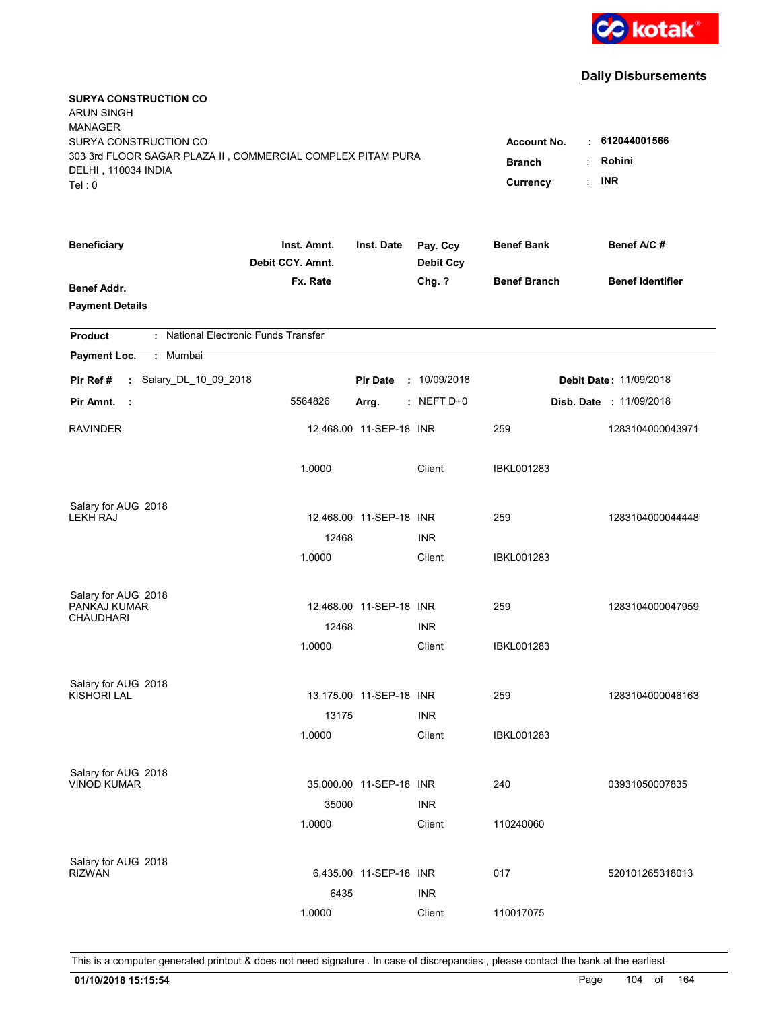

| <b>SURYA CONSTRUCTION CO</b><br><b>ARUN SINGH</b><br><b>MANAGER</b><br>SURYA CONSTRUCTION CO<br>303 3rd FLOOR SAGAR PLAZA II, COMMERCIAL COMPLEX PITAM PURA<br>DELHI, 110034 INDIA<br>Tel: 0 | <b>Account No.</b><br><b>Branch</b><br>Currency | $\cdot$ 612044001566<br>Rohini<br>÷<br><b>INR</b> |                              |                          |                                |
|----------------------------------------------------------------------------------------------------------------------------------------------------------------------------------------------|-------------------------------------------------|---------------------------------------------------|------------------------------|--------------------------|--------------------------------|
| <b>Beneficiary</b>                                                                                                                                                                           | Inst. Amnt.<br>Debit CCY. Amnt.                 | Inst. Date                                        | Pay. Ccy<br><b>Debit Ccy</b> | <b>Benef Bank</b>        | Benef A/C #                    |
| <b>Benef Addr.</b><br><b>Payment Details</b>                                                                                                                                                 | Fx. Rate                                        |                                                   | Chg. ?                       | <b>Benef Branch</b>      | <b>Benef Identifier</b>        |
| : National Electronic Funds Transfer<br><b>Product</b>                                                                                                                                       |                                                 |                                                   |                              |                          |                                |
| Payment Loc.<br>: Mumbai                                                                                                                                                                     |                                                 |                                                   |                              |                          |                                |
| : Salary_DL_10_09_2018<br>Pir Ref #                                                                                                                                                          |                                                 | <b>Pir Date</b>                                   | : 10/09/2018                 |                          | Debit Date: 11/09/2018         |
| Pir Amnt.<br>- 1                                                                                                                                                                             | 5564826                                         | Arrg.                                             | $:$ NEFT D+0                 |                          | <b>Disb. Date : 11/09/2018</b> |
| <b>RAVINDER</b>                                                                                                                                                                              |                                                 | 12,468.00 11-SEP-18 INR                           |                              | 259                      | 1283104000043971               |
|                                                                                                                                                                                              | 1.0000                                          |                                                   | Client                       | <b>IBKL001283</b>        |                                |
| Salary for AUG 2018                                                                                                                                                                          |                                                 |                                                   |                              |                          |                                |
| <b>LEKH RAJ</b>                                                                                                                                                                              | 12468                                           | 12,468.00 11-SEP-18 INR                           | <b>INR</b>                   | 259                      | 1283104000044448               |
|                                                                                                                                                                                              | 1.0000                                          |                                                   | Client                       | <b>IBKL001283</b>        |                                |
| Salary for AUG 2018<br>PANKAJ KUMAR<br><b>CHAUDHARI</b>                                                                                                                                      | 12468<br>1.0000                                 | 12,468.00 11-SEP-18 INR                           | <b>INR</b><br>Client         | 259<br><b>IBKL001283</b> | 1283104000047959               |
|                                                                                                                                                                                              |                                                 |                                                   |                              |                          |                                |
| Salary for AUG 2018<br><b>KISHORI LAL</b>                                                                                                                                                    | 13175                                           | 13,175.00 11-SEP-18 INR                           | <b>INR</b>                   | 259                      | 1283104000046163               |
|                                                                                                                                                                                              | 1.0000                                          |                                                   | Client                       | <b>IBKL001283</b>        |                                |
| Salary for AUG 2018<br><b>VINOD KUMAR</b>                                                                                                                                                    | 35000<br>1.0000                                 | 35,000.00 11-SEP-18 INR                           | <b>INR</b><br>Client         | 240<br>110240060         | 03931050007835                 |
| Salary for AUG 2018<br><b>RIZWAN</b>                                                                                                                                                         | 6435                                            | 6,435.00 11-SEP-18 INR                            | <b>INR</b>                   | 017                      | 520101265318013                |
|                                                                                                                                                                                              | 1.0000                                          |                                                   | Client                       | 110017075                |                                |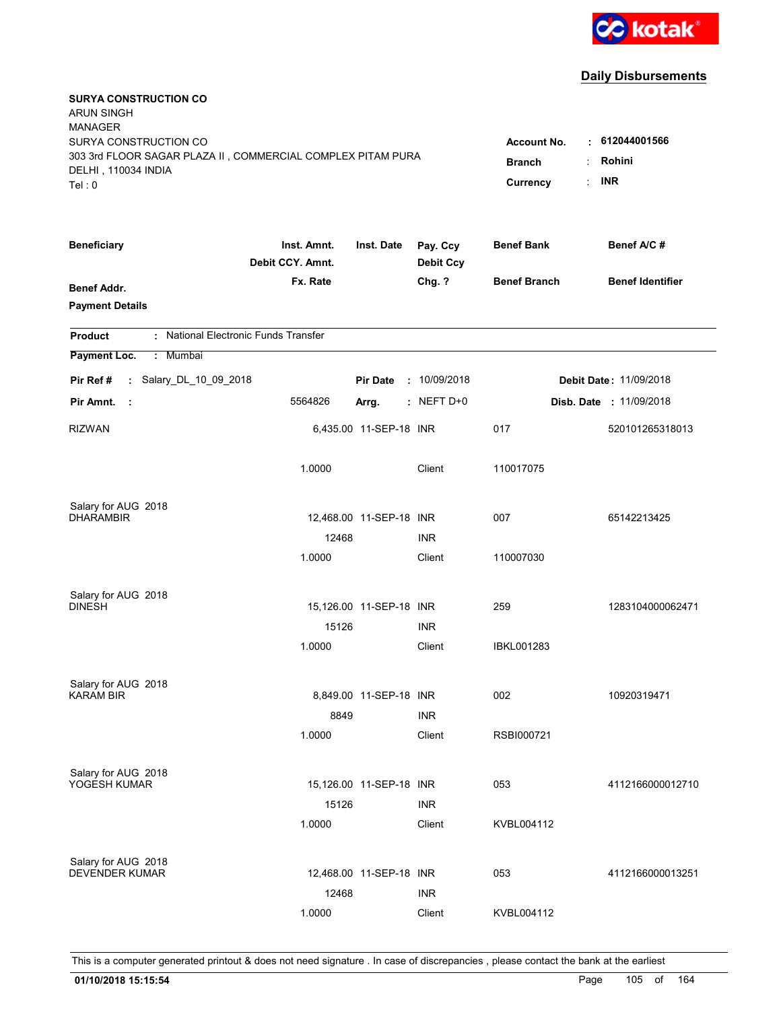

| <b>SURYA CONSTRUCTION CO</b><br><b>ARUN SINGH</b><br><b>MANAGER</b><br>SURYA CONSTRUCTION CO<br>303 3rd FLOOR SAGAR PLAZA II, COMMERCIAL COMPLEX PITAM PURA<br>DELHI, 110034 INDIA<br>Tel: 0 | <b>Account No.</b><br><b>Branch</b><br>Currency | $\cdot$ 612044001566<br>Rohini<br><b>INR</b><br>t. |                              |                     |                                |
|----------------------------------------------------------------------------------------------------------------------------------------------------------------------------------------------|-------------------------------------------------|----------------------------------------------------|------------------------------|---------------------|--------------------------------|
| <b>Beneficiary</b>                                                                                                                                                                           | Inst. Amnt.<br>Debit CCY. Amnt.                 | Inst. Date                                         | Pay. Ccy<br><b>Debit Ccy</b> | <b>Benef Bank</b>   | Benef A/C #                    |
| Benef Addr.<br><b>Payment Details</b>                                                                                                                                                        | Fx. Rate                                        |                                                    | Chg. ?                       | <b>Benef Branch</b> | <b>Benef Identifier</b>        |
| : National Electronic Funds Transfer<br><b>Product</b>                                                                                                                                       |                                                 |                                                    |                              |                     |                                |
| Payment Loc.<br>: Mumbai                                                                                                                                                                     |                                                 |                                                    |                              |                     |                                |
| : Salary_DL_10_09_2018<br>Pir Ref #                                                                                                                                                          |                                                 | <b>Pir Date</b>                                    | : 10/09/2018                 |                     | <b>Debit Date: 11/09/2018</b>  |
| Pir Amnt.<br>- 11                                                                                                                                                                            | 5564826                                         | Arrg.                                              | $:$ NEFT D+0                 |                     | <b>Disb. Date : 11/09/2018</b> |
| <b>RIZWAN</b>                                                                                                                                                                                |                                                 | 6,435.00 11-SEP-18 INR                             |                              | 017                 | 520101265318013                |
|                                                                                                                                                                                              | 1.0000                                          |                                                    | Client                       | 110017075           |                                |
| Salary for AUG 2018                                                                                                                                                                          |                                                 |                                                    |                              |                     |                                |
| <b>DHARAMBIR</b>                                                                                                                                                                             | 12468                                           | 12,468.00 11-SEP-18 INR                            | <b>INR</b>                   | 007                 | 65142213425                    |
|                                                                                                                                                                                              | 1.0000                                          |                                                    | Client                       | 110007030           |                                |
| Salary for AUG 2018<br><b>DINESH</b>                                                                                                                                                         |                                                 | 15,126.00 11-SEP-18 INR                            |                              | 259                 | 1283104000062471               |
|                                                                                                                                                                                              | 15126                                           |                                                    | <b>INR</b>                   |                     |                                |
|                                                                                                                                                                                              | 1.0000                                          |                                                    | Client                       | <b>IBKL001283</b>   |                                |
| Salary for AUG 2018                                                                                                                                                                          |                                                 |                                                    |                              |                     |                                |
| <b>KARAM BIR</b>                                                                                                                                                                             |                                                 | 8,849.00 11-SEP-18 INR                             |                              | 002                 | 10920319471                    |
|                                                                                                                                                                                              | 8849                                            |                                                    | <b>INR</b>                   |                     |                                |
|                                                                                                                                                                                              | 1.0000                                          |                                                    | Client                       | RSBI000721          |                                |
| Salary for AUG 2018                                                                                                                                                                          |                                                 |                                                    |                              |                     |                                |
| YOGESH KUMAR                                                                                                                                                                                 |                                                 | 15,126.00 11-SEP-18 INR                            |                              | 053                 | 4112166000012710               |
|                                                                                                                                                                                              | 15126<br>1.0000                                 |                                                    | <b>INR</b><br>Client         | KVBL004112          |                                |
|                                                                                                                                                                                              |                                                 |                                                    |                              |                     |                                |
| Salary for AUG 2018                                                                                                                                                                          |                                                 |                                                    |                              |                     |                                |
| <b>DEVENDER KUMAR</b>                                                                                                                                                                        |                                                 | 12,468.00 11-SEP-18 INR                            |                              | 053                 | 4112166000013251               |
|                                                                                                                                                                                              | 12468                                           |                                                    | <b>INR</b>                   |                     |                                |
|                                                                                                                                                                                              | 1.0000                                          |                                                    | Client                       | KVBL004112          |                                |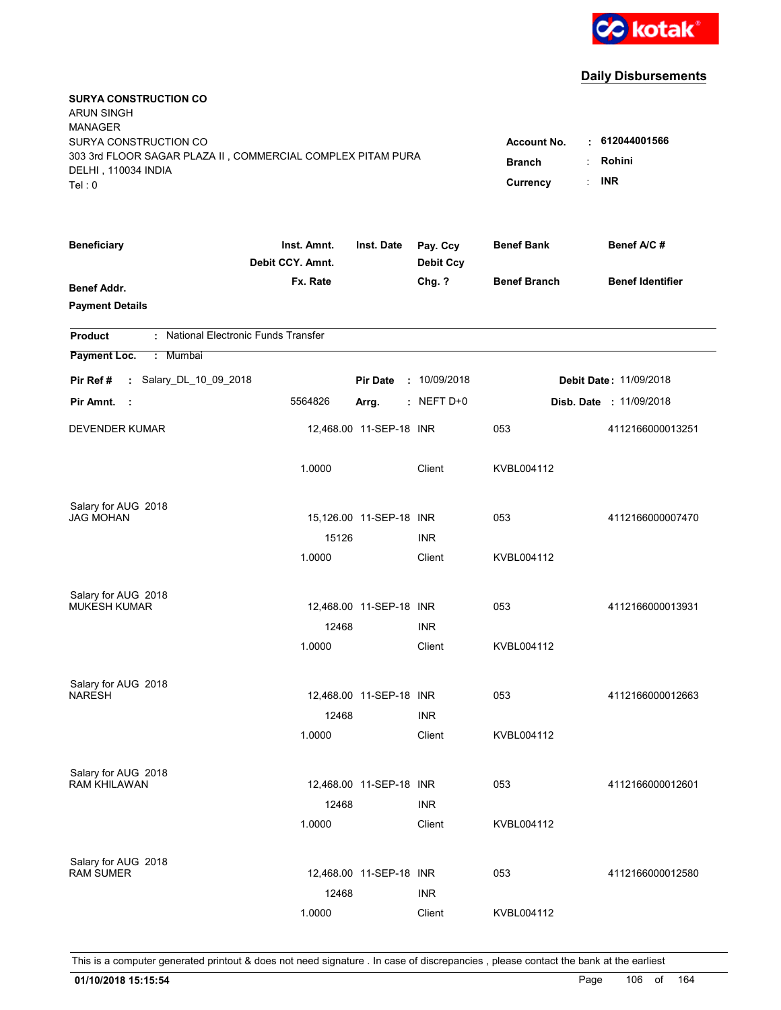

| <b>SURYA CONSTRUCTION CO</b><br><b>ARUN SINGH</b><br><b>MANAGER</b><br>SURYA CONSTRUCTION CO<br>303 3rd FLOOR SAGAR PLAZA II, COMMERCIAL COMPLEX PITAM PURA<br>DELHI, 110034 INDIA<br>Tel: 0 | <b>Account No.</b><br><b>Branch</b><br>Currency | $-612044001566$<br>Rohini<br><b>INR</b> |                              |                     |                               |
|----------------------------------------------------------------------------------------------------------------------------------------------------------------------------------------------|-------------------------------------------------|-----------------------------------------|------------------------------|---------------------|-------------------------------|
| <b>Beneficiary</b>                                                                                                                                                                           | Inst. Amnt.<br>Debit CCY. Amnt.                 | Inst. Date                              | Pay. Ccy<br><b>Debit Ccy</b> | <b>Benef Bank</b>   | Benef A/C#                    |
| <b>Benef Addr.</b><br><b>Payment Details</b>                                                                                                                                                 | Fx. Rate                                        |                                         | Chg. ?                       | <b>Benef Branch</b> | <b>Benef Identifier</b>       |
| : National Electronic Funds Transfer<br><b>Product</b>                                                                                                                                       |                                                 |                                         |                              |                     |                               |
| Payment Loc.<br>Mumbai<br>÷.                                                                                                                                                                 |                                                 |                                         |                              |                     |                               |
| : Salary_DL_10_09_2018<br>Pir Ref#                                                                                                                                                           |                                                 | <b>Pir Date</b>                         | : 10/09/2018                 |                     | <b>Debit Date: 11/09/2018</b> |
| Pir Amnt.<br>- 1                                                                                                                                                                             | 5564826                                         | Arrg.                                   | $:$ NEFT D+0                 |                     | Disb. Date: 11/09/2018        |
| <b>DEVENDER KUMAR</b>                                                                                                                                                                        |                                                 | 12,468.00 11-SEP-18 INR                 |                              | 053                 | 4112166000013251              |
|                                                                                                                                                                                              | 1.0000                                          |                                         | Client                       | KVBL004112          |                               |
| Salary for AUG 2018                                                                                                                                                                          |                                                 |                                         |                              |                     |                               |
| JAG MOHAN                                                                                                                                                                                    | 15126                                           | 15,126.00 11-SEP-18 INR                 | <b>INR</b>                   | 053                 | 4112166000007470              |
|                                                                                                                                                                                              | 1.0000                                          |                                         | Client                       | KVBL004112          |                               |
| Salary for AUG 2018                                                                                                                                                                          |                                                 |                                         |                              |                     |                               |
| <b>MUKESH KUMAR</b>                                                                                                                                                                          |                                                 | 12,468.00 11-SEP-18 INR                 |                              | 053                 | 4112166000013931              |
|                                                                                                                                                                                              | 12468                                           |                                         | <b>INR</b>                   |                     |                               |
|                                                                                                                                                                                              | 1.0000                                          |                                         | Client                       | KVBL004112          |                               |
| Salary for AUG 2018                                                                                                                                                                          |                                                 |                                         |                              |                     |                               |
| <b>NARESH</b>                                                                                                                                                                                |                                                 | 12,468.00 11-SEP-18 INR                 |                              | 053                 | 4112166000012663              |
|                                                                                                                                                                                              | 12468                                           |                                         | <b>INR</b>                   |                     |                               |
|                                                                                                                                                                                              | 1.0000                                          |                                         | Client                       | KVBL004112          |                               |
| Salary for AUG 2018                                                                                                                                                                          |                                                 |                                         |                              |                     |                               |
| <b>RAM KHILAWAN</b>                                                                                                                                                                          |                                                 | 12,468.00 11-SEP-18 INR                 |                              | 053                 | 4112166000012601              |
|                                                                                                                                                                                              | 12468<br>1.0000                                 |                                         | <b>INR</b><br>Client         | KVBL004112          |                               |
|                                                                                                                                                                                              |                                                 |                                         |                              |                     |                               |
| Salary for AUG 2018<br><b>RAM SUMER</b>                                                                                                                                                      |                                                 | 12,468.00 11-SEP-18 INR                 |                              | 053                 | 4112166000012580              |
|                                                                                                                                                                                              |                                                 |                                         |                              |                     |                               |
|                                                                                                                                                                                              | 12468                                           |                                         | <b>INR</b>                   |                     |                               |
|                                                                                                                                                                                              | 1.0000                                          |                                         | Client                       | KVBL004112          |                               |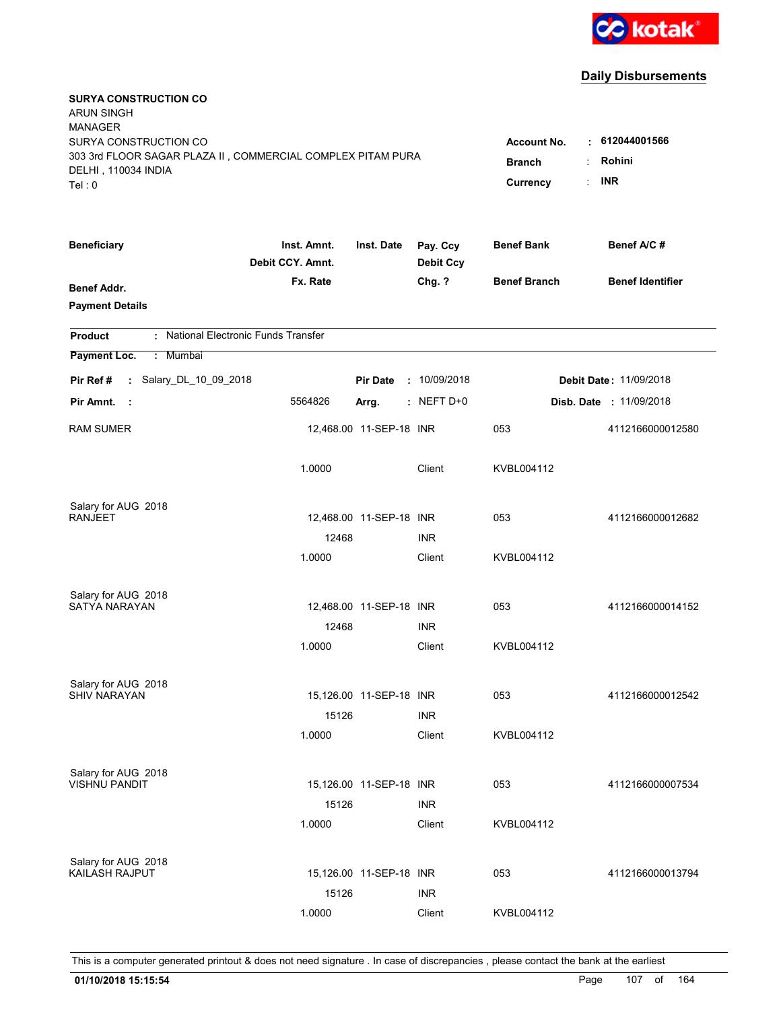

| <b>SURYA CONSTRUCTION CO</b><br><b>ARUN SINGH</b><br><b>MANAGER</b><br>SURYA CONSTRUCTION CO<br>303 3rd FLOOR SAGAR PLAZA II, COMMERCIAL COMPLEX PITAM PURA |                                 |                         |                              | <b>Account No.</b><br><b>Branch</b> | $-612044001566$<br>Rohini      |
|-------------------------------------------------------------------------------------------------------------------------------------------------------------|---------------------------------|-------------------------|------------------------------|-------------------------------------|--------------------------------|
| DELHI, 110034 INDIA<br>Tel: 0                                                                                                                               |                                 |                         |                              | Currency                            | <b>INR</b>                     |
| <b>Beneficiary</b>                                                                                                                                          | Inst. Amnt.<br>Debit CCY. Amnt. | Inst. Date              | Pay. Ccy<br><b>Debit Ccy</b> | <b>Benef Bank</b>                   | Benef A/C #                    |
| <b>Benef Addr.</b><br><b>Payment Details</b>                                                                                                                | Fx. Rate                        |                         | Chg. ?                       | <b>Benef Branch</b>                 | <b>Benef Identifier</b>        |
| : National Electronic Funds Transfer<br><b>Product</b>                                                                                                      |                                 |                         |                              |                                     |                                |
| Payment Loc.<br>: Mumbai                                                                                                                                    |                                 |                         |                              |                                     |                                |
| : Salary_DL_10_09_2018<br>Pir Ref #                                                                                                                         |                                 | <b>Pir Date</b>         | : 10/09/2018                 |                                     | <b>Debit Date: 11/09/2018</b>  |
| Pir Amnt.<br>- 1                                                                                                                                            | 5564826                         | Arrg.                   | $:$ NEFT D+0                 |                                     | <b>Disb. Date : 11/09/2018</b> |
| <b>RAM SUMER</b>                                                                                                                                            |                                 | 12,468.00 11-SEP-18 INR |                              | 053                                 | 4112166000012580               |
|                                                                                                                                                             | 1.0000                          |                         | Client                       | KVBL004112                          |                                |
| Salary for AUG 2018                                                                                                                                         |                                 |                         |                              |                                     |                                |
| <b>RANJEET</b>                                                                                                                                              | 12468                           | 12,468.00 11-SEP-18 INR | <b>INR</b>                   | 053                                 | 4112166000012682               |
|                                                                                                                                                             | 1.0000                          |                         | Client                       | KVBL004112                          |                                |
|                                                                                                                                                             |                                 |                         |                              |                                     |                                |
| Salary for AUG 2018<br><b>SATYA NARAYAN</b>                                                                                                                 |                                 | 12,468.00 11-SEP-18 INR |                              | 053                                 | 4112166000014152               |
|                                                                                                                                                             | 12468                           |                         | <b>INR</b>                   |                                     |                                |
|                                                                                                                                                             | 1.0000                          |                         | Client                       | KVBL004112                          |                                |
|                                                                                                                                                             |                                 |                         |                              |                                     |                                |
| Salary for AUG 2018                                                                                                                                         |                                 |                         |                              |                                     |                                |
| <b>SHIV NARAYAN</b>                                                                                                                                         |                                 | 15,126.00 11-SEP-18 INR |                              | 053                                 | 4112166000012542               |
|                                                                                                                                                             | 15126<br>1.0000                 |                         | <b>INR</b><br>Client         | KVBL004112                          |                                |
|                                                                                                                                                             |                                 |                         |                              |                                     |                                |
| Salary for AUG 2018                                                                                                                                         |                                 |                         |                              |                                     |                                |
| <b>VISHNU PANDIT</b>                                                                                                                                        |                                 | 15,126.00 11-SEP-18 INR |                              | 053                                 | 4112166000007534               |
|                                                                                                                                                             | 15126                           |                         | <b>INR</b>                   |                                     |                                |
|                                                                                                                                                             | 1.0000                          |                         | Client                       | KVBL004112                          |                                |
| Salary for AUG 2018                                                                                                                                         |                                 |                         |                              |                                     |                                |
| KAILASH RAJPUT                                                                                                                                              |                                 | 15,126.00 11-SEP-18 INR |                              | 053                                 | 4112166000013794               |
|                                                                                                                                                             | 15126                           |                         | <b>INR</b>                   |                                     |                                |
|                                                                                                                                                             | 1.0000                          |                         | Client                       | KVBL004112                          |                                |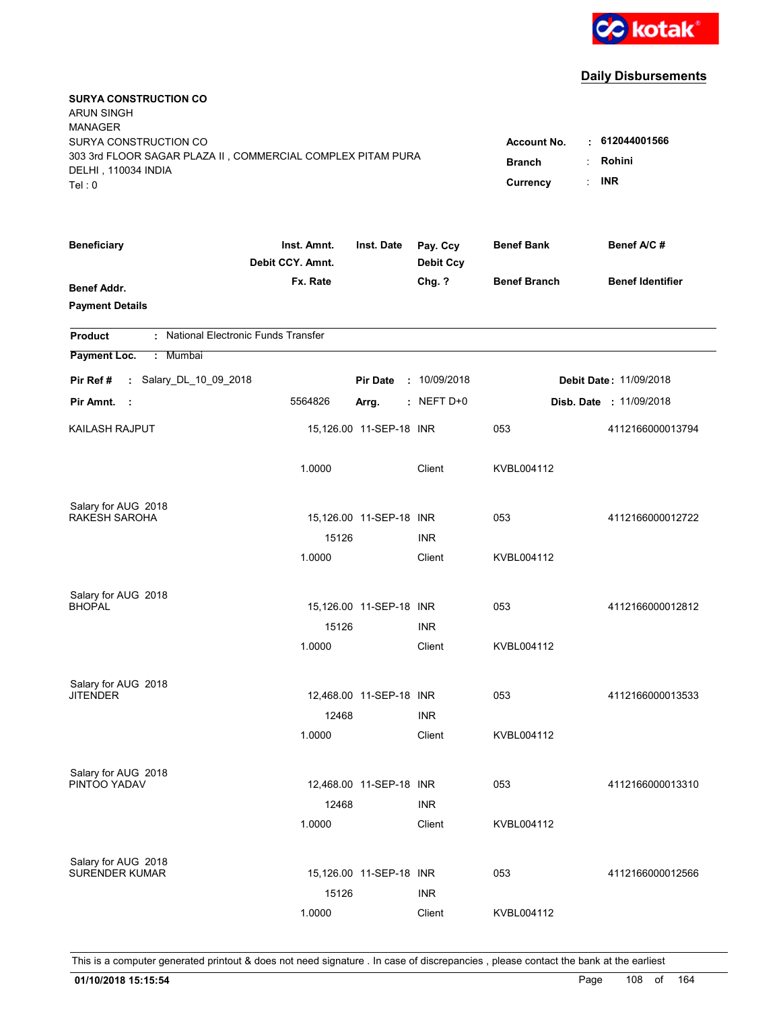

| <b>SURYA CONSTRUCTION CO</b><br><b>ARUN SINGH</b>                                  |                                 |                         |                              |                     |                                    |
|------------------------------------------------------------------------------------|---------------------------------|-------------------------|------------------------------|---------------------|------------------------------------|
| <b>MANAGER</b>                                                                     |                                 |                         |                              |                     |                                    |
| SURYA CONSTRUCTION CO                                                              |                                 |                         |                              | <b>Account No.</b>  | $\cdot$ 612044001566               |
| 303 3rd FLOOR SAGAR PLAZA II, COMMERCIAL COMPLEX PITAM PURA<br>DELHI, 110034 INDIA | <b>Branch</b>                   | Rohini                  |                              |                     |                                    |
| Tel: 0                                                                             |                                 |                         |                              | Currency            | <b>INR</b><br>$\ddot{\phantom{a}}$ |
|                                                                                    |                                 |                         |                              |                     |                                    |
| <b>Beneficiary</b>                                                                 | Inst. Amnt.<br>Debit CCY. Amnt. | Inst. Date              | Pay. Ccy<br><b>Debit Ccy</b> | <b>Benef Bank</b>   | Benef A/C #                        |
| <b>Benef Addr.</b>                                                                 | Fx. Rate                        |                         | Chg. ?                       | <b>Benef Branch</b> | <b>Benef Identifier</b>            |
| <b>Payment Details</b>                                                             |                                 |                         |                              |                     |                                    |
| : National Electronic Funds Transfer<br><b>Product</b>                             |                                 |                         |                              |                     |                                    |
| Payment Loc.<br>: Mumbai                                                           |                                 |                         |                              |                     |                                    |
| : Salary_DL_10_09_2018<br>Pir Ref#                                                 |                                 | <b>Pir Date</b>         | : 10/09/2018                 |                     | Debit Date: 11/09/2018             |
| Pir Amnt.<br>- 1                                                                   | 5564826                         | Arrg.                   | $:$ NEFT D+0                 |                     | <b>Disb. Date : 11/09/2018</b>     |
| KAILASH RAJPUT                                                                     |                                 | 15,126.00 11-SEP-18 INR |                              | 053                 | 4112166000013794                   |
|                                                                                    | 1.0000                          |                         | Client                       | KVBL004112          |                                    |
| Salary for AUG 2018                                                                |                                 |                         |                              |                     |                                    |
| <b>RAKESH SAROHA</b>                                                               |                                 | 15,126.00 11-SEP-18 INR |                              | 053                 | 4112166000012722                   |
|                                                                                    | 15126                           |                         | <b>INR</b>                   |                     |                                    |
|                                                                                    | 1.0000                          |                         | Client                       | KVBL004112          |                                    |
| Salary for AUG 2018                                                                |                                 |                         |                              |                     |                                    |
| <b>BHOPAL</b>                                                                      |                                 | 15,126.00 11-SEP-18 INR |                              | 053                 | 4112166000012812                   |
|                                                                                    | 15126                           |                         | <b>INR</b>                   |                     |                                    |
|                                                                                    | 1.0000                          |                         | Client                       | KVBL004112          |                                    |
| Salary for AUG 2018                                                                |                                 |                         |                              |                     |                                    |
| <b>JITENDER</b>                                                                    |                                 | 12,468.00 11-SEP-18 INR |                              | 053                 | 4112166000013533                   |
|                                                                                    | 12468                           |                         | <b>INR</b>                   |                     |                                    |
|                                                                                    | 1.0000                          |                         | Client                       | KVBL004112          |                                    |
| Salary for AUG 2018                                                                |                                 |                         |                              |                     |                                    |
| PINTOO YADAV                                                                       |                                 | 12,468.00 11-SEP-18 INR |                              | 053                 | 4112166000013310                   |
|                                                                                    | 12468                           |                         | <b>INR</b>                   |                     |                                    |
|                                                                                    | 1.0000                          |                         | Client                       | KVBL004112          |                                    |
| Salary for AUG 2018                                                                |                                 |                         |                              |                     |                                    |
| <b>SURENDER KUMAR</b>                                                              |                                 | 15,126.00 11-SEP-18 INR |                              | 053                 | 4112166000012566                   |
|                                                                                    | 15126                           |                         | <b>INR</b>                   |                     |                                    |
|                                                                                    | 1.0000                          |                         | Client                       | KVBL004112          |                                    |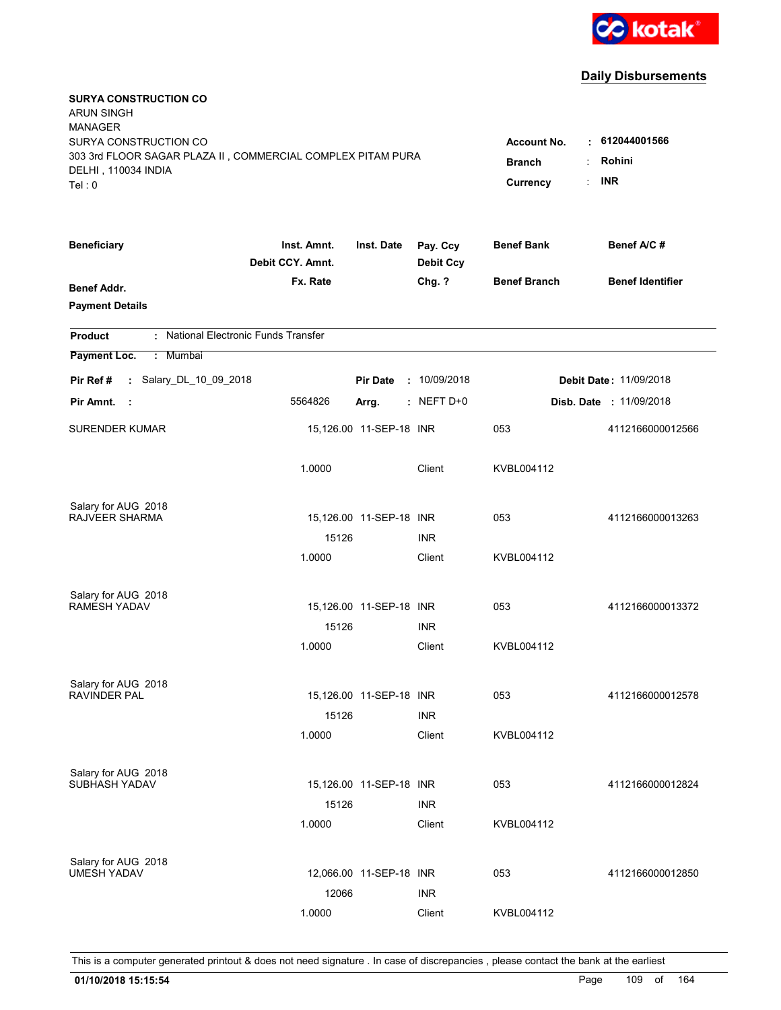

| <b>SURYA CONSTRUCTION CO</b><br><b>ARUN SINGH</b><br><b>MANAGER</b><br>SURYA CONSTRUCTION CO<br>303 3rd FLOOR SAGAR PLAZA II, COMMERCIAL COMPLEX PITAM PURA<br>DELHI, 110034 INDIA<br>Tel: 0 | <b>Account No.</b><br><b>Branch</b><br>Currency | $\cdot$ 612044001566<br>Rohini<br><b>INR</b> |                              |                     |                                |
|----------------------------------------------------------------------------------------------------------------------------------------------------------------------------------------------|-------------------------------------------------|----------------------------------------------|------------------------------|---------------------|--------------------------------|
| <b>Beneficiary</b>                                                                                                                                                                           | Inst. Amnt.<br>Debit CCY. Amnt.                 | Inst. Date                                   | Pay. Ccy<br><b>Debit Ccy</b> | <b>Benef Bank</b>   | Benef A/C #                    |
| <b>Benef Addr.</b><br><b>Payment Details</b>                                                                                                                                                 | Fx. Rate                                        |                                              | Chg. ?                       | <b>Benef Branch</b> | <b>Benef Identifier</b>        |
| : National Electronic Funds Transfer<br><b>Product</b>                                                                                                                                       |                                                 |                                              |                              |                     |                                |
| Payment Loc.<br>: Mumbai                                                                                                                                                                     |                                                 |                                              |                              |                     |                                |
| : Salary_DL_10_09_2018<br>Pir Ref #                                                                                                                                                          |                                                 | <b>Pir Date</b>                              | : 10/09/2018                 |                     | <b>Debit Date: 11/09/2018</b>  |
| Pir Amnt.<br>- 1                                                                                                                                                                             | 5564826                                         | Arrg.                                        | $:$ NEFT D+0                 |                     | <b>Disb. Date : 11/09/2018</b> |
| <b>SURENDER KUMAR</b>                                                                                                                                                                        |                                                 | 15,126.00 11-SEP-18 INR                      |                              | 053                 | 4112166000012566               |
|                                                                                                                                                                                              | 1.0000                                          |                                              | Client                       | KVBL004112          |                                |
| Salary for AUG 2018                                                                                                                                                                          |                                                 |                                              |                              |                     |                                |
| RAJVEER SHARMA                                                                                                                                                                               | 15126                                           | 15,126.00 11-SEP-18 INR                      | <b>INR</b>                   | 053                 | 4112166000013263               |
|                                                                                                                                                                                              | 1.0000                                          |                                              | Client                       | KVBL004112          |                                |
| Salary for AUG 2018                                                                                                                                                                          |                                                 |                                              |                              |                     |                                |
| <b>RAMESH YADAV</b>                                                                                                                                                                          |                                                 | 15,126.00 11-SEP-18 INR                      |                              | 053                 | 4112166000013372               |
|                                                                                                                                                                                              | 15126                                           |                                              | <b>INR</b>                   |                     |                                |
|                                                                                                                                                                                              | 1.0000                                          |                                              | Client                       | KVBL004112          |                                |
| Salary for AUG 2018                                                                                                                                                                          |                                                 |                                              |                              |                     |                                |
| <b>RAVINDER PAL</b>                                                                                                                                                                          |                                                 | 15,126.00 11-SEP-18 INR                      |                              | 053                 | 4112166000012578               |
|                                                                                                                                                                                              | 15126                                           |                                              | <b>INR</b>                   |                     |                                |
|                                                                                                                                                                                              | 1.0000                                          |                                              | Client                       | KVBL004112          |                                |
| Salary for AUG 2018<br>SUBHASH YADAV                                                                                                                                                         |                                                 | 15,126.00 11-SEP-18 INR                      |                              | 053                 | 4112166000012824               |
|                                                                                                                                                                                              | 15126                                           |                                              | <b>INR</b>                   |                     |                                |
|                                                                                                                                                                                              | 1.0000                                          |                                              | Client                       | KVBL004112          |                                |
| Salary for AUG 2018                                                                                                                                                                          |                                                 |                                              |                              |                     |                                |
| <b>UMESH YADAV</b>                                                                                                                                                                           |                                                 | 12,066.00 11-SEP-18 INR                      |                              | 053                 | 4112166000012850               |
|                                                                                                                                                                                              | 12066                                           |                                              | <b>INR</b>                   |                     |                                |
|                                                                                                                                                                                              | 1.0000                                          |                                              | Client                       | KVBL004112          |                                |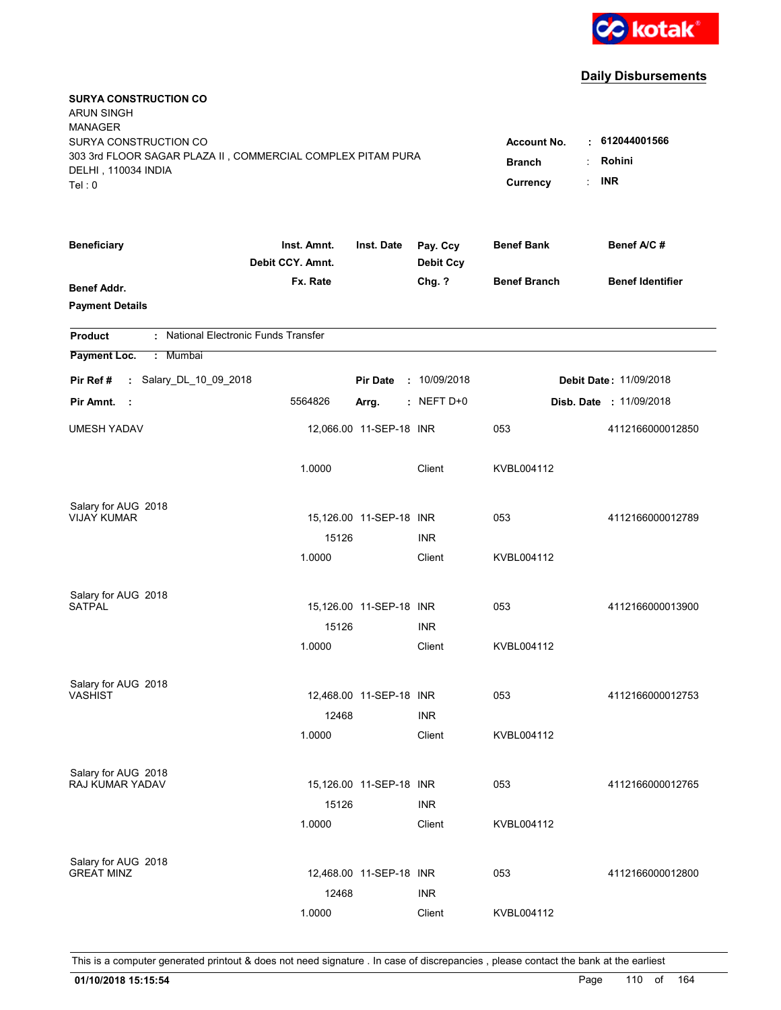

| <b>SURYA CONSTRUCTION CO</b><br><b>ARUN SINGH</b><br><b>MANAGER</b><br>SURYA CONSTRUCTION CO |                                                                                |                         |                              | <b>Account No.</b>  | $\cdot$ 612044001566           |
|----------------------------------------------------------------------------------------------|--------------------------------------------------------------------------------|-------------------------|------------------------------|---------------------|--------------------------------|
| 303 3rd FLOOR SAGAR PLAZA II, COMMERCIAL COMPLEX PITAM PURA<br>DELHI, 110034 INDIA<br>Tel: 0 | Rohini<br><b>Branch</b><br>÷<br><b>INR</b><br>$\ddot{\phantom{a}}$<br>Currency |                         |                              |                     |                                |
| <b>Beneficiary</b>                                                                           | Inst. Amnt.<br>Debit CCY. Amnt.                                                | Inst. Date              | Pay. Ccy<br><b>Debit Ccy</b> | <b>Benef Bank</b>   | Benef A/C#                     |
| <b>Benef Addr.</b><br><b>Payment Details</b>                                                 | Fx. Rate                                                                       |                         | Chg. ?                       | <b>Benef Branch</b> | <b>Benef Identifier</b>        |
| : National Electronic Funds Transfer<br><b>Product</b>                                       |                                                                                |                         |                              |                     |                                |
| Payment Loc.<br>: Mumbai                                                                     |                                                                                |                         |                              |                     |                                |
| : Salary_DL_10_09_2018<br>Pir Ref #                                                          |                                                                                | <b>Pir Date</b>         | : 10/09/2018                 |                     | Debit Date: 11/09/2018         |
| Pir Amnt.<br>- 1                                                                             | 5564826                                                                        | Arrg.                   | $:$ NEFT D+0                 |                     | <b>Disb. Date : 11/09/2018</b> |
| <b>UMESH YADAV</b>                                                                           |                                                                                | 12,066.00 11-SEP-18 INR |                              | 053                 | 4112166000012850               |
|                                                                                              | 1.0000                                                                         |                         | Client                       | KVBL004112          |                                |
| Salary for AUG 2018<br><b>VIJAY KUMAR</b>                                                    |                                                                                | 15,126.00 11-SEP-18 INR |                              | 053                 | 4112166000012789               |
|                                                                                              | 15126                                                                          |                         | <b>INR</b>                   |                     |                                |
|                                                                                              | 1.0000                                                                         |                         | Client                       | KVBL004112          |                                |
| Salary for AUG 2018                                                                          |                                                                                |                         |                              |                     |                                |
| <b>SATPAL</b>                                                                                |                                                                                | 15,126.00 11-SEP-18 INR |                              | 053                 | 4112166000013900               |
|                                                                                              | 15126<br>1.0000                                                                |                         | <b>INR</b><br>Client         | KVBL004112          |                                |
|                                                                                              |                                                                                |                         |                              |                     |                                |
| Salary for AUG 2018                                                                          |                                                                                |                         |                              |                     |                                |
| <b>VASHIST</b>                                                                               |                                                                                | 12,468.00 11-SEP-18 INR |                              | 053                 | 4112166000012753               |
|                                                                                              | 12468<br>1.0000                                                                |                         | <b>INR</b><br>Client         | KVBL004112          |                                |
|                                                                                              |                                                                                |                         |                              |                     |                                |
| Salary for AUG 2018                                                                          |                                                                                |                         |                              |                     |                                |
| RAJ KUMAR YADAV                                                                              |                                                                                | 15,126.00 11-SEP-18 INR |                              | 053                 | 4112166000012765               |
|                                                                                              | 15126                                                                          |                         | <b>INR</b>                   |                     |                                |
|                                                                                              | 1.0000                                                                         |                         | Client                       | KVBL004112          |                                |
| Salary for AUG 2018                                                                          |                                                                                |                         |                              |                     |                                |
| <b>GREAT MINZ</b>                                                                            |                                                                                | 12,468.00 11-SEP-18 INR |                              | 053                 | 4112166000012800               |
|                                                                                              | 12468                                                                          |                         | <b>INR</b>                   |                     |                                |
|                                                                                              | 1.0000                                                                         |                         | Client                       | KVBL004112          |                                |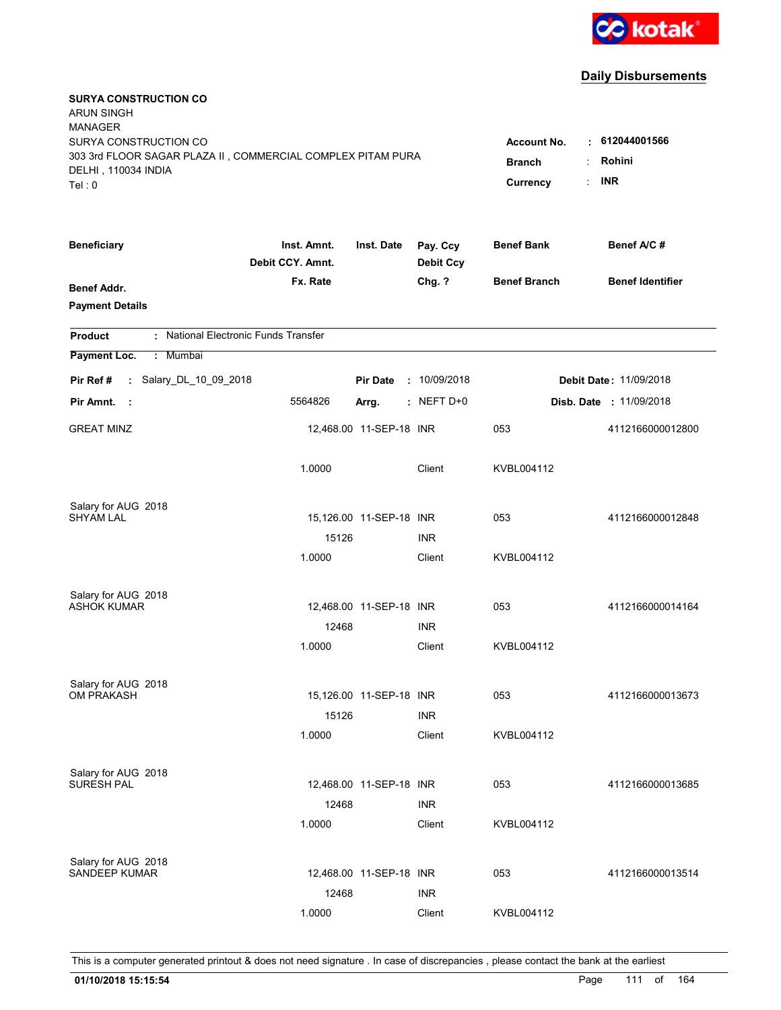

| <b>SURYA CONSTRUCTION CO</b><br><b>ARUN SINGH</b><br><b>MANAGER</b><br>SURYA CONSTRUCTION CO<br>303 3rd FLOOR SAGAR PLAZA II, COMMERCIAL COMPLEX PITAM PURA<br>DELHI, 110034 INDIA<br>Tel: 0 | <b>Account No.</b><br><b>Branch</b><br>Currency | $\cdot$ 612044001566<br>Rohini<br><b>INR</b> |                              |                     |                                |
|----------------------------------------------------------------------------------------------------------------------------------------------------------------------------------------------|-------------------------------------------------|----------------------------------------------|------------------------------|---------------------|--------------------------------|
| <b>Beneficiary</b>                                                                                                                                                                           | Inst. Amnt.<br>Debit CCY. Amnt.                 | Inst. Date                                   | Pay. Ccy<br><b>Debit Ccy</b> | <b>Benef Bank</b>   | Benef A/C #                    |
| <b>Benef Addr.</b><br><b>Payment Details</b>                                                                                                                                                 | Fx. Rate                                        |                                              | Chg. ?                       | <b>Benef Branch</b> | <b>Benef Identifier</b>        |
| : National Electronic Funds Transfer<br><b>Product</b>                                                                                                                                       |                                                 |                                              |                              |                     |                                |
| Payment Loc.<br>: Mumbai                                                                                                                                                                     |                                                 |                                              |                              |                     |                                |
| : Salary_DL_10_09_2018<br>Pir Ref #                                                                                                                                                          |                                                 | <b>Pir Date</b>                              | : 10/09/2018                 |                     | <b>Debit Date: 11/09/2018</b>  |
| Pir Amnt.<br>- 1                                                                                                                                                                             | 5564826                                         | Arrg.                                        | $:$ NEFT D+0                 |                     | <b>Disb. Date : 11/09/2018</b> |
| <b>GREAT MINZ</b>                                                                                                                                                                            |                                                 | 12,468.00 11-SEP-18 INR                      |                              | 053                 | 4112166000012800               |
|                                                                                                                                                                                              | 1.0000                                          |                                              | Client                       | KVBL004112          |                                |
| Salary for AUG 2018                                                                                                                                                                          |                                                 |                                              |                              |                     |                                |
| <b>SHYAM LAL</b>                                                                                                                                                                             | 15126                                           | 15,126.00 11-SEP-18 INR                      | <b>INR</b>                   | 053                 | 4112166000012848               |
|                                                                                                                                                                                              | 1.0000                                          |                                              | Client                       | KVBL004112          |                                |
| Salary for AUG 2018                                                                                                                                                                          |                                                 |                                              |                              |                     |                                |
| <b>ASHOK KUMAR</b>                                                                                                                                                                           |                                                 | 12,468.00 11-SEP-18 INR                      |                              | 053                 | 4112166000014164               |
|                                                                                                                                                                                              | 12468                                           |                                              | <b>INR</b>                   |                     |                                |
|                                                                                                                                                                                              | 1.0000                                          |                                              | Client                       | KVBL004112          |                                |
| Salary for AUG 2018                                                                                                                                                                          |                                                 |                                              |                              |                     |                                |
| <b>OM PRAKASH</b>                                                                                                                                                                            |                                                 | 15,126.00 11-SEP-18 INR                      |                              | 053                 | 4112166000013673               |
|                                                                                                                                                                                              | 15126                                           |                                              | <b>INR</b>                   |                     |                                |
|                                                                                                                                                                                              | 1.0000                                          |                                              | Client                       | KVBL004112          |                                |
| Salary for AUG 2018<br>SURESH PAL                                                                                                                                                            |                                                 | 12,468.00 11-SEP-18 INR                      |                              | 053                 | 4112166000013685               |
|                                                                                                                                                                                              | 12468                                           |                                              | <b>INR</b>                   |                     |                                |
|                                                                                                                                                                                              | 1.0000                                          |                                              | Client                       | KVBL004112          |                                |
|                                                                                                                                                                                              |                                                 |                                              |                              |                     |                                |
| Salary for AUG 2018<br><b>SANDEEP KUMAR</b>                                                                                                                                                  |                                                 | 12,468.00 11-SEP-18 INR                      |                              | 053                 | 4112166000013514               |
|                                                                                                                                                                                              | 12468                                           |                                              | <b>INR</b>                   |                     |                                |
|                                                                                                                                                                                              | 1.0000                                          |                                              | Client                       | KVBL004112          |                                |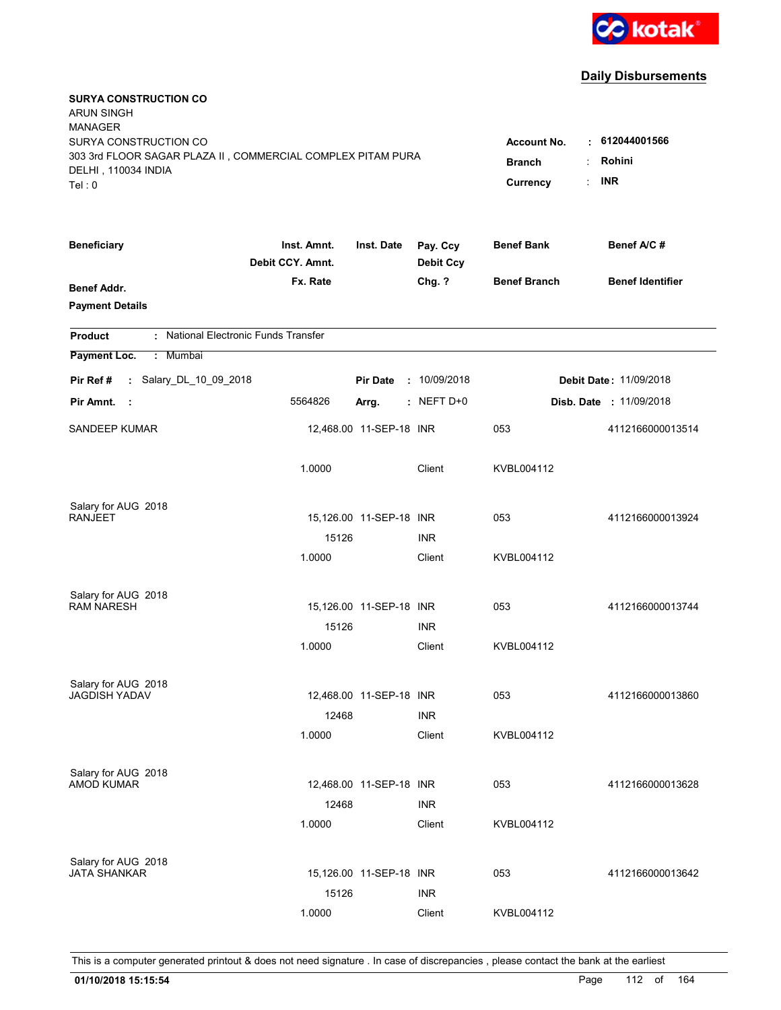

| <b>SURYA CONSTRUCTION CO</b><br><b>ARUN SINGH</b><br><b>MANAGER</b><br>SURYA CONSTRUCTION CO<br>303 3rd FLOOR SAGAR PLAZA II, COMMERCIAL COMPLEX PITAM PURA<br>DELHI, 110034 INDIA<br>Tel: 0 | <b>Account No.</b><br><b>Branch</b><br>Currency | $\cdot$ 612044001566<br>Rohini<br><b>INR</b> |                              |                     |                                |
|----------------------------------------------------------------------------------------------------------------------------------------------------------------------------------------------|-------------------------------------------------|----------------------------------------------|------------------------------|---------------------|--------------------------------|
| <b>Beneficiary</b>                                                                                                                                                                           | Inst. Amnt.<br>Debit CCY. Amnt.                 | Inst. Date                                   | Pay. Ccy<br><b>Debit Ccy</b> | <b>Benef Bank</b>   | Benef A/C #                    |
| <b>Benef Addr.</b><br><b>Payment Details</b>                                                                                                                                                 | Fx. Rate                                        |                                              | Chg. ?                       | <b>Benef Branch</b> | <b>Benef Identifier</b>        |
| : National Electronic Funds Transfer<br><b>Product</b>                                                                                                                                       |                                                 |                                              |                              |                     |                                |
| Payment Loc.<br>: Mumbai                                                                                                                                                                     |                                                 |                                              |                              |                     |                                |
| : Salary_DL_10_09_2018<br>Pir Ref #                                                                                                                                                          |                                                 | <b>Pir Date</b>                              | : 10/09/2018                 |                     | <b>Debit Date: 11/09/2018</b>  |
| Pir Amnt.<br>- 1                                                                                                                                                                             | 5564826                                         | Arrg.                                        | $:$ NEFT D+0                 |                     | <b>Disb. Date : 11/09/2018</b> |
| <b>SANDEEP KUMAR</b>                                                                                                                                                                         |                                                 | 12,468.00 11-SEP-18 INR                      |                              | 053                 | 4112166000013514               |
|                                                                                                                                                                                              | 1.0000                                          |                                              | Client                       | KVBL004112          |                                |
| Salary for AUG 2018<br><b>RANJEET</b>                                                                                                                                                        |                                                 |                                              |                              |                     |                                |
|                                                                                                                                                                                              | 15126                                           | 15,126.00 11-SEP-18 INR                      | <b>INR</b>                   | 053                 | 4112166000013924               |
|                                                                                                                                                                                              | 1.0000                                          |                                              | Client                       | KVBL004112          |                                |
| Salary for AUG 2018                                                                                                                                                                          |                                                 |                                              |                              |                     |                                |
| <b>RAM NARESH</b>                                                                                                                                                                            |                                                 | 15,126.00 11-SEP-18 INR                      |                              | 053                 | 4112166000013744               |
|                                                                                                                                                                                              | 15126                                           |                                              | <b>INR</b>                   |                     |                                |
|                                                                                                                                                                                              | 1.0000                                          |                                              | Client                       | KVBL004112          |                                |
| Salary for AUG 2018                                                                                                                                                                          |                                                 |                                              |                              |                     |                                |
| <b>JAGDISH YADAV</b>                                                                                                                                                                         |                                                 | 12,468.00 11-SEP-18 INR                      |                              | 053                 | 4112166000013860               |
|                                                                                                                                                                                              | 12468                                           |                                              | <b>INR</b>                   |                     |                                |
|                                                                                                                                                                                              | 1.0000                                          |                                              | Client                       | KVBL004112          |                                |
| Salary for AUG 2018<br><b>AMOD KUMAR</b>                                                                                                                                                     |                                                 | 12,468.00 11-SEP-18 INR                      |                              | 053                 | 4112166000013628               |
|                                                                                                                                                                                              | 12468                                           |                                              | <b>INR</b>                   |                     |                                |
|                                                                                                                                                                                              | 1.0000                                          |                                              | Client                       | KVBL004112          |                                |
|                                                                                                                                                                                              |                                                 |                                              |                              |                     |                                |
| Salary for AUG 2018<br><b>JATA SHANKAR</b>                                                                                                                                                   |                                                 | 15,126.00 11-SEP-18 INR                      |                              | 053                 | 4112166000013642               |
|                                                                                                                                                                                              | 15126                                           |                                              | <b>INR</b>                   |                     |                                |
|                                                                                                                                                                                              | 1.0000                                          |                                              | Client                       | KVBL004112          |                                |
|                                                                                                                                                                                              |                                                 |                                              |                              |                     |                                |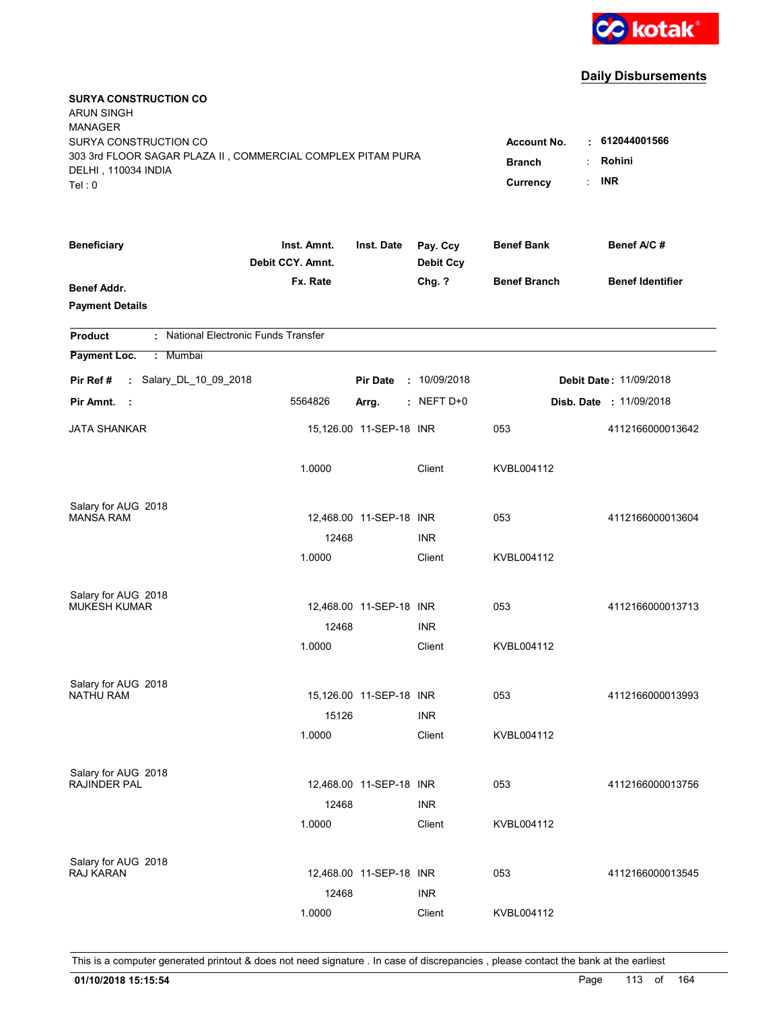

| <b>SURYA CONSTRUCTION CO</b><br><b>ARUN SINGH</b><br><b>MANAGER</b><br>SURYA CONSTRUCTION CO<br>303 3rd FLOOR SAGAR PLAZA II, COMMERCIAL COMPLEX PITAM PURA<br>DELHI, 110034 INDIA<br>Tel: 0 | <b>Account No.</b><br><b>Branch</b><br>Currency | $\cdot$ 612044001566<br>Rohini<br><b>INR</b> |                              |                     |                                |
|----------------------------------------------------------------------------------------------------------------------------------------------------------------------------------------------|-------------------------------------------------|----------------------------------------------|------------------------------|---------------------|--------------------------------|
| <b>Beneficiary</b>                                                                                                                                                                           | Inst. Amnt.<br>Debit CCY. Amnt.                 | Inst. Date                                   | Pay. Ccy<br><b>Debit Ccy</b> | <b>Benef Bank</b>   | Benef A/C #                    |
| <b>Benef Addr.</b><br><b>Payment Details</b>                                                                                                                                                 | Fx. Rate                                        |                                              | Chg. ?                       | <b>Benef Branch</b> | <b>Benef Identifier</b>        |
| : National Electronic Funds Transfer<br><b>Product</b>                                                                                                                                       |                                                 |                                              |                              |                     |                                |
| Payment Loc.<br>: Mumbai                                                                                                                                                                     |                                                 |                                              |                              |                     |                                |
| : Salary_DL_10_09_2018<br>Pir Ref #                                                                                                                                                          |                                                 | <b>Pir Date</b>                              | : 10/09/2018                 |                     | <b>Debit Date: 11/09/2018</b>  |
| Pir Amnt.<br>- 1                                                                                                                                                                             | 5564826                                         | Arrg.                                        | $:$ NEFT D+0                 |                     | <b>Disb. Date : 11/09/2018</b> |
| <b>JATA SHANKAR</b>                                                                                                                                                                          |                                                 | 15,126.00 11-SEP-18 INR                      |                              | 053                 | 4112166000013642               |
|                                                                                                                                                                                              | 1.0000                                          |                                              | Client                       | KVBL004112          |                                |
| Salary for AUG 2018                                                                                                                                                                          |                                                 |                                              |                              |                     |                                |
| <b>MANSA RAM</b>                                                                                                                                                                             | 12468                                           | 12,468.00 11-SEP-18 INR                      | <b>INR</b>                   | 053                 | 4112166000013604               |
|                                                                                                                                                                                              | 1.0000                                          |                                              | Client                       | KVBL004112          |                                |
| Salary for AUG 2018                                                                                                                                                                          |                                                 |                                              |                              |                     |                                |
| <b>MUKESH KUMAR</b>                                                                                                                                                                          |                                                 | 12,468.00 11-SEP-18 INR                      |                              | 053                 | 4112166000013713               |
|                                                                                                                                                                                              | 12468                                           |                                              | <b>INR</b>                   |                     |                                |
|                                                                                                                                                                                              | 1.0000                                          |                                              | Client                       | KVBL004112          |                                |
| Salary for AUG 2018                                                                                                                                                                          |                                                 |                                              |                              |                     |                                |
| NATHU RAM                                                                                                                                                                                    |                                                 | 15,126.00 11-SEP-18 INR                      |                              | 053                 | 4112166000013993               |
|                                                                                                                                                                                              | 15126                                           |                                              | <b>INR</b>                   |                     |                                |
|                                                                                                                                                                                              | 1.0000                                          |                                              | Client                       | KVBL004112          |                                |
| Salary for AUG 2018<br><b>RAJINDER PAL</b>                                                                                                                                                   |                                                 | 12,468.00 11-SEP-18 INR                      |                              | 053                 | 4112166000013756               |
|                                                                                                                                                                                              | 12468                                           |                                              | <b>INR</b>                   |                     |                                |
|                                                                                                                                                                                              | 1.0000                                          |                                              | Client                       | KVBL004112          |                                |
| Salary for AUG 2018                                                                                                                                                                          |                                                 |                                              |                              |                     |                                |
| RAJ KARAN                                                                                                                                                                                    |                                                 | 12,468.00 11-SEP-18 INR                      |                              | 053                 | 4112166000013545               |
|                                                                                                                                                                                              | 12468                                           |                                              | <b>INR</b>                   |                     |                                |
|                                                                                                                                                                                              | 1.0000                                          |                                              | Client                       | KVBL004112          |                                |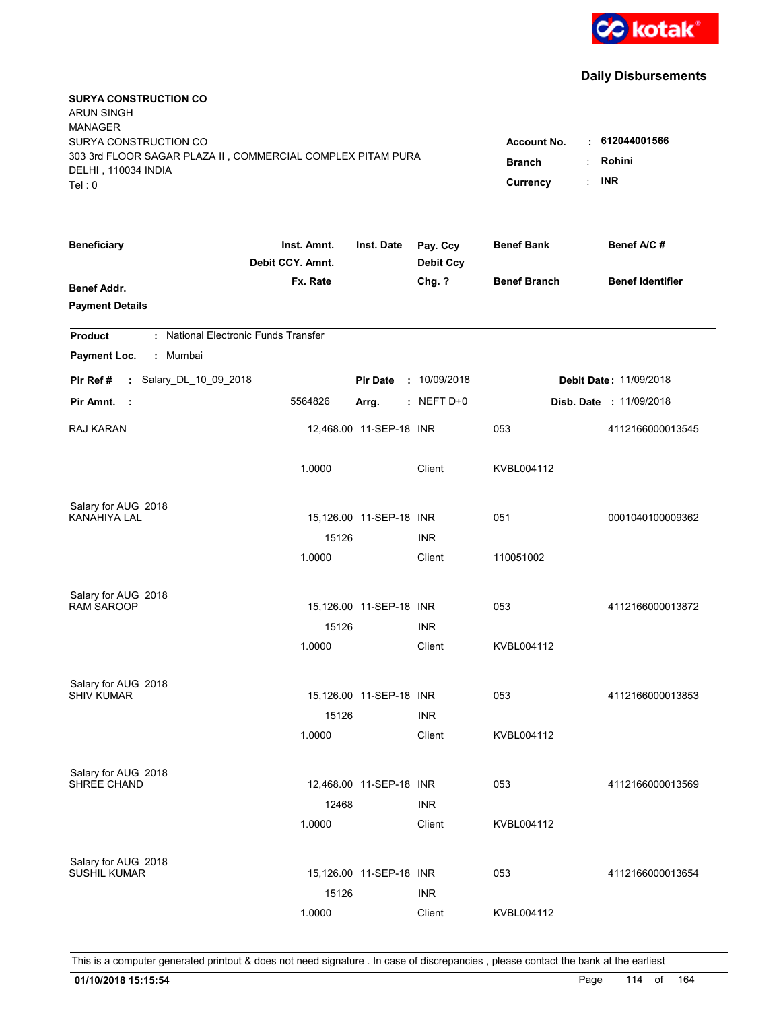

| <b>SURYA CONSTRUCTION CO</b><br><b>ARUN SINGH</b><br><b>MANAGER</b><br>SURYA CONSTRUCTION CO<br>303 3rd FLOOR SAGAR PLAZA II, COMMERCIAL COMPLEX PITAM PURA<br>DELHI, 110034 INDIA<br>Tel: 0 | <b>Account No.</b><br><b>Branch</b><br>Currency | . 612044001566<br>Rohini<br><b>INR</b><br>÷ |                              |                     |                               |
|----------------------------------------------------------------------------------------------------------------------------------------------------------------------------------------------|-------------------------------------------------|---------------------------------------------|------------------------------|---------------------|-------------------------------|
| <b>Beneficiary</b>                                                                                                                                                                           | Inst. Amnt.<br>Debit CCY. Amnt.                 | Inst. Date                                  | Pay. Ccy<br><b>Debit Ccy</b> | <b>Benef Bank</b>   | Benef A/C #                   |
| Benef Addr.<br><b>Payment Details</b>                                                                                                                                                        | Fx. Rate                                        |                                             | Chg. ?                       | <b>Benef Branch</b> | <b>Benef Identifier</b>       |
| : National Electronic Funds Transfer<br><b>Product</b>                                                                                                                                       |                                                 |                                             |                              |                     |                               |
| Payment Loc.<br>: Mumbai                                                                                                                                                                     |                                                 |                                             |                              |                     |                               |
| : Salary_DL_10_09_2018<br>Pir Ref#                                                                                                                                                           |                                                 | <b>Pir Date</b>                             | : 10/09/2018                 |                     | <b>Debit Date: 11/09/2018</b> |
| Pir Amnt.<br>- 1                                                                                                                                                                             | 5564826                                         | Arrg.                                       | $:$ NEFT D+0                 |                     | Disb. Date: 11/09/2018        |
| RAJ KARAN                                                                                                                                                                                    |                                                 | 12,468.00 11-SEP-18 INR                     |                              | 053                 | 4112166000013545              |
|                                                                                                                                                                                              | 1.0000                                          |                                             | Client                       | KVBL004112          |                               |
| Salary for AUG 2018                                                                                                                                                                          |                                                 |                                             |                              |                     |                               |
| KANAHIYA LAL                                                                                                                                                                                 | 15126                                           | 15,126.00 11-SEP-18 INR                     | <b>INR</b>                   | 051                 | 0001040100009362              |
|                                                                                                                                                                                              | 1.0000                                          |                                             | Client                       | 110051002           |                               |
|                                                                                                                                                                                              |                                                 |                                             |                              |                     |                               |
| Salary for AUG 2018<br><b>RAM SAROOP</b>                                                                                                                                                     |                                                 | 15,126.00 11-SEP-18 INR                     |                              | 053                 | 4112166000013872              |
|                                                                                                                                                                                              | 15126                                           |                                             | <b>INR</b>                   |                     |                               |
|                                                                                                                                                                                              | 1.0000                                          |                                             | Client                       | KVBL004112          |                               |
|                                                                                                                                                                                              |                                                 |                                             |                              |                     |                               |
| Salary for AUG 2018<br><b>SHIV KUMAR</b>                                                                                                                                                     |                                                 | 15,126.00 11-SEP-18 INR                     |                              | 053                 | 4112166000013853              |
|                                                                                                                                                                                              | 15126                                           |                                             | <b>INR</b>                   |                     |                               |
|                                                                                                                                                                                              | 1.0000                                          |                                             | Client                       | KVBL004112          |                               |
|                                                                                                                                                                                              |                                                 |                                             |                              |                     |                               |
| Salary for AUG 2018<br>SHREE CHAND                                                                                                                                                           |                                                 | 12,468.00 11-SEP-18 INR                     |                              | 053                 | 4112166000013569              |
|                                                                                                                                                                                              | 12468                                           |                                             | <b>INR</b>                   |                     |                               |
|                                                                                                                                                                                              | 1.0000                                          |                                             | Client                       | KVBL004112          |                               |
| Salary for AUG 2018                                                                                                                                                                          |                                                 |                                             |                              |                     |                               |
| <b>SUSHIL KUMAR</b>                                                                                                                                                                          |                                                 | 15,126.00 11-SEP-18 INR                     |                              | 053                 | 4112166000013654              |
|                                                                                                                                                                                              | 15126                                           |                                             | <b>INR</b>                   |                     |                               |
|                                                                                                                                                                                              | 1.0000                                          |                                             | Client                       | KVBL004112          |                               |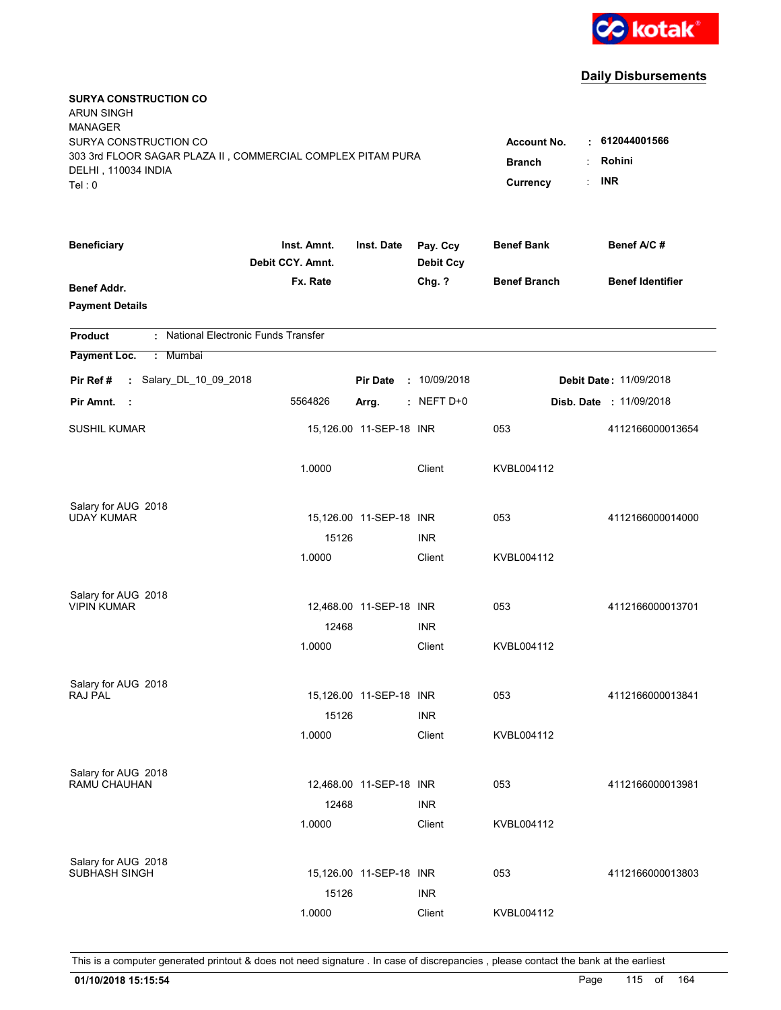

| <b>SURYA CONSTRUCTION CO</b><br><b>ARUN SINGH</b><br><b>MANAGER</b><br>SURYA CONSTRUCTION CO<br>303 3rd FLOOR SAGAR PLAZA II, COMMERCIAL COMPLEX PITAM PURA<br>DELHI, 110034 INDIA<br>Tel: 0 | <b>Account No.</b><br><b>Branch</b><br>Currency | $\cdot$ 612044001566<br>Rohini<br><b>INR</b> |                              |                     |                                |
|----------------------------------------------------------------------------------------------------------------------------------------------------------------------------------------------|-------------------------------------------------|----------------------------------------------|------------------------------|---------------------|--------------------------------|
| <b>Beneficiary</b>                                                                                                                                                                           | Inst. Amnt.<br>Debit CCY. Amnt.                 | Inst. Date                                   | Pay. Ccy<br><b>Debit Ccy</b> | <b>Benef Bank</b>   | Benef A/C #                    |
| <b>Benef Addr.</b><br><b>Payment Details</b>                                                                                                                                                 | Fx. Rate                                        |                                              | Chg. ?                       | <b>Benef Branch</b> | <b>Benef Identifier</b>        |
| : National Electronic Funds Transfer<br><b>Product</b>                                                                                                                                       |                                                 |                                              |                              |                     |                                |
| Payment Loc.<br>: Mumbai                                                                                                                                                                     |                                                 |                                              |                              |                     |                                |
| : Salary_DL_10_09_2018<br>Pir Ref #                                                                                                                                                          |                                                 | <b>Pir Date</b>                              | : 10/09/2018                 |                     | <b>Debit Date: 11/09/2018</b>  |
| Pir Amnt.<br>- 1                                                                                                                                                                             | 5564826                                         | Arrg.                                        | $:$ NEFT D+0                 |                     | <b>Disb. Date : 11/09/2018</b> |
| <b>SUSHIL KUMAR</b>                                                                                                                                                                          |                                                 | 15,126.00 11-SEP-18 INR                      |                              | 053                 | 4112166000013654               |
|                                                                                                                                                                                              | 1.0000                                          |                                              | Client                       | KVBL004112          |                                |
| Salary for AUG 2018                                                                                                                                                                          |                                                 |                                              |                              |                     |                                |
| UDAY KUMAR                                                                                                                                                                                   | 15126                                           | 15,126.00 11-SEP-18 INR                      | <b>INR</b>                   | 053                 | 4112166000014000               |
|                                                                                                                                                                                              | 1.0000                                          |                                              | Client                       | KVBL004112          |                                |
|                                                                                                                                                                                              |                                                 |                                              |                              |                     |                                |
| Salary for AUG 2018                                                                                                                                                                          |                                                 |                                              |                              |                     |                                |
| <b>VIPIN KUMAR</b>                                                                                                                                                                           |                                                 | 12,468.00 11-SEP-18 INR                      |                              | 053                 | 4112166000013701               |
|                                                                                                                                                                                              | 12468                                           |                                              | <b>INR</b>                   |                     |                                |
|                                                                                                                                                                                              | 1.0000                                          |                                              | Client                       | KVBL004112          |                                |
| Salary for AUG 2018                                                                                                                                                                          |                                                 |                                              |                              |                     |                                |
| RAJ PAL                                                                                                                                                                                      |                                                 | 15,126.00 11-SEP-18 INR                      |                              | 053                 | 4112166000013841               |
|                                                                                                                                                                                              | 15126                                           |                                              | <b>INR</b>                   |                     |                                |
|                                                                                                                                                                                              | 1.0000                                          |                                              | Client                       | KVBL004112          |                                |
| Salary for AUG 2018                                                                                                                                                                          |                                                 |                                              |                              |                     |                                |
| RAMU CHAUHAN                                                                                                                                                                                 |                                                 | 12,468.00 11-SEP-18 INR                      |                              | 053                 | 4112166000013981               |
|                                                                                                                                                                                              | 12468                                           |                                              | <b>INR</b>                   |                     |                                |
|                                                                                                                                                                                              | 1.0000                                          |                                              | Client                       | KVBL004112          |                                |
|                                                                                                                                                                                              |                                                 |                                              |                              |                     |                                |
| Salary for AUG 2018<br>SUBHASH SINGH                                                                                                                                                         |                                                 | 15,126.00 11-SEP-18 INR                      |                              | 053                 | 4112166000013803               |
|                                                                                                                                                                                              | 15126                                           |                                              | <b>INR</b>                   |                     |                                |
|                                                                                                                                                                                              | 1.0000                                          |                                              | Client                       | KVBL004112          |                                |
|                                                                                                                                                                                              |                                                 |                                              |                              |                     |                                |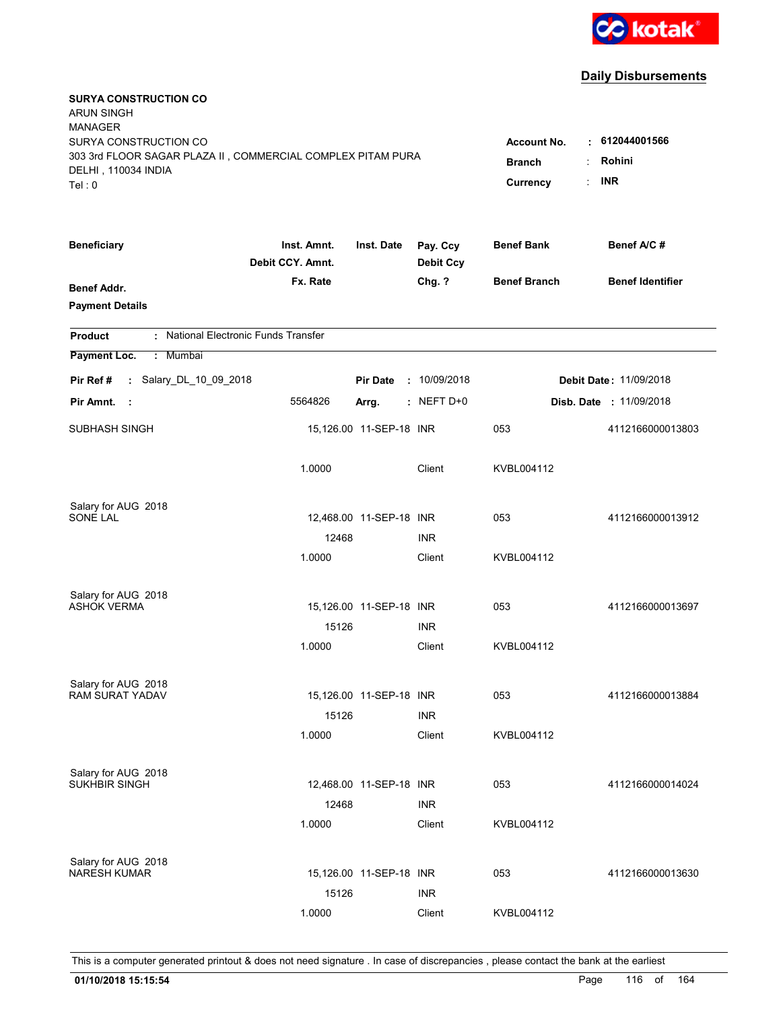

| <b>SURYA CONSTRUCTION CO</b><br><b>ARUN SINGH</b><br><b>MANAGER</b><br>SURYA CONSTRUCTION CO<br>303 3rd FLOOR SAGAR PLAZA II, COMMERCIAL COMPLEX PITAM PURA<br>DELHI, 110034 INDIA<br>Tel: 0 | <b>Account No.</b><br><b>Branch</b><br>Currency | $\cdot$ 612044001566<br>Rohini<br><b>INR</b> |                              |                     |                                |
|----------------------------------------------------------------------------------------------------------------------------------------------------------------------------------------------|-------------------------------------------------|----------------------------------------------|------------------------------|---------------------|--------------------------------|
| <b>Beneficiary</b>                                                                                                                                                                           | Inst. Amnt.<br>Debit CCY. Amnt.                 | Inst. Date                                   | Pay. Ccy<br><b>Debit Ccy</b> | <b>Benef Bank</b>   | Benef A/C #                    |
| <b>Benef Addr.</b><br><b>Payment Details</b>                                                                                                                                                 | Fx. Rate                                        |                                              | Chg. ?                       | <b>Benef Branch</b> | <b>Benef Identifier</b>        |
| : National Electronic Funds Transfer<br><b>Product</b>                                                                                                                                       |                                                 |                                              |                              |                     |                                |
| Payment Loc.<br>: Mumbai                                                                                                                                                                     |                                                 |                                              |                              |                     |                                |
| : Salary_DL_10_09_2018<br>Pir Ref #                                                                                                                                                          |                                                 | <b>Pir Date</b>                              | : 10/09/2018                 |                     | <b>Debit Date: 11/09/2018</b>  |
| Pir Amnt.<br>- 1                                                                                                                                                                             | 5564826                                         | Arrg.                                        | $:$ NEFT D+0                 |                     | <b>Disb. Date : 11/09/2018</b> |
| SUBHASH SINGH                                                                                                                                                                                |                                                 | 15,126.00 11-SEP-18 INR                      |                              | 053                 | 4112166000013803               |
|                                                                                                                                                                                              | 1.0000                                          |                                              | Client                       | KVBL004112          |                                |
| Salary for AUG 2018                                                                                                                                                                          |                                                 |                                              |                              |                     |                                |
| SONE LAL                                                                                                                                                                                     | 12468                                           | 12,468.00 11-SEP-18 INR                      | <b>INR</b>                   | 053                 | 4112166000013912               |
|                                                                                                                                                                                              | 1.0000                                          |                                              | Client                       | KVBL004112          |                                |
|                                                                                                                                                                                              |                                                 |                                              |                              |                     |                                |
| Salary for AUG 2018                                                                                                                                                                          |                                                 |                                              |                              |                     |                                |
| <b>ASHOK VERMA</b>                                                                                                                                                                           |                                                 | 15,126.00 11-SEP-18 INR                      |                              | 053                 | 4112166000013697               |
|                                                                                                                                                                                              | 15126<br>1.0000                                 |                                              | <b>INR</b><br>Client         | KVBL004112          |                                |
|                                                                                                                                                                                              |                                                 |                                              |                              |                     |                                |
| Salary for AUG 2018                                                                                                                                                                          |                                                 |                                              |                              |                     |                                |
| <b>RAM SURAT YADAV</b>                                                                                                                                                                       |                                                 | 15,126.00 11-SEP-18 INR                      |                              | 053                 | 4112166000013884               |
|                                                                                                                                                                                              | 15126                                           |                                              | <b>INR</b>                   |                     |                                |
|                                                                                                                                                                                              | 1.0000                                          |                                              | Client                       | KVBL004112          |                                |
| Salary for AUG 2018                                                                                                                                                                          |                                                 |                                              |                              |                     |                                |
| SUKHBIR SINGH                                                                                                                                                                                |                                                 | 12,468.00 11-SEP-18 INR                      |                              | 053                 | 4112166000014024               |
|                                                                                                                                                                                              | 12468                                           |                                              | <b>INR</b>                   |                     |                                |
|                                                                                                                                                                                              | 1.0000                                          |                                              | Client                       | KVBL004112          |                                |
| Salary for AUG 2018                                                                                                                                                                          |                                                 |                                              |                              |                     |                                |
| <b>NARESH KUMAR</b>                                                                                                                                                                          |                                                 | 15,126.00 11-SEP-18 INR                      |                              | 053                 | 4112166000013630               |
|                                                                                                                                                                                              | 15126                                           |                                              | <b>INR</b>                   |                     |                                |
|                                                                                                                                                                                              | 1.0000                                          |                                              | Client                       | KVBL004112          |                                |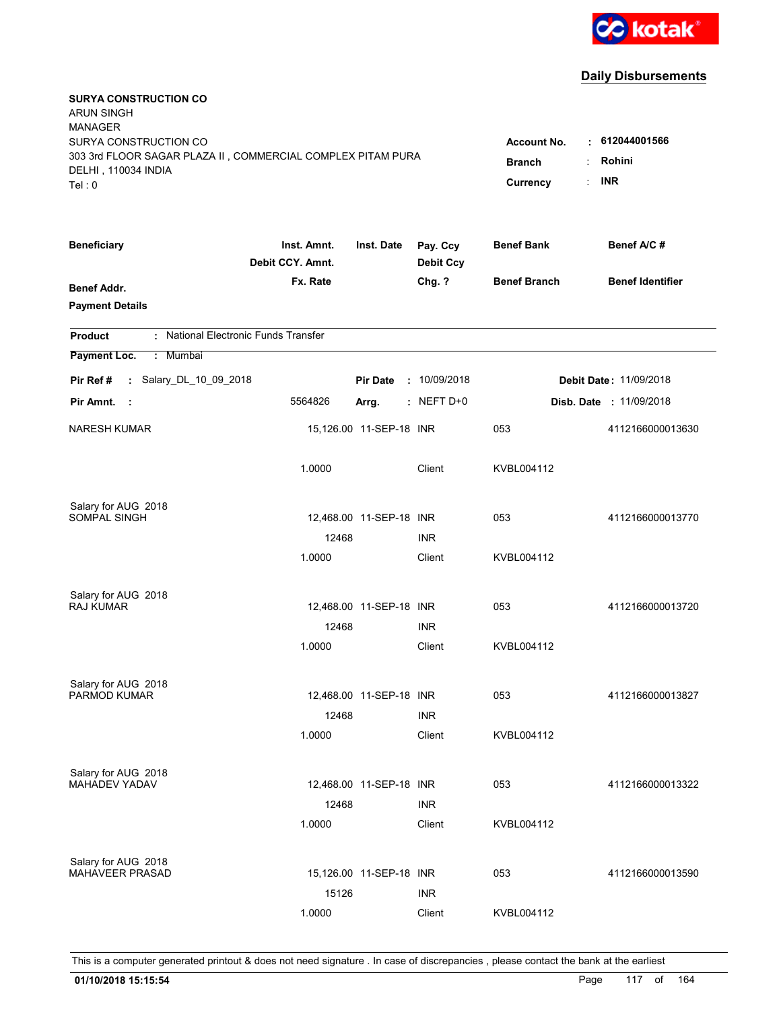

| <b>SURYA CONSTRUCTION CO</b><br><b>ARUN SINGH</b>                                  |                                 |                         |                              |                     |                                    |
|------------------------------------------------------------------------------------|---------------------------------|-------------------------|------------------------------|---------------------|------------------------------------|
| <b>MANAGER</b>                                                                     |                                 |                         |                              |                     |                                    |
| SURYA CONSTRUCTION CO                                                              |                                 |                         |                              | <b>Account No.</b>  | $\cdot$ 612044001566               |
| 303 3rd FLOOR SAGAR PLAZA II, COMMERCIAL COMPLEX PITAM PURA<br>DELHI, 110034 INDIA | <b>Branch</b>                   | Rohini                  |                              |                     |                                    |
| Tel: 0                                                                             |                                 |                         |                              | Currency            | <b>INR</b><br>$\ddot{\phantom{a}}$ |
|                                                                                    |                                 |                         |                              |                     |                                    |
| <b>Beneficiary</b>                                                                 | Inst. Amnt.<br>Debit CCY. Amnt. | Inst. Date              | Pay. Ccy<br><b>Debit Ccy</b> | <b>Benef Bank</b>   | Benef A/C #                        |
| <b>Benef Addr.</b>                                                                 | Fx. Rate                        |                         | Chg. ?                       | <b>Benef Branch</b> | <b>Benef Identifier</b>            |
| <b>Payment Details</b>                                                             |                                 |                         |                              |                     |                                    |
| : National Electronic Funds Transfer<br><b>Product</b>                             |                                 |                         |                              |                     |                                    |
| Payment Loc.<br>: Mumbai                                                           |                                 |                         |                              |                     |                                    |
| : Salary_DL_10_09_2018<br>Pir Ref#                                                 |                                 | <b>Pir Date</b>         | : 10/09/2018                 |                     | Debit Date: 11/09/2018             |
| Pir Amnt.<br>- 1                                                                   | 5564826                         | Arrg.                   | $:$ NEFT D+0                 |                     | <b>Disb. Date : 11/09/2018</b>     |
| <b>NARESH KUMAR</b>                                                                |                                 | 15,126.00 11-SEP-18 INR |                              | 053                 | 4112166000013630                   |
|                                                                                    | 1.0000                          |                         | Client                       | KVBL004112          |                                    |
| Salary for AUG 2018                                                                |                                 |                         |                              |                     |                                    |
| SOMPAL SINGH                                                                       |                                 | 12,468.00 11-SEP-18 INR |                              | 053                 | 4112166000013770                   |
|                                                                                    | 12468                           |                         | <b>INR</b>                   |                     |                                    |
|                                                                                    | 1.0000                          |                         | Client                       | KVBL004112          |                                    |
| Salary for AUG 2018                                                                |                                 |                         |                              |                     |                                    |
| <b>RAJ KUMAR</b>                                                                   |                                 | 12,468.00 11-SEP-18 INR |                              | 053                 | 4112166000013720                   |
|                                                                                    | 12468                           |                         | <b>INR</b>                   |                     |                                    |
|                                                                                    | 1.0000                          |                         | Client                       | KVBL004112          |                                    |
| Salary for AUG 2018                                                                |                                 |                         |                              |                     |                                    |
| PARMOD KUMAR                                                                       |                                 | 12,468.00 11-SEP-18 INR |                              | 053                 | 4112166000013827                   |
|                                                                                    | 12468                           |                         | <b>INR</b>                   |                     |                                    |
|                                                                                    | 1.0000                          |                         | Client                       | KVBL004112          |                                    |
| Salary for AUG 2018                                                                |                                 |                         |                              |                     |                                    |
| MAHADEV YADAV                                                                      |                                 | 12,468.00 11-SEP-18 INR |                              | 053                 | 4112166000013322                   |
|                                                                                    | 12468                           |                         | <b>INR</b>                   |                     |                                    |
|                                                                                    | 1.0000                          |                         | Client                       | KVBL004112          |                                    |
| Salary for AUG 2018                                                                |                                 |                         |                              |                     |                                    |
| MAHAVEER PRASAD                                                                    |                                 | 15,126.00 11-SEP-18 INR |                              | 053                 | 4112166000013590                   |
|                                                                                    | 15126                           |                         | <b>INR</b>                   |                     |                                    |
|                                                                                    | 1.0000                          |                         | Client                       | KVBL004112          |                                    |
|                                                                                    |                                 |                         |                              |                     |                                    |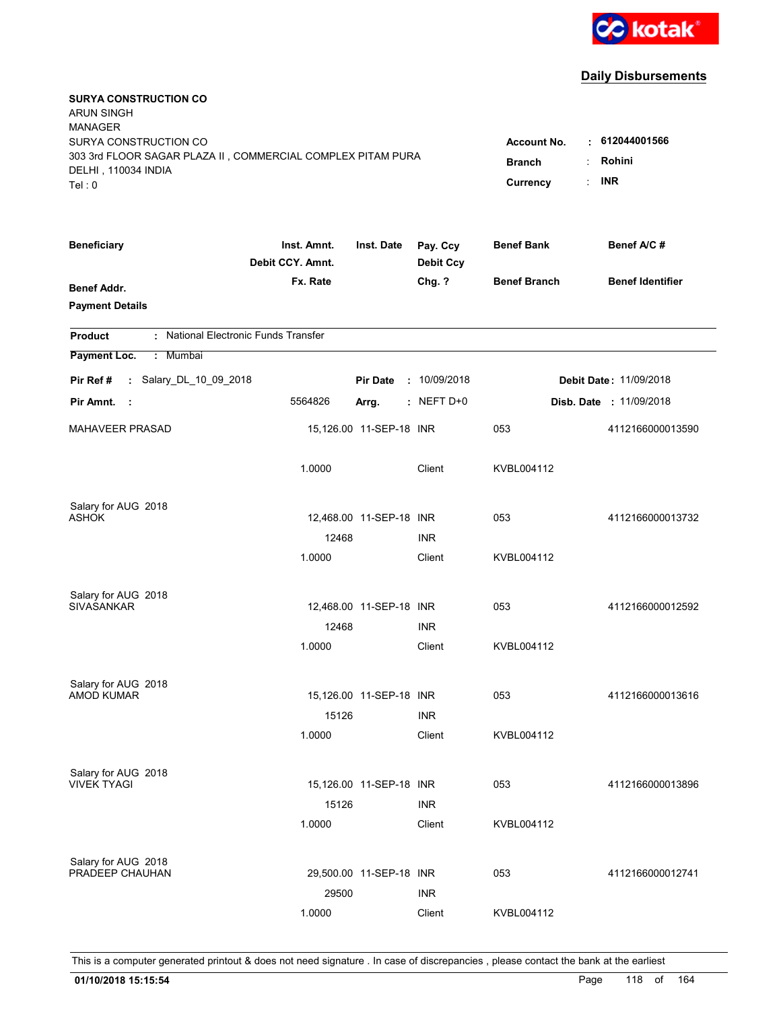

| <b>SURYA CONSTRUCTION CO</b><br><b>ARUN SINGH</b>                                  |                                 |                         |                              |                     |                                    |
|------------------------------------------------------------------------------------|---------------------------------|-------------------------|------------------------------|---------------------|------------------------------------|
| <b>MANAGER</b>                                                                     |                                 |                         |                              |                     |                                    |
| SURYA CONSTRUCTION CO                                                              |                                 |                         |                              | <b>Account No.</b>  | $\cdot$ 612044001566               |
| 303 3rd FLOOR SAGAR PLAZA II, COMMERCIAL COMPLEX PITAM PURA<br>DELHI, 110034 INDIA | <b>Branch</b>                   | Rohini                  |                              |                     |                                    |
| Tel: 0                                                                             |                                 |                         |                              | Currency            | <b>INR</b><br>$\ddot{\phantom{a}}$ |
|                                                                                    |                                 |                         |                              |                     |                                    |
| <b>Beneficiary</b>                                                                 | Inst. Amnt.<br>Debit CCY. Amnt. | Inst. Date              | Pay. Ccy<br><b>Debit Ccy</b> | <b>Benef Bank</b>   | Benef A/C #                        |
| <b>Benef Addr.</b>                                                                 | Fx. Rate                        |                         | Chg. ?                       | <b>Benef Branch</b> | <b>Benef Identifier</b>            |
| <b>Payment Details</b>                                                             |                                 |                         |                              |                     |                                    |
| : National Electronic Funds Transfer<br><b>Product</b>                             |                                 |                         |                              |                     |                                    |
| Payment Loc.<br>: Mumbai                                                           |                                 |                         |                              |                     |                                    |
| : Salary_DL_10_09_2018<br>Pir Ref#                                                 |                                 | <b>Pir Date</b>         | : 10/09/2018                 |                     | Debit Date: 11/09/2018             |
| Pir Amnt.<br>- 1                                                                   | 5564826                         | Arrg.                   | $:$ NEFT D+0                 |                     | <b>Disb. Date : 11/09/2018</b>     |
| <b>MAHAVEER PRASAD</b>                                                             |                                 | 15,126.00 11-SEP-18 INR |                              | 053                 | 4112166000013590                   |
|                                                                                    | 1.0000                          |                         | Client                       | KVBL004112          |                                    |
| Salary for AUG 2018                                                                |                                 |                         |                              |                     |                                    |
| <b>ASHOK</b>                                                                       |                                 | 12,468.00 11-SEP-18 INR |                              | 053                 | 4112166000013732                   |
|                                                                                    | 12468                           |                         | <b>INR</b>                   |                     |                                    |
|                                                                                    | 1.0000                          |                         | Client                       | KVBL004112          |                                    |
| Salary for AUG 2018                                                                |                                 |                         |                              |                     |                                    |
| <b>SIVASANKAR</b>                                                                  |                                 | 12,468.00 11-SEP-18 INR |                              | 053                 | 4112166000012592                   |
|                                                                                    | 12468                           |                         | <b>INR</b>                   |                     |                                    |
|                                                                                    | 1.0000                          |                         | Client                       | KVBL004112          |                                    |
| Salary for AUG 2018                                                                |                                 |                         |                              |                     |                                    |
| AMOD KUMAR                                                                         |                                 | 15,126.00 11-SEP-18 INR |                              | 053                 | 4112166000013616                   |
|                                                                                    | 15126                           |                         | <b>INR</b>                   |                     |                                    |
|                                                                                    | 1.0000                          |                         | Client                       | KVBL004112          |                                    |
| Salary for AUG 2018                                                                |                                 |                         |                              |                     |                                    |
| <b>VIVEK TYAGI</b>                                                                 |                                 | 15,126.00 11-SEP-18 INR |                              | 053                 | 4112166000013896                   |
|                                                                                    | 15126                           |                         | <b>INR</b>                   |                     |                                    |
|                                                                                    | 1.0000                          |                         | Client                       | KVBL004112          |                                    |
| Salary for AUG 2018                                                                |                                 |                         |                              |                     |                                    |
| PRADEEP CHAUHAN                                                                    |                                 | 29,500.00 11-SEP-18 INR |                              | 053                 | 4112166000012741                   |
|                                                                                    | 29500                           |                         | <b>INR</b>                   |                     |                                    |
|                                                                                    | 1.0000                          |                         | Client                       | KVBL004112          |                                    |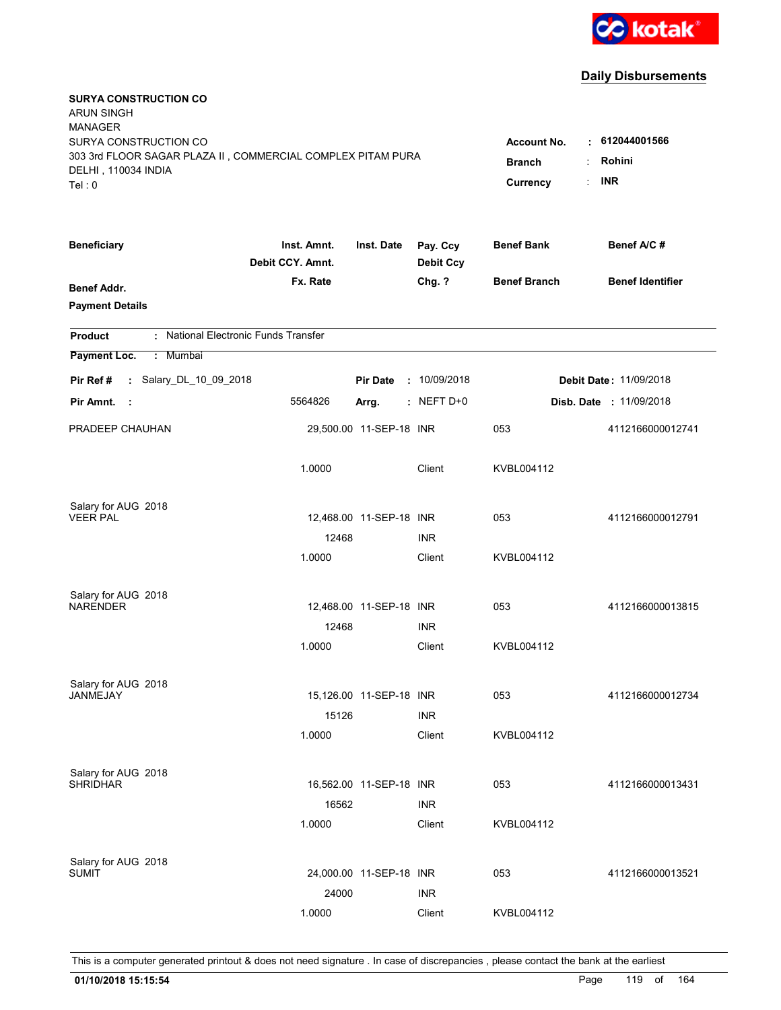

| <b>SURYA CONSTRUCTION CO</b><br><b>ARUN SINGH</b>           |                                 |                         |                              |                     |                         |
|-------------------------------------------------------------|---------------------------------|-------------------------|------------------------------|---------------------|-------------------------|
| <b>MANAGER</b>                                              |                                 |                         |                              |                     |                         |
| SURYA CONSTRUCTION CO                                       |                                 |                         |                              | <b>Account No.</b>  | $\cdot$ 612044001566    |
| 303 3rd FLOOR SAGAR PLAZA II, COMMERCIAL COMPLEX PITAM PURA | <b>Branch</b><br>÷              | Rohini                  |                              |                     |                         |
| DELHI, 110034 INDIA<br>Tel: 0                               |                                 |                         |                              | ÷<br>Currency       | <b>INR</b>              |
|                                                             |                                 |                         |                              |                     |                         |
| <b>Beneficiary</b>                                          | Inst. Amnt.<br>Debit CCY. Amnt. | Inst. Date              | Pay. Ccy<br><b>Debit Ccy</b> | <b>Benef Bank</b>   | Benef A/C#              |
| Benef Addr.                                                 | Fx. Rate                        |                         | Chg. ?                       | <b>Benef Branch</b> | <b>Benef Identifier</b> |
| <b>Payment Details</b>                                      |                                 |                         |                              |                     |                         |
| : National Electronic Funds Transfer<br><b>Product</b>      |                                 |                         |                              |                     |                         |
| Payment Loc.<br>: Mumbai                                    |                                 |                         |                              |                     |                         |
| : Salary_DL_10_09_2018<br>Pir Ref#                          |                                 | <b>Pir Date</b>         | : 10/09/2018                 |                     | Debit Date: 11/09/2018  |
| Pir Amnt.<br>- 11                                           | 5564826                         | Arrg.                   | $:$ NEFT D+0                 |                     | Disb. Date : 11/09/2018 |
| PRADEEP CHAUHAN                                             |                                 | 29,500.00 11-SEP-18 INR |                              | 053                 | 4112166000012741        |
|                                                             | 1.0000                          |                         | Client                       | KVBL004112          |                         |
| Salary for AUG 2018                                         |                                 |                         |                              |                     |                         |
| <b>VEER PAL</b>                                             |                                 | 12,468.00 11-SEP-18 INR |                              | 053                 | 4112166000012791        |
|                                                             | 12468                           |                         | INR                          |                     |                         |
|                                                             | 1.0000                          |                         | Client                       | KVBL004112          |                         |
| Salary for AUG 2018                                         |                                 |                         |                              |                     |                         |
| <b>NARENDER</b>                                             |                                 | 12,468.00 11-SEP-18 INR |                              | 053                 | 4112166000013815        |
|                                                             | 12468                           |                         | <b>INR</b>                   |                     |                         |
|                                                             | 1.0000                          |                         | Client                       | KVBL004112          |                         |
| Salary for AUG 2018                                         |                                 |                         |                              |                     |                         |
| JANMEJAY                                                    |                                 | 15,126.00 11-SEP-18 INR |                              | 053                 | 4112166000012734        |
|                                                             | 15126                           |                         | <b>INR</b>                   |                     |                         |
|                                                             | 1.0000                          |                         | Client                       | KVBL004112          |                         |
| Salary for AUG 2018                                         |                                 |                         |                              |                     |                         |
| <b>SHRIDHAR</b>                                             |                                 | 16,562.00 11-SEP-18 INR |                              | 053                 | 4112166000013431        |
|                                                             | 16562                           |                         | <b>INR</b>                   |                     |                         |
|                                                             | 1.0000                          |                         | Client                       | KVBL004112          |                         |
| Salary for AUG 2018                                         |                                 |                         |                              |                     |                         |
| <b>SUMIT</b>                                                |                                 | 24,000.00 11-SEP-18 INR |                              | 053                 | 4112166000013521        |
|                                                             | 24000                           |                         | <b>INR</b>                   |                     |                         |
|                                                             | 1.0000                          |                         | Client                       | KVBL004112          |                         |
|                                                             |                                 |                         |                              |                     |                         |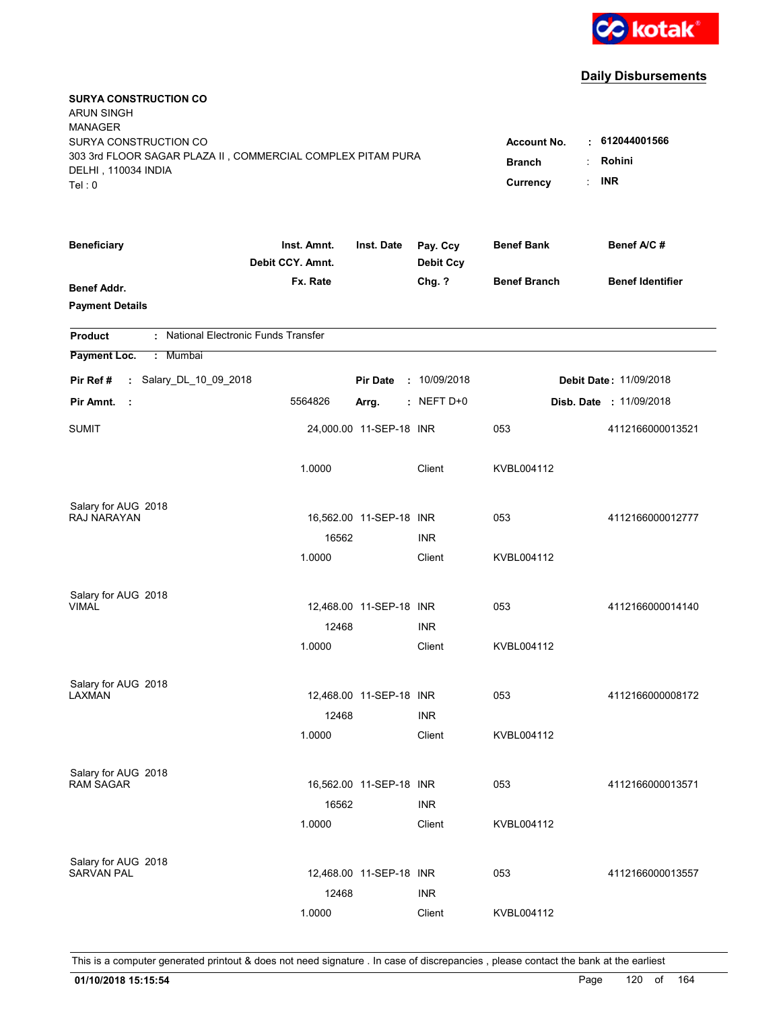

| <b>SURYA CONSTRUCTION CO</b><br><b>ARUN SINGH</b><br><b>MANAGER</b><br>SURYA CONSTRUCTION CO<br>303 3rd FLOOR SAGAR PLAZA II, COMMERCIAL COMPLEX PITAM PURA |                                 |                         |                              | <b>Account No.</b><br><b>Branch</b> | $\cdot$ 612044001566<br>Rohini<br>÷ |
|-------------------------------------------------------------------------------------------------------------------------------------------------------------|---------------------------------|-------------------------|------------------------------|-------------------------------------|-------------------------------------|
| DELHI, 110034 INDIA<br>Tel: 0                                                                                                                               | Currency                        | <b>INR</b>              |                              |                                     |                                     |
| <b>Beneficiary</b>                                                                                                                                          | Inst. Amnt.<br>Debit CCY. Amnt. | Inst. Date              | Pay. Ccy<br><b>Debit Ccy</b> | <b>Benef Bank</b>                   | Benef A/C #                         |
| <b>Benef Addr.</b><br><b>Payment Details</b>                                                                                                                | Fx. Rate                        |                         | Chg. ?                       | <b>Benef Branch</b>                 | <b>Benef Identifier</b>             |
| : National Electronic Funds Transfer<br><b>Product</b>                                                                                                      |                                 |                         |                              |                                     |                                     |
| Payment Loc.<br>: Mumbai                                                                                                                                    |                                 |                         |                              |                                     |                                     |
| : Salary_DL_10_09_2018<br>Pir Ref #                                                                                                                         |                                 | <b>Pir Date</b>         | : 10/09/2018                 |                                     | <b>Debit Date: 11/09/2018</b>       |
| Pir Amnt.<br>- 1                                                                                                                                            | 5564826                         | Arrg.                   | $:$ NEFT D+0                 |                                     | <b>Disb. Date : 11/09/2018</b>      |
| <b>SUMIT</b>                                                                                                                                                |                                 | 24,000.00 11-SEP-18 INR |                              | 053                                 | 4112166000013521                    |
|                                                                                                                                                             | 1.0000                          |                         | Client                       | KVBL004112                          |                                     |
| Salary for AUG 2018                                                                                                                                         |                                 |                         |                              |                                     |                                     |
| RAJ NARAYAN                                                                                                                                                 | 16562                           | 16,562.00 11-SEP-18 INR | <b>INR</b>                   | 053                                 | 4112166000012777                    |
|                                                                                                                                                             | 1.0000                          |                         | Client                       | KVBL004112                          |                                     |
| Salary for AUG 2018                                                                                                                                         |                                 |                         |                              |                                     |                                     |
| <b>VIMAL</b>                                                                                                                                                |                                 | 12,468.00 11-SEP-18 INR |                              | 053                                 | 4112166000014140                    |
|                                                                                                                                                             | 12468                           |                         | <b>INR</b>                   |                                     |                                     |
|                                                                                                                                                             | 1.0000                          |                         | Client                       | KVBL004112                          |                                     |
| Salary for AUG 2018                                                                                                                                         |                                 |                         |                              |                                     |                                     |
| LAXMAN                                                                                                                                                      |                                 | 12,468.00 11-SEP-18 INR |                              | 053                                 | 4112166000008172                    |
|                                                                                                                                                             | 12468                           |                         | <b>INR</b>                   |                                     |                                     |
|                                                                                                                                                             | 1.0000                          |                         | Client                       | KVBL004112                          |                                     |
| Salary for AUG 2018<br>RAM SAGAR                                                                                                                            |                                 | 16,562.00 11-SEP-18 INR |                              | 053                                 | 4112166000013571                    |
|                                                                                                                                                             | 16562                           |                         | <b>INR</b>                   |                                     |                                     |
|                                                                                                                                                             | 1.0000                          |                         | Client                       | KVBL004112                          |                                     |
|                                                                                                                                                             |                                 |                         |                              |                                     |                                     |
| Salary for AUG 2018<br><b>SARVAN PAL</b>                                                                                                                    |                                 | 12,468.00 11-SEP-18 INR |                              | 053                                 | 4112166000013557                    |
|                                                                                                                                                             | 12468                           |                         | <b>INR</b>                   |                                     |                                     |
|                                                                                                                                                             | 1.0000                          |                         | Client                       | KVBL004112                          |                                     |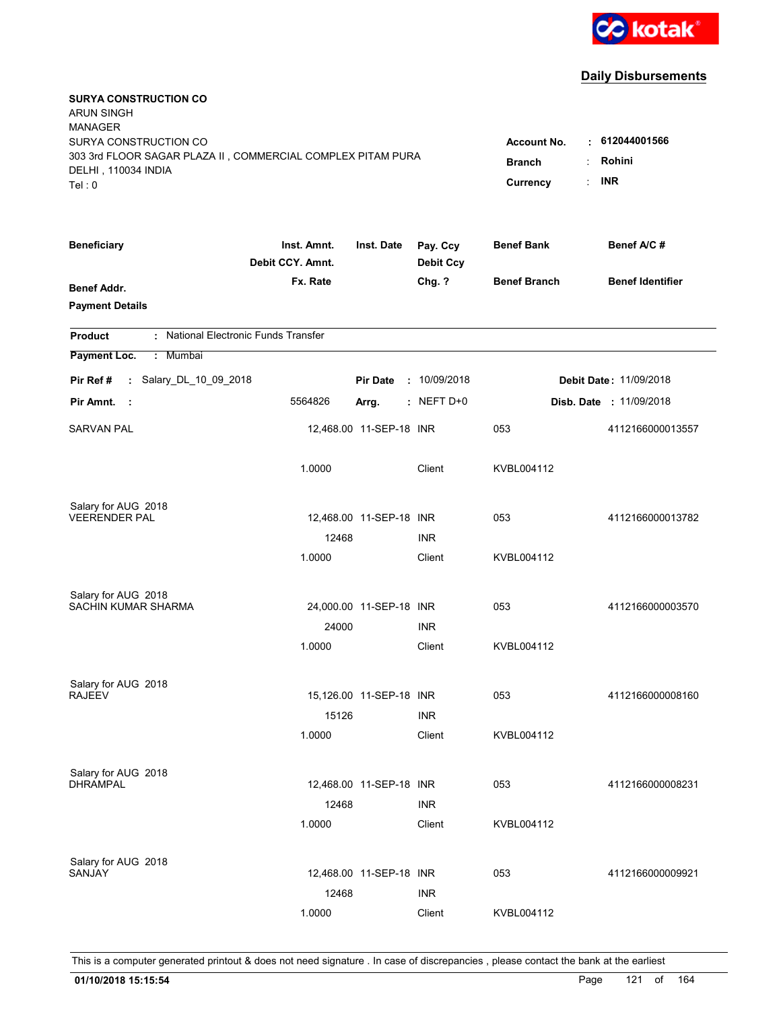

| <b>SURYA CONSTRUCTION CO</b><br><b>ARUN SINGH</b><br><b>MANAGER</b><br>SURYA CONSTRUCTION CO<br>303 3rd FLOOR SAGAR PLAZA II, COMMERCIAL COMPLEX PITAM PURA<br>DELHI, 110034 INDIA |                                 |                         |                              | <b>Account No.</b><br><b>Branch</b> | $\cdot$ 612044001566<br>Rohini |
|------------------------------------------------------------------------------------------------------------------------------------------------------------------------------------|---------------------------------|-------------------------|------------------------------|-------------------------------------|--------------------------------|
| Tel: 0                                                                                                                                                                             |                                 |                         |                              | Currency                            | <b>INR</b>                     |
| <b>Beneficiary</b>                                                                                                                                                                 | Inst. Amnt.<br>Debit CCY. Amnt. | Inst. Date              | Pay. Ccy<br><b>Debit Ccy</b> | <b>Benef Bank</b>                   | Benef A/C #                    |
| <b>Benef Addr.</b><br><b>Payment Details</b>                                                                                                                                       | Fx. Rate                        |                         | Chg. ?                       | <b>Benef Branch</b>                 | <b>Benef Identifier</b>        |
| : National Electronic Funds Transfer<br><b>Product</b>                                                                                                                             |                                 |                         |                              |                                     |                                |
| Payment Loc.<br>: Mumbai                                                                                                                                                           |                                 |                         |                              |                                     |                                |
| : Salary_DL_10_09_2018<br>Pir Ref #                                                                                                                                                |                                 | <b>Pir Date</b>         | : 10/09/2018                 |                                     | <b>Debit Date: 11/09/2018</b>  |
| Pir Amnt.<br>- 1                                                                                                                                                                   | 5564826                         | Arrg.                   | $:$ NEFT D+0                 |                                     | <b>Disb. Date : 11/09/2018</b> |
| <b>SARVAN PAL</b>                                                                                                                                                                  |                                 | 12,468.00 11-SEP-18 INR |                              | 053                                 | 4112166000013557               |
|                                                                                                                                                                                    | 1.0000                          |                         | Client                       | KVBL004112                          |                                |
| Salary for AUG 2018                                                                                                                                                                |                                 |                         |                              |                                     |                                |
| <b>VEERENDER PAL</b>                                                                                                                                                               |                                 | 12,468.00 11-SEP-18 INR |                              | 053                                 | 4112166000013782               |
|                                                                                                                                                                                    | 12468<br>1.0000                 |                         | <b>INR</b><br>Client         | KVBL004112                          |                                |
|                                                                                                                                                                                    |                                 |                         |                              |                                     |                                |
| Salary for AUG 2018                                                                                                                                                                |                                 |                         |                              |                                     |                                |
| <b>SACHIN KUMAR SHARMA</b>                                                                                                                                                         |                                 | 24,000.00 11-SEP-18 INR |                              | 053                                 | 4112166000003570               |
|                                                                                                                                                                                    | 24000<br>1.0000                 |                         | <b>INR</b><br>Client         | KVBL004112                          |                                |
|                                                                                                                                                                                    |                                 |                         |                              |                                     |                                |
| Salary for AUG 2018                                                                                                                                                                |                                 |                         |                              |                                     |                                |
| <b>RAJEEV</b>                                                                                                                                                                      |                                 | 15,126.00 11-SEP-18 INR |                              | 053                                 | 4112166000008160               |
|                                                                                                                                                                                    | 15126                           |                         | <b>INR</b>                   |                                     |                                |
|                                                                                                                                                                                    | 1.0000                          |                         | Client                       | KVBL004112                          |                                |
| Salary for AUG 2018                                                                                                                                                                |                                 |                         |                              |                                     |                                |
| <b>DHRAMPAL</b>                                                                                                                                                                    |                                 | 12,468.00 11-SEP-18 INR |                              | 053                                 | 4112166000008231               |
|                                                                                                                                                                                    | 12468                           |                         | <b>INR</b>                   |                                     |                                |
|                                                                                                                                                                                    | 1.0000                          |                         | Client                       | KVBL004112                          |                                |
|                                                                                                                                                                                    |                                 |                         |                              |                                     |                                |
| Salary for AUG 2018<br>SANJAY                                                                                                                                                      |                                 | 12,468.00 11-SEP-18 INR |                              | 053                                 | 4112166000009921               |
|                                                                                                                                                                                    | 12468                           |                         | <b>INR</b>                   |                                     |                                |
|                                                                                                                                                                                    | 1.0000                          |                         | Client                       | KVBL004112                          |                                |
|                                                                                                                                                                                    |                                 |                         |                              |                                     |                                |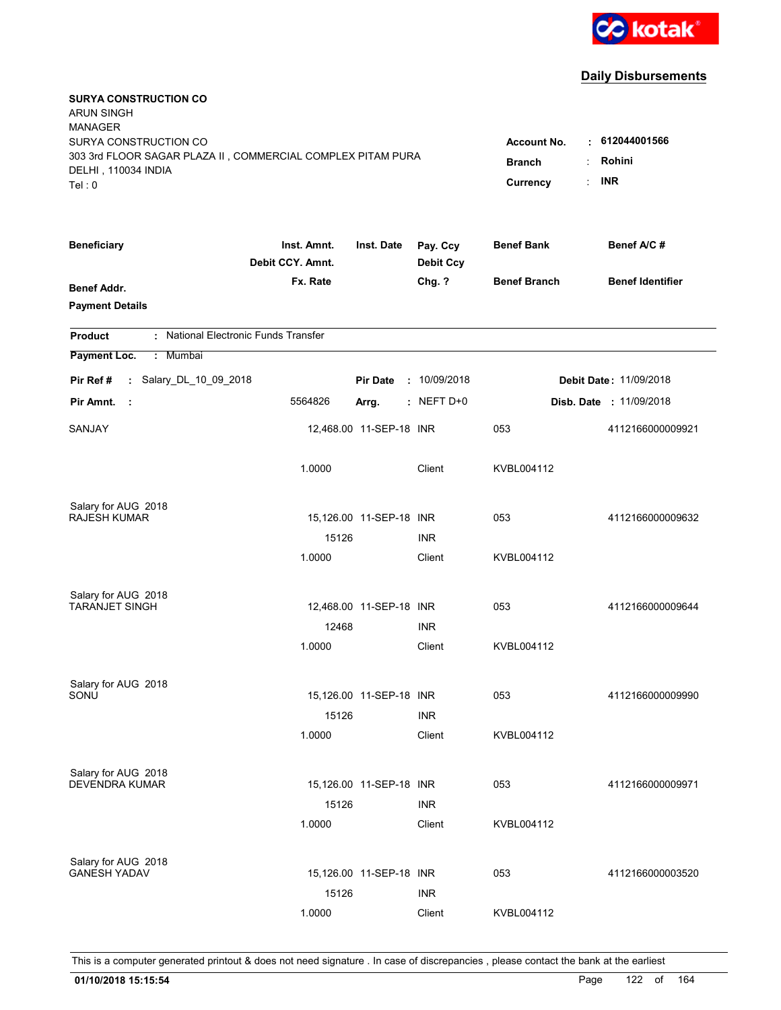

| <b>SURYA CONSTRUCTION CO</b><br><b>ARUN SINGH</b><br><b>MANAGER</b>                                                   |                                                 |                                              |                              |                     |                                |
|-----------------------------------------------------------------------------------------------------------------------|-------------------------------------------------|----------------------------------------------|------------------------------|---------------------|--------------------------------|
| SURYA CONSTRUCTION CO<br>303 3rd FLOOR SAGAR PLAZA II, COMMERCIAL COMPLEX PITAM PURA<br>DELHI, 110034 INDIA<br>Tel: 0 | <b>Account No.</b><br><b>Branch</b><br>Currency | $\cdot$ 612044001566<br>Rohini<br><b>INR</b> |                              |                     |                                |
| <b>Beneficiary</b>                                                                                                    | Inst. Amnt.<br>Debit CCY. Amnt.                 | Inst. Date                                   | Pay. Ccy<br><b>Debit Ccy</b> | <b>Benef Bank</b>   | Benef A/C #                    |
| <b>Benef Addr.</b><br><b>Payment Details</b>                                                                          | Fx. Rate                                        |                                              | Chg. ?                       | <b>Benef Branch</b> | <b>Benef Identifier</b>        |
| : National Electronic Funds Transfer<br><b>Product</b>                                                                |                                                 |                                              |                              |                     |                                |
| Payment Loc.<br>: Mumbai                                                                                              |                                                 |                                              |                              |                     |                                |
| : Salary_DL_10_09_2018<br>Pir Ref #                                                                                   |                                                 | <b>Pir Date</b>                              | : 10/09/2018                 |                     | <b>Debit Date: 11/09/2018</b>  |
| Pir Amnt.<br>- 1                                                                                                      | 5564826                                         | Arrg.                                        | $:$ NEFT D+0                 |                     | <b>Disb. Date : 11/09/2018</b> |
| SANJAY                                                                                                                |                                                 | 12,468.00 11-SEP-18 INR                      |                              | 053                 | 4112166000009921               |
|                                                                                                                       | 1.0000                                          |                                              | Client                       | KVBL004112          |                                |
| Salary for AUG 2018                                                                                                   |                                                 |                                              |                              |                     |                                |
| <b>RAJESH KUMAR</b>                                                                                                   |                                                 | 15,126.00 11-SEP-18 INR                      |                              | 053                 | 4112166000009632               |
|                                                                                                                       | 15126                                           |                                              | <b>INR</b>                   |                     |                                |
|                                                                                                                       | 1.0000                                          |                                              | Client                       | KVBL004112          |                                |
| Salary for AUG 2018                                                                                                   |                                                 |                                              |                              |                     |                                |
| <b>TARANJET SINGH</b>                                                                                                 |                                                 | 12,468.00 11-SEP-18 INR                      |                              | 053                 | 4112166000009644               |
|                                                                                                                       | 12468                                           |                                              | <b>INR</b>                   |                     |                                |
|                                                                                                                       | 1.0000                                          |                                              | Client                       | KVBL004112          |                                |
| Salary for AUG 2018                                                                                                   |                                                 |                                              |                              |                     |                                |
| SONU                                                                                                                  |                                                 | 15,126.00 11-SEP-18 INR                      |                              | 053                 | 4112166000009990               |
|                                                                                                                       | 15126                                           |                                              | <b>INR</b>                   |                     |                                |
|                                                                                                                       | 1.0000                                          |                                              | Client                       | KVBL004112          |                                |
| Salary for AUG 2018                                                                                                   |                                                 |                                              |                              |                     |                                |
| <b>DEVENDRA KUMAR</b>                                                                                                 |                                                 | 15,126.00 11-SEP-18 INR                      |                              | 053                 | 4112166000009971               |
|                                                                                                                       | 15126                                           |                                              | <b>INR</b>                   |                     |                                |
|                                                                                                                       | 1.0000                                          |                                              | Client                       | KVBL004112          |                                |
|                                                                                                                       |                                                 |                                              |                              |                     |                                |
| Salary for AUG 2018<br><b>GANESH YADAV</b>                                                                            |                                                 | 15,126.00 11-SEP-18 INR                      |                              | 053                 | 4112166000003520               |
|                                                                                                                       | 15126                                           |                                              | <b>INR</b>                   |                     |                                |
|                                                                                                                       | 1.0000                                          |                                              | Client                       | KVBL004112          |                                |
|                                                                                                                       |                                                 |                                              |                              |                     |                                |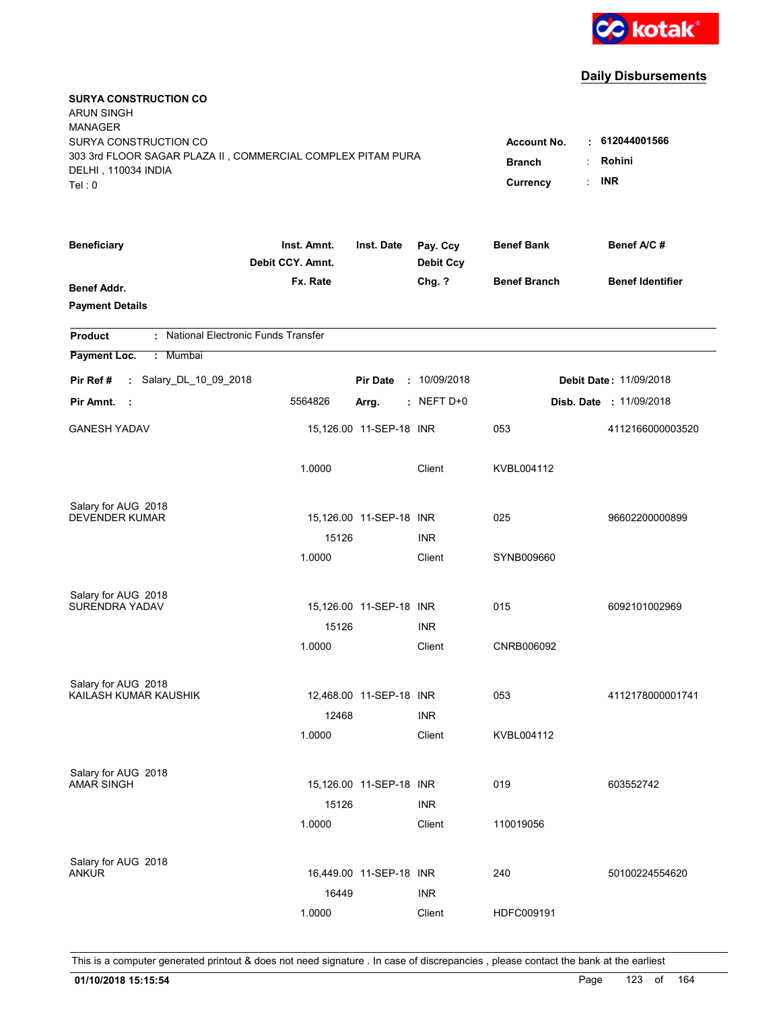

| <b>SURYA CONSTRUCTION CO</b><br><b>ARUN SINGH</b><br><b>MANAGER</b><br>SURYA CONSTRUCTION CO |                                                        |                         |                              | <b>Account No.</b>  | . 612044001566                |
|----------------------------------------------------------------------------------------------|--------------------------------------------------------|-------------------------|------------------------------|---------------------|-------------------------------|
| 303 3rd FLOOR SAGAR PLAZA II, COMMERCIAL COMPLEX PITAM PURA<br>DELHI, 110034 INDIA<br>Tel: 0 | Rohini<br><b>Branch</b><br><b>INR</b><br>÷<br>Currency |                         |                              |                     |                               |
| <b>Beneficiary</b>                                                                           | Inst. Amnt.<br>Debit CCY. Amnt.                        | Inst. Date              | Pay. Ccy<br><b>Debit Ccy</b> | <b>Benef Bank</b>   | Benef A/C #                   |
| Benef Addr.<br><b>Payment Details</b>                                                        | Fx. Rate                                               |                         | Chg. ?                       | <b>Benef Branch</b> | <b>Benef Identifier</b>       |
| : National Electronic Funds Transfer<br><b>Product</b>                                       |                                                        |                         |                              |                     |                               |
| Payment Loc.<br>: Mumbai                                                                     |                                                        |                         |                              |                     |                               |
| : Salary_DL_10_09_2018<br>Pir Ref #                                                          |                                                        | <b>Pir Date</b>         | : 10/09/2018                 |                     | <b>Debit Date: 11/09/2018</b> |
| Pir Amnt.<br>- 1                                                                             | 5564826                                                | Arrg.                   | $:$ NEFT D+0                 |                     | Disb. Date : 11/09/2018       |
| <b>GANESH YADAV</b>                                                                          |                                                        | 15,126.00 11-SEP-18 INR |                              | 053                 | 4112166000003520              |
|                                                                                              | 1.0000                                                 |                         | Client                       | KVBL004112          |                               |
| Salary for AUG 2018                                                                          |                                                        |                         |                              |                     |                               |
| <b>DEVENDER KUMAR</b>                                                                        | 15126                                                  | 15,126.00 11-SEP-18 INR | <b>INR</b>                   | 025                 | 96602200000899                |
|                                                                                              | 1.0000                                                 |                         | Client                       | SYNB009660          |                               |
| Salary for AUG 2018                                                                          |                                                        |                         |                              |                     |                               |
| SURENDRA YADAV                                                                               |                                                        | 15,126.00 11-SEP-18 INR |                              | 015                 | 6092101002969                 |
|                                                                                              | 15126                                                  |                         | <b>INR</b>                   |                     |                               |
|                                                                                              | 1.0000                                                 |                         | Client                       | CNRB006092          |                               |
| Salary for AUG 2018                                                                          |                                                        |                         |                              |                     |                               |
| KAILASH KUMAR KAUSHIK                                                                        |                                                        | 12,468.00 11-SEP-18 INR |                              | 053                 | 4112178000001741              |
|                                                                                              | 12468                                                  |                         | <b>INR</b>                   |                     |                               |
|                                                                                              | 1.0000                                                 |                         | Client                       | KVBL004112          |                               |
| Salary for AUG 2018                                                                          |                                                        |                         |                              |                     |                               |
| <b>AMAR SINGH</b>                                                                            |                                                        | 15,126.00 11-SEP-18 INR |                              | 019                 | 603552742                     |
|                                                                                              | 15126<br>1.0000                                        |                         | <b>INR</b><br>Client         | 110019056           |                               |
|                                                                                              |                                                        |                         |                              |                     |                               |
| Salary for AUG 2018                                                                          |                                                        |                         |                              |                     |                               |
| ANKUR                                                                                        |                                                        | 16,449.00 11-SEP-18 INR |                              | 240                 | 50100224554620                |
|                                                                                              | 16449                                                  |                         | <b>INR</b>                   |                     |                               |
|                                                                                              | 1.0000                                                 |                         | Client                       | HDFC009191          |                               |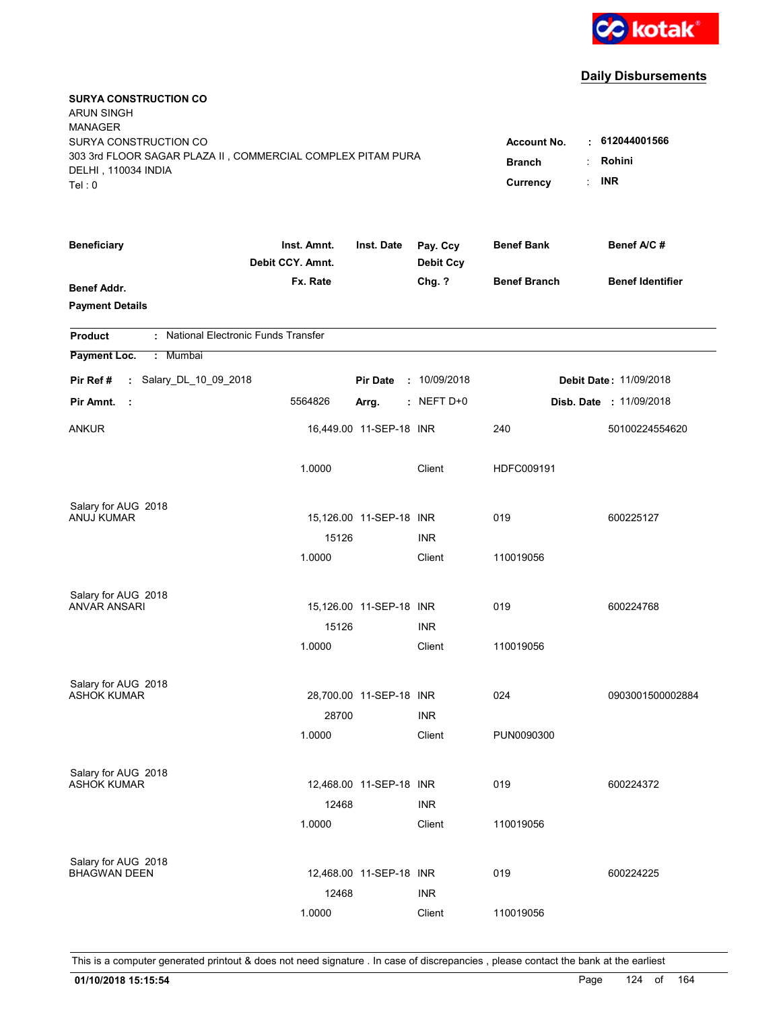

| <b>SURYA CONSTRUCTION CO</b><br><b>ARUN SINGH</b><br><b>MANAGER</b><br>SURYA CONSTRUCTION CO<br>303 3rd FLOOR SAGAR PLAZA II, COMMERCIAL COMPLEX PITAM PURA<br>DELHI, 110034 INDIA<br>Tel: 0 | <b>Account No.</b><br><b>Branch</b><br>Currency | 612044001566<br>t.<br>Rohini<br>÷<br><b>INR</b><br>÷. |                              |                     |                                |
|----------------------------------------------------------------------------------------------------------------------------------------------------------------------------------------------|-------------------------------------------------|-------------------------------------------------------|------------------------------|---------------------|--------------------------------|
| <b>Beneficiary</b>                                                                                                                                                                           | Inst. Amnt.<br>Debit CCY. Amnt.                 | Inst. Date                                            | Pay. Ccy<br><b>Debit Ccy</b> | <b>Benef Bank</b>   | Benef A/C#                     |
| <b>Benef Addr.</b><br><b>Payment Details</b>                                                                                                                                                 | Fx. Rate                                        |                                                       | Chg. ?                       | <b>Benef Branch</b> | <b>Benef Identifier</b>        |
| : National Electronic Funds Transfer<br><b>Product</b>                                                                                                                                       |                                                 |                                                       |                              |                     |                                |
| Payment Loc.<br>Mumbai<br>÷.                                                                                                                                                                 |                                                 |                                                       |                              |                     |                                |
| : Salary_DL_10_09_2018<br>Pir Ref #                                                                                                                                                          |                                                 | <b>Pir Date</b>                                       | : 10/09/2018                 |                     | <b>Debit Date: 11/09/2018</b>  |
| Pir Amnt.<br>- 11                                                                                                                                                                            | 5564826                                         | Arrg.                                                 | $:$ NEFT D+0                 |                     | <b>Disb. Date : 11/09/2018</b> |
| <b>ANKUR</b>                                                                                                                                                                                 |                                                 | 16,449.00 11-SEP-18 INR                               |                              | 240                 | 50100224554620                 |
|                                                                                                                                                                                              | 1.0000                                          |                                                       | Client                       | HDFC009191          |                                |
| Salary for AUG 2018                                                                                                                                                                          |                                                 |                                                       |                              |                     |                                |
| ANUJ KUMAR                                                                                                                                                                                   | 15126                                           | 15,126.00 11-SEP-18 INR                               | <b>INR</b>                   | 019                 | 600225127                      |
|                                                                                                                                                                                              | 1.0000                                          |                                                       | Client                       | 110019056           |                                |
| Salary for AUG 2018<br><b>ANVAR ANSARI</b>                                                                                                                                                   |                                                 | 15,126.00 11-SEP-18 INR                               |                              | 019                 | 600224768                      |
|                                                                                                                                                                                              | 15126                                           |                                                       | <b>INR</b>                   |                     |                                |
|                                                                                                                                                                                              | 1.0000                                          |                                                       | Client                       | 110019056           |                                |
| Salary for AUG 2018                                                                                                                                                                          |                                                 |                                                       |                              |                     |                                |
| <b>ASHOK KUMAR</b>                                                                                                                                                                           |                                                 | 28,700.00 11-SEP-18 INR                               |                              | 024                 | 0903001500002884               |
|                                                                                                                                                                                              | 28700                                           |                                                       | <b>INR</b>                   |                     |                                |
|                                                                                                                                                                                              | 1.0000                                          |                                                       | Client                       | PUN0090300          |                                |
| Salary for AUG 2018                                                                                                                                                                          |                                                 |                                                       |                              |                     |                                |
| <b>ASHOK KUMAR</b>                                                                                                                                                                           |                                                 | 12,468.00 11-SEP-18 INR                               |                              | 019                 | 600224372                      |
|                                                                                                                                                                                              | 12468<br>1.0000                                 |                                                       | <b>INR</b><br>Client         | 110019056           |                                |
|                                                                                                                                                                                              |                                                 |                                                       |                              |                     |                                |
| Salary for AUG 2018<br><b>BHAGWAN DEEN</b>                                                                                                                                                   |                                                 | 12,468.00 11-SEP-18 INR                               |                              | 019                 | 600224225                      |
|                                                                                                                                                                                              | 12468                                           |                                                       | <b>INR</b>                   |                     |                                |
|                                                                                                                                                                                              | 1.0000                                          |                                                       | Client                       | 110019056           |                                |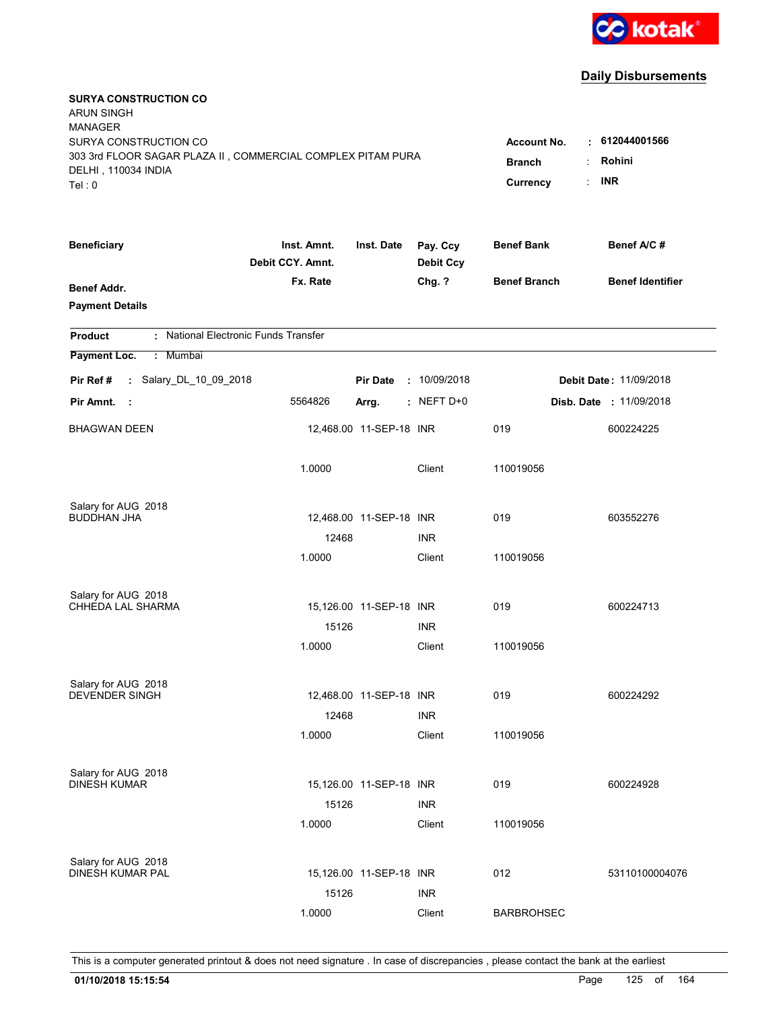

| <b>SURYA CONSTRUCTION CO</b><br><b>ARUN SINGH</b><br><b>MANAGER</b><br>SURYA CONSTRUCTION CO<br>303 3rd FLOOR SAGAR PLAZA II, COMMERCIAL COMPLEX PITAM PURA |                                 |                         |                              | <b>Account No.</b><br>٠.  | 612044001566<br>Rohini         |
|-------------------------------------------------------------------------------------------------------------------------------------------------------------|---------------------------------|-------------------------|------------------------------|---------------------------|--------------------------------|
| DELHI, 110034 INDIA<br>Tel: 0                                                                                                                               |                                 |                         |                              | <b>Branch</b><br>Currency | <b>INR</b>                     |
| <b>Beneficiary</b>                                                                                                                                          | Inst. Amnt.<br>Debit CCY. Amnt. | Inst. Date              | Pay. Ccy<br><b>Debit Ccy</b> | <b>Benef Bank</b>         | Benef A/C#                     |
| Benef Addr.<br><b>Payment Details</b>                                                                                                                       | Fx. Rate                        |                         | Chg. ?                       | <b>Benef Branch</b>       | <b>Benef Identifier</b>        |
| : National Electronic Funds Transfer<br><b>Product</b>                                                                                                      |                                 |                         |                              |                           |                                |
| Payment Loc.<br>: Mumbai                                                                                                                                    |                                 |                         |                              |                           |                                |
| : Salary_DL_10_09_2018<br>Pir Ref#                                                                                                                          |                                 | <b>Pir Date</b>         | : 10/09/2018                 |                           | <b>Debit Date: 11/09/2018</b>  |
| Pir Amnt.<br>- 1                                                                                                                                            | 5564826                         | Arrg.                   | $:$ NEFT D+0                 |                           | <b>Disb. Date : 11/09/2018</b> |
| <b>BHAGWAN DEEN</b>                                                                                                                                         |                                 | 12,468.00 11-SEP-18 INR |                              | 019                       | 600224225                      |
|                                                                                                                                                             | 1.0000                          |                         | Client                       | 110019056                 |                                |
| Salary for AUG 2018<br><b>BUDDHAN JHA</b>                                                                                                                   |                                 | 12,468.00 11-SEP-18 INR |                              | 019                       | 603552276                      |
|                                                                                                                                                             | 12468                           |                         | <b>INR</b>                   |                           |                                |
|                                                                                                                                                             | 1.0000                          |                         | Client                       | 110019056                 |                                |
| Salary for AUG 2018                                                                                                                                         |                                 |                         |                              |                           |                                |
| CHHEDA LAL SHARMA                                                                                                                                           |                                 | 15,126.00 11-SEP-18 INR |                              | 019                       | 600224713                      |
|                                                                                                                                                             | 15126                           |                         | <b>INR</b>                   |                           |                                |
|                                                                                                                                                             | 1.0000                          |                         | Client                       | 110019056                 |                                |
| Salary for AUG 2018                                                                                                                                         |                                 |                         |                              |                           |                                |
| <b>DEVENDER SINGH</b>                                                                                                                                       |                                 | 12,468.00 11-SEP-18 INR |                              | 019                       | 600224292                      |
|                                                                                                                                                             | 12468                           |                         | <b>INR</b>                   |                           |                                |
|                                                                                                                                                             | 1.0000                          |                         | Client                       | 110019056                 |                                |
| Salary for AUG 2018                                                                                                                                         |                                 |                         |                              |                           |                                |
| <b>DINESH KUMAR</b>                                                                                                                                         |                                 | 15,126.00 11-SEP-18 INR |                              | 019                       | 600224928                      |
|                                                                                                                                                             | 15126                           |                         | <b>INR</b>                   |                           |                                |
|                                                                                                                                                             | 1.0000                          |                         | Client                       | 110019056                 |                                |
| Salary for AUG 2018                                                                                                                                         |                                 |                         |                              |                           |                                |
| DINESH KUMAR PAL                                                                                                                                            |                                 | 15,126.00 11-SEP-18 INR |                              | 012                       | 53110100004076                 |
|                                                                                                                                                             | 15126                           |                         | <b>INR</b>                   |                           |                                |
|                                                                                                                                                             | 1.0000                          |                         | Client                       | <b>BARBROHSEC</b>         |                                |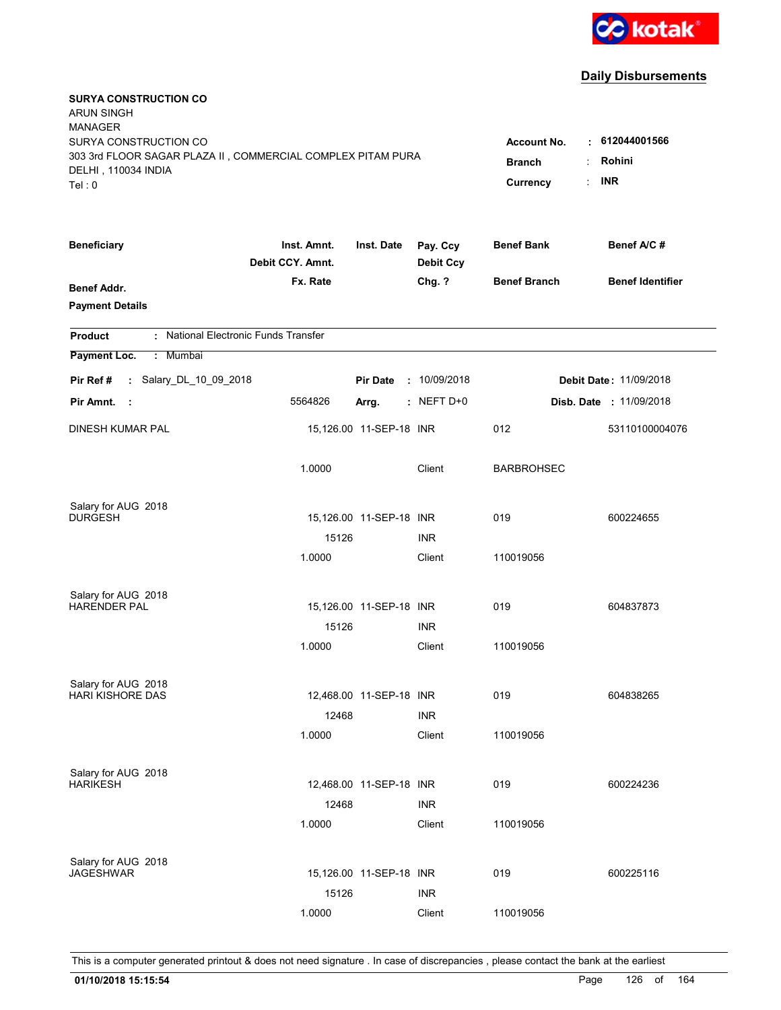

| <b>SURYA CONSTRUCTION CO</b><br><b>ARUN SINGH</b>                                  |                                 |                         |                              |                     |                                |
|------------------------------------------------------------------------------------|---------------------------------|-------------------------|------------------------------|---------------------|--------------------------------|
| <b>MANAGER</b>                                                                     |                                 |                         |                              |                     |                                |
| SURYA CONSTRUCTION CO                                                              |                                 |                         |                              | <b>Account No.</b>  | $\div$ 612044001566            |
| 303 3rd FLOOR SAGAR PLAZA II, COMMERCIAL COMPLEX PITAM PURA<br>DELHI, 110034 INDIA | <b>Branch</b><br>÷              | Rohini                  |                              |                     |                                |
| Tel: 0                                                                             |                                 |                         |                              | ÷<br>Currency       | <b>INR</b>                     |
|                                                                                    |                                 |                         |                              |                     |                                |
| <b>Beneficiary</b>                                                                 | Inst. Amnt.<br>Debit CCY. Amnt. | Inst. Date              | Pay. Ccy<br><b>Debit Ccy</b> | <b>Benef Bank</b>   | Benef A/C#                     |
| Benef Addr.                                                                        | Fx. Rate                        |                         | Chg. ?                       | <b>Benef Branch</b> | <b>Benef Identifier</b>        |
| <b>Payment Details</b>                                                             |                                 |                         |                              |                     |                                |
| : National Electronic Funds Transfer<br><b>Product</b>                             |                                 |                         |                              |                     |                                |
| Payment Loc.<br>: Mumbai                                                           |                                 |                         |                              |                     |                                |
| : Salary_DL_10_09_2018<br>Pir Ref#                                                 |                                 | <b>Pir Date</b>         | : 10/09/2018                 |                     | <b>Debit Date: 11/09/2018</b>  |
| Pir Amnt.<br>$\sim$ 1.                                                             | 5564826                         | Arrg.                   | $:$ NEFT D+0                 |                     | <b>Disb. Date : 11/09/2018</b> |
| DINESH KUMAR PAL                                                                   |                                 | 15,126.00 11-SEP-18 INR |                              | 012                 | 53110100004076                 |
|                                                                                    | 1.0000                          |                         | Client                       | <b>BARBROHSEC</b>   |                                |
| Salary for AUG 2018                                                                |                                 |                         |                              |                     |                                |
| <b>DURGESH</b>                                                                     |                                 | 15,126.00 11-SEP-18 INR |                              | 019                 | 600224655                      |
|                                                                                    | 15126                           |                         | INR                          |                     |                                |
|                                                                                    | 1.0000                          |                         | Client                       | 110019056           |                                |
| Salary for AUG 2018                                                                |                                 |                         |                              |                     |                                |
| <b>HARENDER PAL</b>                                                                |                                 | 15,126.00 11-SEP-18 INR |                              | 019                 | 604837873                      |
|                                                                                    | 15126                           |                         | <b>INR</b>                   |                     |                                |
|                                                                                    | 1.0000                          |                         | Client                       | 110019056           |                                |
| Salary for AUG 2018                                                                |                                 |                         |                              |                     |                                |
| <b>HARI KISHORE DAS</b>                                                            |                                 | 12,468.00 11-SEP-18 INR |                              | 019                 | 604838265                      |
|                                                                                    | 12468                           |                         | <b>INR</b>                   |                     |                                |
|                                                                                    | 1.0000                          |                         | Client                       | 110019056           |                                |
| Salary for AUG 2018                                                                |                                 |                         |                              |                     |                                |
| HARIKESH                                                                           |                                 | 12,468.00 11-SEP-18 INR |                              | 019                 | 600224236                      |
|                                                                                    | 12468                           |                         | <b>INR</b>                   |                     |                                |
|                                                                                    | 1.0000                          |                         | Client                       | 110019056           |                                |
| Salary for AUG 2018                                                                |                                 |                         |                              |                     |                                |
| <b>JAGESHWAR</b>                                                                   |                                 | 15,126.00 11-SEP-18 INR |                              | 019                 | 600225116                      |
|                                                                                    | 15126                           |                         | <b>INR</b>                   |                     |                                |
|                                                                                    | 1.0000                          |                         | Client                       | 110019056           |                                |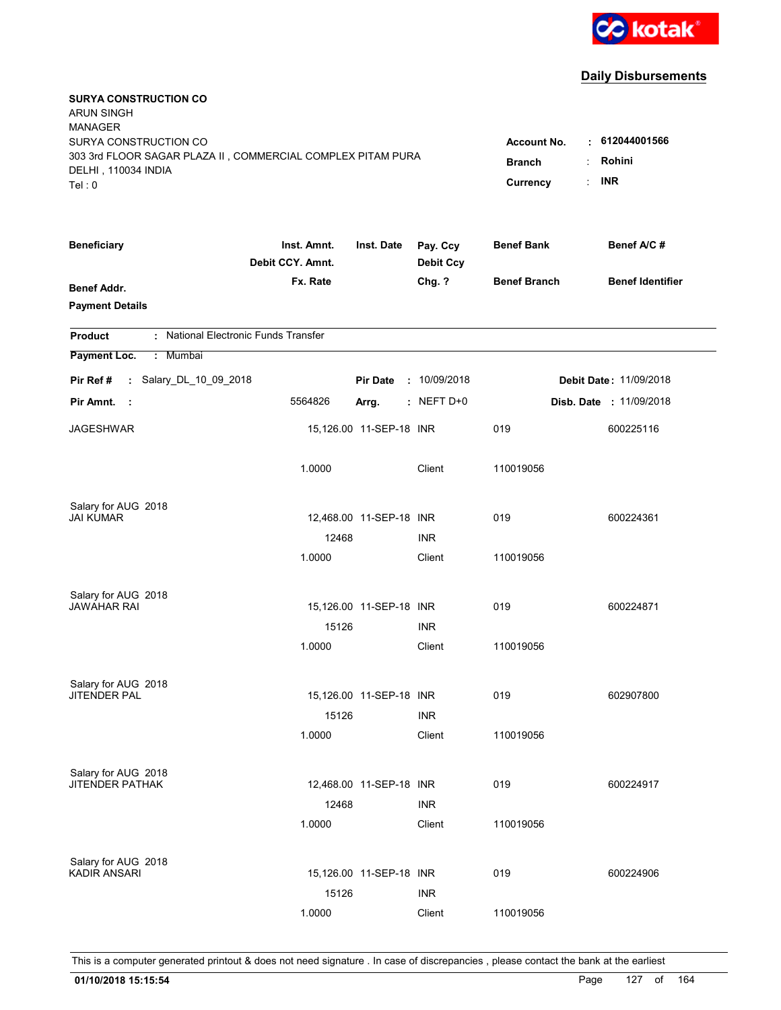

| <b>SURYA CONSTRUCTION CO</b><br><b>ARUN SINGH</b><br><b>MANAGER</b>                                                   |                                                 |                                                         |                              |                     |                                |
|-----------------------------------------------------------------------------------------------------------------------|-------------------------------------------------|---------------------------------------------------------|------------------------------|---------------------|--------------------------------|
| SURYA CONSTRUCTION CO<br>303 3rd FLOOR SAGAR PLAZA II, COMMERCIAL COMPLEX PITAM PURA<br>DELHI, 110034 INDIA<br>Tel: 0 | <b>Account No.</b><br><b>Branch</b><br>Currency | $\cdot$ 612044001566<br>Rohini<br>÷<br><b>INR</b><br>÷. |                              |                     |                                |
| <b>Beneficiary</b>                                                                                                    | Inst. Amnt.<br>Debit CCY. Amnt.                 | Inst. Date                                              | Pay. Ccy<br><b>Debit Ccy</b> | <b>Benef Bank</b>   | Benef A/C#                     |
| <b>Benef Addr.</b><br><b>Payment Details</b>                                                                          | Fx. Rate                                        |                                                         | Chg. ?                       | <b>Benef Branch</b> | <b>Benef Identifier</b>        |
| : National Electronic Funds Transfer<br><b>Product</b>                                                                |                                                 |                                                         |                              |                     |                                |
| Payment Loc.<br>Mumbai<br>÷.                                                                                          |                                                 |                                                         |                              |                     |                                |
| : Salary_DL_10_09_2018<br>Pir Ref #                                                                                   |                                                 | <b>Pir Date</b>                                         | : 10/09/2018                 |                     | <b>Debit Date: 11/09/2018</b>  |
| Pir Amnt.<br>- 11                                                                                                     | 5564826                                         | Arrg.                                                   | $:$ NEFT D+0                 |                     | <b>Disb. Date : 11/09/2018</b> |
| <b>JAGESHWAR</b>                                                                                                      |                                                 | 15,126.00 11-SEP-18 INR                                 |                              | 019                 | 600225116                      |
|                                                                                                                       | 1.0000                                          |                                                         | Client                       | 110019056           |                                |
| Salary for AUG 2018                                                                                                   |                                                 |                                                         |                              |                     |                                |
| JAI KUMAR                                                                                                             | 12468                                           | 12,468.00 11-SEP-18 INR                                 | <b>INR</b>                   | 019                 | 600224361                      |
|                                                                                                                       | 1.0000                                          |                                                         | Client                       | 110019056           |                                |
|                                                                                                                       |                                                 |                                                         |                              |                     |                                |
| Salary for AUG 2018<br><b>JAWAHAR RAI</b>                                                                             |                                                 | 15,126.00 11-SEP-18 INR                                 |                              | 019                 | 600224871                      |
|                                                                                                                       | 15126                                           |                                                         | <b>INR</b>                   |                     |                                |
|                                                                                                                       | 1.0000                                          |                                                         | Client                       | 110019056           |                                |
|                                                                                                                       |                                                 |                                                         |                              |                     |                                |
| Salary for AUG 2018<br><b>JITENDER PAL</b>                                                                            |                                                 | 15,126.00 11-SEP-18 INR                                 |                              | 019                 | 602907800                      |
|                                                                                                                       | 15126                                           |                                                         | <b>INR</b>                   |                     |                                |
|                                                                                                                       | 1.0000                                          |                                                         | Client                       | 110019056           |                                |
|                                                                                                                       |                                                 |                                                         |                              |                     |                                |
| Salary for AUG 2018<br><b>JITENDER PATHAK</b>                                                                         |                                                 |                                                         |                              | 019                 | 600224917                      |
|                                                                                                                       | 12468                                           | 12,468.00 11-SEP-18 INR                                 | <b>INR</b>                   |                     |                                |
|                                                                                                                       | 1.0000                                          |                                                         | Client                       | 110019056           |                                |
|                                                                                                                       |                                                 |                                                         |                              |                     |                                |
| Salary for AUG 2018                                                                                                   |                                                 |                                                         |                              |                     |                                |
| KADIR ANSARI                                                                                                          |                                                 | 15,126.00 11-SEP-18 INR                                 |                              | 019                 | 600224906                      |
|                                                                                                                       | 15126<br>1.0000                                 |                                                         | <b>INR</b><br>Client         | 110019056           |                                |
|                                                                                                                       |                                                 |                                                         |                              |                     |                                |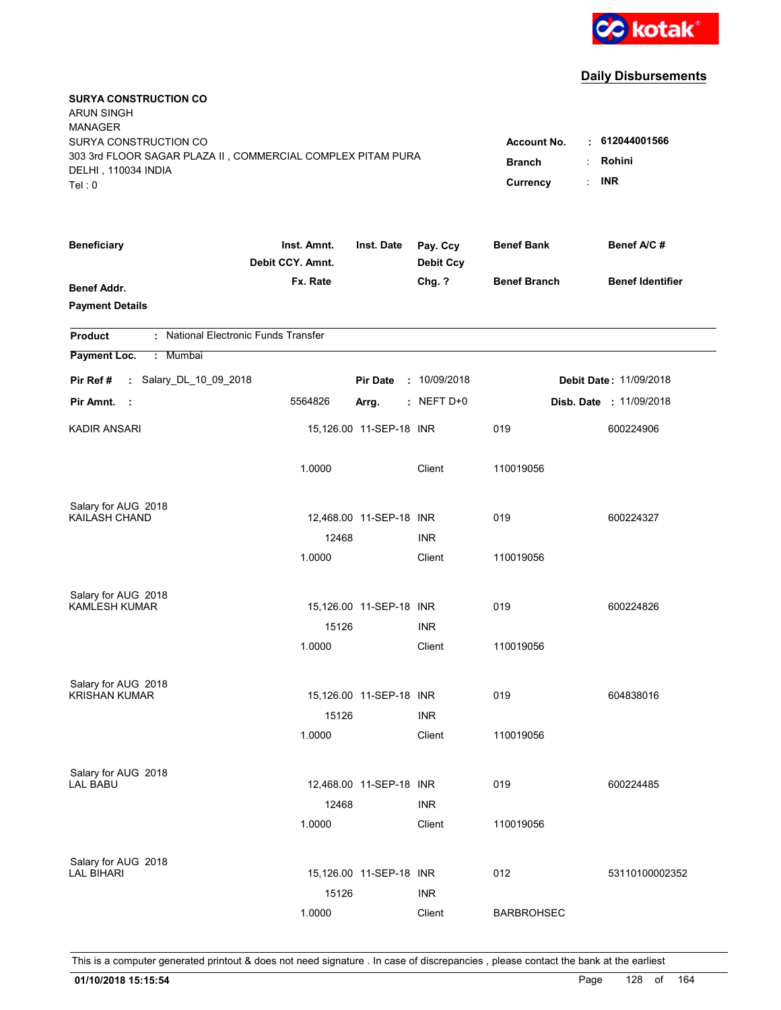

| <b>SURYA CONSTRUCTION CO</b><br><b>ARUN SINGH</b><br><b>MANAGER</b><br>SURYA CONSTRUCTION CO<br>303 3rd FLOOR SAGAR PLAZA II, COMMERCIAL COMPLEX PITAM PURA<br>DELHI, 110034 INDIA<br>Tel: 0 | <b>Account No.</b><br><b>Branch</b><br>Currency | . 612044001566<br>Rohini<br><b>INR</b> |                              |                     |                                |
|----------------------------------------------------------------------------------------------------------------------------------------------------------------------------------------------|-------------------------------------------------|----------------------------------------|------------------------------|---------------------|--------------------------------|
| <b>Beneficiary</b>                                                                                                                                                                           | Inst. Amnt.<br>Debit CCY. Amnt.                 | Inst. Date                             | Pay. Ccy<br><b>Debit Ccy</b> | <b>Benef Bank</b>   | Benef A/C #                    |
| <b>Benef Addr.</b><br><b>Payment Details</b>                                                                                                                                                 | Fx. Rate                                        |                                        | Chg. ?                       | <b>Benef Branch</b> | <b>Benef Identifier</b>        |
| : National Electronic Funds Transfer<br><b>Product</b>                                                                                                                                       |                                                 |                                        |                              |                     |                                |
| Payment Loc.<br>: Mumbai                                                                                                                                                                     |                                                 |                                        |                              |                     |                                |
| : Salary_DL_10_09_2018<br>Pir Ref#                                                                                                                                                           |                                                 | <b>Pir Date</b>                        | : 10/09/2018                 |                     | <b>Debit Date: 11/09/2018</b>  |
| Pir Amnt. :                                                                                                                                                                                  | 5564826                                         | Arrg.                                  | $:$ NEFT D+0                 |                     | <b>Disb. Date : 11/09/2018</b> |
| <b>KADIR ANSARI</b>                                                                                                                                                                          |                                                 | 15,126.00 11-SEP-18 INR                |                              | 019                 | 600224906                      |
|                                                                                                                                                                                              | 1.0000                                          |                                        | Client                       | 110019056           |                                |
| Salary for AUG 2018                                                                                                                                                                          |                                                 |                                        |                              |                     |                                |
| KAILASH CHAND                                                                                                                                                                                |                                                 | 12,468.00 11-SEP-18 INR                |                              | 019                 | 600224327                      |
|                                                                                                                                                                                              | 12468<br>1.0000                                 |                                        | <b>INR</b><br>Client         | 110019056           |                                |
|                                                                                                                                                                                              |                                                 |                                        |                              |                     |                                |
| Salary for AUG 2018                                                                                                                                                                          |                                                 |                                        |                              |                     |                                |
| <b>KAMLESH KUMAR</b>                                                                                                                                                                         |                                                 | 15,126.00 11-SEP-18 INR                |                              | 019                 | 600224826                      |
|                                                                                                                                                                                              | 15126                                           |                                        | <b>INR</b>                   |                     |                                |
|                                                                                                                                                                                              | 1.0000                                          |                                        | Client                       | 110019056           |                                |
| Salary for AUG 2018                                                                                                                                                                          |                                                 |                                        |                              |                     |                                |
| <b>KRISHAN KUMAR</b>                                                                                                                                                                         |                                                 | 15,126.00 11-SEP-18 INR                |                              | 019                 | 604838016                      |
|                                                                                                                                                                                              | 15126                                           |                                        | <b>INR</b>                   |                     |                                |
|                                                                                                                                                                                              | 1.0000                                          |                                        | Client                       | 110019056           |                                |
| Salary for AUG 2018                                                                                                                                                                          |                                                 |                                        |                              |                     |                                |
| <b>LAL BABU</b>                                                                                                                                                                              |                                                 | 12,468.00 11-SEP-18 INR                |                              | 019                 | 600224485                      |
|                                                                                                                                                                                              | 12468                                           |                                        | <b>INR</b>                   |                     |                                |
|                                                                                                                                                                                              | 1.0000                                          |                                        | Client                       | 110019056           |                                |
| Salary for AUG 2018                                                                                                                                                                          |                                                 |                                        |                              |                     |                                |
| <b>LAL BIHARI</b>                                                                                                                                                                            |                                                 | 15,126.00 11-SEP-18 INR                |                              | 012                 | 53110100002352                 |
|                                                                                                                                                                                              | 15126                                           |                                        | <b>INR</b>                   |                     |                                |
|                                                                                                                                                                                              | 1.0000                                          |                                        | Client                       | <b>BARBROHSEC</b>   |                                |
|                                                                                                                                                                                              |                                                 |                                        |                              |                     |                                |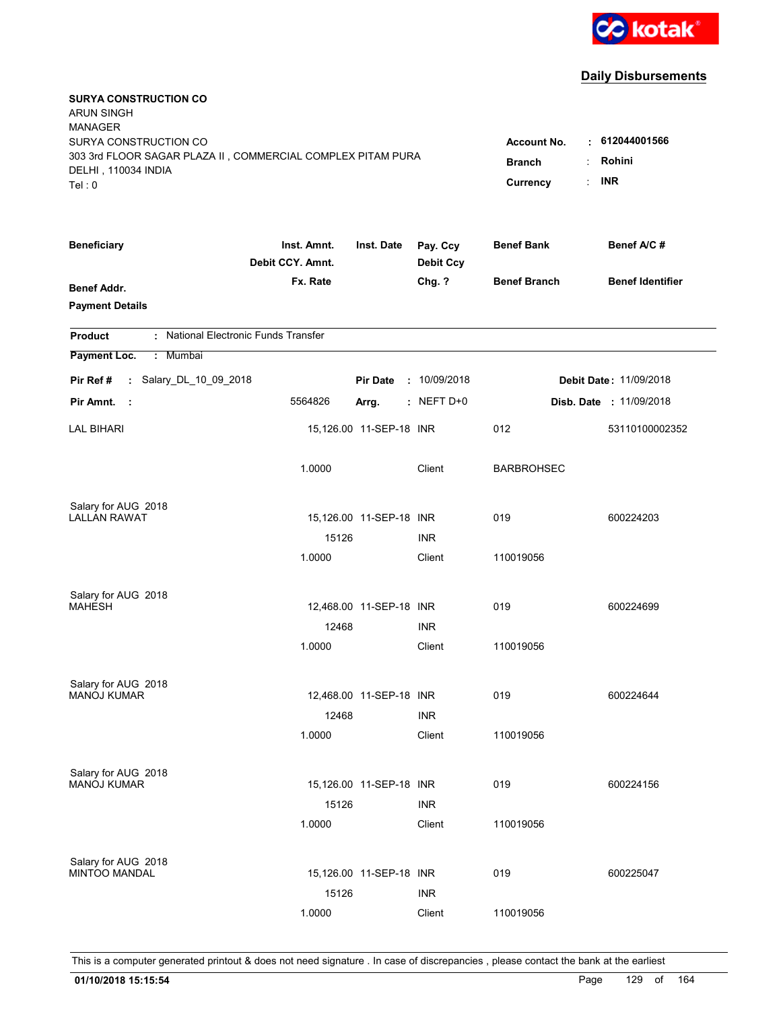

| <b>SURYA CONSTRUCTION CO</b><br><b>ARUN SINGH</b>                                  |                                 |                         |                              |                     |                                |
|------------------------------------------------------------------------------------|---------------------------------|-------------------------|------------------------------|---------------------|--------------------------------|
| <b>MANAGER</b>                                                                     |                                 |                         |                              |                     |                                |
| SURYA CONSTRUCTION CO                                                              |                                 |                         |                              | <b>Account No.</b>  | : 612044001566                 |
| 303 3rd FLOOR SAGAR PLAZA II, COMMERCIAL COMPLEX PITAM PURA<br>DELHI, 110034 INDIA | <b>Branch</b><br>÷              | Rohini                  |                              |                     |                                |
| Tel: 0                                                                             |                                 |                         |                              | ÷<br>Currency       | <b>INR</b>                     |
|                                                                                    |                                 |                         |                              |                     |                                |
| <b>Beneficiary</b>                                                                 | Inst. Amnt.<br>Debit CCY. Amnt. | Inst. Date              | Pay. Ccy<br><b>Debit Ccy</b> | <b>Benef Bank</b>   | Benef A/C#                     |
| Benef Addr.                                                                        | Fx. Rate                        |                         | Chg. ?                       | <b>Benef Branch</b> | <b>Benef Identifier</b>        |
| <b>Payment Details</b>                                                             |                                 |                         |                              |                     |                                |
| : National Electronic Funds Transfer<br><b>Product</b>                             |                                 |                         |                              |                     |                                |
| Payment Loc.<br>: Mumbai                                                           |                                 |                         |                              |                     |                                |
| : Salary_DL_10_09_2018<br>Pir Ref#                                                 |                                 | <b>Pir Date</b>         | : 10/09/2018                 |                     | <b>Debit Date: 11/09/2018</b>  |
| Pir Amnt.<br>$\sim$ 1.                                                             | 5564826                         | Arrg.                   | $:$ NEFT D+0                 |                     | <b>Disb. Date : 11/09/2018</b> |
| <b>LAL BIHARI</b>                                                                  |                                 | 15,126.00 11-SEP-18 INR |                              | 012                 | 53110100002352                 |
|                                                                                    | 1.0000                          |                         | Client                       | <b>BARBROHSEC</b>   |                                |
| Salary for AUG 2018                                                                |                                 |                         |                              |                     |                                |
| <b>LALLAN RAWAT</b>                                                                |                                 | 15,126.00 11-SEP-18 INR |                              | 019                 | 600224203                      |
|                                                                                    | 15126                           |                         | INR.                         |                     |                                |
|                                                                                    | 1.0000                          |                         | Client                       | 110019056           |                                |
| Salary for AUG 2018                                                                |                                 |                         |                              |                     |                                |
| <b>MAHESH</b>                                                                      |                                 | 12,468.00 11-SEP-18 INR |                              | 019                 | 600224699                      |
|                                                                                    | 12468                           |                         | <b>INR</b>                   |                     |                                |
|                                                                                    | 1.0000                          |                         | Client                       | 110019056           |                                |
| Salary for AUG 2018                                                                |                                 |                         |                              |                     |                                |
| <b>MANOJ KUMAR</b>                                                                 |                                 | 12,468.00 11-SEP-18 INR |                              | 019                 | 600224644                      |
|                                                                                    | 12468                           |                         | <b>INR</b>                   |                     |                                |
|                                                                                    | 1.0000                          |                         | Client                       | 110019056           |                                |
| Salary for AUG 2018                                                                |                                 |                         |                              |                     |                                |
| <b>MANOJ KUMAR</b>                                                                 |                                 | 15,126.00 11-SEP-18 INR |                              | 019                 | 600224156                      |
|                                                                                    | 15126                           |                         | <b>INR</b>                   |                     |                                |
|                                                                                    | 1.0000                          |                         | Client                       | 110019056           |                                |
| Salary for AUG 2018                                                                |                                 |                         |                              |                     |                                |
| <b>MINTOO MANDAL</b>                                                               |                                 | 15,126.00 11-SEP-18 INR |                              | 019                 | 600225047                      |
|                                                                                    | 15126                           |                         | <b>INR</b>                   |                     |                                |
|                                                                                    | 1.0000                          |                         | Client                       | 110019056           |                                |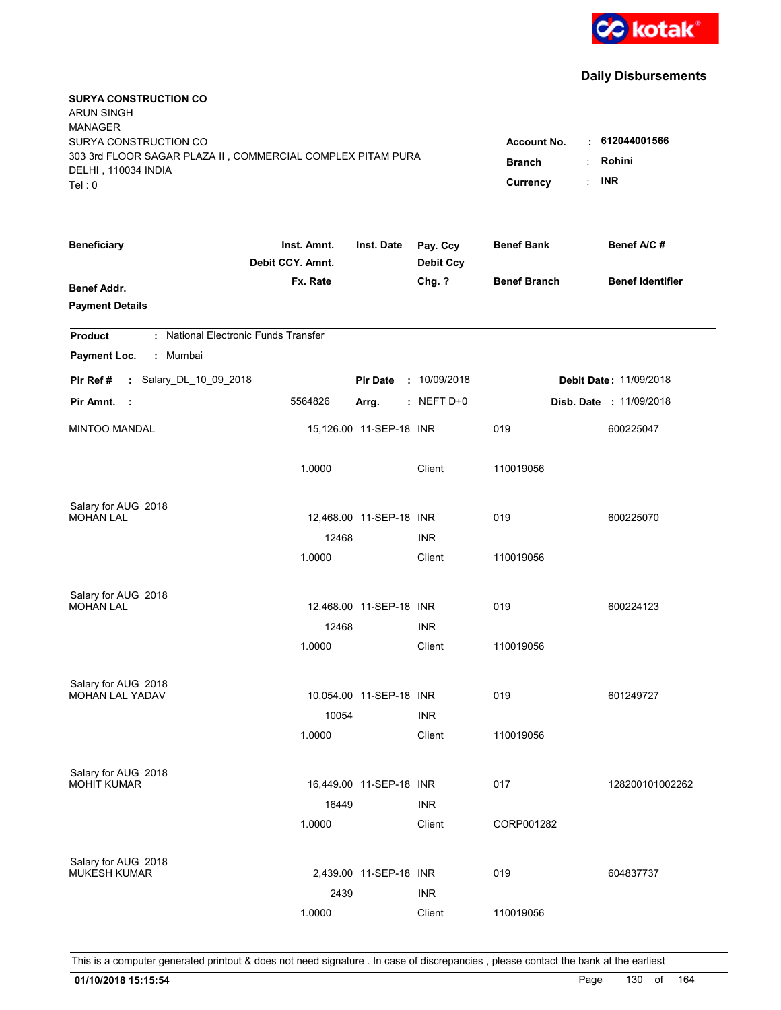

| <b>SURYA CONSTRUCTION CO</b><br><b>ARUN SINGH</b><br><b>MANAGER</b><br>SURYA CONSTRUCTION CO<br>303 3rd FLOOR SAGAR PLAZA II, COMMERCIAL COMPLEX PITAM PURA<br>DELHI, 110034 INDIA<br>Tel: 0 | <b>Account No.</b><br><b>Branch</b><br>Currency | $\cdot$ 612044001566<br>Rohini<br><b>INR</b> |                              |                     |                                |
|----------------------------------------------------------------------------------------------------------------------------------------------------------------------------------------------|-------------------------------------------------|----------------------------------------------|------------------------------|---------------------|--------------------------------|
| <b>Beneficiary</b>                                                                                                                                                                           | Inst. Amnt.<br>Debit CCY. Amnt.                 | Inst. Date                                   | Pay. Ccy<br><b>Debit Ccy</b> | <b>Benef Bank</b>   | Benef A/C #                    |
| <b>Benef Addr.</b><br><b>Payment Details</b>                                                                                                                                                 | Fx. Rate                                        |                                              | Chg. ?                       | <b>Benef Branch</b> | <b>Benef Identifier</b>        |
| : National Electronic Funds Transfer<br><b>Product</b>                                                                                                                                       |                                                 |                                              |                              |                     |                                |
| Payment Loc.<br>: Mumbai                                                                                                                                                                     |                                                 |                                              |                              |                     |                                |
| : Salary_DL_10_09_2018<br>Pir Ref #                                                                                                                                                          |                                                 | <b>Pir Date</b>                              | : 10/09/2018                 |                     | <b>Debit Date: 11/09/2018</b>  |
| Pir Amnt.<br>$\sim$ 1                                                                                                                                                                        | 5564826                                         | Arrg.                                        | $:$ NEFT D+0                 |                     | <b>Disb. Date : 11/09/2018</b> |
| <b>MINTOO MANDAL</b>                                                                                                                                                                         |                                                 | 15,126.00 11-SEP-18 INR                      |                              | 019                 | 600225047                      |
|                                                                                                                                                                                              | 1.0000                                          |                                              | Client                       | 110019056           |                                |
| Salary for AUG 2018<br><b>MOHAN LAL</b>                                                                                                                                                      |                                                 | 12,468.00 11-SEP-18 INR                      |                              | 019                 | 600225070                      |
|                                                                                                                                                                                              | 12468                                           |                                              | <b>INR</b>                   |                     |                                |
|                                                                                                                                                                                              | 1.0000                                          |                                              | Client                       | 110019056           |                                |
| Salary for AUG 2018<br><b>MOHAN LAL</b>                                                                                                                                                      |                                                 | 12,468.00 11-SEP-18 INR                      |                              | 019                 | 600224123                      |
|                                                                                                                                                                                              | 12468                                           |                                              | <b>INR</b>                   |                     |                                |
|                                                                                                                                                                                              | 1.0000                                          |                                              | Client                       | 110019056           |                                |
| Salary for AUG 2018<br>MOHAN LAL YADAV                                                                                                                                                       |                                                 | 10,054.00 11-SEP-18 INR                      |                              | 019                 | 601249727                      |
|                                                                                                                                                                                              | 10054                                           |                                              | <b>INR</b>                   |                     |                                |
|                                                                                                                                                                                              | 1.0000                                          |                                              | Client                       | 110019056           |                                |
| Salary for AUG 2018<br><b>MOHIT KUMAR</b>                                                                                                                                                    | 16449                                           | 16,449.00 11-SEP-18 INR                      | <b>INR</b>                   | 017                 | 128200101002262                |
|                                                                                                                                                                                              | 1.0000                                          |                                              | Client                       | CORP001282          |                                |
| Salary for AUG 2018<br><b>MUKESH KUMAR</b>                                                                                                                                                   | 2439                                            | 2,439.00 11-SEP-18 INR                       | <b>INR</b>                   | 019                 | 604837737                      |
|                                                                                                                                                                                              | 1.0000                                          |                                              | Client                       | 110019056           |                                |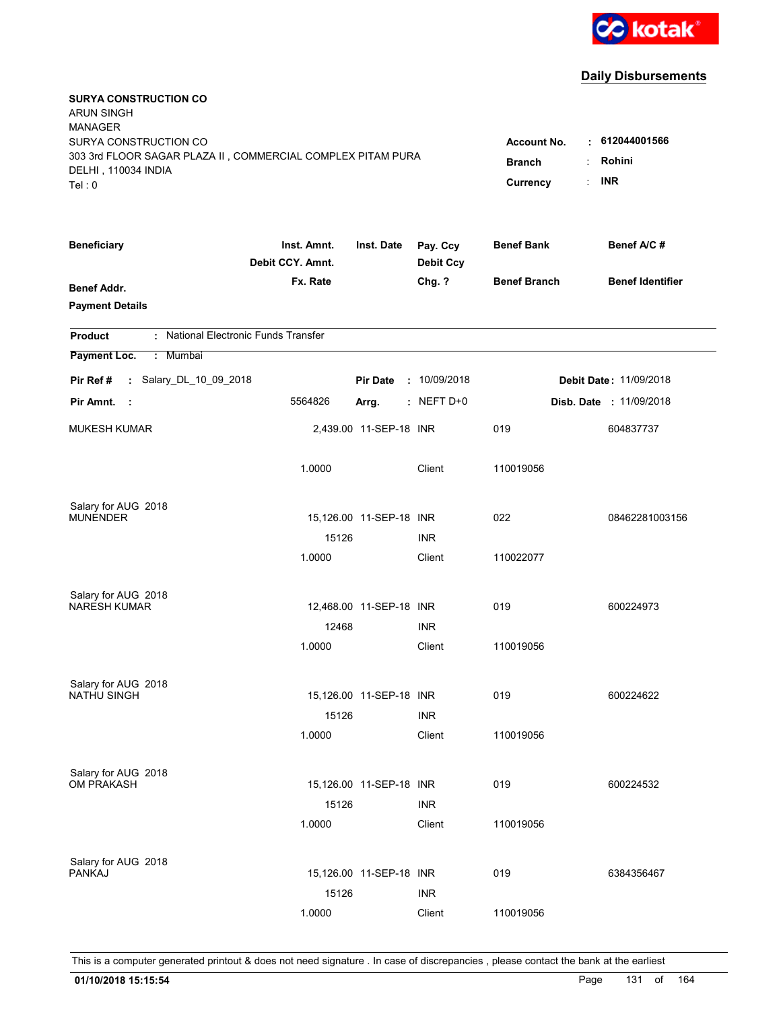

| <b>SURYA CONSTRUCTION CO</b><br><b>ARUN SINGH</b>                                  |                                 |                         |                              |                     |                               |
|------------------------------------------------------------------------------------|---------------------------------|-------------------------|------------------------------|---------------------|-------------------------------|
| <b>MANAGER</b>                                                                     |                                 |                         |                              |                     |                               |
| SURYA CONSTRUCTION CO                                                              |                                 |                         |                              | <b>Account No.</b>  | $\cdot$ 612044001566          |
| 303 3rd FLOOR SAGAR PLAZA II, COMMERCIAL COMPLEX PITAM PURA<br>DELHI, 110034 INDIA | <b>Branch</b>                   | Rohini<br>÷             |                              |                     |                               |
| Tel: 0                                                                             |                                 |                         |                              | Currency            | <b>INR</b><br>÷               |
|                                                                                    |                                 |                         |                              |                     |                               |
| <b>Beneficiary</b>                                                                 | Inst. Amnt.<br>Debit CCY. Amnt. | Inst. Date              | Pay. Ccy<br><b>Debit Ccy</b> | <b>Benef Bank</b>   | Benef A/C#                    |
| Benef Addr.                                                                        | Fx. Rate                        |                         | Chg. ?                       | <b>Benef Branch</b> | <b>Benef Identifier</b>       |
| <b>Payment Details</b>                                                             |                                 |                         |                              |                     |                               |
| : National Electronic Funds Transfer<br><b>Product</b>                             |                                 |                         |                              |                     |                               |
| Payment Loc.<br>: Mumbai                                                           |                                 |                         |                              |                     |                               |
| : Salary_DL_10_09_2018<br>Pir Ref#                                                 |                                 | <b>Pir Date</b>         | : 10/09/2018                 |                     | <b>Debit Date: 11/09/2018</b> |
| Pir Amnt.<br>$\sim$ 1.                                                             | 5564826                         | Arrg.                   | $:$ NEFT D+0                 |                     | Disb. Date : 11/09/2018       |
| <b>MUKESH KUMAR</b>                                                                |                                 | 2,439.00 11-SEP-18 INR  |                              | 019                 | 604837737                     |
|                                                                                    | 1.0000                          |                         | Client                       | 110019056           |                               |
| Salary for AUG 2018                                                                |                                 |                         |                              |                     |                               |
| <b>MUNENDER</b>                                                                    |                                 | 15,126.00 11-SEP-18 INR |                              | 022                 | 08462281003156                |
|                                                                                    | 15126                           |                         | INR.                         |                     |                               |
|                                                                                    | 1.0000                          |                         | Client                       | 110022077           |                               |
| Salary for AUG 2018                                                                |                                 |                         |                              |                     |                               |
| <b>NARESH KUMAR</b>                                                                |                                 | 12,468.00 11-SEP-18 INR |                              | 019                 | 600224973                     |
|                                                                                    | 12468                           |                         | <b>INR</b>                   |                     |                               |
|                                                                                    | 1.0000                          |                         | Client                       | 110019056           |                               |
| Salary for AUG 2018                                                                |                                 |                         |                              |                     |                               |
| <b>NATHU SINGH</b>                                                                 |                                 | 15,126.00 11-SEP-18 INR |                              | 019                 | 600224622                     |
|                                                                                    | 15126                           |                         | <b>INR</b>                   |                     |                               |
|                                                                                    | 1.0000                          |                         | Client                       | 110019056           |                               |
| Salary for AUG 2018                                                                |                                 |                         |                              |                     |                               |
| OM PRAKASH                                                                         |                                 | 15,126.00 11-SEP-18 INR |                              | 019                 | 600224532                     |
|                                                                                    | 15126                           |                         | <b>INR</b>                   |                     |                               |
|                                                                                    | 1.0000                          |                         | Client                       | 110019056           |                               |
| Salary for AUG 2018                                                                |                                 |                         |                              |                     |                               |
| <b>PANKAJ</b>                                                                      |                                 | 15,126.00 11-SEP-18 INR |                              | 019                 | 6384356467                    |
|                                                                                    | 15126                           |                         | <b>INR</b>                   |                     |                               |
|                                                                                    | 1.0000                          |                         | Client                       | 110019056           |                               |
|                                                                                    |                                 |                         |                              |                     |                               |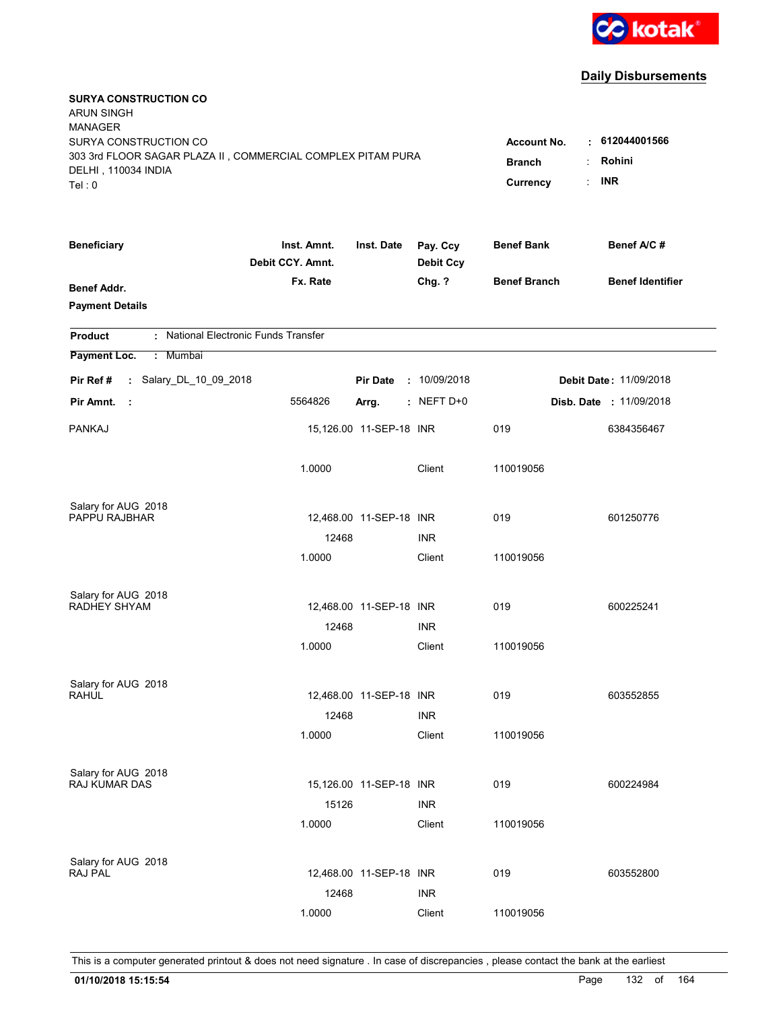

| <b>SURYA CONSTRUCTION CO</b><br><b>ARUN SINGH</b><br><b>MANAGER</b><br>SURYA CONSTRUCTION CO<br>303 3rd FLOOR SAGAR PLAZA II, COMMERCIAL COMPLEX PITAM PURA<br>DELHI, 110034 INDIA<br>Tel: 0 | <b>Account No.</b><br><b>Branch</b><br>Currency | 612044001566<br>٠<br>Rohini<br><b>INR</b><br>÷. |                              |                     |                               |
|----------------------------------------------------------------------------------------------------------------------------------------------------------------------------------------------|-------------------------------------------------|-------------------------------------------------|------------------------------|---------------------|-------------------------------|
| <b>Beneficiary</b>                                                                                                                                                                           | Inst. Amnt.<br>Debit CCY. Amnt.                 | Inst. Date                                      | Pay. Ccy<br><b>Debit Ccy</b> | <b>Benef Bank</b>   | Benef A/C#                    |
| Benef Addr.<br><b>Payment Details</b>                                                                                                                                                        | Fx. Rate                                        |                                                 | Chg. ?                       | <b>Benef Branch</b> | <b>Benef Identifier</b>       |
| : National Electronic Funds Transfer<br><b>Product</b>                                                                                                                                       |                                                 |                                                 |                              |                     |                               |
| Payment Loc.<br>: Mumbai                                                                                                                                                                     |                                                 |                                                 |                              |                     |                               |
| : Salary_DL_10_09_2018<br>Pir Ref#                                                                                                                                                           |                                                 | <b>Pir Date</b>                                 | : 10/09/2018                 |                     | <b>Debit Date: 11/09/2018</b> |
| Pir Amnt.<br>- 1                                                                                                                                                                             | 5564826                                         | Arrg.                                           | $:$ NEFT D+0                 |                     | Disb. Date : 11/09/2018       |
| <b>PANKAJ</b>                                                                                                                                                                                |                                                 | 15,126.00 11-SEP-18 INR                         |                              | 019                 | 6384356467                    |
|                                                                                                                                                                                              | 1.0000                                          |                                                 | Client                       | 110019056           |                               |
| Salary for AUG 2018                                                                                                                                                                          |                                                 |                                                 |                              |                     |                               |
| <b>PAPPU RAJBHAR</b>                                                                                                                                                                         |                                                 | 12,468.00 11-SEP-18 INR                         |                              | 019                 | 601250776                     |
|                                                                                                                                                                                              | 12468                                           |                                                 | <b>INR</b>                   |                     |                               |
|                                                                                                                                                                                              | 1.0000                                          |                                                 | Client                       | 110019056           |                               |
| Salary for AUG 2018                                                                                                                                                                          |                                                 |                                                 |                              |                     |                               |
| RADHEY SHYAM                                                                                                                                                                                 |                                                 | 12,468.00 11-SEP-18 INR                         |                              | 019                 | 600225241                     |
|                                                                                                                                                                                              | 12468                                           |                                                 | <b>INR</b>                   |                     |                               |
|                                                                                                                                                                                              | 1.0000                                          |                                                 | Client                       | 110019056           |                               |
| Salary for AUG 2018                                                                                                                                                                          |                                                 |                                                 |                              |                     |                               |
| <b>RAHUL</b>                                                                                                                                                                                 |                                                 | 12,468.00 11-SEP-18 INR                         |                              | 019                 | 603552855                     |
|                                                                                                                                                                                              | 12468                                           |                                                 | <b>INR</b>                   |                     |                               |
|                                                                                                                                                                                              | 1.0000                                          |                                                 | Client                       | 110019056           |                               |
| Salary for AUG 2018                                                                                                                                                                          |                                                 |                                                 |                              |                     |                               |
| RAJ KUMAR DAS                                                                                                                                                                                |                                                 | 15,126.00 11-SEP-18 INR                         |                              | 019                 | 600224984                     |
|                                                                                                                                                                                              | 15126                                           |                                                 | <b>INR</b>                   |                     |                               |
|                                                                                                                                                                                              | 1.0000                                          |                                                 | Client                       | 110019056           |                               |
|                                                                                                                                                                                              |                                                 |                                                 |                              |                     |                               |
| Salary for AUG 2018<br><b>RAJ PAL</b>                                                                                                                                                        |                                                 | 12,468.00 11-SEP-18 INR                         |                              | 019                 | 603552800                     |
|                                                                                                                                                                                              | 12468                                           |                                                 | <b>INR</b>                   |                     |                               |
|                                                                                                                                                                                              | 1.0000                                          |                                                 | Client                       | 110019056           |                               |
|                                                                                                                                                                                              |                                                 |                                                 |                              |                     |                               |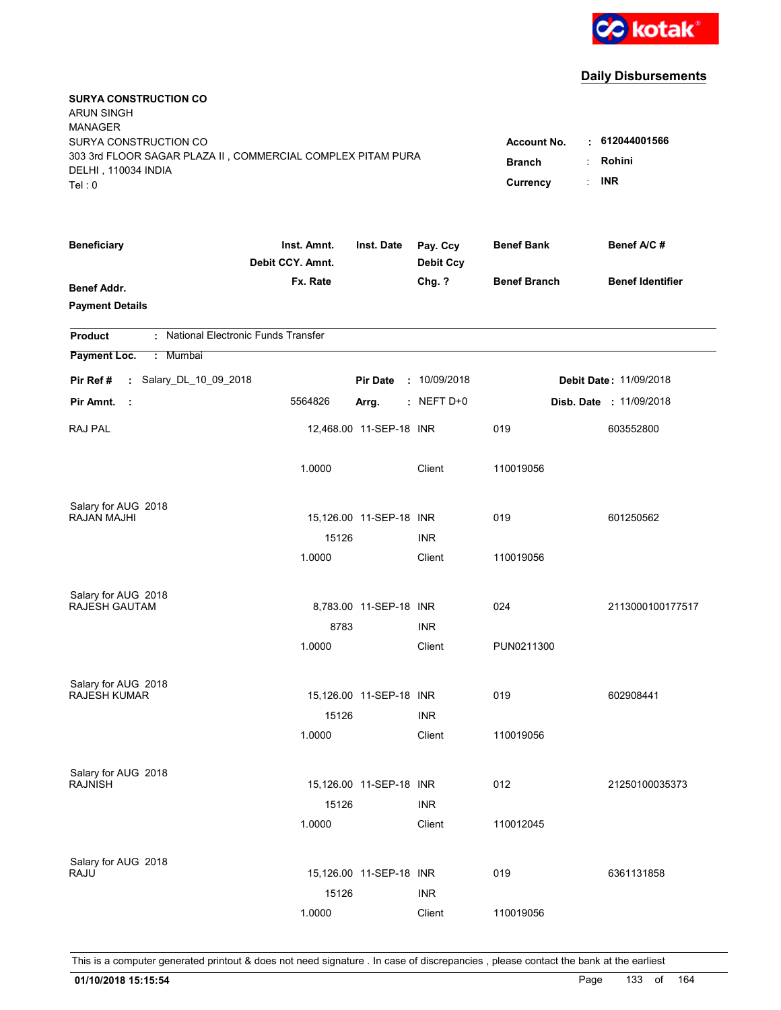

| <b>SURYA CONSTRUCTION CO</b><br><b>ARUN SINGH</b><br><b>MANAGER</b><br>SURYA CONSTRUCTION CO |                                     |                         |                              | <b>Account No.</b>  | 612044001566<br>t.            |
|----------------------------------------------------------------------------------------------|-------------------------------------|-------------------------|------------------------------|---------------------|-------------------------------|
| 303 3rd FLOOR SAGAR PLAZA II, COMMERCIAL COMPLEX PITAM PURA<br>DELHI, 110034 INDIA<br>Tel: 0 | <b>Branch</b><br>÷<br>÷<br>Currency | Rohini<br><b>INR</b>    |                              |                     |                               |
| <b>Beneficiary</b>                                                                           | Inst. Amnt.<br>Debit CCY. Amnt.     | Inst. Date              | Pay. Ccy<br><b>Debit Ccy</b> | <b>Benef Bank</b>   | Benef A/C#                    |
| <b>Benef Addr.</b><br><b>Payment Details</b>                                                 | Fx. Rate                            |                         | Chg. ?                       | <b>Benef Branch</b> | <b>Benef Identifier</b>       |
| : National Electronic Funds Transfer<br><b>Product</b>                                       |                                     |                         |                              |                     |                               |
| Payment Loc.<br>Mumbai<br>÷.                                                                 |                                     |                         |                              |                     |                               |
| : Salary_DL_10_09_2018<br>Pir Ref #                                                          |                                     | <b>Pir Date</b>         | : 10/09/2018                 |                     | <b>Debit Date: 11/09/2018</b> |
| Pir Amnt.<br>- 11                                                                            | 5564826                             | Arrg.                   | $:$ NEFT D+0                 |                     | Disb. Date : 11/09/2018       |
| <b>RAJ PAL</b>                                                                               |                                     | 12,468.00 11-SEP-18 INR |                              | 019                 | 603552800                     |
|                                                                                              | 1.0000                              |                         | Client                       | 110019056           |                               |
| Salary for AUG 2018                                                                          |                                     |                         |                              |                     |                               |
| RAJAN MAJHI                                                                                  | 15126                               | 15,126.00 11-SEP-18 INR | <b>INR</b>                   | 019                 | 601250562                     |
|                                                                                              | 1.0000                              |                         | Client                       | 110019056           |                               |
| Salary for AUG 2018                                                                          |                                     |                         |                              |                     |                               |
| <b>RAJESH GAUTAM</b>                                                                         | 8783                                | 8,783.00 11-SEP-18 INR  | <b>INR</b>                   | 024                 | 2113000100177517              |
|                                                                                              | 1.0000                              |                         | Client                       | PUN0211300          |                               |
| Salary for AUG 2018                                                                          |                                     |                         |                              |                     |                               |
| <b>RAJESH KUMAR</b>                                                                          |                                     | 15,126.00 11-SEP-18 INR |                              | 019                 | 602908441                     |
|                                                                                              | 15126                               |                         | <b>INR</b>                   |                     |                               |
|                                                                                              | 1.0000                              |                         | Client                       | 110019056           |                               |
| Salary for AUG 2018                                                                          |                                     |                         |                              |                     |                               |
| <b>RAJNISH</b>                                                                               |                                     | 15,126.00 11-SEP-18 INR |                              | 012                 | 21250100035373                |
|                                                                                              | 15126<br>1.0000                     |                         | <b>INR</b><br>Client         | 110012045           |                               |
| Salary for AUG 2018                                                                          |                                     |                         |                              |                     |                               |
| RAJU                                                                                         | 15126                               | 15,126.00 11-SEP-18 INR | <b>INR</b>                   | 019                 | 6361131858                    |
|                                                                                              | 1.0000                              |                         | Client                       | 110019056           |                               |
|                                                                                              |                                     |                         |                              |                     |                               |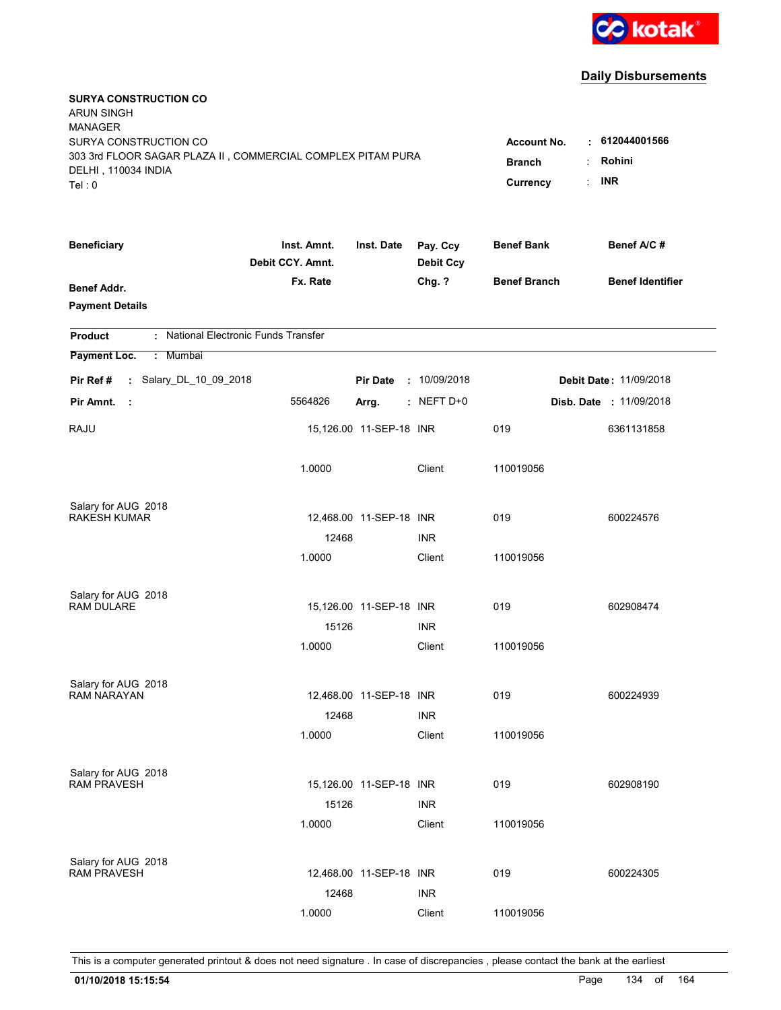

| <b>SURYA CONSTRUCTION CO</b><br><b>ARUN SINGH</b><br><b>MANAGER</b><br>SURYA CONSTRUCTION CO<br>303 3rd FLOOR SAGAR PLAZA II, COMMERCIAL COMPLEX PITAM PURA<br>DELHI, 110034 INDIA<br>Tel: 0 | <b>Account No.</b><br><b>Branch</b><br>Currency | 612044001566<br>٠<br>Rohini<br><b>INR</b><br>÷. |                              |                     |                               |
|----------------------------------------------------------------------------------------------------------------------------------------------------------------------------------------------|-------------------------------------------------|-------------------------------------------------|------------------------------|---------------------|-------------------------------|
| <b>Beneficiary</b>                                                                                                                                                                           | Inst. Amnt.<br>Debit CCY. Amnt.                 | Inst. Date                                      | Pay. Ccy<br><b>Debit Ccy</b> | <b>Benef Bank</b>   | Benef A/C#                    |
| Benef Addr.<br><b>Payment Details</b>                                                                                                                                                        | Fx. Rate                                        |                                                 | Chg. ?                       | <b>Benef Branch</b> | <b>Benef Identifier</b>       |
| : National Electronic Funds Transfer<br><b>Product</b>                                                                                                                                       |                                                 |                                                 |                              |                     |                               |
| Payment Loc.<br>: Mumbai                                                                                                                                                                     |                                                 |                                                 |                              |                     |                               |
| : Salary_DL_10_09_2018<br>Pir Ref#                                                                                                                                                           |                                                 | <b>Pir Date</b>                                 | : 10/09/2018                 |                     | <b>Debit Date: 11/09/2018</b> |
| Pir Amnt.<br>- 1                                                                                                                                                                             | 5564826                                         | Arrg.                                           | : NEFT D+0                   |                     | Disb. Date : 11/09/2018       |
| RAJU                                                                                                                                                                                         |                                                 | 15,126.00 11-SEP-18 INR                         |                              | 019                 | 6361131858                    |
|                                                                                                                                                                                              | 1.0000                                          |                                                 | Client                       | 110019056           |                               |
| Salary for AUG 2018                                                                                                                                                                          |                                                 |                                                 |                              |                     |                               |
| <b>RAKESH KUMAR</b>                                                                                                                                                                          |                                                 | 12,468.00 11-SEP-18 INR                         |                              | 019                 | 600224576                     |
|                                                                                                                                                                                              | 12468<br>1.0000                                 |                                                 | <b>INR</b><br>Client         | 110019056           |                               |
|                                                                                                                                                                                              |                                                 |                                                 |                              |                     |                               |
| Salary for AUG 2018                                                                                                                                                                          |                                                 |                                                 |                              |                     |                               |
| <b>RAM DULARE</b>                                                                                                                                                                            |                                                 | 15,126.00 11-SEP-18 INR                         |                              | 019                 | 602908474                     |
|                                                                                                                                                                                              | 15126                                           |                                                 | <b>INR</b>                   |                     |                               |
|                                                                                                                                                                                              | 1.0000                                          |                                                 | Client                       | 110019056           |                               |
| Salary for AUG 2018                                                                                                                                                                          |                                                 |                                                 |                              |                     |                               |
| <b>RAM NARAYAN</b>                                                                                                                                                                           |                                                 | 12,468.00 11-SEP-18 INR                         |                              | 019                 | 600224939                     |
|                                                                                                                                                                                              | 12468                                           |                                                 | <b>INR</b>                   |                     |                               |
|                                                                                                                                                                                              | 1.0000                                          |                                                 | Client                       | 110019056           |                               |
| Salary for AUG 2018                                                                                                                                                                          |                                                 |                                                 |                              |                     |                               |
| <b>RAM PRAVESH</b>                                                                                                                                                                           |                                                 | 15,126.00 11-SEP-18 INR                         |                              | 019                 | 602908190                     |
|                                                                                                                                                                                              | 15126                                           |                                                 | <b>INR</b>                   |                     |                               |
|                                                                                                                                                                                              | 1.0000                                          |                                                 | Client                       | 110019056           |                               |
| Salary for AUG 2018                                                                                                                                                                          |                                                 |                                                 |                              |                     |                               |
| <b>RAM PRAVESH</b>                                                                                                                                                                           |                                                 | 12,468.00 11-SEP-18 INR                         |                              | 019                 | 600224305                     |
|                                                                                                                                                                                              | 12468                                           |                                                 | <b>INR</b>                   |                     |                               |
|                                                                                                                                                                                              | 1.0000                                          |                                                 | Client                       | 110019056           |                               |
|                                                                                                                                                                                              |                                                 |                                                 |                              |                     |                               |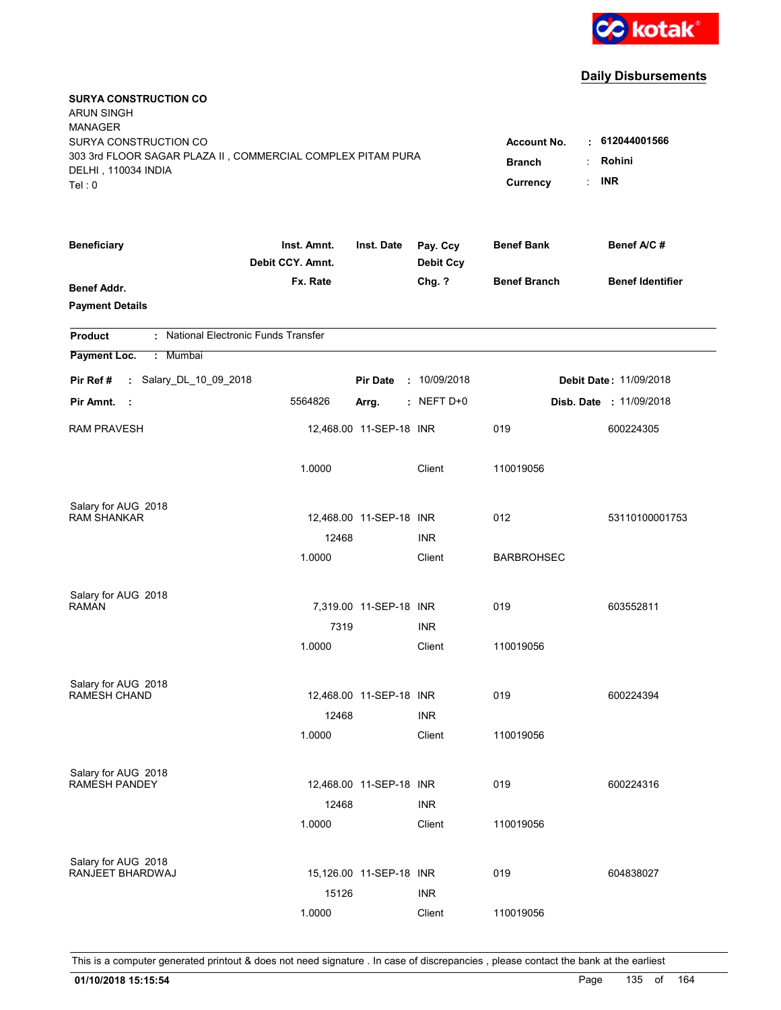

| <b>SURYA CONSTRUCTION CO</b><br><b>ARUN SINGH</b>                                  |                                 |                         |                              |                                  |                               |
|------------------------------------------------------------------------------------|---------------------------------|-------------------------|------------------------------|----------------------------------|-------------------------------|
| <b>MANAGER</b>                                                                     |                                 |                         |                              |                                  |                               |
| SURYA CONSTRUCTION CO                                                              |                                 |                         |                              | <b>Account No.</b>               | : 612044001566                |
| 303 3rd FLOOR SAGAR PLAZA II, COMMERCIAL COMPLEX PITAM PURA<br>DELHI, 110034 INDIA | <b>Branch</b>                   | Rohini                  |                              |                                  |                               |
| Tel: 0                                                                             |                                 |                         |                              | $\ddot{\phantom{a}}$<br>Currency | <b>INR</b>                    |
|                                                                                    |                                 |                         |                              |                                  |                               |
| <b>Beneficiary</b>                                                                 | Inst. Amnt.<br>Debit CCY. Amnt. | Inst. Date              | Pay. Ccy<br><b>Debit Ccy</b> | <b>Benef Bank</b>                | Benef A/C#                    |
| Benef Addr.                                                                        | Fx. Rate                        |                         | Chg. ?                       | <b>Benef Branch</b>              | <b>Benef Identifier</b>       |
| <b>Payment Details</b>                                                             |                                 |                         |                              |                                  |                               |
| : National Electronic Funds Transfer<br><b>Product</b>                             |                                 |                         |                              |                                  |                               |
| Payment Loc.<br>: Mumbai                                                           |                                 |                         |                              |                                  |                               |
| : Salary_DL_10_09_2018<br>Pir Ref#                                                 |                                 | <b>Pir Date</b>         | : 10/09/2018                 |                                  | <b>Debit Date: 11/09/2018</b> |
| Pir Amnt.<br>- 1                                                                   | 5564826                         | Arrg.                   | : NEFT D+0                   |                                  | Disb. Date : 11/09/2018       |
| <b>RAM PRAVESH</b>                                                                 |                                 | 12,468.00 11-SEP-18 INR |                              | 019                              | 600224305                     |
|                                                                                    | 1.0000                          |                         | Client                       | 110019056                        |                               |
| Salary for AUG 2018                                                                |                                 |                         |                              |                                  |                               |
| <b>RAM SHANKAR</b>                                                                 |                                 | 12,468.00 11-SEP-18 INR |                              | 012                              | 53110100001753                |
|                                                                                    | 12468                           |                         | <b>INR</b>                   |                                  |                               |
|                                                                                    | 1.0000                          |                         | Client                       | <b>BARBROHSEC</b>                |                               |
| Salary for AUG 2018                                                                |                                 |                         |                              |                                  |                               |
| <b>RAMAN</b>                                                                       |                                 | 7,319.00 11-SEP-18 INR  |                              | 019                              | 603552811                     |
|                                                                                    | 7319                            |                         | <b>INR</b>                   |                                  |                               |
|                                                                                    | 1.0000                          |                         | Client                       | 110019056                        |                               |
| Salary for AUG 2018                                                                |                                 |                         |                              |                                  |                               |
| <b>RAMESH CHAND</b>                                                                |                                 | 12,468.00 11-SEP-18 INR |                              | 019                              | 600224394                     |
|                                                                                    | 12468                           |                         | <b>INR</b>                   |                                  |                               |
|                                                                                    | 1.0000                          |                         | Client                       | 110019056                        |                               |
| Salary for AUG 2018                                                                |                                 |                         |                              |                                  |                               |
| <b>RAMESH PANDEY</b>                                                               |                                 | 12,468.00 11-SEP-18 INR |                              | 019                              | 600224316                     |
|                                                                                    | 12468                           |                         | <b>INR</b>                   |                                  |                               |
|                                                                                    | 1.0000                          |                         | Client                       | 110019056                        |                               |
| Salary for AUG 2018                                                                |                                 |                         |                              |                                  |                               |
| RANJEET BHARDWAJ                                                                   |                                 | 15,126.00 11-SEP-18 INR |                              | 019                              | 604838027                     |
|                                                                                    | 15126                           |                         | <b>INR</b>                   |                                  |                               |
|                                                                                    | 1.0000                          |                         | Client                       | 110019056                        |                               |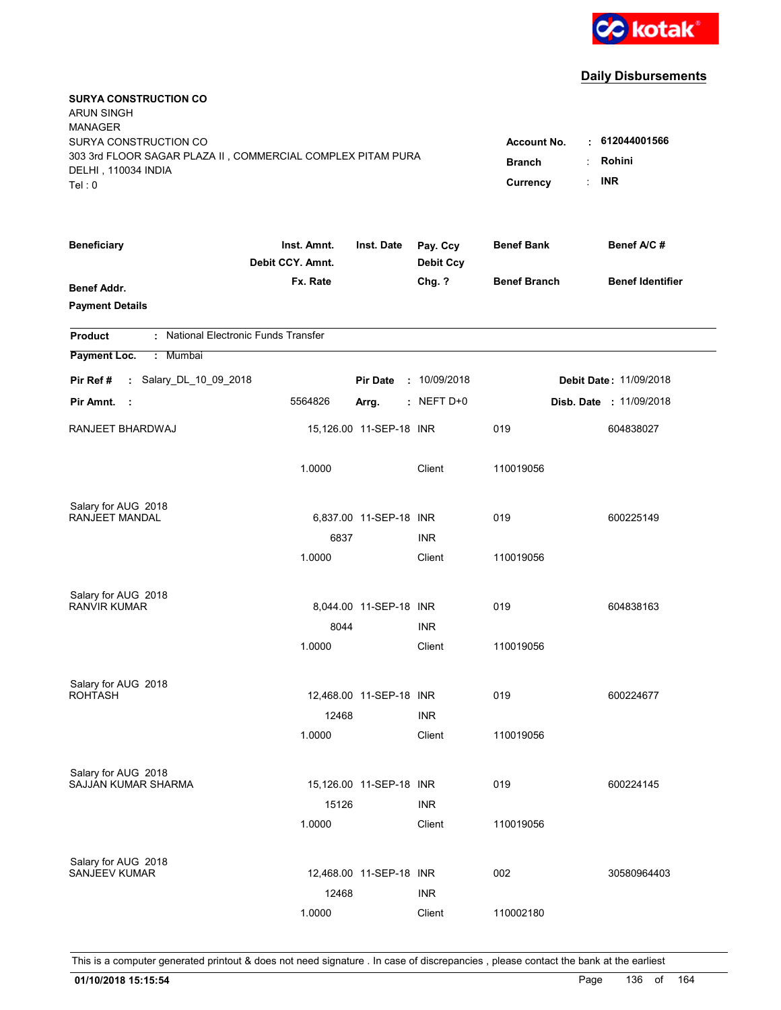

| <b>SURYA CONSTRUCTION CO</b><br><b>ARUN SINGH</b>           |                                 |                         |                              |                     |                               |
|-------------------------------------------------------------|---------------------------------|-------------------------|------------------------------|---------------------|-------------------------------|
| <b>MANAGER</b>                                              |                                 |                         |                              |                     |                               |
| SURYA CONSTRUCTION CO                                       |                                 |                         |                              | <b>Account No.</b>  | 612044001566<br>t.            |
| 303 3rd FLOOR SAGAR PLAZA II, COMMERCIAL COMPLEX PITAM PURA | <b>Branch</b>                   | Rohini<br>÷             |                              |                     |                               |
| DELHI, 110034 INDIA<br>Tel: 0                               |                                 |                         |                              | Currency            | <b>INR</b><br>÷               |
|                                                             |                                 |                         |                              |                     |                               |
| <b>Beneficiary</b>                                          | Inst. Amnt.<br>Debit CCY. Amnt. | Inst. Date              | Pay. Ccy<br><b>Debit Ccy</b> | <b>Benef Bank</b>   | Benef A/C#                    |
| <b>Benef Addr.</b>                                          | Fx. Rate                        |                         | Chg. ?                       | <b>Benef Branch</b> | <b>Benef Identifier</b>       |
| <b>Payment Details</b>                                      |                                 |                         |                              |                     |                               |
| : National Electronic Funds Transfer<br><b>Product</b>      |                                 |                         |                              |                     |                               |
| Payment Loc.<br>Mumbai<br>÷.                                |                                 |                         |                              |                     |                               |
| : Salary_DL_10_09_2018<br>Pir Ref#                          |                                 | <b>Pir Date</b>         | : 10/09/2018                 |                     | <b>Debit Date: 11/09/2018</b> |
| Pir Amnt.<br>- 11                                           | 5564826                         | Arrg.                   | $:$ NEFT D+0                 |                     | Disb. Date : 11/09/2018       |
| RANJEET BHARDWAJ                                            |                                 | 15,126.00 11-SEP-18 INR |                              | 019                 | 604838027                     |
|                                                             | 1.0000                          |                         | Client                       | 110019056           |                               |
| Salary for AUG 2018                                         |                                 |                         |                              |                     |                               |
| RANJEET MANDAL                                              |                                 | 6,837.00 11-SEP-18 INR  |                              | 019                 | 600225149                     |
|                                                             | 6837                            |                         | <b>INR</b>                   |                     |                               |
|                                                             | 1.0000                          |                         | Client                       | 110019056           |                               |
| Salary for AUG 2018                                         |                                 |                         |                              |                     |                               |
| <b>RANVIR KUMAR</b>                                         |                                 | 8,044.00 11-SEP-18 INR  |                              | 019                 | 604838163                     |
|                                                             | 8044                            |                         | <b>INR</b>                   |                     |                               |
|                                                             | 1.0000                          |                         | Client                       | 110019056           |                               |
| Salary for AUG 2018                                         |                                 |                         |                              |                     |                               |
| <b>ROHTASH</b>                                              |                                 | 12,468.00 11-SEP-18 INR |                              | 019                 | 600224677                     |
|                                                             | 12468                           |                         | <b>INR</b>                   |                     |                               |
|                                                             | 1.0000                          |                         | Client                       | 110019056           |                               |
| Salary for AUG 2018                                         |                                 |                         |                              |                     |                               |
| SAJJAN KUMAR SHARMA                                         |                                 | 15,126.00 11-SEP-18 INR |                              | 019                 | 600224145                     |
|                                                             | 15126                           |                         | <b>INR</b>                   |                     |                               |
|                                                             | 1.0000                          |                         | Client                       | 110019056           |                               |
| Salary for AUG 2018                                         |                                 |                         |                              |                     |                               |
| <b>SANJEEV KUMAR</b>                                        |                                 | 12,468.00 11-SEP-18 INR |                              | 002                 | 30580964403                   |
|                                                             | 12468                           |                         | <b>INR</b>                   |                     |                               |
|                                                             | 1.0000                          |                         | Client                       | 110002180           |                               |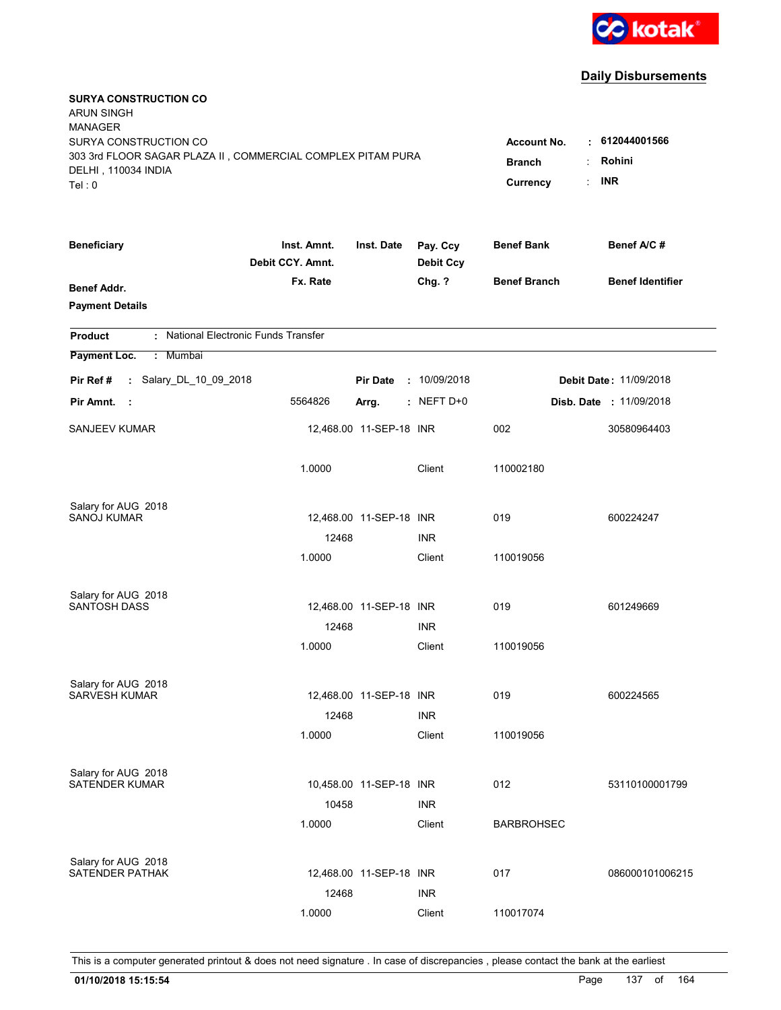

| <b>SURYA CONSTRUCTION CO</b><br><b>ARUN SINGH</b><br><b>MANAGER</b><br>SURYA CONSTRUCTION CO<br>303 3rd FLOOR SAGAR PLAZA II, COMMERCIAL COMPLEX PITAM PURA<br>DELHI, 110034 INDIA<br>Tel: 0 | <b>Account No.</b><br><b>Branch</b><br>Currency | 612044001566<br>٠.<br>Rohini<br><b>INR</b> |                              |                     |                                |
|----------------------------------------------------------------------------------------------------------------------------------------------------------------------------------------------|-------------------------------------------------|--------------------------------------------|------------------------------|---------------------|--------------------------------|
| <b>Beneficiary</b>                                                                                                                                                                           | Inst. Amnt.<br>Debit CCY. Amnt.                 | Inst. Date                                 | Pay. Ccy<br><b>Debit Ccy</b> | <b>Benef Bank</b>   | Benef A/C #                    |
| <b>Benef Addr.</b><br><b>Payment Details</b>                                                                                                                                                 | Fx. Rate                                        |                                            | Chg. ?                       | <b>Benef Branch</b> | <b>Benef Identifier</b>        |
| : National Electronic Funds Transfer<br><b>Product</b>                                                                                                                                       |                                                 |                                            |                              |                     |                                |
| Payment Loc.<br>: Mumbai                                                                                                                                                                     |                                                 |                                            |                              |                     |                                |
| : Salary_DL_10_09_2018<br>Pir Ref #                                                                                                                                                          |                                                 | <b>Pir Date</b>                            | : 10/09/2018                 |                     | <b>Debit Date: 11/09/2018</b>  |
| Pir Amnt.<br>$\sim$ 1                                                                                                                                                                        | 5564826                                         | Arrg.                                      | $:$ NEFT D+0                 |                     | <b>Disb. Date : 11/09/2018</b> |
| <b>SANJEEV KUMAR</b>                                                                                                                                                                         |                                                 | 12,468.00 11-SEP-18 INR                    |                              | 002                 | 30580964403                    |
|                                                                                                                                                                                              | 1.0000                                          |                                            | Client                       | 110002180           |                                |
| Salary for AUG 2018                                                                                                                                                                          |                                                 |                                            |                              |                     |                                |
| <b>SANOJ KUMAR</b>                                                                                                                                                                           | 12468                                           | 12,468.00 11-SEP-18 INR                    | <b>INR</b>                   | 019                 | 600224247                      |
|                                                                                                                                                                                              | 1.0000                                          |                                            | Client                       | 110019056           |                                |
| Salary for AUG 2018                                                                                                                                                                          |                                                 |                                            |                              |                     |                                |
| <b>SANTOSH DASS</b>                                                                                                                                                                          |                                                 | 12,468.00 11-SEP-18 INR                    |                              | 019                 | 601249669                      |
|                                                                                                                                                                                              | 12468                                           |                                            | <b>INR</b>                   |                     |                                |
|                                                                                                                                                                                              | 1.0000                                          |                                            | Client                       | 110019056           |                                |
| Salary for AUG 2018                                                                                                                                                                          |                                                 |                                            |                              |                     |                                |
| <b>SARVESH KUMAR</b>                                                                                                                                                                         |                                                 | 12,468.00 11-SEP-18 INR                    |                              | 019                 | 600224565                      |
|                                                                                                                                                                                              | 12468<br>1.0000                                 |                                            | <b>INR</b>                   |                     |                                |
|                                                                                                                                                                                              |                                                 |                                            | Client                       | 110019056           |                                |
| Salary for AUG 2018<br><b>SATENDER KUMAR</b>                                                                                                                                                 |                                                 | 10,458.00 11-SEP-18 INR                    |                              | 012                 | 53110100001799                 |
|                                                                                                                                                                                              | 10458                                           |                                            | <b>INR</b>                   |                     |                                |
|                                                                                                                                                                                              | 1.0000                                          |                                            | Client                       | <b>BARBROHSEC</b>   |                                |
| Salary for AUG 2018                                                                                                                                                                          |                                                 |                                            |                              |                     |                                |
| <b>SATENDER PATHAK</b>                                                                                                                                                                       |                                                 | 12,468.00 11-SEP-18 INR                    |                              | 017                 | 086000101006215                |
|                                                                                                                                                                                              | 12468                                           |                                            | <b>INR</b>                   |                     |                                |
|                                                                                                                                                                                              | 1.0000                                          |                                            | Client                       | 110017074           |                                |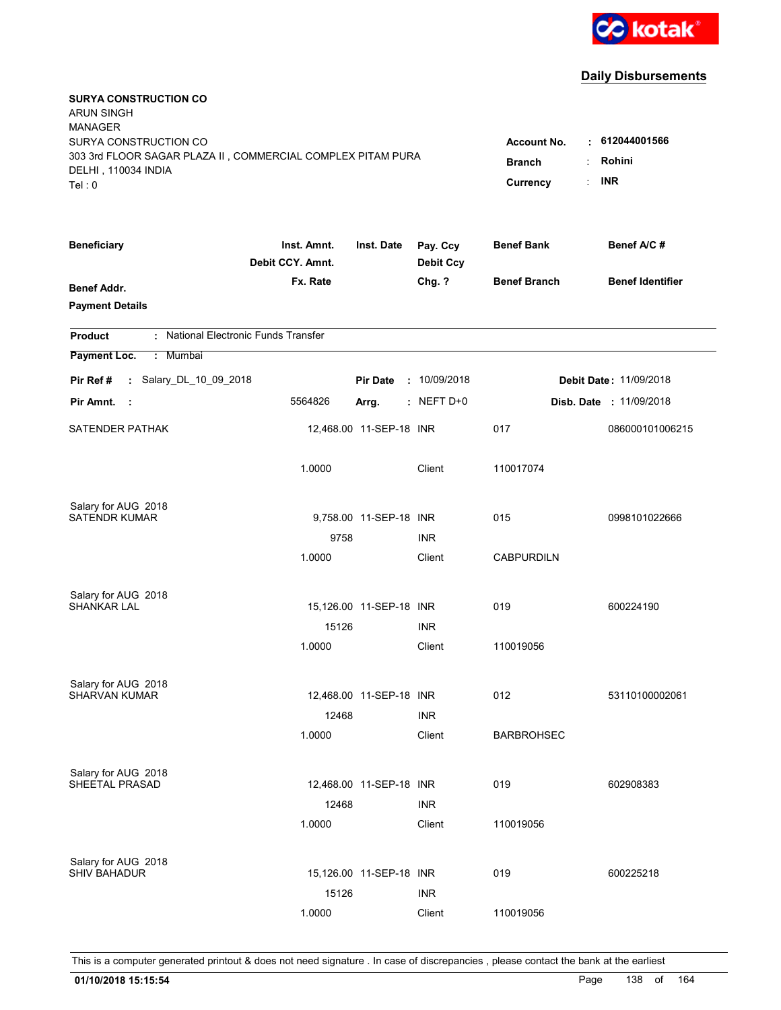

| <b>SURYA CONSTRUCTION CO</b><br><b>ARUN SINGH</b>                                    |                                 |                         |                              |                                  |                               |
|--------------------------------------------------------------------------------------|---------------------------------|-------------------------|------------------------------|----------------------------------|-------------------------------|
| <b>MANAGER</b>                                                                       |                                 |                         |                              |                                  |                               |
| SURYA CONSTRUCTION CO<br>303 3rd FLOOR SAGAR PLAZA II, COMMERCIAL COMPLEX PITAM PURA |                                 |                         |                              | <b>Account No.</b>               | : 612044001566                |
| DELHI, 110034 INDIA                                                                  | <b>Branch</b><br>÷              | Rohini                  |                              |                                  |                               |
| Tel: 0                                                                               |                                 |                         |                              | $\ddot{\phantom{a}}$<br>Currency | <b>INR</b>                    |
| <b>Beneficiary</b>                                                                   | Inst. Amnt.<br>Debit CCY. Amnt. | Inst. Date              | Pay. Ccy<br><b>Debit Ccy</b> | <b>Benef Bank</b>                | Benef A/C#                    |
| Benef Addr.                                                                          | Fx. Rate                        |                         | Chg. ?                       | <b>Benef Branch</b>              | <b>Benef Identifier</b>       |
| <b>Payment Details</b>                                                               |                                 |                         |                              |                                  |                               |
| : National Electronic Funds Transfer<br><b>Product</b>                               |                                 |                         |                              |                                  |                               |
| Payment Loc.<br>: Mumbai                                                             |                                 |                         |                              |                                  |                               |
| : Salary_DL_10_09_2018<br>Pir Ref#                                                   |                                 | <b>Pir Date</b>         | : 10/09/2018                 |                                  | <b>Debit Date: 11/09/2018</b> |
| Pir Amnt.<br>$\mathbf{r}$                                                            | 5564826                         | Arrg.                   | $:$ NEFT D+0                 |                                  | Disb. Date : 11/09/2018       |
| SATENDER PATHAK                                                                      |                                 | 12,468.00 11-SEP-18 INR |                              | 017                              | 086000101006215               |
|                                                                                      | 1.0000                          |                         | Client                       | 110017074                        |                               |
| Salary for AUG 2018                                                                  |                                 |                         |                              |                                  |                               |
| <b>SATENDR KUMAR</b>                                                                 |                                 | 9,758.00 11-SEP-18 INR  |                              | 015                              | 0998101022666                 |
|                                                                                      | 9758                            |                         | INR.                         |                                  |                               |
|                                                                                      | 1.0000                          |                         | Client                       | <b>CABPURDILN</b>                |                               |
| Salary for AUG 2018                                                                  |                                 |                         |                              |                                  |                               |
| <b>SHANKAR LAL</b>                                                                   |                                 | 15,126.00 11-SEP-18 INR |                              | 019                              | 600224190                     |
|                                                                                      | 15126                           |                         | <b>INR</b>                   |                                  |                               |
|                                                                                      | 1.0000                          |                         | Client                       | 110019056                        |                               |
| Salary for AUG 2018                                                                  |                                 |                         |                              |                                  |                               |
| <b>SHARVAN KUMAR</b>                                                                 |                                 | 12,468.00 11-SEP-18 INR |                              | 012                              | 53110100002061                |
|                                                                                      | 12468                           |                         | <b>INR</b>                   |                                  |                               |
|                                                                                      | 1.0000                          |                         | Client                       | <b>BARBROHSEC</b>                |                               |
| Salary for AUG 2018                                                                  |                                 |                         |                              |                                  |                               |
| SHEETAL PRASAD                                                                       |                                 | 12,468.00 11-SEP-18 INR |                              | 019                              | 602908383                     |
|                                                                                      | 12468                           |                         | <b>INR</b>                   |                                  |                               |
|                                                                                      | 1.0000                          |                         | Client                       | 110019056                        |                               |
| Salary for AUG 2018                                                                  |                                 |                         |                              |                                  |                               |
| <b>SHIV BAHADUR</b>                                                                  |                                 | 15,126.00 11-SEP-18 INR |                              | 019                              | 600225218                     |
|                                                                                      | 15126                           |                         | <b>INR</b>                   |                                  |                               |
|                                                                                      | 1.0000                          |                         | Client                       | 110019056                        |                               |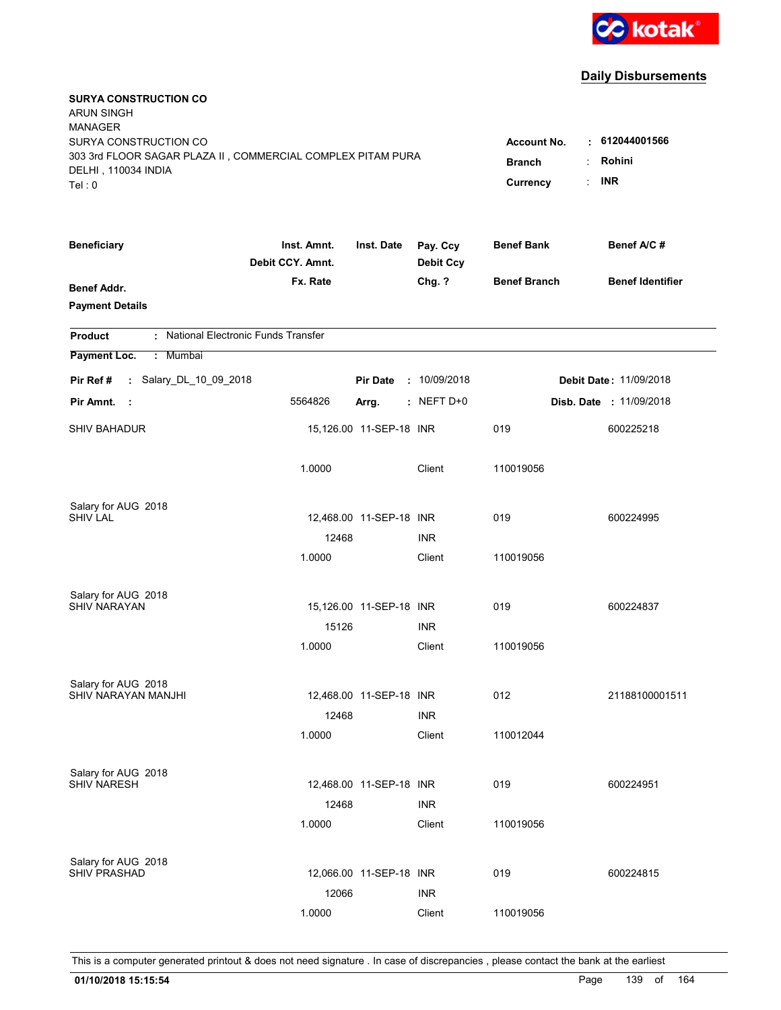

| <b>SURYA CONSTRUCTION CO</b><br><b>ARUN SINGH</b><br><b>MANAGER</b><br>SURYA CONSTRUCTION CO<br>303 3rd FLOOR SAGAR PLAZA II, COMMERCIAL COMPLEX PITAM PURA<br>DELHI, 110034 INDIA<br>Tel: 0 | <b>Account No.</b><br><b>Branch</b><br>Currency | $\cdot$ 612044001566<br>Rohini<br><b>INR</b><br>t. |                              |                     |                         |
|----------------------------------------------------------------------------------------------------------------------------------------------------------------------------------------------|-------------------------------------------------|----------------------------------------------------|------------------------------|---------------------|-------------------------|
| <b>Beneficiary</b>                                                                                                                                                                           | Inst. Amnt.<br>Debit CCY. Amnt.                 | Inst. Date                                         | Pay. Ccy<br><b>Debit Ccy</b> | <b>Benef Bank</b>   | Benef A/C #             |
| <b>Benef Addr.</b><br><b>Payment Details</b>                                                                                                                                                 | Fx. Rate                                        |                                                    | Chg. ?                       | <b>Benef Branch</b> | <b>Benef Identifier</b> |
| : National Electronic Funds Transfer<br><b>Product</b>                                                                                                                                       |                                                 |                                                    |                              |                     |                         |
| Payment Loc.<br>: Mumbai                                                                                                                                                                     |                                                 |                                                    |                              |                     |                         |
| : Salary_DL_10_09_2018<br>Pir Ref#                                                                                                                                                           |                                                 | <b>Pir Date</b>                                    | : 10/09/2018                 |                     | Debit Date: 11/09/2018  |
| Pir Amnt.<br>- 1                                                                                                                                                                             | 5564826                                         | Arrg.                                              | $:$ NEFT D+0                 |                     | Disb. Date : 11/09/2018 |
| <b>SHIV BAHADUR</b>                                                                                                                                                                          |                                                 | 15,126.00 11-SEP-18 INR                            |                              | 019                 | 600225218               |
|                                                                                                                                                                                              | 1.0000                                          |                                                    | Client                       | 110019056           |                         |
| Salary for AUG 2018                                                                                                                                                                          |                                                 |                                                    |                              |                     |                         |
| <b>SHIV LAL</b>                                                                                                                                                                              |                                                 | 12,468.00 11-SEP-18 INR                            |                              | 019                 | 600224995               |
|                                                                                                                                                                                              | 12468<br>1.0000                                 |                                                    | <b>INR</b><br>Client         | 110019056           |                         |
|                                                                                                                                                                                              |                                                 |                                                    |                              |                     |                         |
| Salary for AUG 2018                                                                                                                                                                          |                                                 |                                                    |                              |                     |                         |
| <b>SHIV NARAYAN</b>                                                                                                                                                                          |                                                 | 15,126.00 11-SEP-18 INR                            |                              | 019                 | 600224837               |
|                                                                                                                                                                                              | 15126                                           |                                                    | <b>INR</b>                   |                     |                         |
|                                                                                                                                                                                              | 1.0000                                          |                                                    | Client                       | 110019056           |                         |
| Salary for AUG 2018                                                                                                                                                                          |                                                 |                                                    |                              |                     |                         |
| SHIV NARAYAN MANJHI                                                                                                                                                                          |                                                 | 12,468.00 11-SEP-18 INR                            |                              | 012                 | 21188100001511          |
|                                                                                                                                                                                              | 12468                                           |                                                    | <b>INR</b>                   |                     |                         |
|                                                                                                                                                                                              | 1.0000                                          |                                                    | Client                       | 110012044           |                         |
| Salary for AUG 2018                                                                                                                                                                          |                                                 |                                                    |                              |                     |                         |
| <b>SHIV NARESH</b>                                                                                                                                                                           |                                                 | 12,468.00 11-SEP-18 INR                            |                              | 019                 | 600224951               |
|                                                                                                                                                                                              | 12468                                           |                                                    | <b>INR</b>                   |                     |                         |
|                                                                                                                                                                                              | 1.0000                                          |                                                    | Client                       | 110019056           |                         |
|                                                                                                                                                                                              |                                                 |                                                    |                              |                     |                         |
| Salary for AUG 2018<br><b>SHIV PRASHAD</b>                                                                                                                                                   |                                                 | 12,066.00 11-SEP-18 INR                            |                              | 019                 | 600224815               |
|                                                                                                                                                                                              | 12066                                           |                                                    | <b>INR</b>                   |                     |                         |
|                                                                                                                                                                                              | 1.0000                                          |                                                    | Client                       | 110019056           |                         |
|                                                                                                                                                                                              |                                                 |                                                    |                              |                     |                         |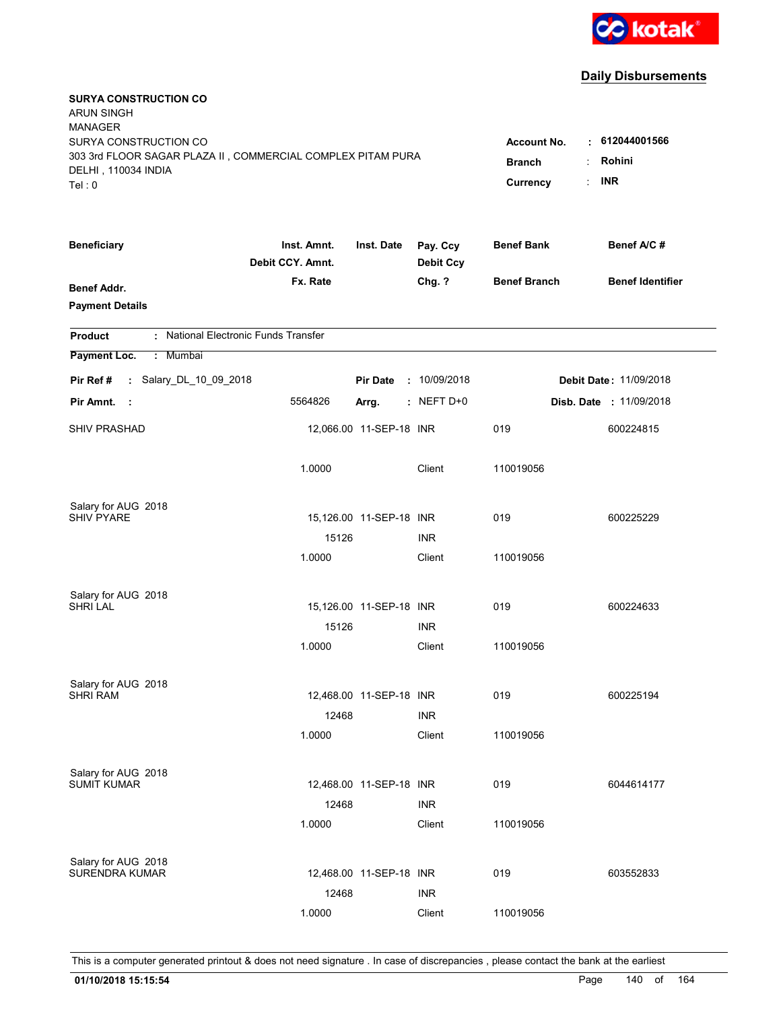

| <b>SURYA CONSTRUCTION CO</b><br><b>ARUN SINGH</b>                                  |                  |                         |                              |                     |                               |
|------------------------------------------------------------------------------------|------------------|-------------------------|------------------------------|---------------------|-------------------------------|
| <b>MANAGER</b>                                                                     |                  |                         |                              |                     |                               |
| SURYA CONSTRUCTION CO                                                              |                  |                         |                              | <b>Account No.</b>  | : 612044001566                |
| 303 3rd FLOOR SAGAR PLAZA II, COMMERCIAL COMPLEX PITAM PURA<br>DELHI, 110034 INDIA | <b>Branch</b>    | Rohini<br>÷             |                              |                     |                               |
| Tel: 0                                                                             |                  |                         |                              | Currency            | <b>INR</b><br>t.              |
|                                                                                    | Inst. Amnt.      |                         |                              | <b>Benef Bank</b>   | Benef A/C#                    |
| <b>Beneficiary</b>                                                                 | Debit CCY. Amnt. | Inst. Date              | Pay. Ccy<br><b>Debit Ccy</b> |                     |                               |
| Benef Addr.                                                                        | Fx. Rate         |                         | Chg. ?                       | <b>Benef Branch</b> | <b>Benef Identifier</b>       |
| <b>Payment Details</b>                                                             |                  |                         |                              |                     |                               |
| : National Electronic Funds Transfer<br><b>Product</b>                             |                  |                         |                              |                     |                               |
| Payment Loc.<br>: Mumbai                                                           |                  |                         |                              |                     |                               |
| : Salary_DL_10_09_2018<br>Pir Ref #                                                |                  | <b>Pir Date</b>         | : 10/09/2018                 |                     | <b>Debit Date: 11/09/2018</b> |
| Pir Amnt.<br>- 1                                                                   | 5564826          | Arrg.                   | $:$ NEFT D+0                 |                     | Disb. Date : 11/09/2018       |
| <b>SHIV PRASHAD</b>                                                                |                  | 12,066.00 11-SEP-18 INR |                              | 019                 | 600224815                     |
|                                                                                    | 1.0000           |                         | Client                       | 110019056           |                               |
| Salary for AUG 2018                                                                |                  |                         |                              |                     |                               |
| <b>SHIV PYARE</b>                                                                  |                  | 15,126.00 11-SEP-18 INR |                              | 019                 | 600225229                     |
|                                                                                    | 15126            |                         | <b>INR</b>                   |                     |                               |
|                                                                                    | 1.0000           |                         | Client                       | 110019056           |                               |
| Salary for AUG 2018                                                                |                  |                         |                              |                     |                               |
| <b>SHRI LAL</b>                                                                    |                  | 15,126.00 11-SEP-18 INR |                              | 019                 | 600224633                     |
|                                                                                    | 15126            |                         | <b>INR</b>                   |                     |                               |
|                                                                                    | 1.0000           |                         | Client                       | 110019056           |                               |
| Salary for AUG 2018                                                                |                  |                         |                              |                     |                               |
| <b>SHRI RAM</b>                                                                    |                  | 12,468.00 11-SEP-18 INR |                              | 019                 | 600225194                     |
|                                                                                    | 12468            |                         | <b>INR</b>                   |                     |                               |
|                                                                                    | 1.0000           |                         | Client                       | 110019056           |                               |
| Salary for AUG 2018                                                                |                  |                         |                              |                     |                               |
| <b>SUMIT KUMAR</b>                                                                 |                  | 12,468.00 11-SEP-18 INR |                              | 019                 | 6044614177                    |
|                                                                                    | 12468            |                         | <b>INR</b>                   |                     |                               |
|                                                                                    | 1.0000           |                         | Client                       | 110019056           |                               |
| Salary for AUG 2018<br><b>SURENDRA KUMAR</b>                                       |                  |                         |                              |                     |                               |
|                                                                                    |                  | 12,468.00 11-SEP-18 INR |                              | 019                 | 603552833                     |
|                                                                                    | 12468            |                         | <b>INR</b>                   |                     |                               |
|                                                                                    | 1.0000           |                         | Client                       | 110019056           |                               |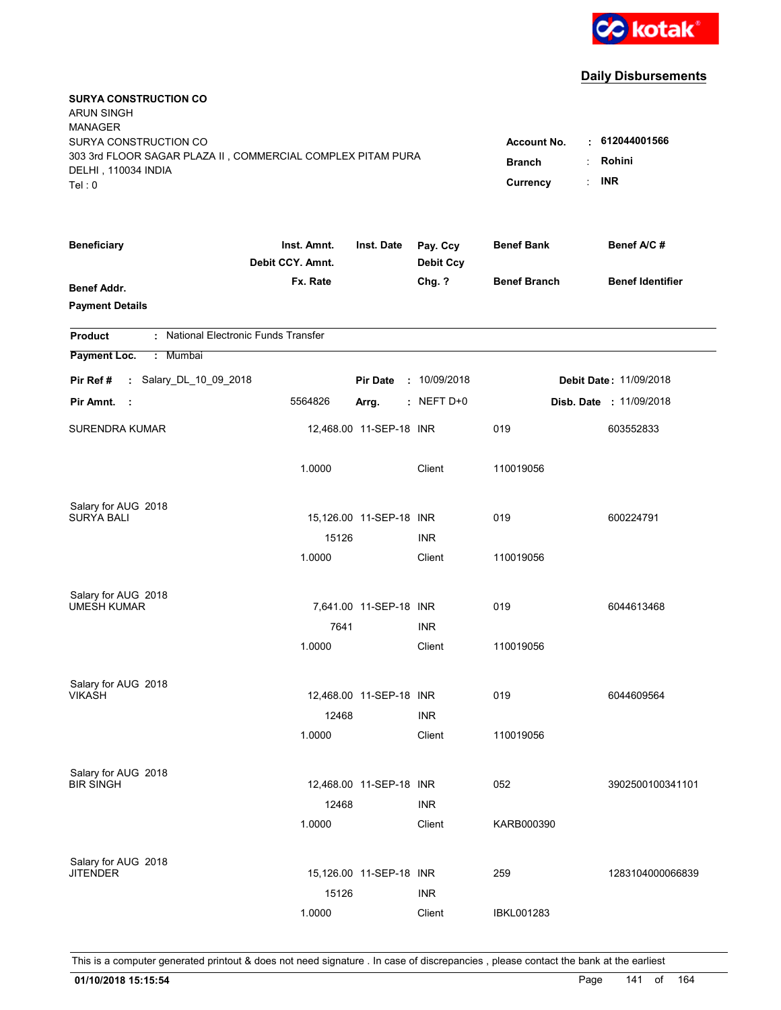

| <b>SURYA CONSTRUCTION CO</b><br><b>ARUN SINGH</b><br><b>MANAGER</b><br>SURYA CONSTRUCTION CO<br>303 3rd FLOOR SAGAR PLAZA II, COMMERCIAL COMPLEX PITAM PURA<br>DELHI, 110034 INDIA<br>Tel: 0 | <b>Account No.</b><br><b>Branch</b><br>Currency | . 612044001566<br>Rohini<br><b>INR</b> |                              |                     |                                |
|----------------------------------------------------------------------------------------------------------------------------------------------------------------------------------------------|-------------------------------------------------|----------------------------------------|------------------------------|---------------------|--------------------------------|
| <b>Beneficiary</b>                                                                                                                                                                           | Inst. Amnt.<br>Debit CCY. Amnt.                 | Inst. Date                             | Pay. Ccy<br><b>Debit Ccy</b> | <b>Benef Bank</b>   | Benef A/C #                    |
| <b>Benef Addr.</b><br><b>Payment Details</b>                                                                                                                                                 | Fx. Rate                                        |                                        | Chg. ?                       | <b>Benef Branch</b> | <b>Benef Identifier</b>        |
| : National Electronic Funds Transfer<br><b>Product</b>                                                                                                                                       |                                                 |                                        |                              |                     |                                |
| Payment Loc.<br>: Mumbai                                                                                                                                                                     |                                                 |                                        |                              |                     |                                |
| : Salary_DL_10_09_2018<br>Pir Ref#                                                                                                                                                           |                                                 | <b>Pir Date</b>                        | : 10/09/2018                 |                     | <b>Debit Date: 11/09/2018</b>  |
| Pir Amnt.<br>- 1                                                                                                                                                                             | 5564826                                         | Arrg.                                  | $:$ NEFT D+0                 |                     | <b>Disb. Date : 11/09/2018</b> |
| <b>SURENDRA KUMAR</b>                                                                                                                                                                        |                                                 | 12,468.00 11-SEP-18 INR                |                              | 019                 | 603552833                      |
|                                                                                                                                                                                              | 1.0000                                          |                                        | Client                       | 110019056           |                                |
| Salary for AUG 2018<br><b>SURYA BALI</b>                                                                                                                                                     |                                                 | 15,126.00 11-SEP-18 INR                |                              | 019                 | 600224791                      |
|                                                                                                                                                                                              | 15126                                           |                                        | <b>INR</b>                   |                     |                                |
|                                                                                                                                                                                              | 1.0000                                          |                                        | Client                       | 110019056           |                                |
| Salary for AUG 2018                                                                                                                                                                          |                                                 |                                        |                              |                     |                                |
| <b>UMESH KUMAR</b>                                                                                                                                                                           |                                                 | 7,641.00 11-SEP-18 INR                 |                              | 019                 | 6044613468                     |
|                                                                                                                                                                                              | 7641                                            |                                        | <b>INR</b>                   |                     |                                |
|                                                                                                                                                                                              | 1.0000                                          |                                        | Client                       | 110019056           |                                |
| Salary for AUG 2018                                                                                                                                                                          |                                                 |                                        |                              |                     |                                |
| <b>VIKASH</b>                                                                                                                                                                                |                                                 | 12,468.00 11-SEP-18 INR                |                              | 019                 | 6044609564                     |
|                                                                                                                                                                                              | 12468                                           |                                        | <b>INR</b>                   |                     |                                |
|                                                                                                                                                                                              | 1.0000                                          |                                        | Client                       | 110019056           |                                |
| Salary for AUG 2018                                                                                                                                                                          |                                                 |                                        |                              |                     |                                |
| <b>BIR SINGH</b>                                                                                                                                                                             |                                                 | 12,468.00 11-SEP-18 INR                |                              | 052                 | 3902500100341101               |
|                                                                                                                                                                                              | 12468                                           |                                        | <b>INR</b>                   |                     |                                |
|                                                                                                                                                                                              | 1.0000                                          |                                        | Client                       | KARB000390          |                                |
| Salary for AUG 2018                                                                                                                                                                          |                                                 |                                        |                              |                     |                                |
| <b>JITENDER</b>                                                                                                                                                                              |                                                 | 15,126.00 11-SEP-18 INR                |                              | 259                 | 1283104000066839               |
|                                                                                                                                                                                              | 15126                                           |                                        | <b>INR</b>                   |                     |                                |
|                                                                                                                                                                                              | 1.0000                                          |                                        | Client                       | <b>IBKL001283</b>   |                                |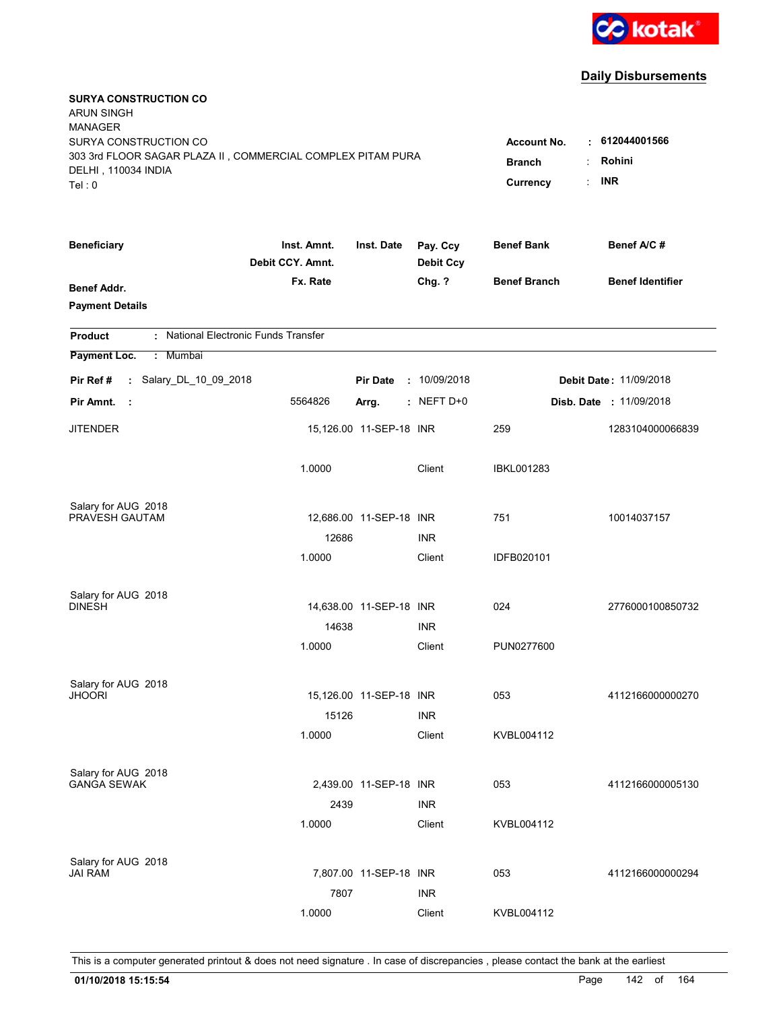

| <b>SURYA CONSTRUCTION CO</b><br><b>ARUN SINGH</b><br><b>MANAGER</b><br>SURYA CONSTRUCTION CO<br>303 3rd FLOOR SAGAR PLAZA II, COMMERCIAL COMPLEX PITAM PURA<br>DELHI, 110034 INDIA<br>Tel: 0 | <b>Account No.</b><br><b>Branch</b><br>Currency | $\cdot$ 612044001566<br>Rohini<br>÷<br><b>INR</b><br>÷ |                              |                     |                                |
|----------------------------------------------------------------------------------------------------------------------------------------------------------------------------------------------|-------------------------------------------------|--------------------------------------------------------|------------------------------|---------------------|--------------------------------|
| <b>Beneficiary</b>                                                                                                                                                                           | Inst. Amnt.<br>Debit CCY. Amnt.                 | Inst. Date                                             | Pay. Ccy<br><b>Debit Ccy</b> | <b>Benef Bank</b>   | Benef A/C#                     |
| <b>Benef Addr.</b><br><b>Payment Details</b>                                                                                                                                                 | Fx. Rate                                        |                                                        | Chg. ?                       | <b>Benef Branch</b> | <b>Benef Identifier</b>        |
| : National Electronic Funds Transfer<br><b>Product</b>                                                                                                                                       |                                                 |                                                        |                              |                     |                                |
| Payment Loc.<br>: Mumbai                                                                                                                                                                     |                                                 |                                                        |                              |                     |                                |
| : Salary_DL_10_09_2018<br>Pir Ref #                                                                                                                                                          |                                                 | <b>Pir Date</b>                                        | : 10/09/2018                 |                     | <b>Debit Date: 11/09/2018</b>  |
| Pir Amnt.<br>- 11                                                                                                                                                                            | 5564826                                         | Arrg.                                                  | $:$ NEFT D+0                 |                     | <b>Disb. Date : 11/09/2018</b> |
| <b>JITENDER</b>                                                                                                                                                                              |                                                 | 15,126.00 11-SEP-18 INR                                |                              | 259                 | 1283104000066839               |
|                                                                                                                                                                                              | 1.0000                                          |                                                        | Client                       | <b>IBKL001283</b>   |                                |
| Salary for AUG 2018                                                                                                                                                                          |                                                 |                                                        |                              |                     |                                |
| PRAVESH GAUTAM                                                                                                                                                                               | 12686                                           | 12,686.00 11-SEP-18 INR                                | <b>INR</b>                   | 751                 | 10014037157                    |
|                                                                                                                                                                                              | 1.0000                                          |                                                        | Client                       | IDFB020101          |                                |
| Salary for AUG 2018<br><b>DINESH</b>                                                                                                                                                         |                                                 | 14,638.00 11-SEP-18 INR                                |                              | 024                 | 2776000100850732               |
|                                                                                                                                                                                              | 14638                                           |                                                        | <b>INR</b>                   |                     |                                |
|                                                                                                                                                                                              | 1.0000                                          |                                                        | Client                       | PUN0277600          |                                |
| Salary for AUG 2018<br><b>JHOORI</b>                                                                                                                                                         | 15126                                           | 15,126.00 11-SEP-18 INR                                | <b>INR</b>                   | 053                 | 4112166000000270               |
|                                                                                                                                                                                              | 1.0000                                          |                                                        | Client                       | KVBL004112          |                                |
| Salary for AUG 2018<br><b>GANGA SEWAK</b>                                                                                                                                                    | 2439<br>1.0000                                  | 2,439.00 11-SEP-18 INR                                 | <b>INR</b><br>Client         | 053<br>KVBL004112   | 4112166000005130               |
| Salary for AUG 2018<br>JAI RAM                                                                                                                                                               | 7807                                            | 7,807.00 11-SEP-18 INR                                 | <b>INR</b>                   | 053                 | 4112166000000294               |
|                                                                                                                                                                                              | 1.0000                                          |                                                        | Client                       | KVBL004112          |                                |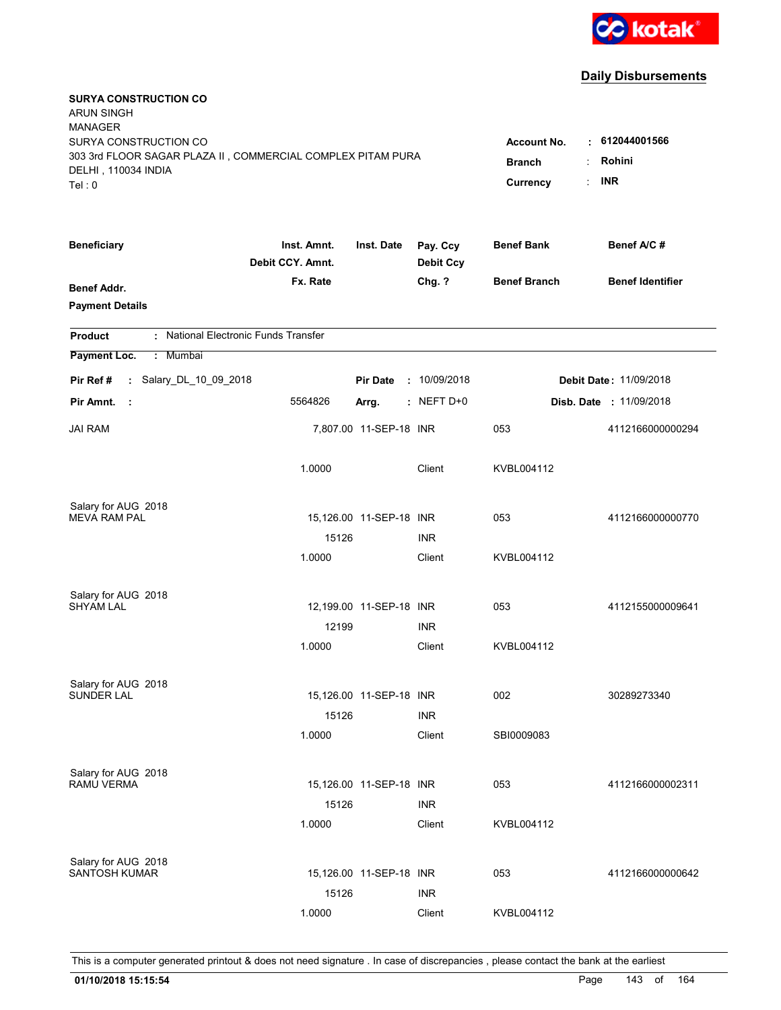

| <b>SURYA CONSTRUCTION CO</b><br><b>ARUN SINGH</b><br><b>MANAGER</b><br>SURYA CONSTRUCTION CO<br>303 3rd FLOOR SAGAR PLAZA II, COMMERCIAL COMPLEX PITAM PURA<br>DELHI, 110034 INDIA<br>Tel: 0 | <b>Account No.</b><br><b>Branch</b><br>Currency | . 612044001566<br>Rohini<br><b>INR</b><br>÷ |                              |                     |                               |
|----------------------------------------------------------------------------------------------------------------------------------------------------------------------------------------------|-------------------------------------------------|---------------------------------------------|------------------------------|---------------------|-------------------------------|
| <b>Beneficiary</b>                                                                                                                                                                           | Inst. Amnt.<br>Debit CCY. Amnt.                 | Inst. Date                                  | Pay. Ccy<br><b>Debit Ccy</b> | <b>Benef Bank</b>   | Benef A/C #                   |
| Benef Addr.<br><b>Payment Details</b>                                                                                                                                                        | Fx. Rate                                        |                                             | Chg. ?                       | <b>Benef Branch</b> | <b>Benef Identifier</b>       |
| : National Electronic Funds Transfer<br><b>Product</b>                                                                                                                                       |                                                 |                                             |                              |                     |                               |
| Payment Loc.<br>: Mumbai                                                                                                                                                                     |                                                 |                                             |                              |                     |                               |
| : Salary_DL_10_09_2018<br>Pir Ref #                                                                                                                                                          |                                                 | <b>Pir Date</b>                             | : 10/09/2018                 |                     | <b>Debit Date: 11/09/2018</b> |
| Pir Amnt.<br>- 11                                                                                                                                                                            | 5564826                                         | Arrg.                                       | $:$ NEFT D+0                 |                     | Disb. Date : 11/09/2018       |
| <b>JAI RAM</b>                                                                                                                                                                               |                                                 | 7,807.00 11-SEP-18 INR                      |                              | 053                 | 4112166000000294              |
|                                                                                                                                                                                              | 1.0000                                          |                                             | Client                       | KVBL004112          |                               |
| Salary for AUG 2018                                                                                                                                                                          |                                                 |                                             |                              |                     |                               |
| <b>MEVA RAM PAL</b>                                                                                                                                                                          |                                                 | 15,126.00 11-SEP-18 INR                     |                              | 053                 | 4112166000000770              |
|                                                                                                                                                                                              | 15126                                           |                                             | <b>INR</b>                   |                     |                               |
|                                                                                                                                                                                              | 1.0000                                          |                                             | Client                       | KVBL004112          |                               |
| Salary for AUG 2018                                                                                                                                                                          |                                                 |                                             |                              |                     |                               |
| <b>SHYAM LAL</b>                                                                                                                                                                             |                                                 | 12,199.00 11-SEP-18 INR                     |                              | 053                 | 4112155000009641              |
|                                                                                                                                                                                              | 12199                                           |                                             | <b>INR</b>                   |                     |                               |
|                                                                                                                                                                                              | 1.0000                                          |                                             | Client                       | KVBL004112          |                               |
| Salary for AUG 2018                                                                                                                                                                          |                                                 |                                             |                              |                     |                               |
| <b>SUNDER LAL</b>                                                                                                                                                                            |                                                 | 15,126.00 11-SEP-18 INR                     |                              | 002                 | 30289273340                   |
|                                                                                                                                                                                              | 15126                                           |                                             | <b>INR</b>                   |                     |                               |
|                                                                                                                                                                                              | 1.0000                                          |                                             | Client                       | SBI0009083          |                               |
| Salary for AUG 2018                                                                                                                                                                          |                                                 |                                             |                              |                     |                               |
| <b>RAMU VERMA</b>                                                                                                                                                                            |                                                 | 15,126.00 11-SEP-18 INR                     |                              | 053                 | 4112166000002311              |
|                                                                                                                                                                                              | 15126                                           |                                             | <b>INR</b>                   |                     |                               |
|                                                                                                                                                                                              | 1.0000                                          |                                             | Client                       | KVBL004112          |                               |
| Salary for AUG 2018                                                                                                                                                                          |                                                 |                                             |                              |                     |                               |
| <b>SANTOSH KUMAR</b>                                                                                                                                                                         |                                                 | 15,126.00 11-SEP-18 INR                     |                              | 053                 | 4112166000000642              |
|                                                                                                                                                                                              | 15126                                           |                                             | <b>INR</b>                   |                     |                               |
|                                                                                                                                                                                              | 1.0000                                          |                                             | Client                       | KVBL004112          |                               |
|                                                                                                                                                                                              |                                                 |                                             |                              |                     |                               |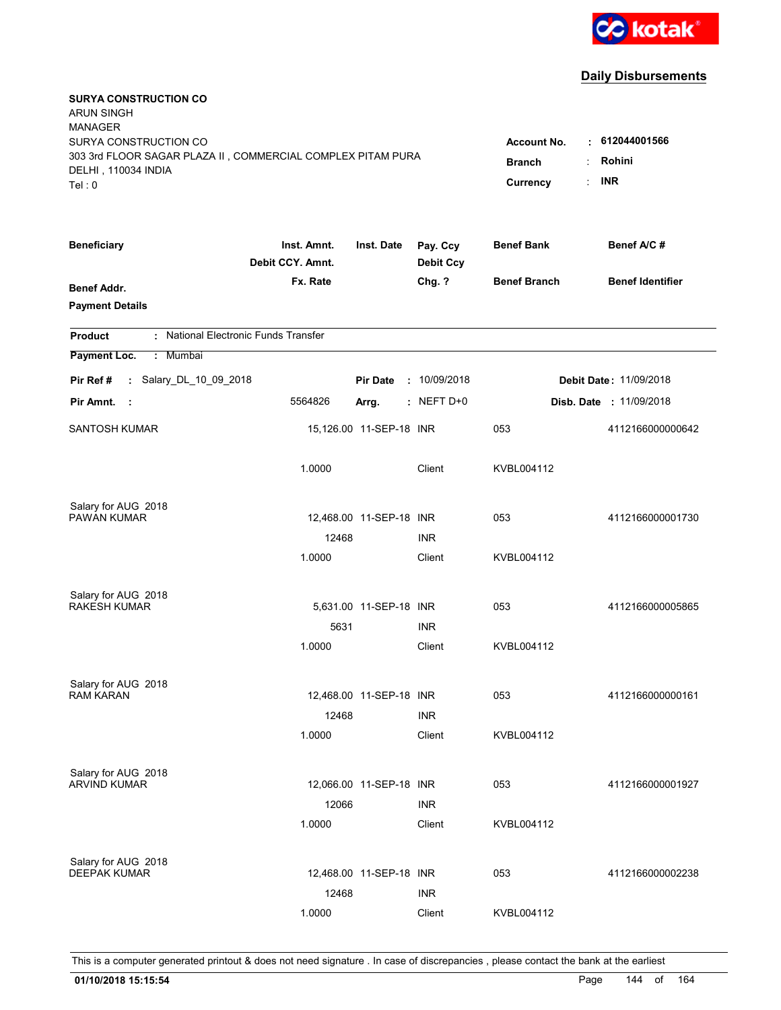

| <b>SURYA CONSTRUCTION CO</b><br><b>ARUN SINGH</b><br><b>MANAGER</b><br>SURYA CONSTRUCTION CO<br>303 3rd FLOOR SAGAR PLAZA II, COMMERCIAL COMPLEX PITAM PURA<br>DELHI, 110034 INDIA<br>Tel: 0 | <b>Account No.</b><br><b>Branch</b><br>Currency | $\cdot$ 612044001566<br>Rohini<br><b>INR</b> |                              |                     |                                |
|----------------------------------------------------------------------------------------------------------------------------------------------------------------------------------------------|-------------------------------------------------|----------------------------------------------|------------------------------|---------------------|--------------------------------|
| <b>Beneficiary</b>                                                                                                                                                                           | Inst. Amnt.<br>Debit CCY. Amnt.                 | Inst. Date                                   | Pay. Ccy<br><b>Debit Ccy</b> | <b>Benef Bank</b>   | Benef A/C #                    |
| <b>Benef Addr.</b><br><b>Payment Details</b>                                                                                                                                                 | Fx. Rate                                        |                                              | Chg. ?                       | <b>Benef Branch</b> | <b>Benef Identifier</b>        |
| : National Electronic Funds Transfer<br><b>Product</b>                                                                                                                                       |                                                 |                                              |                              |                     |                                |
| Payment Loc.<br>: Mumbai                                                                                                                                                                     |                                                 |                                              |                              |                     |                                |
| : Salary_DL_10_09_2018<br>Pir Ref #                                                                                                                                                          |                                                 | <b>Pir Date</b>                              | : 10/09/2018                 |                     | <b>Debit Date: 11/09/2018</b>  |
| Pir Amnt.<br>- 1                                                                                                                                                                             | 5564826                                         | Arrg.                                        | $:$ NEFT D+0                 |                     | <b>Disb. Date : 11/09/2018</b> |
| <b>SANTOSH KUMAR</b>                                                                                                                                                                         |                                                 | 15,126.00 11-SEP-18 INR                      |                              | 053                 | 4112166000000642               |
|                                                                                                                                                                                              | 1.0000                                          |                                              | Client                       | KVBL004112          |                                |
| Salary for AUG 2018                                                                                                                                                                          |                                                 |                                              |                              |                     |                                |
| PAWAN KUMAR                                                                                                                                                                                  | 12468                                           | 12,468.00 11-SEP-18 INR                      | <b>INR</b>                   | 053                 | 4112166000001730               |
|                                                                                                                                                                                              | 1.0000                                          |                                              | Client                       | KVBL004112          |                                |
|                                                                                                                                                                                              |                                                 |                                              |                              |                     |                                |
| Salary for AUG 2018<br><b>RAKESH KUMAR</b>                                                                                                                                                   |                                                 |                                              |                              |                     |                                |
|                                                                                                                                                                                              |                                                 | 5,631.00 11-SEP-18 INR                       |                              | 053                 | 4112166000005865               |
|                                                                                                                                                                                              | 5631<br>1.0000                                  |                                              | <b>INR</b><br>Client         |                     |                                |
|                                                                                                                                                                                              |                                                 |                                              |                              | KVBL004112          |                                |
| Salary for AUG 2018                                                                                                                                                                          |                                                 |                                              |                              |                     |                                |
| <b>RAM KARAN</b>                                                                                                                                                                             |                                                 | 12,468.00 11-SEP-18 INR                      |                              | 053                 | 4112166000000161               |
|                                                                                                                                                                                              | 12468                                           |                                              | <b>INR</b>                   |                     |                                |
|                                                                                                                                                                                              | 1.0000                                          |                                              | Client                       | KVBL004112          |                                |
| Salary for AUG 2018                                                                                                                                                                          |                                                 |                                              |                              |                     |                                |
| <b>ARVIND KUMAR</b>                                                                                                                                                                          |                                                 | 12,066.00 11-SEP-18 INR                      |                              | 053                 | 4112166000001927               |
|                                                                                                                                                                                              | 12066                                           |                                              | <b>INR</b>                   |                     |                                |
|                                                                                                                                                                                              | 1.0000                                          |                                              | Client                       | KVBL004112          |                                |
|                                                                                                                                                                                              |                                                 |                                              |                              |                     |                                |
| Salary for AUG 2018<br><b>DEEPAK KUMAR</b>                                                                                                                                                   |                                                 | 12,468.00 11-SEP-18 INR                      |                              | 053                 | 4112166000002238               |
|                                                                                                                                                                                              | 12468                                           |                                              | <b>INR</b>                   |                     |                                |
|                                                                                                                                                                                              | 1.0000                                          |                                              | Client                       | KVBL004112          |                                |
|                                                                                                                                                                                              |                                                 |                                              |                              |                     |                                |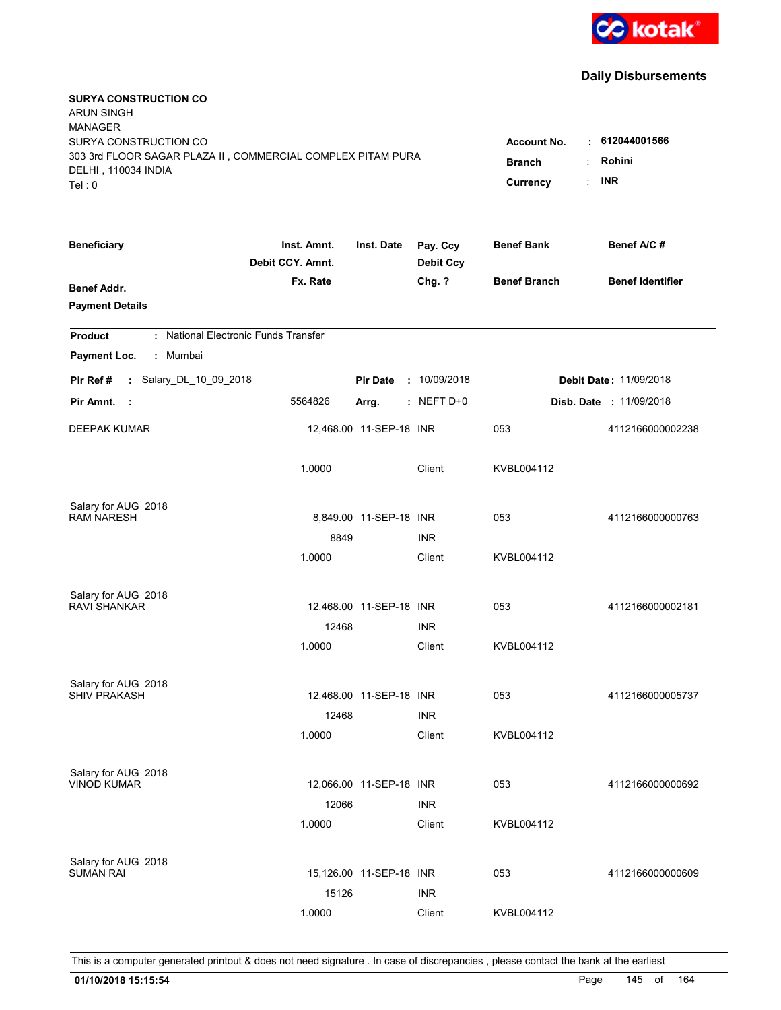

| <b>SURYA CONSTRUCTION CO</b><br><b>ARUN SINGH</b><br><b>MANAGER</b>                                                   |                                                 |                                              |                              |                     |                                |
|-----------------------------------------------------------------------------------------------------------------------|-------------------------------------------------|----------------------------------------------|------------------------------|---------------------|--------------------------------|
| SURYA CONSTRUCTION CO<br>303 3rd FLOOR SAGAR PLAZA II, COMMERCIAL COMPLEX PITAM PURA<br>DELHI, 110034 INDIA<br>Tel: 0 | <b>Account No.</b><br><b>Branch</b><br>Currency | $\cdot$ 612044001566<br>Rohini<br><b>INR</b> |                              |                     |                                |
| <b>Beneficiary</b>                                                                                                    | Inst. Amnt.<br>Debit CCY. Amnt.                 | Inst. Date                                   | Pay. Ccy<br><b>Debit Ccy</b> | <b>Benef Bank</b>   | Benef A/C #                    |
| <b>Benef Addr.</b><br><b>Payment Details</b>                                                                          | Fx. Rate                                        |                                              | Chg. ?                       | <b>Benef Branch</b> | <b>Benef Identifier</b>        |
| : National Electronic Funds Transfer<br><b>Product</b>                                                                |                                                 |                                              |                              |                     |                                |
| Payment Loc.<br>: Mumbai                                                                                              |                                                 |                                              |                              |                     |                                |
| : Salary_DL_10_09_2018<br>Pir Ref #                                                                                   |                                                 | <b>Pir Date</b>                              | : 10/09/2018                 |                     | <b>Debit Date: 11/09/2018</b>  |
| Pir Amnt.<br>- 1                                                                                                      | 5564826                                         | Arrg.                                        | $:$ NEFT D+0                 |                     | <b>Disb. Date : 11/09/2018</b> |
| <b>DEEPAK KUMAR</b>                                                                                                   |                                                 | 12,468.00 11-SEP-18 INR                      |                              | 053                 | 4112166000002238               |
|                                                                                                                       | 1.0000                                          |                                              | Client                       | KVBL004112          |                                |
| Salary for AUG 2018                                                                                                   |                                                 |                                              |                              |                     |                                |
| <b>RAM NARESH</b>                                                                                                     |                                                 | 8,849.00 11-SEP-18 INR                       |                              | 053                 | 4112166000000763               |
|                                                                                                                       | 8849                                            |                                              | <b>INR</b>                   |                     |                                |
|                                                                                                                       | 1.0000                                          |                                              | Client                       | KVBL004112          |                                |
| Salary for AUG 2018                                                                                                   |                                                 |                                              |                              |                     |                                |
| <b>RAVI SHANKAR</b>                                                                                                   |                                                 | 12,468.00 11-SEP-18 INR                      |                              | 053                 | 4112166000002181               |
|                                                                                                                       | 12468                                           |                                              | <b>INR</b>                   |                     |                                |
|                                                                                                                       | 1.0000                                          |                                              | Client                       | KVBL004112          |                                |
| Salary for AUG 2018                                                                                                   |                                                 |                                              |                              |                     |                                |
| <b>SHIV PRAKASH</b>                                                                                                   |                                                 | 12,468.00 11-SEP-18 INR                      |                              | 053                 | 4112166000005737               |
|                                                                                                                       | 12468                                           |                                              | <b>INR</b>                   |                     |                                |
|                                                                                                                       | 1.0000                                          |                                              | Client                       | KVBL004112          |                                |
| Salary for AUG 2018                                                                                                   |                                                 |                                              |                              |                     |                                |
| <b>VINOD KUMAR</b>                                                                                                    |                                                 | 12,066.00 11-SEP-18 INR                      |                              | 053                 | 4112166000000692               |
|                                                                                                                       | 12066                                           |                                              | <b>INR</b>                   |                     |                                |
|                                                                                                                       | 1.0000                                          |                                              | Client                       | KVBL004112          |                                |
|                                                                                                                       |                                                 |                                              |                              |                     |                                |
| Salary for AUG 2018<br><b>SUMAN RAI</b>                                                                               |                                                 | 15,126.00 11-SEP-18 INR                      |                              | 053                 | 4112166000000609               |
|                                                                                                                       | 15126                                           |                                              | <b>INR</b>                   |                     |                                |
|                                                                                                                       | 1.0000                                          |                                              | Client                       | KVBL004112          |                                |
|                                                                                                                       |                                                 |                                              |                              |                     |                                |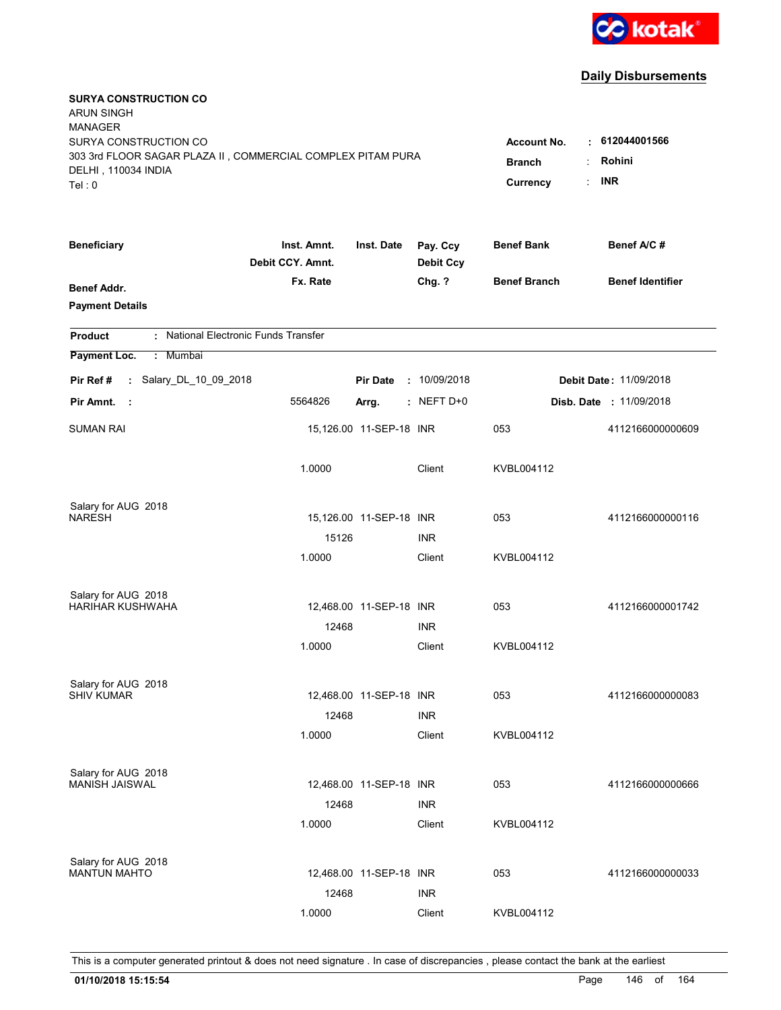

| <b>SURYA CONSTRUCTION CO</b><br><b>ARUN SINGH</b><br><b>MANAGER</b>                                                   |                                                 |                                              |                              |                     |                                |
|-----------------------------------------------------------------------------------------------------------------------|-------------------------------------------------|----------------------------------------------|------------------------------|---------------------|--------------------------------|
| SURYA CONSTRUCTION CO<br>303 3rd FLOOR SAGAR PLAZA II, COMMERCIAL COMPLEX PITAM PURA<br>DELHI, 110034 INDIA<br>Tel: 0 | <b>Account No.</b><br><b>Branch</b><br>Currency | $\cdot$ 612044001566<br>Rohini<br><b>INR</b> |                              |                     |                                |
| <b>Beneficiary</b>                                                                                                    | Inst. Amnt.<br>Debit CCY. Amnt.                 | Inst. Date                                   | Pay. Ccy<br><b>Debit Ccy</b> | <b>Benef Bank</b>   | Benef A/C #                    |
| <b>Benef Addr.</b><br><b>Payment Details</b>                                                                          | Fx. Rate                                        |                                              | Chg. ?                       | <b>Benef Branch</b> | <b>Benef Identifier</b>        |
| : National Electronic Funds Transfer<br><b>Product</b>                                                                |                                                 |                                              |                              |                     |                                |
| Payment Loc.<br>: Mumbai                                                                                              |                                                 |                                              |                              |                     |                                |
| : Salary_DL_10_09_2018<br>Pir Ref #                                                                                   |                                                 | <b>Pir Date</b>                              | : 10/09/2018                 |                     | Debit Date: 11/09/2018         |
| Pir Amnt.<br>- 1                                                                                                      | 5564826                                         | Arrg.                                        | $:$ NEFT D+0                 |                     | <b>Disb. Date : 11/09/2018</b> |
| <b>SUMAN RAI</b>                                                                                                      |                                                 | 15,126.00 11-SEP-18 INR                      |                              | 053                 | 4112166000000609               |
|                                                                                                                       | 1.0000                                          |                                              | Client                       | KVBL004112          |                                |
| Salary for AUG 2018<br><b>NARESH</b>                                                                                  |                                                 | 15,126.00 11-SEP-18 INR                      |                              | 053                 | 4112166000000116               |
|                                                                                                                       | 15126                                           |                                              | <b>INR</b>                   |                     |                                |
|                                                                                                                       | 1.0000                                          |                                              | Client                       | KVBL004112          |                                |
| Salary for AUG 2018<br><b>HARIHAR KUSHWAHA</b>                                                                        |                                                 | 12,468.00 11-SEP-18 INR                      |                              | 053                 | 4112166000001742               |
|                                                                                                                       | 12468                                           |                                              | <b>INR</b>                   |                     |                                |
|                                                                                                                       | 1.0000                                          |                                              | Client                       | KVBL004112          |                                |
| Salary for AUG 2018                                                                                                   |                                                 |                                              |                              |                     |                                |
| <b>SHIV KUMAR</b>                                                                                                     |                                                 | 12,468.00 11-SEP-18 INR                      |                              | 053                 | 4112166000000083               |
|                                                                                                                       | 12468                                           |                                              | <b>INR</b>                   |                     |                                |
|                                                                                                                       | 1.0000                                          |                                              | Client                       | KVBL004112          |                                |
| Salary for AUG 2018                                                                                                   |                                                 |                                              |                              |                     |                                |
| MANISH JAISWAL                                                                                                        |                                                 | 12,468.00 11-SEP-18 INR                      |                              | 053                 | 4112166000000666               |
|                                                                                                                       | 12468<br>1.0000                                 |                                              | <b>INR</b><br>Client         | KVBL004112          |                                |
| Salary for AUG 2018                                                                                                   |                                                 |                                              |                              |                     |                                |
| <b>MANTUN MAHTO</b>                                                                                                   |                                                 | 12,468.00 11-SEP-18 INR                      |                              | 053                 | 4112166000000033               |
|                                                                                                                       | 12468                                           |                                              | <b>INR</b>                   |                     |                                |
|                                                                                                                       | 1.0000                                          |                                              | Client                       | KVBL004112          |                                |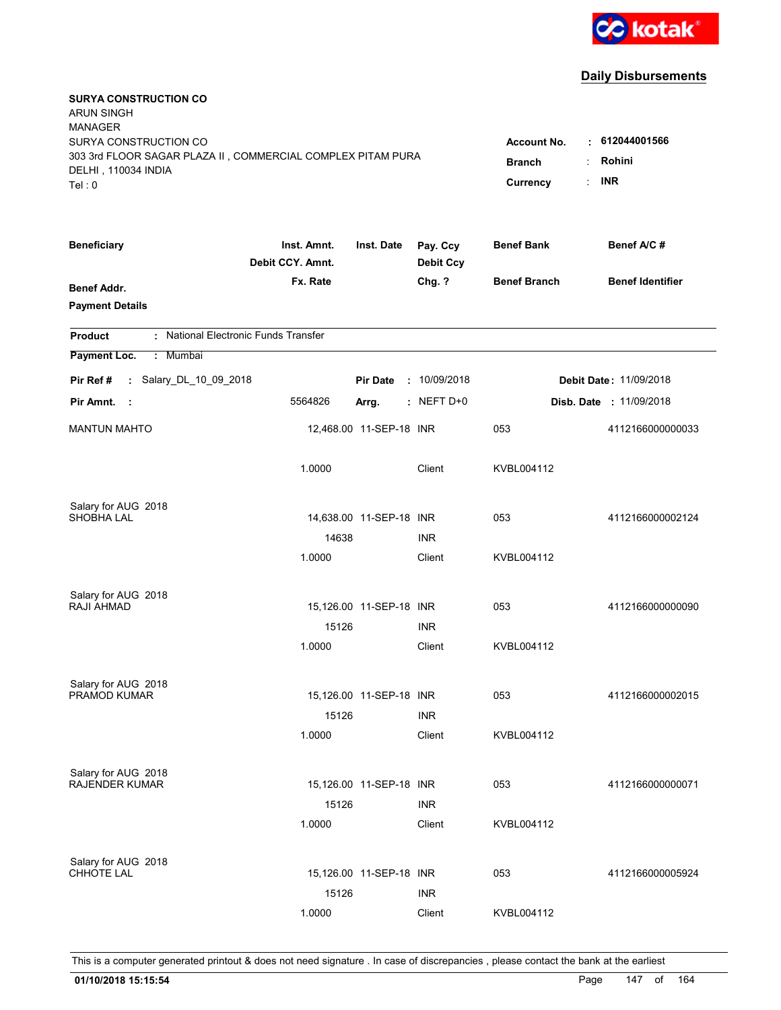

| <b>SURYA CONSTRUCTION CO</b><br><b>ARUN SINGH</b><br><b>MANAGER</b><br>SURYA CONSTRUCTION CO<br>303 3rd FLOOR SAGAR PLAZA II, COMMERCIAL COMPLEX PITAM PURA<br>DELHI, 110034 INDIA<br>Tel: 0 | <b>Account No.</b><br><b>Branch</b><br>Currency | $\cdot$ 612044001566<br>Rohini<br><b>INR</b> |                              |                     |                                |
|----------------------------------------------------------------------------------------------------------------------------------------------------------------------------------------------|-------------------------------------------------|----------------------------------------------|------------------------------|---------------------|--------------------------------|
| <b>Beneficiary</b>                                                                                                                                                                           | Inst. Amnt.<br>Debit CCY. Amnt.                 | Inst. Date                                   | Pay. Ccy<br><b>Debit Ccy</b> | <b>Benef Bank</b>   | Benef A/C #                    |
| <b>Benef Addr.</b><br><b>Payment Details</b>                                                                                                                                                 | Fx. Rate                                        |                                              | Chg. ?                       | <b>Benef Branch</b> | <b>Benef Identifier</b>        |
| : National Electronic Funds Transfer<br><b>Product</b>                                                                                                                                       |                                                 |                                              |                              |                     |                                |
| Payment Loc.<br>: Mumbai                                                                                                                                                                     |                                                 |                                              |                              |                     |                                |
| : Salary_DL_10_09_2018<br>Pir Ref #                                                                                                                                                          |                                                 | <b>Pir Date</b>                              | : 10/09/2018                 |                     | Debit Date: 11/09/2018         |
| Pir Amnt.<br>- 1                                                                                                                                                                             | 5564826                                         | Arrg.                                        | $:$ NEFT D+0                 |                     | <b>Disb. Date : 11/09/2018</b> |
| <b>MANTUN MAHTO</b>                                                                                                                                                                          |                                                 | 12,468.00 11-SEP-18 INR                      |                              | 053                 | 4112166000000033               |
|                                                                                                                                                                                              | 1.0000                                          |                                              | Client                       | KVBL004112          |                                |
| Salary for AUG 2018                                                                                                                                                                          |                                                 |                                              |                              |                     |                                |
| <b>SHOBHA LAL</b>                                                                                                                                                                            | 14638                                           | 14,638.00 11-SEP-18 INR                      | <b>INR</b>                   | 053                 | 4112166000002124               |
|                                                                                                                                                                                              | 1.0000                                          |                                              | Client                       | KVBL004112          |                                |
|                                                                                                                                                                                              |                                                 |                                              |                              |                     |                                |
| Salary for AUG 2018<br>RAJI AHMAD                                                                                                                                                            |                                                 | 15,126.00 11-SEP-18 INR                      |                              | 053                 | 4112166000000090               |
|                                                                                                                                                                                              | 15126                                           |                                              | <b>INR</b>                   |                     |                                |
|                                                                                                                                                                                              | 1.0000                                          |                                              | Client                       | KVBL004112          |                                |
|                                                                                                                                                                                              |                                                 |                                              |                              |                     |                                |
| Salary for AUG 2018<br>PRAMOD KUMAR                                                                                                                                                          |                                                 |                                              |                              |                     |                                |
|                                                                                                                                                                                              | 15126                                           | 15,126.00 11-SEP-18 INR                      | <b>INR</b>                   | 053                 | 4112166000002015               |
|                                                                                                                                                                                              | 1.0000                                          |                                              | Client                       | KVBL004112          |                                |
|                                                                                                                                                                                              |                                                 |                                              |                              |                     |                                |
| Salary for AUG 2018                                                                                                                                                                          |                                                 |                                              |                              |                     |                                |
| <b>RAJENDER KUMAR</b>                                                                                                                                                                        |                                                 | 15,126.00 11-SEP-18 INR                      |                              | 053                 | 4112166000000071               |
|                                                                                                                                                                                              | 15126<br>1.0000                                 |                                              | <b>INR</b><br>Client         | KVBL004112          |                                |
|                                                                                                                                                                                              |                                                 |                                              |                              |                     |                                |
| Salary for AUG 2018                                                                                                                                                                          |                                                 |                                              |                              |                     |                                |
| CHHOTE LAL                                                                                                                                                                                   |                                                 | 15,126.00 11-SEP-18 INR                      |                              | 053                 | 4112166000005924               |
|                                                                                                                                                                                              | 15126                                           |                                              | <b>INR</b>                   |                     |                                |
|                                                                                                                                                                                              | 1.0000                                          |                                              | Client                       | KVBL004112          |                                |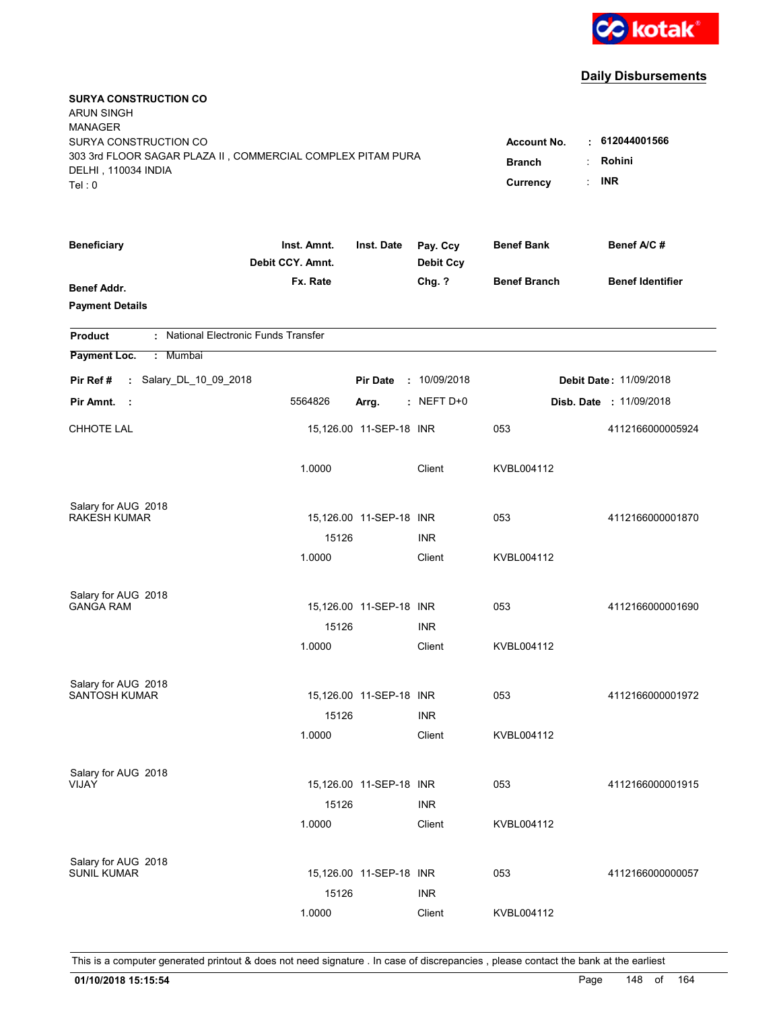

| <b>SURYA CONSTRUCTION CO</b><br><b>ARUN SINGH</b><br><b>MANAGER</b><br>SURYA CONSTRUCTION CO |                                                   |                         |                              | <b>Account No.</b>  | $\cdot$ 612044001566           |
|----------------------------------------------------------------------------------------------|---------------------------------------------------|-------------------------|------------------------------|---------------------|--------------------------------|
| 303 3rd FLOOR SAGAR PLAZA II, COMMERCIAL COMPLEX PITAM PURA<br>DELHI, 110034 INDIA<br>Tel: 0 | Rohini<br><b>Branch</b><br><b>INR</b><br>Currency |                         |                              |                     |                                |
| <b>Beneficiary</b>                                                                           | Inst. Amnt.<br>Debit CCY. Amnt.                   | Inst. Date              | Pay. Ccy<br><b>Debit Ccy</b> | <b>Benef Bank</b>   | Benef A/C #                    |
| <b>Benef Addr.</b><br><b>Payment Details</b>                                                 | Fx. Rate                                          |                         | Chg. ?                       | <b>Benef Branch</b> | <b>Benef Identifier</b>        |
| : National Electronic Funds Transfer<br><b>Product</b>                                       |                                                   |                         |                              |                     |                                |
| Payment Loc.<br>: Mumbai                                                                     |                                                   |                         |                              |                     |                                |
| : Salary_DL_10_09_2018<br>Pir Ref #                                                          |                                                   | <b>Pir Date</b>         | : 10/09/2018                 |                     | <b>Debit Date: 11/09/2018</b>  |
| Pir Amnt.<br>$\sim$ 1                                                                        | 5564826                                           | Arrg.                   | $:$ NEFT D+0                 |                     | <b>Disb. Date : 11/09/2018</b> |
| CHHOTE LAL                                                                                   |                                                   | 15,126.00 11-SEP-18 INR |                              | 053                 | 4112166000005924               |
|                                                                                              | 1.0000                                            |                         | Client                       | KVBL004112          |                                |
| Salary for AUG 2018<br><b>RAKESH KUMAR</b>                                                   |                                                   | 15,126.00 11-SEP-18 INR |                              | 053                 | 4112166000001870               |
|                                                                                              | 15126                                             |                         | <b>INR</b>                   |                     |                                |
|                                                                                              | 1.0000                                            |                         | Client                       | KVBL004112          |                                |
| Salary for AUG 2018                                                                          |                                                   |                         |                              |                     |                                |
| <b>GANGA RAM</b>                                                                             |                                                   | 15,126.00 11-SEP-18 INR |                              | 053                 | 4112166000001690               |
|                                                                                              | 15126                                             |                         | <b>INR</b>                   |                     |                                |
|                                                                                              | 1.0000                                            |                         | Client                       | KVBL004112          |                                |
| Salary for AUG 2018                                                                          |                                                   |                         |                              |                     |                                |
| <b>SANTOSH KUMAR</b>                                                                         |                                                   | 15,126.00 11-SEP-18 INR |                              | 053                 | 4112166000001972               |
|                                                                                              | 15126<br>1.0000                                   |                         | <b>INR</b><br>Client         | KVBL004112          |                                |
|                                                                                              |                                                   |                         |                              |                     |                                |
| Salary for AUG 2018<br>VIJAY                                                                 |                                                   |                         |                              | 053                 | 4112166000001915               |
|                                                                                              | 15126                                             | 15,126.00 11-SEP-18 INR | <b>INR</b>                   |                     |                                |
|                                                                                              | 1.0000                                            |                         | Client                       | KVBL004112          |                                |
|                                                                                              |                                                   |                         |                              |                     |                                |
| Salary for AUG 2018<br>SUNIL KUMAR                                                           |                                                   | 15,126.00 11-SEP-18 INR |                              | 053                 | 4112166000000057               |
|                                                                                              | 15126                                             |                         | <b>INR</b>                   |                     |                                |
|                                                                                              | 1.0000                                            |                         | Client                       | KVBL004112          |                                |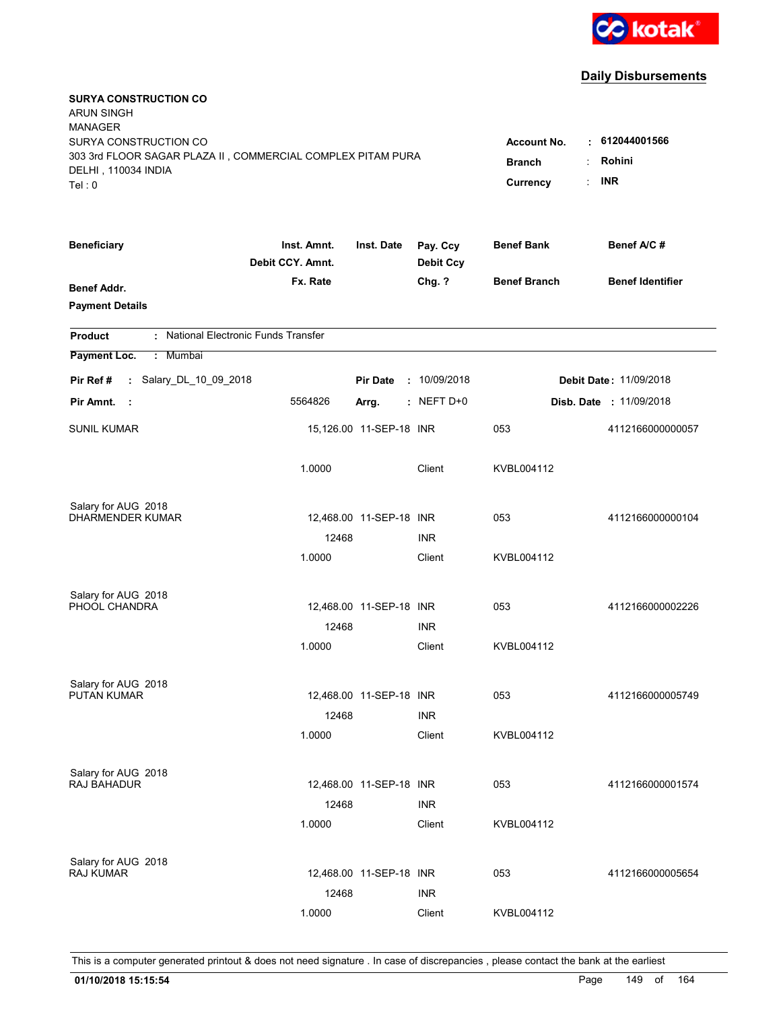

| <b>SURYA CONSTRUCTION CO</b><br><b>ARUN SINGH</b><br><b>MANAGER</b><br>SURYA CONSTRUCTION CO<br>303 3rd FLOOR SAGAR PLAZA II, COMMERCIAL COMPLEX PITAM PURA<br>DELHI, 110034 INDIA<br>Tel: 0 | <b>Account No.</b><br><b>Branch</b><br>Currency | $\cdot$ 612044001566<br>Rohini<br><b>INR</b> |                              |                     |                                |
|----------------------------------------------------------------------------------------------------------------------------------------------------------------------------------------------|-------------------------------------------------|----------------------------------------------|------------------------------|---------------------|--------------------------------|
| <b>Beneficiary</b>                                                                                                                                                                           | Inst. Amnt.<br>Debit CCY. Amnt.                 | Inst. Date                                   | Pay. Ccy<br><b>Debit Ccy</b> | <b>Benef Bank</b>   | Benef A/C #                    |
| <b>Benef Addr.</b><br><b>Payment Details</b>                                                                                                                                                 | Fx. Rate                                        |                                              | Chg. ?                       | <b>Benef Branch</b> | <b>Benef Identifier</b>        |
| : National Electronic Funds Transfer<br><b>Product</b>                                                                                                                                       |                                                 |                                              |                              |                     |                                |
| Payment Loc.<br>: Mumbai                                                                                                                                                                     |                                                 |                                              |                              |                     |                                |
| : Salary_DL_10_09_2018<br>Pir Ref #                                                                                                                                                          |                                                 | <b>Pir Date</b>                              | : 10/09/2018                 |                     | <b>Debit Date: 11/09/2018</b>  |
| Pir Amnt.<br>- 1                                                                                                                                                                             | 5564826                                         | Arrg.                                        | $:$ NEFT D+0                 |                     | <b>Disb. Date : 11/09/2018</b> |
| <b>SUNIL KUMAR</b>                                                                                                                                                                           |                                                 | 15,126.00 11-SEP-18 INR                      |                              | 053                 | 4112166000000057               |
|                                                                                                                                                                                              | 1.0000                                          |                                              | Client                       | KVBL004112          |                                |
| Salary for AUG 2018                                                                                                                                                                          |                                                 |                                              |                              |                     |                                |
| DHARMENDER KUMAR                                                                                                                                                                             | 12468                                           | 12,468.00 11-SEP-18 INR                      | <b>INR</b>                   | 053                 | 4112166000000104               |
|                                                                                                                                                                                              | 1.0000                                          |                                              | Client                       | KVBL004112          |                                |
| Salary for AUG 2018                                                                                                                                                                          |                                                 |                                              |                              |                     |                                |
| PHOOL CHANDRA                                                                                                                                                                                |                                                 | 12,468.00 11-SEP-18 INR                      |                              | 053                 | 4112166000002226               |
|                                                                                                                                                                                              | 12468                                           |                                              | <b>INR</b>                   |                     |                                |
|                                                                                                                                                                                              | 1.0000                                          |                                              | Client                       | KVBL004112          |                                |
| Salary for AUG 2018                                                                                                                                                                          |                                                 |                                              |                              |                     |                                |
| <b>PUTAN KUMAR</b>                                                                                                                                                                           |                                                 | 12,468.00 11-SEP-18 INR                      |                              | 053                 | 4112166000005749               |
|                                                                                                                                                                                              | 12468                                           |                                              | <b>INR</b>                   |                     |                                |
|                                                                                                                                                                                              | 1.0000                                          |                                              | Client                       | KVBL004112          |                                |
| Salary for AUG 2018<br>RAJ BAHADUR                                                                                                                                                           |                                                 | 12,468.00 11-SEP-18 INR                      |                              | 053                 | 4112166000001574               |
|                                                                                                                                                                                              | 12468                                           |                                              | <b>INR</b>                   |                     |                                |
|                                                                                                                                                                                              | 1.0000                                          |                                              | Client                       | KVBL004112          |                                |
|                                                                                                                                                                                              |                                                 |                                              |                              |                     |                                |
| Salary for AUG 2018<br>RAJ KUMAR                                                                                                                                                             |                                                 | 12,468.00 11-SEP-18 INR                      |                              | 053                 | 4112166000005654               |
|                                                                                                                                                                                              | 12468                                           |                                              | <b>INR</b>                   |                     |                                |
|                                                                                                                                                                                              | 1.0000                                          |                                              | Client                       | KVBL004112          |                                |
|                                                                                                                                                                                              |                                                 |                                              |                              |                     |                                |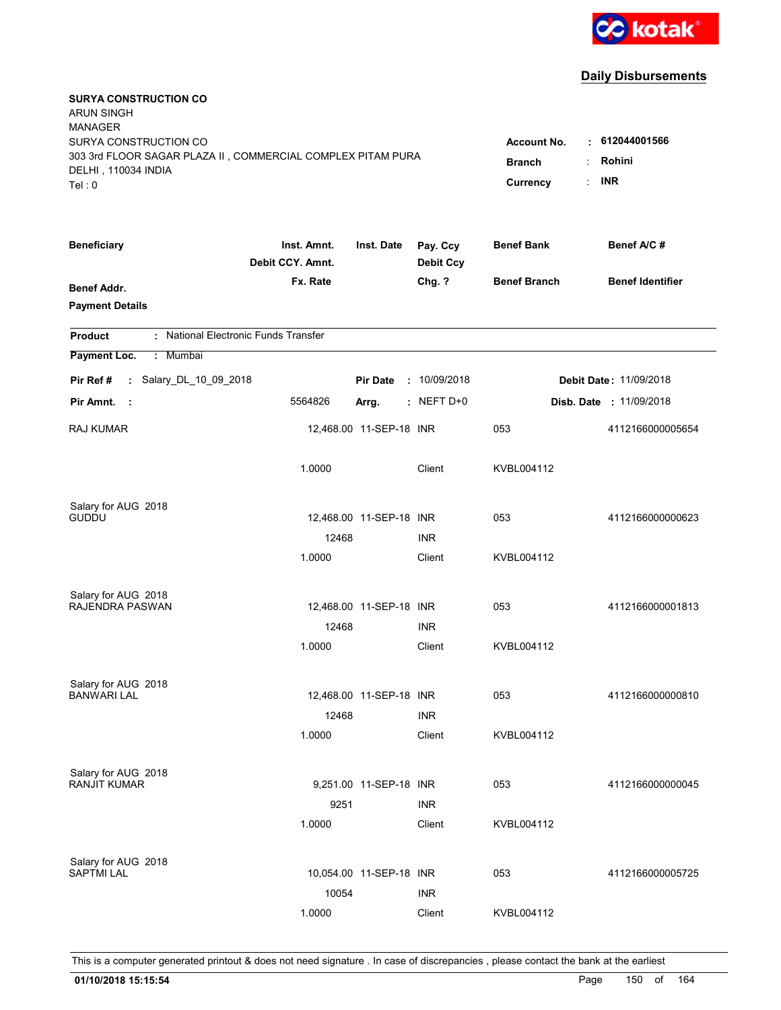

| <b>SURYA CONSTRUCTION CO</b><br><b>ARUN SINGH</b><br><b>MANAGER</b>                                                   |                                                 |                                              |                              |                     |                                |
|-----------------------------------------------------------------------------------------------------------------------|-------------------------------------------------|----------------------------------------------|------------------------------|---------------------|--------------------------------|
| SURYA CONSTRUCTION CO<br>303 3rd FLOOR SAGAR PLAZA II, COMMERCIAL COMPLEX PITAM PURA<br>DELHI, 110034 INDIA<br>Tel: 0 | <b>Account No.</b><br><b>Branch</b><br>Currency | $\cdot$ 612044001566<br>Rohini<br><b>INR</b> |                              |                     |                                |
| <b>Beneficiary</b>                                                                                                    | Inst. Amnt.<br>Debit CCY. Amnt.                 | Inst. Date                                   | Pay. Ccy<br><b>Debit Ccy</b> | <b>Benef Bank</b>   | Benef A/C #                    |
| <b>Benef Addr.</b><br><b>Payment Details</b>                                                                          | Fx. Rate                                        |                                              | Chg. ?                       | <b>Benef Branch</b> | <b>Benef Identifier</b>        |
| : National Electronic Funds Transfer<br><b>Product</b>                                                                |                                                 |                                              |                              |                     |                                |
| Payment Loc.<br>: Mumbai                                                                                              |                                                 |                                              |                              |                     |                                |
| : Salary_DL_10_09_2018<br>Pir Ref #                                                                                   |                                                 | <b>Pir Date</b>                              | : 10/09/2018                 |                     | <b>Debit Date: 11/09/2018</b>  |
| Pir Amnt.<br>- 1                                                                                                      | 5564826                                         | Arrg.                                        | $:$ NEFT D+0                 |                     | <b>Disb. Date : 11/09/2018</b> |
| <b>RAJ KUMAR</b>                                                                                                      |                                                 | 12,468.00 11-SEP-18 INR                      |                              | 053                 | 4112166000005654               |
|                                                                                                                       | 1.0000                                          |                                              | Client                       | KVBL004112          |                                |
| Salary for AUG 2018                                                                                                   |                                                 |                                              |                              |                     |                                |
| <b>GUDDU</b>                                                                                                          | 12468                                           | 12,468.00 11-SEP-18 INR                      | <b>INR</b>                   | 053                 | 4112166000000623               |
|                                                                                                                       | 1.0000                                          |                                              | Client                       | KVBL004112          |                                |
| Salary for AUG 2018                                                                                                   |                                                 |                                              |                              |                     |                                |
| RAJENDRA PASWAN                                                                                                       |                                                 | 12,468.00 11-SEP-18 INR                      |                              | 053                 | 4112166000001813               |
|                                                                                                                       | 12468                                           |                                              | <b>INR</b>                   |                     |                                |
|                                                                                                                       | 1.0000                                          |                                              | Client                       | KVBL004112          |                                |
| Salary for AUG 2018                                                                                                   |                                                 |                                              |                              |                     |                                |
| <b>BANWARI LAL</b>                                                                                                    |                                                 | 12,468.00 11-SEP-18 INR                      |                              | 053                 | 4112166000000810               |
|                                                                                                                       | 12468                                           |                                              | <b>INR</b>                   |                     |                                |
|                                                                                                                       | 1.0000                                          |                                              | Client                       | KVBL004112          |                                |
| Salary for AUG 2018<br><b>RANJIT KUMAR</b>                                                                            |                                                 |                                              |                              |                     |                                |
|                                                                                                                       | 9251                                            | 9,251.00 11-SEP-18 INR                       | <b>INR</b>                   | 053                 | 4112166000000045               |
|                                                                                                                       | 1.0000                                          |                                              | Client                       | KVBL004112          |                                |
|                                                                                                                       |                                                 |                                              |                              |                     |                                |
| Salary for AUG 2018<br><b>SAPTMI LAL</b>                                                                              |                                                 | 10,054.00 11-SEP-18 INR                      |                              | 053                 | 4112166000005725               |
|                                                                                                                       | 10054                                           |                                              | <b>INR</b>                   |                     |                                |
|                                                                                                                       | 1.0000                                          |                                              | Client                       | KVBL004112          |                                |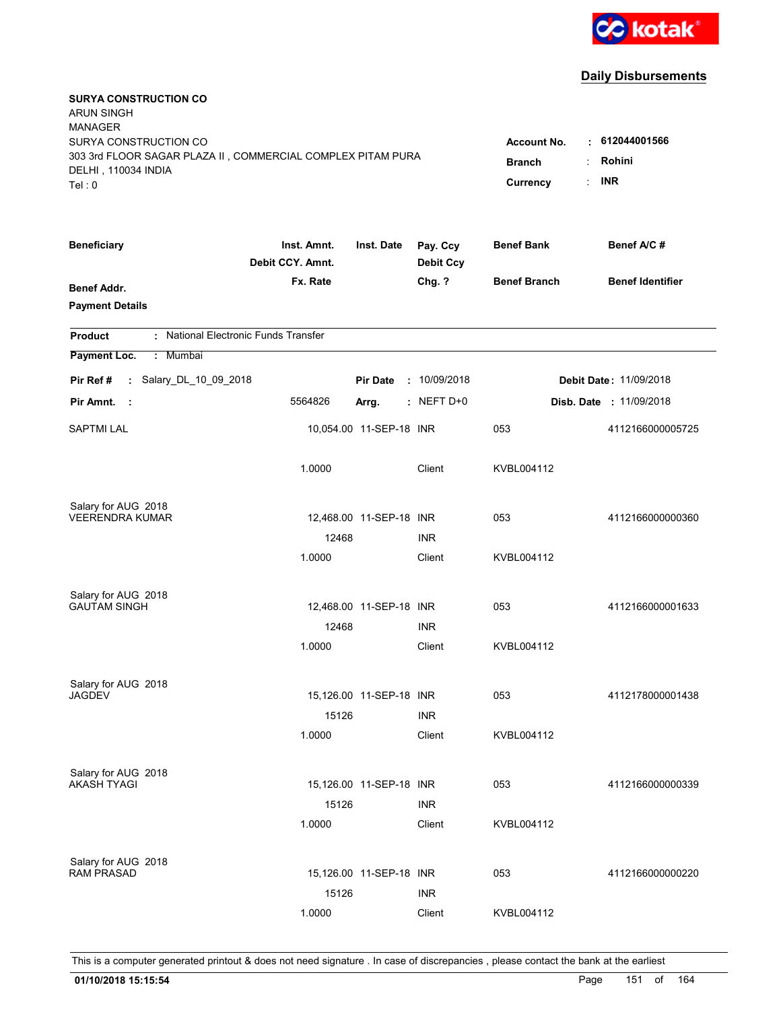

| <b>SURYA CONSTRUCTION CO</b><br><b>ARUN SINGH</b><br><b>MANAGER</b><br>SURYA CONSTRUCTION CO |                                                   |                         |                              | <b>Account No.</b>  | $\cdot$ 612044001566           |
|----------------------------------------------------------------------------------------------|---------------------------------------------------|-------------------------|------------------------------|---------------------|--------------------------------|
| 303 3rd FLOOR SAGAR PLAZA II, COMMERCIAL COMPLEX PITAM PURA<br>DELHI, 110034 INDIA<br>Tel: 0 | Rohini<br><b>Branch</b><br><b>INR</b><br>Currency |                         |                              |                     |                                |
| <b>Beneficiary</b>                                                                           | Inst. Amnt.<br>Debit CCY. Amnt.                   | Inst. Date              | Pay. Ccy<br><b>Debit Ccy</b> | <b>Benef Bank</b>   | Benef A/C #                    |
| <b>Benef Addr.</b><br><b>Payment Details</b>                                                 | Fx. Rate                                          |                         | Chg. ?                       | <b>Benef Branch</b> | <b>Benef Identifier</b>        |
| : National Electronic Funds Transfer<br><b>Product</b>                                       |                                                   |                         |                              |                     |                                |
| Payment Loc.<br>: Mumbai                                                                     |                                                   |                         |                              |                     |                                |
| : Salary_DL_10_09_2018<br>Pir Ref #                                                          |                                                   | <b>Pir Date</b>         | : 10/09/2018                 |                     | <b>Debit Date: 11/09/2018</b>  |
| Pir Amnt.<br>$\sim$ 1                                                                        | 5564826                                           | Arrg.                   | $:$ NEFT D+0                 |                     | <b>Disb. Date : 11/09/2018</b> |
| <b>SAPTMI LAL</b>                                                                            |                                                   | 10,054.00 11-SEP-18 INR |                              | 053                 | 4112166000005725               |
|                                                                                              | 1.0000                                            |                         | Client                       | KVBL004112          |                                |
| Salary for AUG 2018<br><b>VEERENDRA KUMAR</b>                                                |                                                   | 12,468.00 11-SEP-18 INR |                              | 053                 | 4112166000000360               |
|                                                                                              | 12468                                             |                         | <b>INR</b>                   |                     |                                |
|                                                                                              | 1.0000                                            |                         | Client                       | KVBL004112          |                                |
| Salary for AUG 2018                                                                          |                                                   |                         |                              |                     |                                |
| <b>GAUTAM SINGH</b>                                                                          |                                                   | 12,468.00 11-SEP-18 INR |                              | 053                 | 4112166000001633               |
|                                                                                              | 12468                                             |                         | <b>INR</b>                   |                     |                                |
|                                                                                              | 1.0000                                            |                         | Client                       | KVBL004112          |                                |
| Salary for AUG 2018                                                                          |                                                   |                         |                              |                     |                                |
| <b>JAGDEV</b>                                                                                |                                                   | 15,126.00 11-SEP-18 INR |                              | 053                 | 4112178000001438               |
|                                                                                              | 15126                                             |                         | <b>INR</b>                   |                     |                                |
|                                                                                              | 1.0000                                            |                         | Client                       | KVBL004112          |                                |
| Salary for AUG 2018                                                                          |                                                   |                         |                              |                     |                                |
| <b>AKASH TYAGI</b>                                                                           |                                                   | 15,126.00 11-SEP-18 INR |                              | 053                 | 4112166000000339               |
|                                                                                              | 15126                                             |                         | <b>INR</b>                   |                     |                                |
|                                                                                              | 1.0000                                            |                         | Client                       | KVBL004112          |                                |
| Salary for AUG 2018                                                                          |                                                   |                         |                              |                     |                                |
| <b>RAM PRASAD</b>                                                                            |                                                   | 15,126.00 11-SEP-18 INR |                              | 053                 | 4112166000000220               |
|                                                                                              | 15126                                             |                         | <b>INR</b>                   |                     |                                |
|                                                                                              | 1.0000                                            |                         | Client                       | KVBL004112          |                                |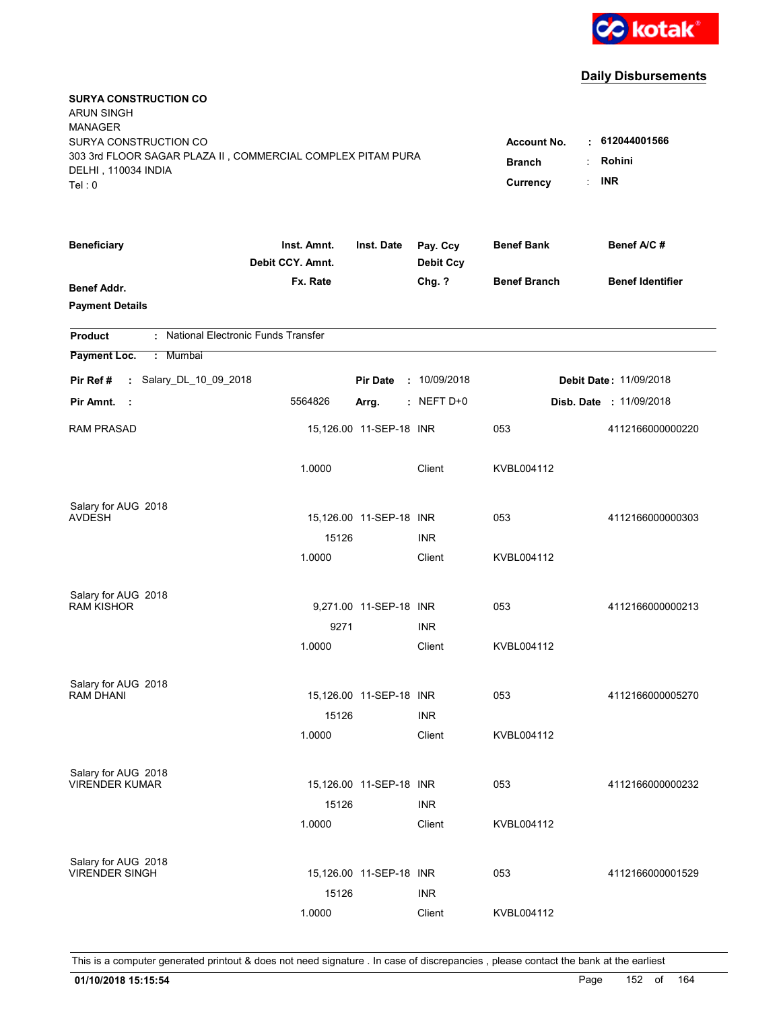

| <b>SURYA CONSTRUCTION CO</b><br><b>ARUN SINGH</b><br><b>MANAGER</b><br>SURYA CONSTRUCTION CO<br>303 3rd FLOOR SAGAR PLAZA II, COMMERCIAL COMPLEX PITAM PURA<br>DELHI, 110034 INDIA<br>Tel: 0 | <b>Account No.</b><br><b>Branch</b><br>Currency | $\cdot$ 612044001566<br>Rohini<br><b>INR</b> |                              |                     |                               |
|----------------------------------------------------------------------------------------------------------------------------------------------------------------------------------------------|-------------------------------------------------|----------------------------------------------|------------------------------|---------------------|-------------------------------|
| <b>Beneficiary</b>                                                                                                                                                                           | Inst. Amnt.<br>Debit CCY. Amnt.                 | Inst. Date                                   | Pay. Ccy<br><b>Debit Ccy</b> | <b>Benef Bank</b>   | Benef A/C#                    |
| <b>Benef Addr.</b><br><b>Payment Details</b>                                                                                                                                                 | Fx. Rate                                        |                                              | Chg. ?                       | <b>Benef Branch</b> | <b>Benef Identifier</b>       |
| : National Electronic Funds Transfer<br><b>Product</b>                                                                                                                                       |                                                 |                                              |                              |                     |                               |
| Payment Loc.<br>Mumbai<br>÷.                                                                                                                                                                 |                                                 |                                              |                              |                     |                               |
| : Salary_DL_10_09_2018<br>Pir Ref #                                                                                                                                                          |                                                 | <b>Pir Date</b>                              | : 10/09/2018                 |                     | <b>Debit Date: 11/09/2018</b> |
| Pir Amnt.<br>- 1                                                                                                                                                                             | 5564826                                         | Arrg.                                        | $:$ NEFT D+0                 |                     | Disb. Date: 11/09/2018        |
| <b>RAM PRASAD</b>                                                                                                                                                                            |                                                 | 15,126.00 11-SEP-18 INR                      |                              | 053                 | 4112166000000220              |
|                                                                                                                                                                                              | 1.0000                                          |                                              | Client                       | KVBL004112          |                               |
| Salary for AUG 2018<br><b>AVDESH</b>                                                                                                                                                         |                                                 | 15,126.00 11-SEP-18 INR                      |                              | 053                 | 4112166000000303              |
|                                                                                                                                                                                              | 15126                                           |                                              | <b>INR</b>                   |                     |                               |
|                                                                                                                                                                                              | 1.0000                                          |                                              | Client                       | KVBL004112          |                               |
| Salary for AUG 2018<br><b>RAM KISHOR</b>                                                                                                                                                     |                                                 | 9,271.00 11-SEP-18 INR                       |                              | 053                 | 4112166000000213              |
|                                                                                                                                                                                              | 9271                                            |                                              | <b>INR</b>                   |                     |                               |
|                                                                                                                                                                                              | 1.0000                                          |                                              | Client                       | KVBL004112          |                               |
| Salary for AUG 2018                                                                                                                                                                          |                                                 |                                              |                              |                     |                               |
| <b>RAM DHANI</b>                                                                                                                                                                             |                                                 | 15,126.00 11-SEP-18 INR                      |                              | 053                 | 4112166000005270              |
|                                                                                                                                                                                              | 15126<br>1.0000                                 |                                              | <b>INR</b><br>Client         | KVBL004112          |                               |
|                                                                                                                                                                                              |                                                 |                                              |                              |                     |                               |
| Salary for AUG 2018<br><b>VIRENDER KUMAR</b>                                                                                                                                                 |                                                 | 15,126.00 11-SEP-18 INR                      |                              | 053                 | 4112166000000232              |
|                                                                                                                                                                                              | 15126                                           |                                              | <b>INR</b>                   |                     |                               |
|                                                                                                                                                                                              | 1.0000                                          |                                              | Client                       | KVBL004112          |                               |
| Salary for AUG 2018                                                                                                                                                                          |                                                 |                                              |                              |                     |                               |
| <b>VIRENDER SINGH</b>                                                                                                                                                                        |                                                 | 15,126.00 11-SEP-18 INR                      |                              | 053                 | 4112166000001529              |
|                                                                                                                                                                                              | 15126                                           |                                              | <b>INR</b>                   |                     |                               |
|                                                                                                                                                                                              | 1.0000                                          |                                              | Client                       | KVBL004112          |                               |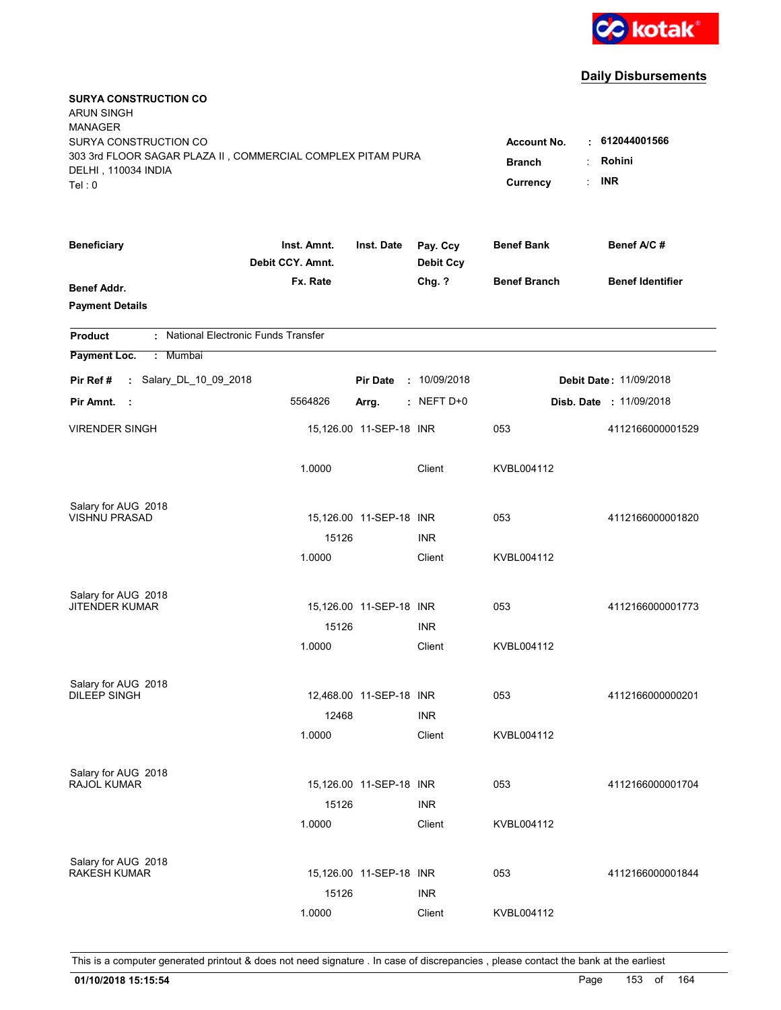

| <b>SURYA CONSTRUCTION CO</b><br><b>ARUN SINGH</b><br><b>MANAGER</b><br>SURYA CONSTRUCTION CO<br>303 3rd FLOOR SAGAR PLAZA II, COMMERCIAL COMPLEX PITAM PURA<br>DELHI, 110034 INDIA<br>Tel: 0 | <b>Account No.</b><br><b>Branch</b><br>Currency | $\cdot$ 612044001566<br>Rohini<br><b>INR</b> |                              |                     |                                |
|----------------------------------------------------------------------------------------------------------------------------------------------------------------------------------------------|-------------------------------------------------|----------------------------------------------|------------------------------|---------------------|--------------------------------|
| <b>Beneficiary</b>                                                                                                                                                                           | Inst. Amnt.<br>Debit CCY. Amnt.                 | Inst. Date                                   | Pay. Ccy<br><b>Debit Ccy</b> | <b>Benef Bank</b>   | Benef A/C #                    |
| <b>Benef Addr.</b><br><b>Payment Details</b>                                                                                                                                                 | Fx. Rate                                        |                                              | Chg. ?                       | <b>Benef Branch</b> | <b>Benef Identifier</b>        |
| : National Electronic Funds Transfer<br><b>Product</b>                                                                                                                                       |                                                 |                                              |                              |                     |                                |
| Payment Loc.<br>: Mumbai                                                                                                                                                                     |                                                 |                                              |                              |                     |                                |
| : Salary_DL_10_09_2018<br>Pir Ref #                                                                                                                                                          |                                                 | <b>Pir Date</b>                              | : 10/09/2018                 |                     | <b>Debit Date: 11/09/2018</b>  |
| Pir Amnt.<br>- 1                                                                                                                                                                             | 5564826                                         | Arrg.                                        | $:$ NEFT D+0                 |                     | <b>Disb. Date : 11/09/2018</b> |
| <b>VIRENDER SINGH</b>                                                                                                                                                                        |                                                 | 15,126.00 11-SEP-18 INR                      |                              | 053                 | 4112166000001529               |
|                                                                                                                                                                                              | 1.0000                                          |                                              | Client                       | KVBL004112          |                                |
| Salary for AUG 2018                                                                                                                                                                          |                                                 |                                              |                              |                     |                                |
| VISHNU PRASAD                                                                                                                                                                                | 15126                                           | 15,126.00 11-SEP-18 INR                      | <b>INR</b>                   | 053                 | 4112166000001820               |
|                                                                                                                                                                                              | 1.0000                                          |                                              | Client                       | KVBL004112          |                                |
| Salary for AUG 2018                                                                                                                                                                          |                                                 |                                              |                              |                     |                                |
| <b>JITENDER KUMAR</b>                                                                                                                                                                        |                                                 | 15,126.00 11-SEP-18 INR                      |                              | 053                 | 4112166000001773               |
|                                                                                                                                                                                              | 15126                                           |                                              | <b>INR</b>                   |                     |                                |
|                                                                                                                                                                                              | 1.0000                                          |                                              | Client                       | KVBL004112          |                                |
| Salary for AUG 2018                                                                                                                                                                          |                                                 |                                              |                              |                     |                                |
| <b>DILEEP SINGH</b>                                                                                                                                                                          |                                                 | 12,468.00 11-SEP-18 INR                      |                              | 053                 | 4112166000000201               |
|                                                                                                                                                                                              | 12468<br>1.0000                                 |                                              | <b>INR</b><br>Client         |                     |                                |
|                                                                                                                                                                                              |                                                 |                                              |                              | KVBL004112          |                                |
| Salary for AUG 2018<br>RAJOL KUMAR                                                                                                                                                           |                                                 | 15,126.00 11-SEP-18 INR                      |                              | 053                 | 4112166000001704               |
|                                                                                                                                                                                              | 15126                                           |                                              | <b>INR</b>                   |                     |                                |
|                                                                                                                                                                                              | 1.0000                                          |                                              | Client                       | KVBL004112          |                                |
|                                                                                                                                                                                              |                                                 |                                              |                              |                     |                                |
| Salary for AUG 2018<br><b>RAKESH KUMAR</b>                                                                                                                                                   |                                                 | 15,126.00 11-SEP-18 INR                      |                              | 053                 | 4112166000001844               |
|                                                                                                                                                                                              | 15126                                           |                                              | <b>INR</b>                   |                     |                                |
|                                                                                                                                                                                              | 1.0000                                          |                                              | Client                       | KVBL004112          |                                |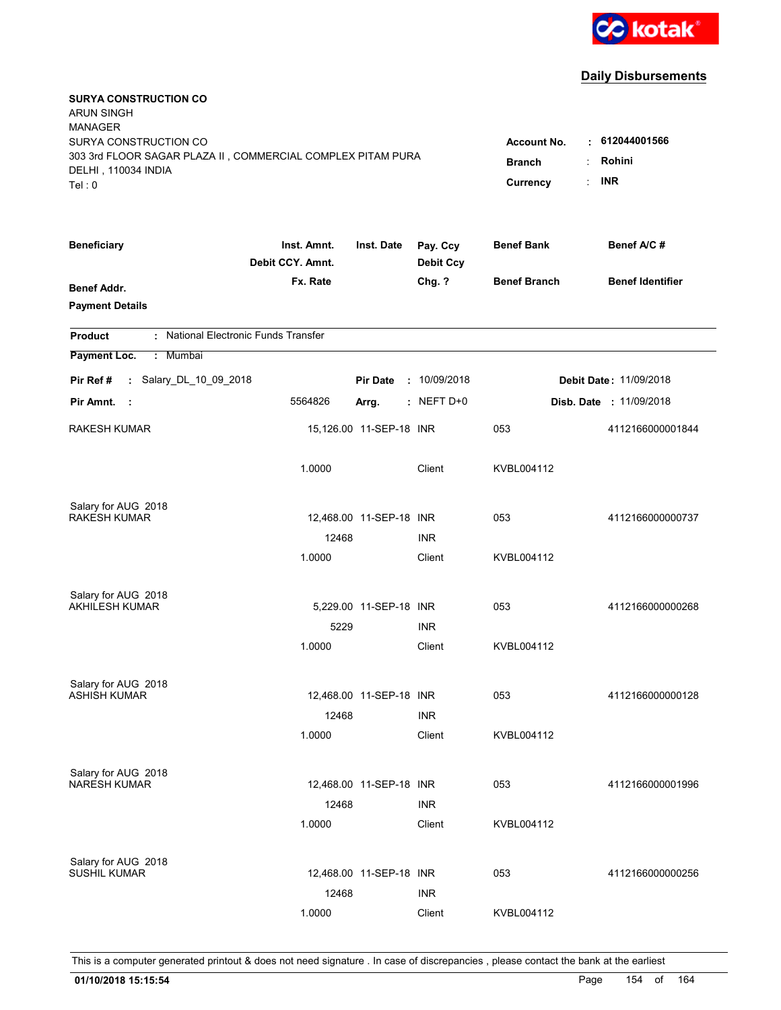

| <b>SURYA CONSTRUCTION CO</b><br><b>ARUN SINGH</b><br><b>MANAGER</b><br>SURYA CONSTRUCTION CO<br>303 3rd FLOOR SAGAR PLAZA II, COMMERCIAL COMPLEX PITAM PURA<br>DELHI, 110034 INDIA<br>Tel: 0 | <b>Account No.</b><br><b>Branch</b><br>Currency | $\cdot$ 612044001566<br>Rohini<br><b>INR</b> |                              |                     |                                |
|----------------------------------------------------------------------------------------------------------------------------------------------------------------------------------------------|-------------------------------------------------|----------------------------------------------|------------------------------|---------------------|--------------------------------|
| <b>Beneficiary</b>                                                                                                                                                                           | Inst. Amnt.<br>Debit CCY. Amnt.                 | Inst. Date                                   | Pay. Ccy<br><b>Debit Ccy</b> | <b>Benef Bank</b>   | Benef A/C#                     |
| <b>Benef Addr.</b><br><b>Payment Details</b>                                                                                                                                                 | Fx. Rate                                        |                                              | Chg. ?                       | <b>Benef Branch</b> | <b>Benef Identifier</b>        |
| : National Electronic Funds Transfer<br><b>Product</b>                                                                                                                                       |                                                 |                                              |                              |                     |                                |
| Payment Loc.<br>Mumbai<br>÷.                                                                                                                                                                 |                                                 |                                              |                              |                     |                                |
| : Salary_DL_10_09_2018<br>Pir Ref #                                                                                                                                                          |                                                 | <b>Pir Date</b>                              | : 10/09/2018                 |                     | <b>Debit Date: 11/09/2018</b>  |
| Pir Amnt.<br>- 1                                                                                                                                                                             | 5564826                                         | Arrg.                                        | $:$ NEFT D+0                 |                     | <b>Disb. Date : 11/09/2018</b> |
| RAKESH KUMAR                                                                                                                                                                                 |                                                 | 15,126.00 11-SEP-18 INR                      |                              | 053                 | 4112166000001844               |
|                                                                                                                                                                                              | 1.0000                                          |                                              | Client                       | KVBL004112          |                                |
| Salary for AUG 2018                                                                                                                                                                          |                                                 |                                              |                              |                     |                                |
| <b>RAKESH KUMAR</b>                                                                                                                                                                          | 12468                                           | 12,468.00 11-SEP-18 INR                      | <b>INR</b>                   | 053                 | 4112166000000737               |
|                                                                                                                                                                                              | 1.0000                                          |                                              | Client                       | KVBL004112          |                                |
| Salary for AUG 2018                                                                                                                                                                          |                                                 |                                              |                              |                     |                                |
| <b>AKHILESH KUMAR</b>                                                                                                                                                                        |                                                 | 5,229.00 11-SEP-18 INR                       |                              | 053                 | 4112166000000268               |
|                                                                                                                                                                                              | 5229                                            |                                              | <b>INR</b>                   |                     |                                |
|                                                                                                                                                                                              | 1.0000                                          |                                              | Client                       | KVBL004112          |                                |
| Salary for AUG 2018                                                                                                                                                                          |                                                 |                                              |                              |                     |                                |
| <b>ASHISH KUMAR</b>                                                                                                                                                                          |                                                 | 12,468.00 11-SEP-18 INR                      |                              | 053                 | 4112166000000128               |
|                                                                                                                                                                                              | 12468                                           |                                              | <b>INR</b>                   |                     |                                |
|                                                                                                                                                                                              | 1.0000                                          |                                              | Client                       | KVBL004112          |                                |
| Salary for AUG 2018<br><b>NARESH KUMAR</b>                                                                                                                                                   |                                                 | 12,468.00 11-SEP-18 INR                      |                              | 053                 | 4112166000001996               |
|                                                                                                                                                                                              | 12468                                           |                                              | <b>INR</b>                   |                     |                                |
|                                                                                                                                                                                              | 1.0000                                          |                                              | Client                       | KVBL004112          |                                |
|                                                                                                                                                                                              |                                                 |                                              |                              |                     |                                |
| Salary for AUG 2018<br><b>SUSHIL KUMAR</b>                                                                                                                                                   |                                                 | 12,468.00 11-SEP-18 INR                      |                              | 053                 | 4112166000000256               |
|                                                                                                                                                                                              | 12468                                           |                                              | <b>INR</b>                   |                     |                                |
|                                                                                                                                                                                              | 1.0000                                          |                                              | Client                       | KVBL004112          |                                |
|                                                                                                                                                                                              |                                                 |                                              |                              |                     |                                |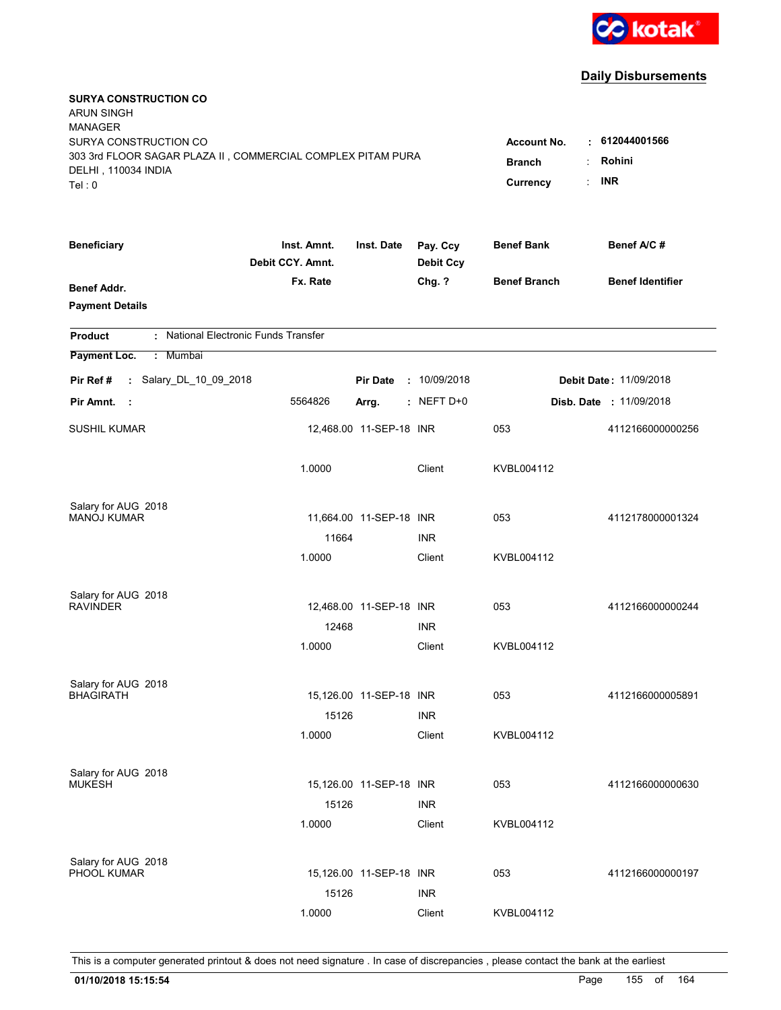

| <b>SURYA CONSTRUCTION CO</b><br><b>ARUN SINGH</b><br><b>MANAGER</b><br>SURYA CONSTRUCTION CO<br>303 3rd FLOOR SAGAR PLAZA II, COMMERCIAL COMPLEX PITAM PURA<br>DELHI, 110034 INDIA<br>Tel: 0 | <b>Account No.</b><br><b>Branch</b><br>Currency | $\cdot$ 612044001566<br>Rohini<br><b>INR</b> |                              |                     |                                |
|----------------------------------------------------------------------------------------------------------------------------------------------------------------------------------------------|-------------------------------------------------|----------------------------------------------|------------------------------|---------------------|--------------------------------|
| <b>Beneficiary</b>                                                                                                                                                                           | Inst. Amnt.<br>Debit CCY. Amnt.                 | Inst. Date                                   | Pay. Ccy<br><b>Debit Ccy</b> | <b>Benef Bank</b>   | Benef A/C #                    |
| <b>Benef Addr.</b><br><b>Payment Details</b>                                                                                                                                                 | Fx. Rate                                        |                                              | Chg. ?                       | <b>Benef Branch</b> | <b>Benef Identifier</b>        |
| : National Electronic Funds Transfer<br><b>Product</b>                                                                                                                                       |                                                 |                                              |                              |                     |                                |
| Payment Loc.<br>: Mumbai                                                                                                                                                                     |                                                 |                                              |                              |                     |                                |
| : Salary_DL_10_09_2018<br>Pir Ref #                                                                                                                                                          |                                                 | <b>Pir Date</b>                              | : 10/09/2018                 |                     | <b>Debit Date: 11/09/2018</b>  |
| Pir Amnt.<br>- 1                                                                                                                                                                             | 5564826                                         | Arrg.                                        | $:$ NEFT D+0                 |                     | <b>Disb. Date : 11/09/2018</b> |
| <b>SUSHIL KUMAR</b>                                                                                                                                                                          |                                                 | 12,468.00 11-SEP-18 INR                      |                              | 053                 | 4112166000000256               |
|                                                                                                                                                                                              | 1.0000                                          |                                              | Client                       | KVBL004112          |                                |
| Salary for AUG 2018<br><b>MANOJ KUMAR</b>                                                                                                                                                    |                                                 |                                              |                              |                     |                                |
|                                                                                                                                                                                              | 11664                                           | 11,664.00  11-SEP-18  INR                    | <b>INR</b>                   | 053                 | 4112178000001324               |
|                                                                                                                                                                                              | 1.0000                                          |                                              | Client                       | KVBL004112          |                                |
| Salary for AUG 2018                                                                                                                                                                          |                                                 |                                              |                              |                     |                                |
| <b>RAVINDER</b>                                                                                                                                                                              |                                                 | 12,468.00 11-SEP-18 INR                      |                              | 053                 | 4112166000000244               |
|                                                                                                                                                                                              | 12468                                           |                                              | <b>INR</b>                   |                     |                                |
|                                                                                                                                                                                              | 1.0000                                          |                                              | Client                       | KVBL004112          |                                |
| Salary for AUG 2018                                                                                                                                                                          |                                                 |                                              |                              |                     |                                |
| <b>BHAGIRATH</b>                                                                                                                                                                             |                                                 | 15,126.00 11-SEP-18 INR                      |                              | 053                 | 4112166000005891               |
|                                                                                                                                                                                              | 15126                                           |                                              | <b>INR</b>                   |                     |                                |
|                                                                                                                                                                                              | 1.0000                                          |                                              | Client                       | KVBL004112          |                                |
| Salary for AUG 2018                                                                                                                                                                          |                                                 |                                              |                              |                     |                                |
| <b>MUKESH</b>                                                                                                                                                                                |                                                 | 15,126.00 11-SEP-18 INR                      |                              | 053                 | 4112166000000630               |
|                                                                                                                                                                                              | 15126<br>1.0000                                 |                                              | <b>INR</b><br>Client         | KVBL004112          |                                |
|                                                                                                                                                                                              |                                                 |                                              |                              |                     |                                |
| Salary for AUG 2018<br>PHOOL KUMAR                                                                                                                                                           |                                                 | 15,126.00 11-SEP-18 INR                      |                              | 053                 | 4112166000000197               |
|                                                                                                                                                                                              |                                                 |                                              |                              |                     |                                |
|                                                                                                                                                                                              | 15126<br>1.0000                                 |                                              | <b>INR</b><br>Client         | KVBL004112          |                                |
|                                                                                                                                                                                              |                                                 |                                              |                              |                     |                                |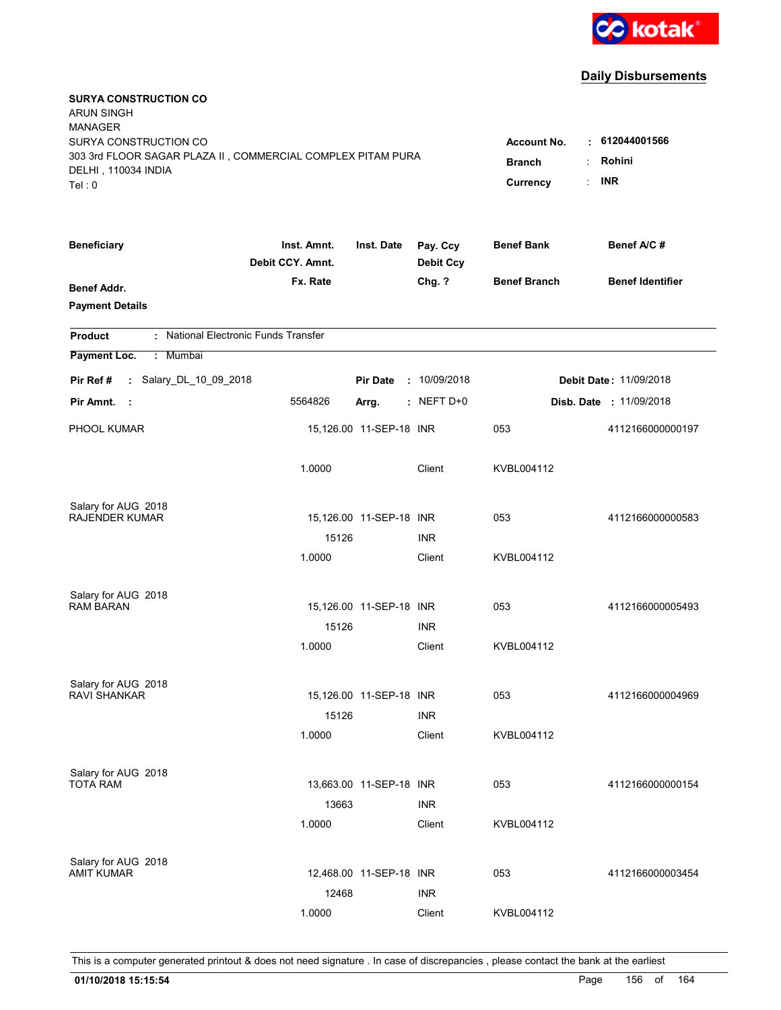

| <b>SURYA CONSTRUCTION CO</b><br><b>ARUN SINGH</b><br><b>MANAGER</b><br>SURYA CONSTRUCTION CO |                                     |                         |                              | <b>Account No.</b>  | $\cdot$ 612044001566           |
|----------------------------------------------------------------------------------------------|-------------------------------------|-------------------------|------------------------------|---------------------|--------------------------------|
| 303 3rd FLOOR SAGAR PLAZA II, COMMERCIAL COMPLEX PITAM PURA<br>DELHI, 110034 INDIA<br>Tel: 0 | <b>Branch</b><br>÷<br>÷<br>Currency | Rohini<br><b>INR</b>    |                              |                     |                                |
| <b>Beneficiary</b>                                                                           | Inst. Amnt.<br>Debit CCY. Amnt.     | Inst. Date              | Pay. Ccy<br><b>Debit Ccy</b> | <b>Benef Bank</b>   | Benef A/C#                     |
| <b>Benef Addr.</b><br><b>Payment Details</b>                                                 | Fx. Rate                            |                         | Chg. ?                       | <b>Benef Branch</b> | <b>Benef Identifier</b>        |
| : National Electronic Funds Transfer<br><b>Product</b>                                       |                                     |                         |                              |                     |                                |
| Payment Loc.<br>: Mumbai                                                                     |                                     |                         |                              |                     |                                |
| : Salary_DL_10_09_2018<br>Pir Ref #                                                          |                                     | <b>Pir Date</b>         | : 10/09/2018                 |                     | Debit Date: 11/09/2018         |
| Pir Amnt.<br>- 1                                                                             | 5564826                             | Arrg.                   | $:$ NEFT D+0                 |                     | <b>Disb. Date : 11/09/2018</b> |
| PHOOL KUMAR                                                                                  |                                     | 15,126.00 11-SEP-18 INR |                              | 053                 | 4112166000000197               |
|                                                                                              | 1.0000                              |                         | Client                       | KVBL004112          |                                |
| Salary for AUG 2018<br>RAJENDER KUMAR                                                        |                                     | 15,126.00 11-SEP-18 INR |                              | 053                 | 4112166000000583               |
|                                                                                              | 15126                               |                         | <b>INR</b>                   |                     |                                |
|                                                                                              | 1.0000                              |                         | Client                       | KVBL004112          |                                |
| Salary for AUG 2018                                                                          |                                     |                         |                              |                     |                                |
| <b>RAM BARAN</b>                                                                             |                                     | 15,126.00 11-SEP-18 INR |                              | 053                 | 4112166000005493               |
|                                                                                              | 15126                               |                         | <b>INR</b>                   |                     |                                |
|                                                                                              | 1.0000                              |                         | Client                       | KVBL004112          |                                |
| Salary for AUG 2018                                                                          |                                     |                         |                              |                     |                                |
| <b>RAVI SHANKAR</b>                                                                          |                                     | 15,126.00 11-SEP-18 INR |                              | 053                 | 4112166000004969               |
|                                                                                              | 15126<br>1.0000                     |                         | <b>INR</b><br>Client         | KVBL004112          |                                |
|                                                                                              |                                     |                         |                              |                     |                                |
| Salary for AUG 2018<br><b>TOTA RAM</b>                                                       |                                     | 13,663.00 11-SEP-18 INR |                              | 053                 | 4112166000000154               |
|                                                                                              | 13663                               |                         | <b>INR</b>                   |                     |                                |
|                                                                                              | 1.0000                              |                         | Client                       | KVBL004112          |                                |
|                                                                                              |                                     |                         |                              |                     |                                |
| Salary for AUG 2018<br>AMIT KUMAR                                                            |                                     | 12,468.00 11-SEP-18 INR |                              | 053                 | 4112166000003454               |
|                                                                                              | 12468                               |                         | <b>INR</b>                   |                     |                                |
|                                                                                              | 1.0000                              |                         | Client                       | KVBL004112          |                                |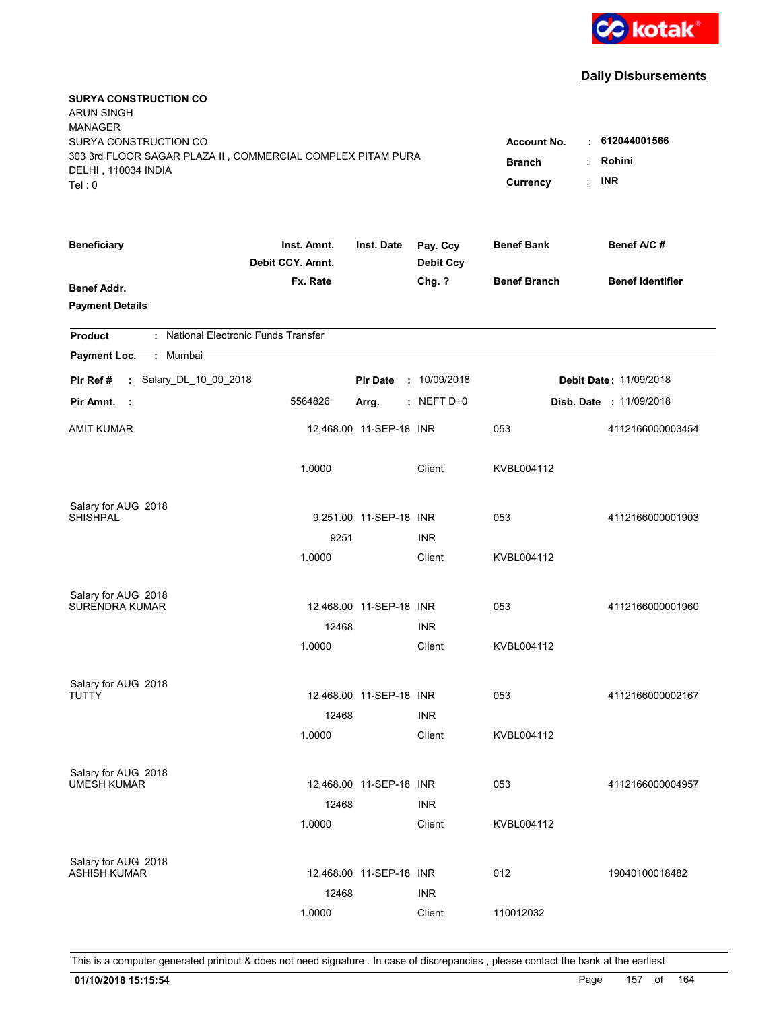

| <b>SURYA CONSTRUCTION CO</b><br><b>ARUN SINGH</b><br><b>MANAGER</b>                                                   |                                                 |                                              |                              |                     |                                |
|-----------------------------------------------------------------------------------------------------------------------|-------------------------------------------------|----------------------------------------------|------------------------------|---------------------|--------------------------------|
| SURYA CONSTRUCTION CO<br>303 3rd FLOOR SAGAR PLAZA II, COMMERCIAL COMPLEX PITAM PURA<br>DELHI, 110034 INDIA<br>Tel: 0 | <b>Account No.</b><br><b>Branch</b><br>Currency | $\cdot$ 612044001566<br>Rohini<br><b>INR</b> |                              |                     |                                |
| <b>Beneficiary</b>                                                                                                    | Inst. Amnt.<br>Debit CCY. Amnt.                 | Inst. Date                                   | Pay. Ccy<br><b>Debit Ccy</b> | <b>Benef Bank</b>   | Benef A/C #                    |
| <b>Benef Addr.</b><br><b>Payment Details</b>                                                                          | Fx. Rate                                        |                                              | Chg. ?                       | <b>Benef Branch</b> | <b>Benef Identifier</b>        |
| : National Electronic Funds Transfer<br><b>Product</b>                                                                |                                                 |                                              |                              |                     |                                |
| Payment Loc.<br>: Mumbai                                                                                              |                                                 |                                              |                              |                     |                                |
| : Salary_DL_10_09_2018<br>Pir Ref #                                                                                   |                                                 | <b>Pir Date</b>                              | : 10/09/2018                 |                     | <b>Debit Date: 11/09/2018</b>  |
| Pir Amnt.<br>- 1                                                                                                      | 5564826                                         | Arrg.                                        | $:$ NEFT D+0                 |                     | <b>Disb. Date : 11/09/2018</b> |
| AMIT KUMAR                                                                                                            |                                                 | 12,468.00 11-SEP-18 INR                      |                              | 053                 | 4112166000003454               |
|                                                                                                                       | 1.0000                                          |                                              | Client                       | KVBL004112          |                                |
| Salary for AUG 2018<br><b>SHISHPAL</b>                                                                                |                                                 |                                              |                              |                     |                                |
|                                                                                                                       |                                                 | 9,251.00 11-SEP-18 INR                       |                              | 053                 | 4112166000001903               |
|                                                                                                                       | 9251<br>1.0000                                  |                                              | <b>INR</b><br>Client         | KVBL004112          |                                |
|                                                                                                                       |                                                 |                                              |                              |                     |                                |
| Salary for AUG 2018                                                                                                   |                                                 |                                              |                              |                     |                                |
| <b>SURENDRA KUMAR</b>                                                                                                 |                                                 | 12,468.00 11-SEP-18 INR                      |                              | 053                 | 4112166000001960               |
|                                                                                                                       | 12468                                           |                                              | <b>INR</b>                   |                     |                                |
|                                                                                                                       | 1.0000                                          |                                              | Client                       | KVBL004112          |                                |
| Salary for AUG 2018                                                                                                   |                                                 |                                              |                              |                     |                                |
| TUTTY                                                                                                                 |                                                 | 12,468.00 11-SEP-18 INR                      |                              | 053                 | 4112166000002167               |
|                                                                                                                       | 12468                                           |                                              | <b>INR</b>                   |                     |                                |
|                                                                                                                       | 1.0000                                          |                                              | Client                       | KVBL004112          |                                |
| Salary for AUG 2018                                                                                                   |                                                 |                                              |                              |                     |                                |
| <b>UMESH KUMAR</b>                                                                                                    |                                                 | 12,468.00 11-SEP-18 INR                      |                              | 053                 | 4112166000004957               |
|                                                                                                                       | 12468                                           |                                              | <b>INR</b>                   |                     |                                |
|                                                                                                                       | 1.0000                                          |                                              | Client                       | KVBL004112          |                                |
|                                                                                                                       |                                                 |                                              |                              |                     |                                |
| Salary for AUG 2018<br><b>ASHISH KUMAR</b>                                                                            |                                                 | 12,468.00 11-SEP-18 INR                      |                              | 012                 | 19040100018482                 |
|                                                                                                                       | 12468                                           |                                              | <b>INR</b>                   |                     |                                |
|                                                                                                                       | 1.0000                                          |                                              | Client                       | 110012032           |                                |
|                                                                                                                       |                                                 |                                              |                              |                     |                                |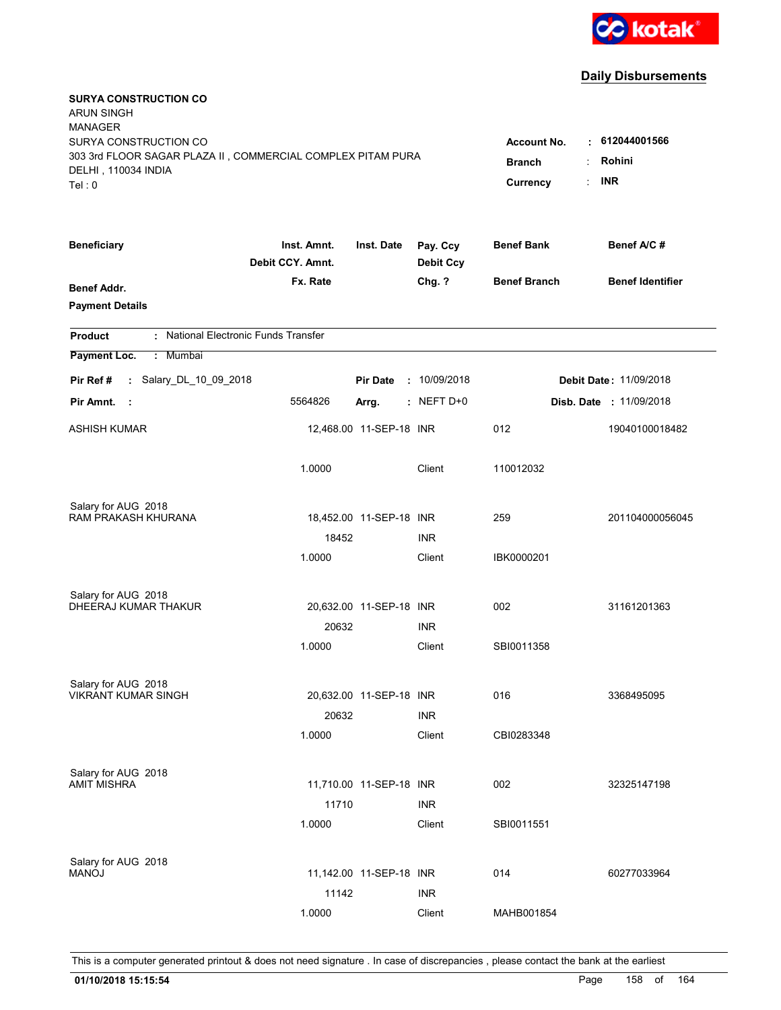

| <b>SURYA CONSTRUCTION CO</b><br><b>ARUN SINGH</b>           |                                 |                           |                              |                     |                                |
|-------------------------------------------------------------|---------------------------------|---------------------------|------------------------------|---------------------|--------------------------------|
| <b>MANAGER</b>                                              |                                 |                           |                              |                     |                                |
| SURYA CONSTRUCTION CO                                       |                                 |                           |                              | <b>Account No.</b>  | $\cdot$ 612044001566           |
| 303 3rd FLOOR SAGAR PLAZA II, COMMERCIAL COMPLEX PITAM PURA |                                 |                           |                              | <b>Branch</b>       | Rohini                         |
| DELHI, 110034 INDIA<br>Tel: 0                               |                                 |                           |                              | Currency            | <b>INR</b>                     |
|                                                             |                                 |                           |                              |                     |                                |
| <b>Beneficiary</b>                                          | Inst. Amnt.<br>Debit CCY. Amnt. | Inst. Date                | Pay. Ccy<br><b>Debit Ccy</b> | <b>Benef Bank</b>   | Benef A/C #                    |
| <b>Benef Addr.</b>                                          | Fx. Rate                        |                           | Chg. ?                       | <b>Benef Branch</b> | <b>Benef Identifier</b>        |
| <b>Payment Details</b>                                      |                                 |                           |                              |                     |                                |
| : National Electronic Funds Transfer<br><b>Product</b>      |                                 |                           |                              |                     |                                |
| Payment Loc.<br>: Mumbai                                    |                                 |                           |                              |                     |                                |
| : Salary_DL_10_09_2018<br>Pir Ref #                         |                                 | <b>Pir Date</b>           | : 10/09/2018                 |                     | <b>Debit Date: 11/09/2018</b>  |
| Pir Amnt.<br>- 1                                            | 5564826                         | Arrg.                     | $:$ NEFT D+0                 |                     | <b>Disb. Date : 11/09/2018</b> |
| ASHISH KUMAR                                                |                                 | 12,468.00 11-SEP-18 INR   |                              | 012                 | 19040100018482                 |
|                                                             | 1.0000                          |                           | Client                       | 110012032           |                                |
| Salary for AUG 2018                                         |                                 |                           |                              |                     |                                |
| RAM PRAKASH KHURANA                                         |                                 | 18,452.00 11-SEP-18 INR   |                              | 259                 | 201104000056045                |
|                                                             | 18452                           |                           | <b>INR</b>                   |                     |                                |
|                                                             | 1.0000                          |                           | Client                       | IBK0000201          |                                |
| Salary for AUG 2018                                         |                                 |                           |                              |                     |                                |
| <b>DHEERAJ KUMAR THAKUR</b>                                 |                                 | 20,632.00 11-SEP-18 INR   |                              | 002                 | 31161201363                    |
|                                                             | 20632                           |                           | <b>INR</b>                   |                     |                                |
|                                                             | 1.0000                          |                           | Client                       | SBI0011358          |                                |
| Salary for AUG 2018                                         |                                 |                           |                              |                     |                                |
| <b>VIKRANT KUMAR SINGH</b>                                  |                                 | 20,632.00 11-SEP-18 INR   |                              | 016                 | 3368495095                     |
|                                                             | 20632                           |                           | <b>INR</b>                   |                     |                                |
|                                                             | 1.0000                          |                           | Client                       | CBI0283348          |                                |
| Salary for AUG 2018                                         |                                 |                           |                              |                     |                                |
| <b>AMIT MISHRA</b>                                          |                                 | 11,710.00 11-SEP-18 INR   |                              | 002                 | 32325147198                    |
|                                                             | 11710                           |                           | <b>INR</b>                   |                     |                                |
|                                                             | 1.0000                          |                           | Client                       | SBI0011551          |                                |
| Salary for AUG 2018                                         |                                 |                           |                              |                     |                                |
| <b>MANOJ</b>                                                |                                 | 11,142.00  11-SEP-18  INR |                              | 014                 | 60277033964                    |
|                                                             | 11142                           |                           | <b>INR</b>                   |                     |                                |
|                                                             | 1.0000                          |                           | Client                       | MAHB001854          |                                |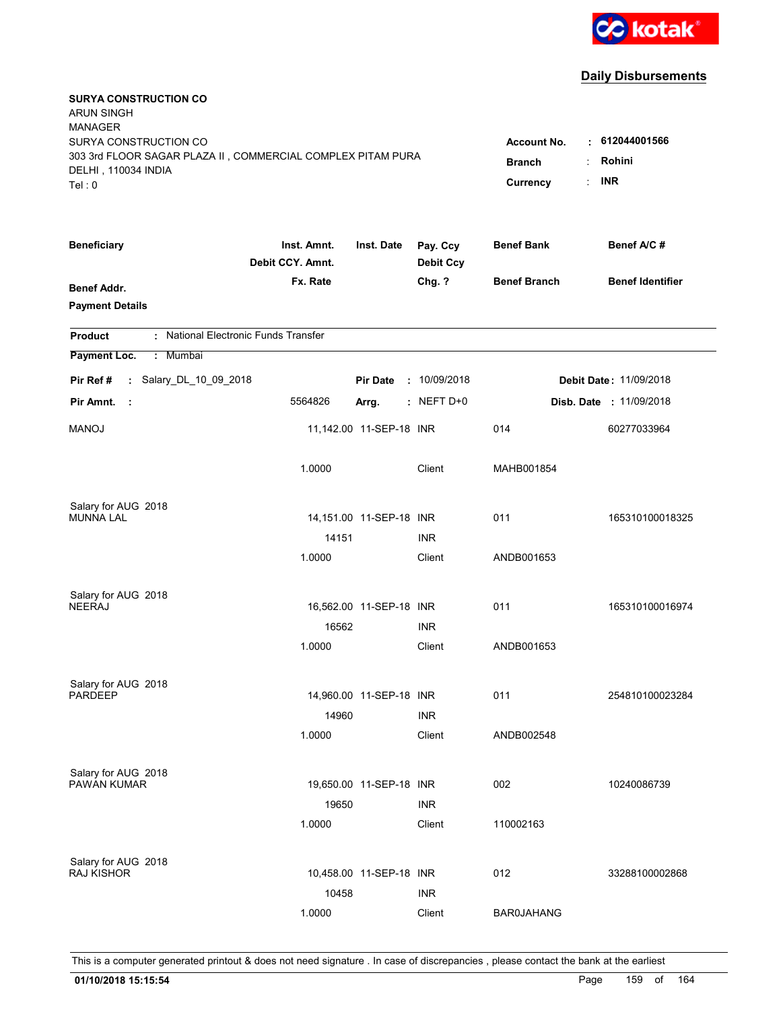

| <b>SURYA CONSTRUCTION CO</b><br><b>ARUN SINGH</b><br><b>MANAGER</b><br>SURYA CONSTRUCTION CO<br>303 3rd FLOOR SAGAR PLAZA II, COMMERCIAL COMPLEX PITAM PURA<br>DELHI, 110034 INDIA<br>Tel: 0 | <b>Account No.</b><br>٠<br><b>Branch</b><br>÷<br>Currency | 612044001566<br>Rohini<br><b>INR</b><br>t. |                              |                     |                         |
|----------------------------------------------------------------------------------------------------------------------------------------------------------------------------------------------|-----------------------------------------------------------|--------------------------------------------|------------------------------|---------------------|-------------------------|
| <b>Beneficiary</b>                                                                                                                                                                           | Inst. Amnt.<br>Debit CCY. Amnt.                           | Inst. Date                                 | Pay. Ccy<br><b>Debit Ccy</b> | <b>Benef Bank</b>   | Benef A/C #             |
| Benef Addr.<br><b>Payment Details</b>                                                                                                                                                        | Fx. Rate                                                  |                                            | Chg. ?                       | <b>Benef Branch</b> | <b>Benef Identifier</b> |
| : National Electronic Funds Transfer<br><b>Product</b>                                                                                                                                       |                                                           |                                            |                              |                     |                         |
| Payment Loc.<br>: Mumbai                                                                                                                                                                     |                                                           |                                            |                              |                     |                         |
| : Salary_DL_10_09_2018<br>Pir Ref #                                                                                                                                                          |                                                           | <b>Pir Date</b>                            | : 10/09/2018                 |                     | Debit Date: 11/09/2018  |
| Pir Amnt.<br>- 11                                                                                                                                                                            | 5564826                                                   | Arrg.                                      | $:$ NEFT D+0                 |                     | Disb. Date : 11/09/2018 |
| <b>MANOJ</b>                                                                                                                                                                                 |                                                           | 11,142.00 11-SEP-18 INR                    |                              | 014                 | 60277033964             |
|                                                                                                                                                                                              | 1.0000                                                    |                                            | Client                       | MAHB001854          |                         |
| Salary for AUG 2018<br><b>MUNNA LAL</b>                                                                                                                                                      |                                                           | 14,151.00  11-SEP-18  INR                  |                              | 011                 | 165310100018325         |
|                                                                                                                                                                                              | 14151                                                     |                                            | <b>INR</b>                   |                     |                         |
|                                                                                                                                                                                              | 1.0000                                                    |                                            | Client                       | ANDB001653          |                         |
| Salary for AUG 2018<br><b>NEERAJ</b>                                                                                                                                                         | 16562                                                     | 16,562.00 11-SEP-18 INR                    | <b>INR</b>                   | 011                 | 165310100016974         |
|                                                                                                                                                                                              | 1.0000                                                    |                                            | Client                       | ANDB001653          |                         |
| Salary for AUG 2018<br><b>PARDEEP</b>                                                                                                                                                        | 14960                                                     | 14,960.00 11-SEP-18 INR                    | <b>INR</b>                   | 011                 | 254810100023284         |
|                                                                                                                                                                                              | 1.0000                                                    |                                            | Client                       | ANDB002548          |                         |
| Salary for AUG 2018<br>PAWAN KUMAR                                                                                                                                                           | 19650                                                     | 19,650.00 11-SEP-18 INR                    | <b>INR</b>                   | 002                 | 10240086739             |
|                                                                                                                                                                                              | 1.0000                                                    |                                            | Client                       | 110002163           |                         |
| Salary for AUG 2018<br><b>RAJ KISHOR</b>                                                                                                                                                     | 10458                                                     | 10,458.00 11-SEP-18 INR                    | <b>INR</b>                   | 012                 | 33288100002868          |
|                                                                                                                                                                                              | 1.0000                                                    |                                            | Client                       | <b>BAR0JAHANG</b>   |                         |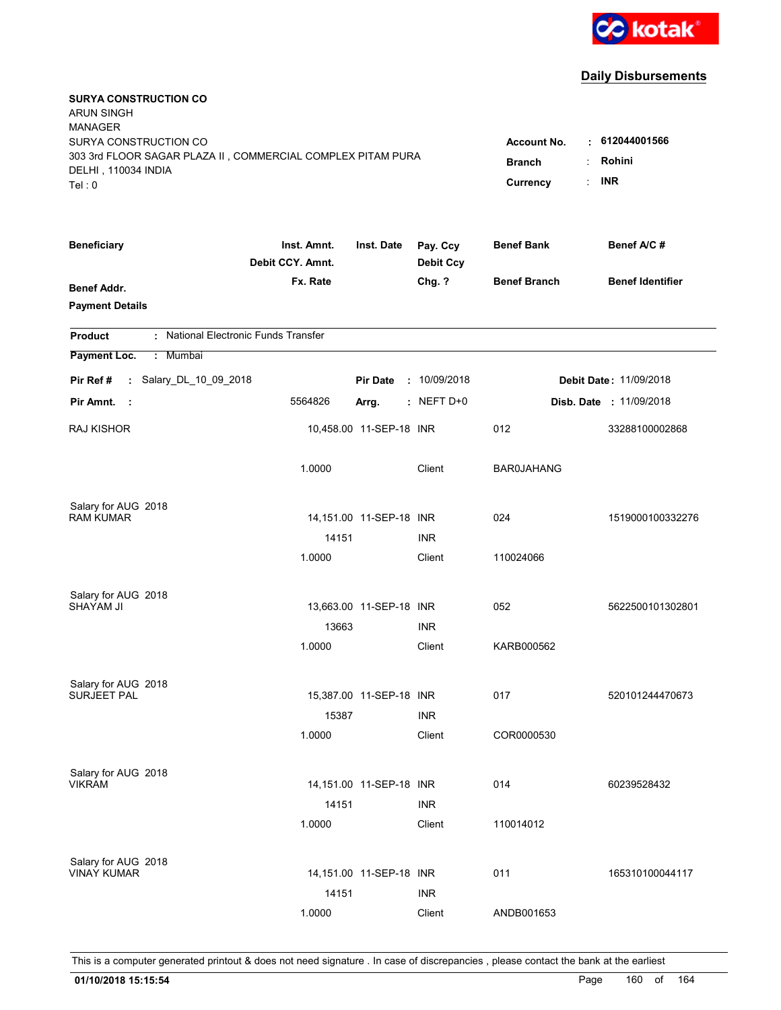

| <b>SURYA CONSTRUCTION CO</b><br><b>ARUN SINGH</b><br><b>MANAGER</b><br>SURYA CONSTRUCTION CO<br>303 3rd FLOOR SAGAR PLAZA II, COMMERCIAL COMPLEX PITAM PURA<br>DELHI, 110034 INDIA<br>Tel: 0 | <b>Account No.</b><br><b>Branch</b><br>÷<br>÷<br>Currency | $\cdot$ 612044001566<br>Rohini<br><b>INR</b> |                              |                     |                                |
|----------------------------------------------------------------------------------------------------------------------------------------------------------------------------------------------|-----------------------------------------------------------|----------------------------------------------|------------------------------|---------------------|--------------------------------|
| <b>Beneficiary</b>                                                                                                                                                                           | Inst. Amnt.<br>Debit CCY. Amnt.                           | Inst. Date                                   | Pay. Ccy<br><b>Debit Ccy</b> | <b>Benef Bank</b>   | Benef A/C#                     |
| <b>Benef Addr.</b><br><b>Payment Details</b>                                                                                                                                                 | Fx. Rate                                                  |                                              | Chg. ?                       | <b>Benef Branch</b> | <b>Benef Identifier</b>        |
| : National Electronic Funds Transfer<br><b>Product</b>                                                                                                                                       |                                                           |                                              |                              |                     |                                |
| Payment Loc.<br>: Mumbai                                                                                                                                                                     |                                                           |                                              |                              |                     |                                |
| : Salary_DL_10_09_2018<br>Pir Ref #                                                                                                                                                          |                                                           | <b>Pir Date</b>                              | : 10/09/2018                 |                     | Debit Date: 11/09/2018         |
| Pir Amnt.<br>- 1                                                                                                                                                                             | 5564826                                                   | Arrg.                                        | $:$ NEFT D+0                 |                     | <b>Disb. Date : 11/09/2018</b> |
| <b>RAJ KISHOR</b>                                                                                                                                                                            |                                                           | 10,458.00 11-SEP-18 INR                      |                              | 012                 | 33288100002868                 |
|                                                                                                                                                                                              | 1.0000                                                    |                                              | Client                       | <b>BAR0JAHANG</b>   |                                |
| Salary for AUG 2018                                                                                                                                                                          |                                                           | 14,151.00  11-SEP-18  INR                    |                              | 024                 | 1519000100332276               |
| <b>RAM KUMAR</b>                                                                                                                                                                             | 14151                                                     |                                              | <b>INR</b>                   |                     |                                |
|                                                                                                                                                                                              | 1.0000                                                    |                                              | Client                       | 110024066           |                                |
| Salary for AUG 2018<br>SHAYAM JI                                                                                                                                                             |                                                           | 13,663.00 11-SEP-18 INR                      |                              | 052                 | 5622500101302801               |
|                                                                                                                                                                                              | 13663                                                     |                                              | <b>INR</b>                   |                     |                                |
|                                                                                                                                                                                              | 1.0000                                                    |                                              | Client                       | KARB000562          |                                |
| Salary for AUG 2018                                                                                                                                                                          |                                                           |                                              |                              |                     |                                |
| <b>SURJEET PAL</b>                                                                                                                                                                           |                                                           | 15,387.00 11-SEP-18 INR                      |                              | 017                 | 520101244470673                |
|                                                                                                                                                                                              | 15387<br>1.0000                                           |                                              | <b>INR</b><br>Client         | COR0000530          |                                |
| Salary for AUG 2018<br><b>VIKRAM</b>                                                                                                                                                         |                                                           | 14,151.00  11-SEP-18  INR                    |                              | 014                 | 60239528432                    |
|                                                                                                                                                                                              | 14151                                                     |                                              | <b>INR</b>                   |                     |                                |
|                                                                                                                                                                                              | 1.0000                                                    |                                              | Client                       | 110014012           |                                |
| Salary for AUG 2018<br><b>VINAY KUMAR</b>                                                                                                                                                    | 14151                                                     | 14,151.00 11-SEP-18 INR                      | <b>INR</b>                   | 011                 | 165310100044117                |
|                                                                                                                                                                                              | 1.0000                                                    |                                              | Client                       | ANDB001653          |                                |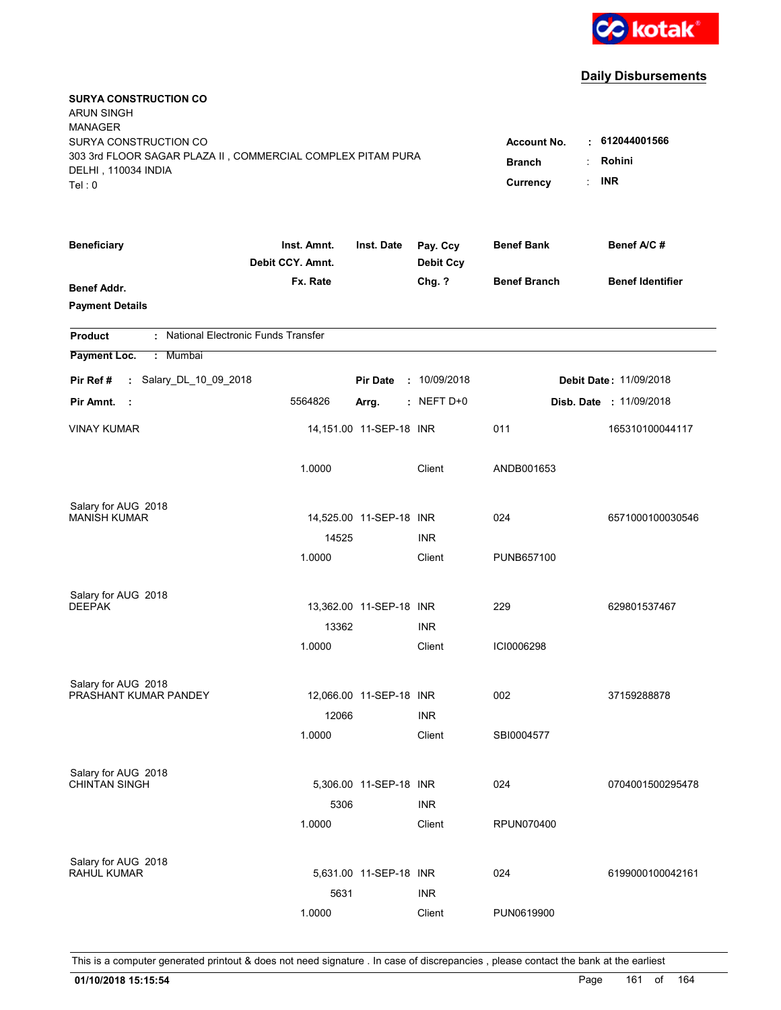

| <b>SURYA CONSTRUCTION CO</b><br><b>ARUN SINGH</b><br><b>MANAGER</b><br>SURYA CONSTRUCTION CO<br>303 3rd FLOOR SAGAR PLAZA II, COMMERCIAL COMPLEX PITAM PURA<br>DELHI, 110034 INDIA<br>Tel: 0 | <b>Account No.</b><br>٠<br><b>Branch</b><br>÷<br>t.<br>Currency | 612044001566<br>Rohini<br><b>INR</b> |                              |                     |                         |
|----------------------------------------------------------------------------------------------------------------------------------------------------------------------------------------------|-----------------------------------------------------------------|--------------------------------------|------------------------------|---------------------|-------------------------|
| <b>Beneficiary</b>                                                                                                                                                                           | Inst. Amnt.<br>Debit CCY. Amnt.                                 | Inst. Date                           | Pay. Ccy<br><b>Debit Ccy</b> | <b>Benef Bank</b>   | Benef A/C #             |
| Benef Addr.<br><b>Payment Details</b>                                                                                                                                                        | Fx. Rate                                                        |                                      | Chg. ?                       | <b>Benef Branch</b> | <b>Benef Identifier</b> |
| : National Electronic Funds Transfer<br><b>Product</b>                                                                                                                                       |                                                                 |                                      |                              |                     |                         |
| Payment Loc.<br>: Mumbai                                                                                                                                                                     |                                                                 |                                      |                              |                     |                         |
| : Salary_DL_10_09_2018<br>Pir Ref #                                                                                                                                                          |                                                                 | <b>Pir Date</b>                      | : 10/09/2018                 |                     | Debit Date: 11/09/2018  |
| Pir Amnt.<br>- 1                                                                                                                                                                             | 5564826                                                         | Arrg.                                | $:$ NEFT D+0                 |                     | Disb. Date : 11/09/2018 |
| <b>VINAY KUMAR</b>                                                                                                                                                                           |                                                                 | 14,151.00 11-SEP-18 INR              |                              | 011                 | 165310100044117         |
|                                                                                                                                                                                              | 1.0000                                                          |                                      | Client                       | ANDB001653          |                         |
| Salary for AUG 2018                                                                                                                                                                          |                                                                 |                                      |                              |                     |                         |
| <b>MANISH KUMAR</b>                                                                                                                                                                          |                                                                 | 14,525.00 11-SEP-18 INR              |                              | 024                 | 6571000100030546        |
|                                                                                                                                                                                              | 14525<br>1.0000                                                 |                                      | <b>INR</b><br>Client         | PUNB657100          |                         |
|                                                                                                                                                                                              |                                                                 |                                      |                              |                     |                         |
| Salary for AUG 2018<br><b>DEEPAK</b>                                                                                                                                                         |                                                                 | 13,362.00 11-SEP-18 INR              |                              | 229                 | 629801537467            |
|                                                                                                                                                                                              | 13362                                                           |                                      | <b>INR</b>                   |                     |                         |
|                                                                                                                                                                                              | 1.0000                                                          |                                      | Client                       | ICI0006298          |                         |
|                                                                                                                                                                                              |                                                                 |                                      |                              |                     |                         |
| Salary for AUG 2018                                                                                                                                                                          |                                                                 |                                      |                              |                     |                         |
| PRASHANT KUMAR PANDEY                                                                                                                                                                        |                                                                 | 12,066.00 11-SEP-18 INR              |                              | 002                 | 37159288878             |
|                                                                                                                                                                                              | 12066                                                           |                                      | <b>INR</b>                   |                     |                         |
|                                                                                                                                                                                              | 1.0000                                                          |                                      | Client                       | SBI0004577          |                         |
| Salary for AUG 2018                                                                                                                                                                          |                                                                 |                                      |                              |                     |                         |
| <b>CHINTAN SINGH</b>                                                                                                                                                                         |                                                                 | 5,306.00 11-SEP-18 INR               |                              | 024                 | 0704001500295478        |
|                                                                                                                                                                                              | 5306                                                            |                                      | <b>INR</b>                   |                     |                         |
|                                                                                                                                                                                              | 1.0000                                                          |                                      | Client                       | RPUN070400          |                         |
| Salary for AUG 2018                                                                                                                                                                          |                                                                 |                                      |                              |                     |                         |
| RAHUL KUMAR                                                                                                                                                                                  |                                                                 | 5,631.00 11-SEP-18 INR               |                              | 024                 | 6199000100042161        |
|                                                                                                                                                                                              | 5631                                                            |                                      | <b>INR</b>                   |                     |                         |
|                                                                                                                                                                                              | 1.0000                                                          |                                      | Client                       | PUN0619900          |                         |
|                                                                                                                                                                                              |                                                                 |                                      |                              |                     |                         |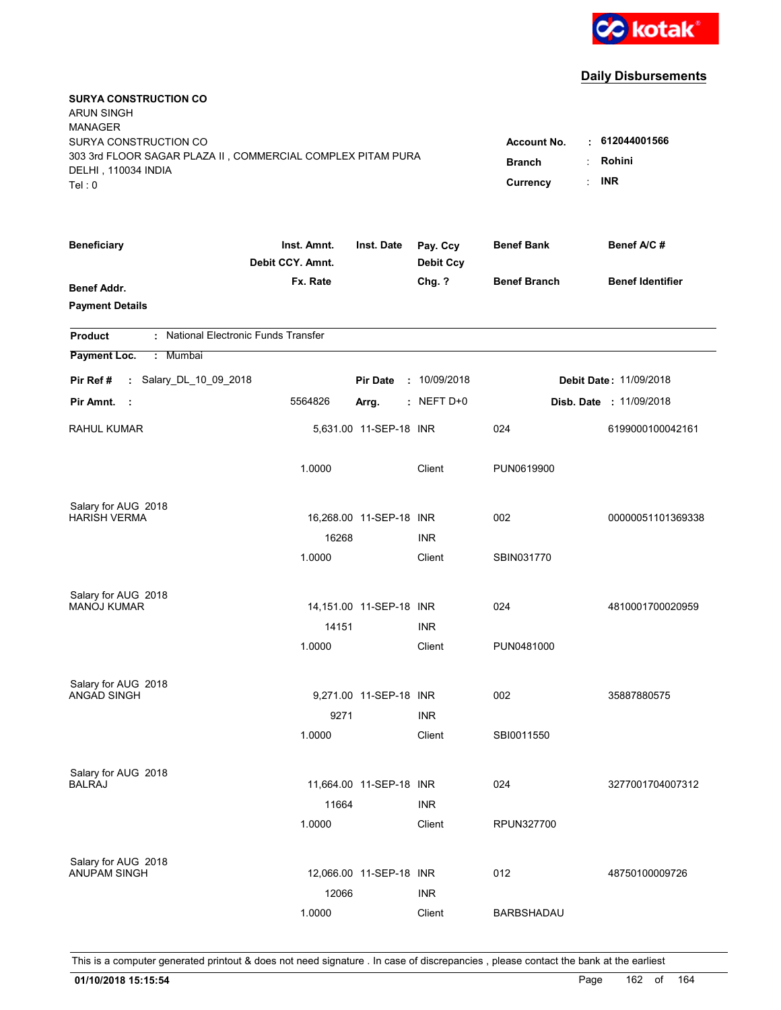

| <b>SURYA CONSTRUCTION CO</b><br><b>ARUN SINGH</b><br><b>MANAGER</b><br>SURYA CONSTRUCTION CO<br>303 3rd FLOOR SAGAR PLAZA II, COMMERCIAL COMPLEX PITAM PURA<br>DELHI, 110034 INDIA | <b>Account No.</b><br><b>Branch</b> | $\cdot$ 612044001566<br>Rohini<br><b>INR</b> |                              |                     |                                |
|------------------------------------------------------------------------------------------------------------------------------------------------------------------------------------|-------------------------------------|----------------------------------------------|------------------------------|---------------------|--------------------------------|
| Tel: 0                                                                                                                                                                             |                                     |                                              |                              | Currency            |                                |
| <b>Beneficiary</b>                                                                                                                                                                 | Inst. Amnt.<br>Debit CCY. Amnt.     | Inst. Date                                   | Pay. Ccy<br><b>Debit Ccy</b> | <b>Benef Bank</b>   | Benef A/C #                    |
| <b>Benef Addr.</b><br><b>Payment Details</b>                                                                                                                                       | Fx. Rate                            |                                              | Chg. ?                       | <b>Benef Branch</b> | <b>Benef Identifier</b>        |
| : National Electronic Funds Transfer<br><b>Product</b>                                                                                                                             |                                     |                                              |                              |                     |                                |
| Payment Loc.<br>: Mumbai                                                                                                                                                           |                                     |                                              |                              |                     |                                |
| : Salary_DL_10_09_2018<br>Pir Ref #                                                                                                                                                |                                     | <b>Pir Date</b>                              | : 10/09/2018                 |                     | <b>Debit Date: 11/09/2018</b>  |
| Pir Amnt.<br>- 1                                                                                                                                                                   | 5564826                             | Arrg.                                        | $:$ NEFT D+0                 |                     | <b>Disb. Date : 11/09/2018</b> |
| RAHUL KUMAR                                                                                                                                                                        |                                     | 5,631.00 11-SEP-18 INR                       |                              | 024                 | 6199000100042161               |
|                                                                                                                                                                                    | 1.0000                              |                                              | Client                       | PUN0619900          |                                |
| Salary for AUG 2018                                                                                                                                                                |                                     |                                              |                              |                     |                                |
| <b>HARISH VERMA</b>                                                                                                                                                                |                                     | 16,268.00 11-SEP-18 INR                      |                              | 002                 | 00000051101369338              |
|                                                                                                                                                                                    | 16268                               |                                              | <b>INR</b>                   |                     |                                |
|                                                                                                                                                                                    | 1.0000                              |                                              | Client                       | SBIN031770          |                                |
| Salary for AUG 2018                                                                                                                                                                |                                     |                                              |                              |                     |                                |
| <b>MANOJ KUMAR</b>                                                                                                                                                                 |                                     | 14,151.00 11-SEP-18 INR                      |                              | 024                 | 4810001700020959               |
|                                                                                                                                                                                    | 14151                               |                                              | <b>INR</b>                   |                     |                                |
|                                                                                                                                                                                    | 1.0000                              |                                              | Client                       | PUN0481000          |                                |
| Salary for AUG 2018                                                                                                                                                                |                                     |                                              |                              |                     |                                |
| <b>ANGAD SINGH</b>                                                                                                                                                                 |                                     | 9,271.00 11-SEP-18 INR                       |                              | 002                 | 35887880575                    |
|                                                                                                                                                                                    | 9271                                |                                              | <b>INR</b>                   |                     |                                |
|                                                                                                                                                                                    | 1.0000                              |                                              | Client                       | SBI0011550          |                                |
|                                                                                                                                                                                    |                                     |                                              |                              |                     |                                |
| Salary for AUG 2018<br><b>BALRAJ</b>                                                                                                                                               |                                     | 11,664.00  11-SEP-18  INR                    |                              | 024                 | 3277001704007312               |
|                                                                                                                                                                                    | 11664                               |                                              | <b>INR</b>                   |                     |                                |
|                                                                                                                                                                                    | 1.0000                              |                                              | Client                       | RPUN327700          |                                |
|                                                                                                                                                                                    |                                     |                                              |                              |                     |                                |
| Salary for AUG 2018<br><b>ANUPAM SINGH</b>                                                                                                                                         |                                     | 12,066.00 11-SEP-18 INR                      |                              | 012                 | 48750100009726                 |
|                                                                                                                                                                                    | 12066                               |                                              | <b>INR</b>                   |                     |                                |
|                                                                                                                                                                                    | 1.0000                              |                                              | Client                       | BARBSHADAU          |                                |
|                                                                                                                                                                                    |                                     |                                              |                              |                     |                                |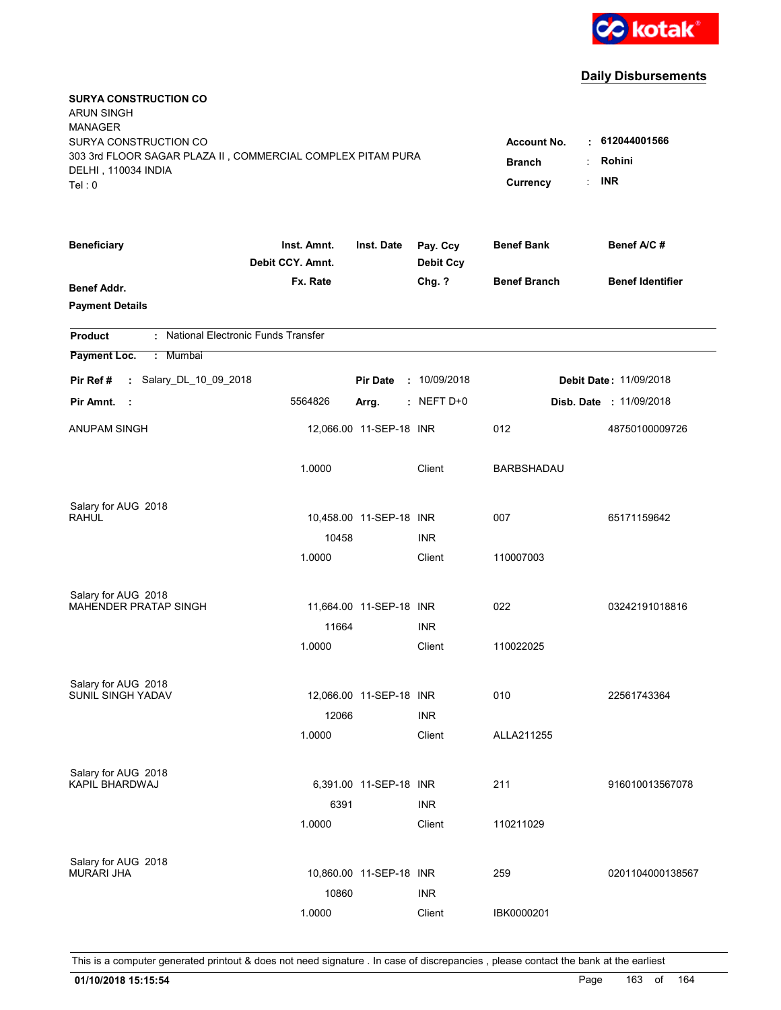

| <b>SURYA CONSTRUCTION CO</b><br><b>ARUN SINGH</b><br><b>MANAGER</b><br>SURYA CONSTRUCTION CO<br>303 3rd FLOOR SAGAR PLAZA II, COMMERCIAL COMPLEX PITAM PURA<br>DELHI, 110034 INDIA<br>Tel: 0 | <b>Account No.</b><br><b>Branch</b><br>Currency | $\cdot$ 612044001566<br>Rohini<br><b>INR</b><br>t. |                              |                     |                                |
|----------------------------------------------------------------------------------------------------------------------------------------------------------------------------------------------|-------------------------------------------------|----------------------------------------------------|------------------------------|---------------------|--------------------------------|
| <b>Beneficiary</b>                                                                                                                                                                           | Inst. Amnt.<br>Debit CCY. Amnt.                 | Inst. Date                                         | Pay. Ccy<br><b>Debit Ccy</b> | <b>Benef Bank</b>   | Benef A/C #                    |
| <b>Benef Addr.</b><br><b>Payment Details</b>                                                                                                                                                 | Fx. Rate                                        |                                                    | Chg. ?                       | <b>Benef Branch</b> | <b>Benef Identifier</b>        |
| : National Electronic Funds Transfer<br><b>Product</b>                                                                                                                                       |                                                 |                                                    |                              |                     |                                |
| Payment Loc.<br>: Mumbai                                                                                                                                                                     |                                                 |                                                    |                              |                     |                                |
| : Salary_DL_10_09_2018<br>Pir Ref #                                                                                                                                                          |                                                 | <b>Pir Date</b>                                    | : 10/09/2018                 |                     | <b>Debit Date: 11/09/2018</b>  |
| Pir Amnt.<br>$\sim$ 1                                                                                                                                                                        | 5564826                                         | Arrg.                                              | $:$ NEFT D+0                 |                     | <b>Disb. Date : 11/09/2018</b> |
| ANUPAM SINGH                                                                                                                                                                                 |                                                 | 12,066.00 11-SEP-18 INR                            |                              | 012                 | 48750100009726                 |
|                                                                                                                                                                                              | 1.0000                                          |                                                    | Client                       | <b>BARBSHADAU</b>   |                                |
| Salary for AUG 2018                                                                                                                                                                          |                                                 |                                                    |                              |                     |                                |
| <b>RAHUL</b>                                                                                                                                                                                 |                                                 | 10,458.00 11-SEP-18 INR                            |                              | 007                 | 65171159642                    |
|                                                                                                                                                                                              | 10458<br>1.0000                                 |                                                    | <b>INR</b><br>Client         | 110007003           |                                |
| Salary for AUG 2018                                                                                                                                                                          |                                                 |                                                    |                              |                     |                                |
| <b>MAHENDER PRATAP SINGH</b>                                                                                                                                                                 |                                                 | 11,664.00 11-SEP-18 INR                            |                              | 022                 | 03242191018816                 |
|                                                                                                                                                                                              | 11664                                           |                                                    | <b>INR</b>                   |                     |                                |
|                                                                                                                                                                                              | 1.0000                                          |                                                    | Client                       | 110022025           |                                |
| Salary for AUG 2018                                                                                                                                                                          |                                                 |                                                    |                              |                     |                                |
| SUNIL SINGH YADAV                                                                                                                                                                            |                                                 | 12,066.00 11-SEP-18 INR                            |                              | 010                 | 22561743364                    |
|                                                                                                                                                                                              | 12066                                           |                                                    | <b>INR</b>                   |                     |                                |
|                                                                                                                                                                                              | 1.0000                                          |                                                    | Client                       | ALLA211255          |                                |
| Salary for AUG 2018                                                                                                                                                                          |                                                 |                                                    |                              |                     |                                |
| KAPIL BHARDWAJ                                                                                                                                                                               |                                                 | 6,391.00 11-SEP-18 INR                             |                              | 211                 | 916010013567078                |
|                                                                                                                                                                                              | 6391<br>1.0000                                  |                                                    | <b>INR</b><br>Client         | 110211029           |                                |
|                                                                                                                                                                                              |                                                 |                                                    |                              |                     |                                |
| Salary for AUG 2018<br><b>MURARI JHA</b>                                                                                                                                                     |                                                 | 10,860.00 11-SEP-18 INR                            |                              | 259                 | 0201104000138567               |
|                                                                                                                                                                                              | 10860                                           |                                                    | <b>INR</b>                   |                     |                                |
|                                                                                                                                                                                              | 1.0000                                          |                                                    | Client                       | IBK0000201          |                                |
|                                                                                                                                                                                              |                                                 |                                                    |                              |                     |                                |